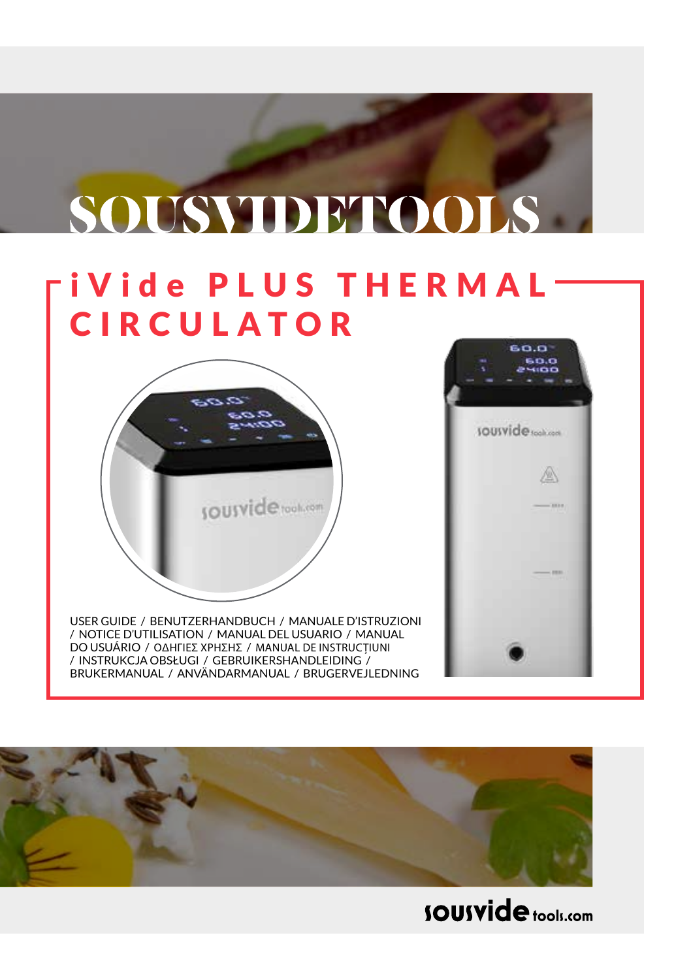# **SOUSVIDETOOLS**

### **iVide PLUS THERMAL** CIRCULATOR



USER GUIDE / BENUTZERHANDBUCH / MANUALE D'ISTRUZIONI / NOTICE D'UTILISATION / MANUAL DEL USUARIO / MANUAL DO USUÁRIO / ΟΔΗΓΙΕΣ ΧΡΗΣΗΣ / MANUAL DE INSTRUCȚIUNI / INSTRUKCJA OBSŁUGI / GEBRUIKERSHANDLEIDING / BRUKERMANUAL / ANVÄNDARMANUAL / BRUGERVEJLEDNING





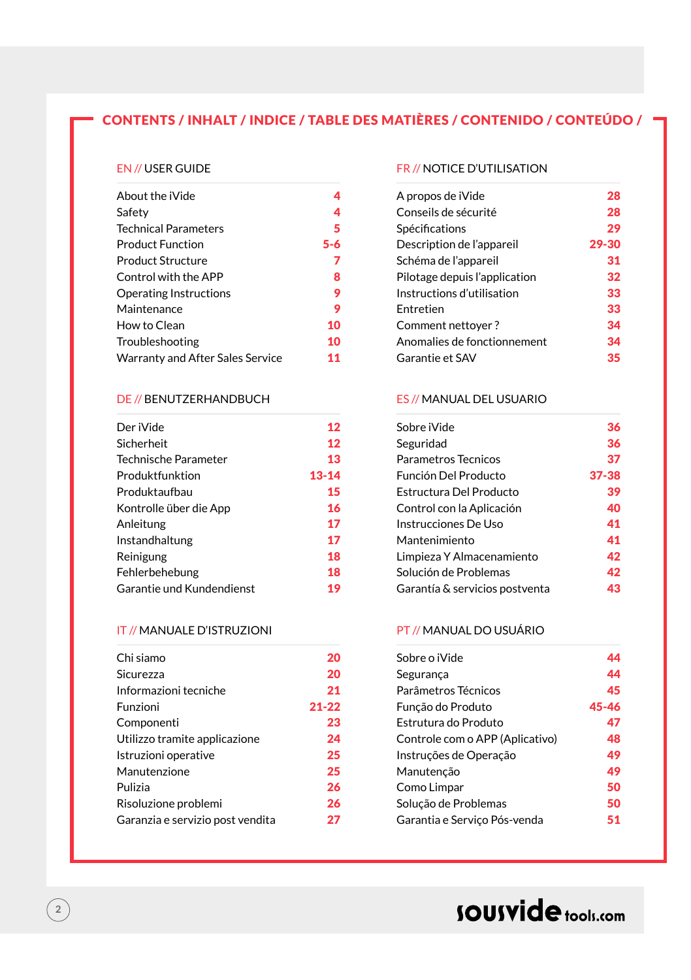### CONTENTS / INHALT / INDICE / TABLE DES MATIÈRES / CONTENIDO / CONTEÚDO /

#### EN // USER GUIDE

| About the iVide                  |         |
|----------------------------------|---------|
| Safety                           | 4       |
| <b>Technical Parameters</b>      | 5       |
| <b>Product Function</b>          | $5 - 6$ |
| <b>Product Structure</b>         | 7       |
| Control with the APP             | 8       |
| Operating Instructions           | 9       |
| Maintenance                      | 9       |
| How to Clean                     | 10      |
| Troubleshooting                  | 10      |
| Warranty and After Sales Service | 11      |

#### DE // BENUTZERHANDBUCH

| Der iVide                 | 12    |
|---------------------------|-------|
| Sicherheit                | 12    |
| Technische Parameter      | 13    |
| Produktfunktion           | 13-14 |
| Produktaufbau             | 15    |
| Kontrolle über die App    | 16    |
| Anleitung                 | 17    |
| Instandhaltung            | 17    |
| Reinigung                 | 18    |
| Fehlerbehebung            | 18    |
| Garantie und Kundendienst | 19    |

#### IT // MANUALE D'ISTRUZIONI

| Chi siamo                        | 20        |
|----------------------------------|-----------|
| Sicurezza                        | 20        |
| Informazioni tecniche            | 21        |
| Funzioni                         | $21 - 22$ |
| Componenti                       | 23        |
| Utilizzo tramite applicazione    | 24        |
| Istruzioni operative             | 25        |
| Manutenzione                     | 25        |
| Pulizia                          | 26        |
| Risoluzione problemi             | 26        |
| Garanzia e servizio post vendita | 27        |

#### FR // NOTICE D'UTILISATION

| A propos de iVide             | 28    |
|-------------------------------|-------|
| Conseils de sécurité          | 28    |
|                               | 29    |
| Description de l'appareil     | 29-30 |
| Schéma de l'appareil          | 31    |
| Pilotage depuis l'application | 32    |
| Instructions d'utilisation    | 33    |
|                               | 33    |
| Comment nettoyer?             | 34    |
| Anomalies de fonctionnement   | 34    |
|                               | 35    |
|                               |       |

#### ES // MANUAL DEL USUARIO

| 36    |
|-------|
| 36    |
| 37    |
| 37-38 |
| 39    |
| 40    |
| 41    |
| 41    |
| 42    |
| 42    |
| 43    |
|       |

#### PT // MANUAL DO USUÁRIO

| Sobre o iVide                   | 44    |
|---------------------------------|-------|
| Seguranca                       | 44    |
| Parâmetros Técnicos             | 45    |
| Função do Produto               | 45-46 |
| Estrutura do Produto            | 47    |
| Controle com o APP (Aplicativo) | 48    |
| Instruções de Operação          | 49    |
| Manutenção                      | 49    |
| Como Limpar                     | 50    |
| Solução de Problemas            | 50    |
| Garantia e Servico Pós-venda    | 51    |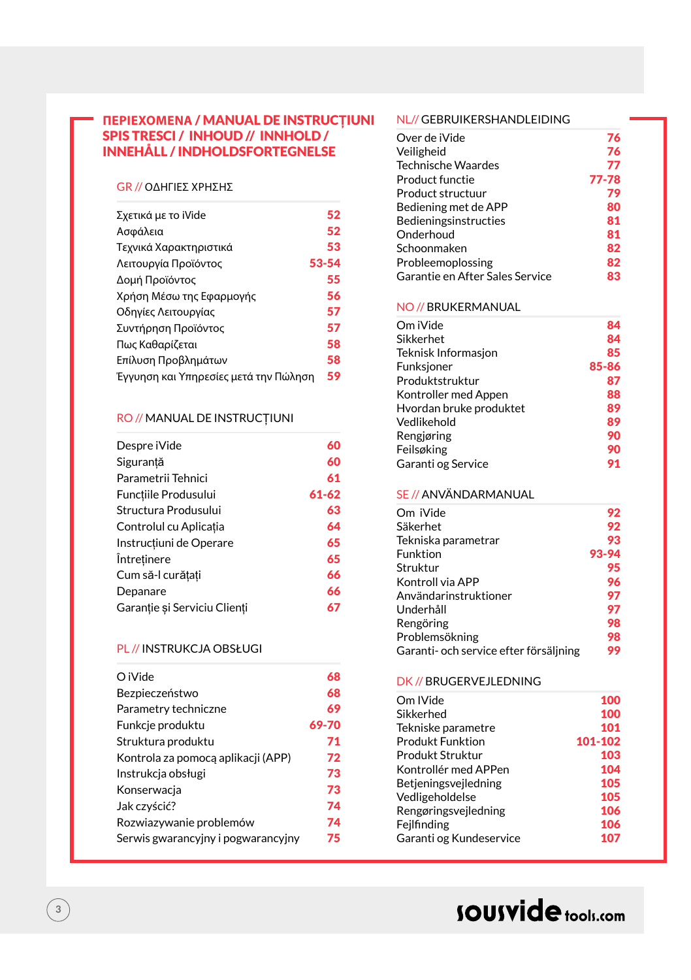#### **ΠΕΡΙΕΧΟΜΕΝΑ** / MANUAL DE INSTRUC**Ț**IUNI NL// GEBRUIKERSHANDLEIDING SPIS TRESCI / INHOUD // INNHOLD / INNEHÅLL / INDHOLDSFORTEGNELSE

#### GR // ΟΔΗΓΙΕΣ ΧΡΗΣΗΣ

| Σχετικά με το iVide                   | 52    |
|---------------------------------------|-------|
| Ασφάλεια                              | 52    |
| Τεχνικά Χαρακτηριστικά                | 53    |
| Λειτουργία Προϊόντος                  | 53-54 |
| Δομή Προϊόντος                        | 55    |
| Χρήση Μέσω της Εφαρμογής              | 56    |
| Οδηγίες Λειτουργίας                   | 57    |
| Συντήρηση Προϊόντος                   | 57    |
| Πως Καθαρίζεται                       | 58    |
| Επίλυση Προβλημάτων                   | 58    |
| Έγγυηση και Υπηρεσίες μετά την Πώληση | 59    |

#### RO // MANUAL DE INSTRUCȚIUNI

| 60        |
|-----------|
| 60        |
| 61        |
| $61 - 62$ |
| 63        |
| 64        |
| 65        |
| 65        |
| 66        |
| 66        |
| 67        |
|           |

#### PL // INSTRUKCJA OBSŁUGI

| O iVide                            | 68    |
|------------------------------------|-------|
| Bezpieczeństwo                     | 68    |
| Parametry techniczne               | 69    |
| Funkcje produktu                   | 69-70 |
| Struktura produktu                 | 71    |
| Kontrola za pomoca aplikacji (APP) | 72    |
| Instrukcja obsługi                 | 73    |
| Konserwacja                        | 73    |
| Jak czyścić?                       | 74    |
| Rozwiazywanie problemów            | 74    |
| Serwis gwarancyjny i pogwarancyjny | 75    |
|                                    |       |

| Over de iVide                   | 76    |
|---------------------------------|-------|
| Veiligheid                      | 76    |
| <b>Technische Waardes</b>       | 77    |
| Product functie                 | 77-78 |
| Product structuur               | 79    |
| Bediening met de APP            | 80    |
| Bedieningsinstructies           | 81    |
| Onderhoud                       | 81    |
| Schoonmaken                     | 82    |
| Probleemoplossing               | 82    |
| Garantie en After Sales Service | 83    |

#### NO // BRUKERMANUAL

| Om iVide                | 84    |
|-------------------------|-------|
| Sikkerhet               | 84    |
| Teknisk Informasjon     | 85    |
| Funksjoner              | 85-86 |
| Produktstruktur         | 87    |
| Kontroller med Appen    | 88    |
| Hvordan bruke produktet | 89    |
| Vedlikehold             | 89    |
| Rengiøring              | 90    |
| Feilsøking              | 90    |
| Garanti og Service      | 91    |

#### SE // ANVÄNDARMANUAL

| Om iVide                               | 92    |
|----------------------------------------|-------|
|                                        |       |
| Säkerhet                               | 92    |
| Tekniska parametrar                    | 93    |
| Funktion                               | 93-94 |
| Struktur                               | 95    |
| Kontroll via APP                       | 96    |
| Användarinstruktioner                  | 97    |
| Underhåll                              | 97    |
| Rengöring                              | 98    |
| Problemsökning                         | 98    |
| Garanti- och service efter försäljning | 99    |

#### DK // BRUGERVEJLEDNING

| Om IVide                | 100     |
|-------------------------|---------|
| Sikkerhed               | 100     |
| Tekniske parametre      | 101     |
| <b>Produkt Funktion</b> | 101-102 |
| Produkt Struktur        | 103     |
| Kontrollér med APPen    | 104     |
| Betjeningsvejledning    | 105     |
| Vedligeholdelse         | 105     |
| Rengøringsvejledning    | 106     |
| Fejlfinding             | 106     |
| Garanti og Kundeservice | 107     |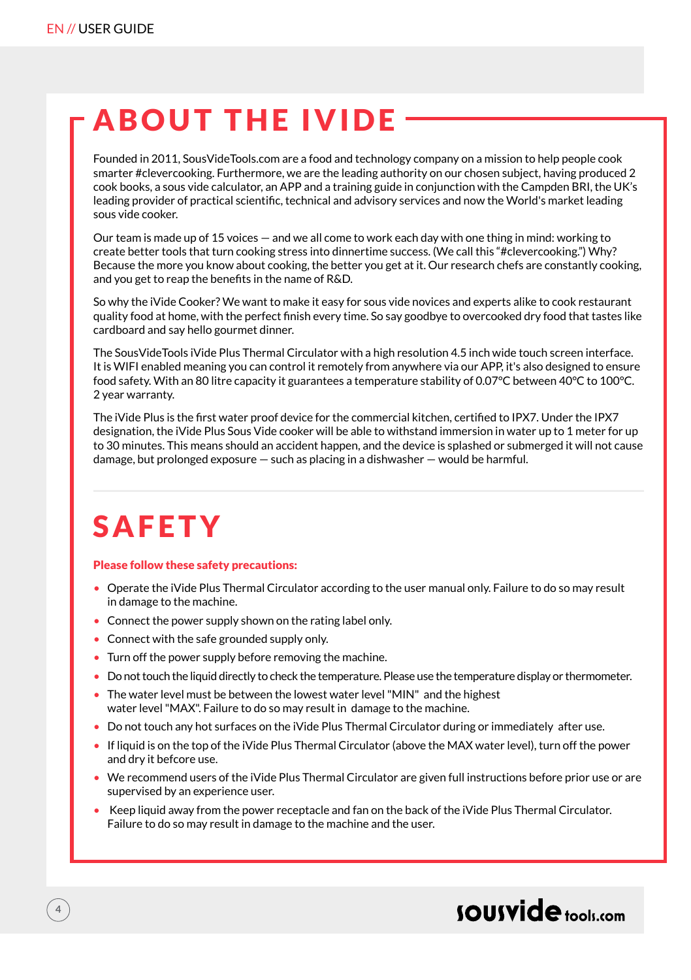### ABOUT THE IVIDE

Founded in 2011, SousVideTools.com are a food and technology company on a mission to help people cook smarter #clevercooking. Furthermore, we are the leading authority on our chosen subject, having produced 2 cook books, a sous vide calculator, an APP and a training guide in conjunction with the Campden BRI, the UK's leading provider of practical scientific, technical and advisory services and now the World's market leading sous vide cooker.

Our team is made up of 15 voices — and we all come to work each day with one thing in mind: working to create better tools that turn cooking stress into dinnertime success. (We call this "#clevercooking.") Why? Because the more you know about cooking, the better you get at it. Our research chefs are constantly cooking, and you get to reap the benefits in the name of R&D.

So why the iVide Cooker? We want to make it easy for sous vide novices and experts alike to cook restaurant quality food at home, with the perfect finish every time. So say goodbye to overcooked dry food that tastes like cardboard and say hello gourmet dinner.

The SousVideTools iVide Plus Thermal Circulator with a high resolution 4.5 inch wide touch screen interface. It is WIFI enabled meaning you can control it remotely from anywhere via our APP, it's also designed to ensure food safety. With an 80 litre capacity it guarantees a temperature stability of 0.07°C between 40°C to 100°C. 2 year warranty.

The iVide Plus is the first water proof device for the commercial kitchen, certified to IPX7. Under the IPX7 designation, the iVide Plus Sous Vide cooker will be able to withstand immersion in water up to 1 meter for up to 30 minutes. This means should an accident happen, and the device is splashed or submerged it will not cause damage, but prolonged exposure — such as placing in a dishwasher — would be harmful.

### SAFETY

#### Please follow these safety precautions:

- Operate the iVide Plus Thermal Circulator according to the user manual only. Failure to do so may result in damage to the machine.
- Connect the power supply shown on the rating label only.
- Connect with the safe grounded supply only.
- Turn off the power supply before removing the machine.
- Do not touch the liquid directly to check the temperature. Please use the temperature display or thermometer.
- The water level must be between the lowest water level "MIN" and the highest water level "MAX". Failure to do so may result in damage to the machine.
- Do not touch any hot surfaces on the iVide Plus Thermal Circulator during or immediately after use.
- If liquid is on the top of the iVide Plus Thermal Circulator (above the MAX water level), turn off the power and dry it befcore use.
- We recommend users of the iVide Plus Thermal Circulator are given full instructions before prior use or are supervised by an experience user.
- Keep liquid away from the power receptacle and fan on the back of the iVide Plus Thermal Circulator. Failure to do so may result in damage to the machine and the user.

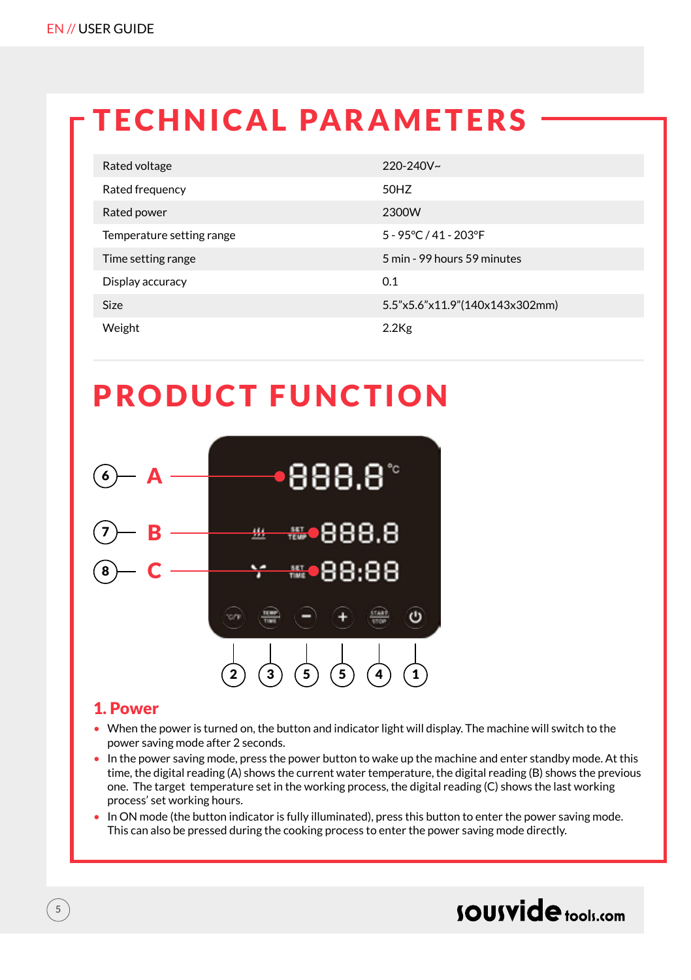### TECHNICAL PARAMETERS

| Rated voltage             | $220 - 240V$ ~                 |
|---------------------------|--------------------------------|
| Rated frequency           | 50HZ                           |
| Rated power               | 2300W                          |
| Temperature setting range | 5 - 95°C / 41 - 203°F          |
| Time setting range        | 5 min - 99 hours 59 minutes    |
| Display accuracy          | 0.1                            |
| <b>Size</b>               | 5.5"x5.6"x11.9"(140x143x302mm) |
| Weight                    | $2.2$ Kg                       |

### PRODUCT FUNCTION



#### 1. Power

- When the power is turned on, the button and indicator light will display. The machine will switch to the power saving mode after 2 seconds.
- In the power saving mode, press the power button to wake up the machine and enter standby mode. At this time, the digital reading (A) shows the current water temperature, the digital reading (B) shows the previous one. The target temperature set in the working process, the digital reading (C) shows the last working process' set working hours.
- In ON mode (the button indicator is fully illuminated), press this button to enter the power saving mode. This can also be pressed during the cooking process to enter the power saving mode directly.

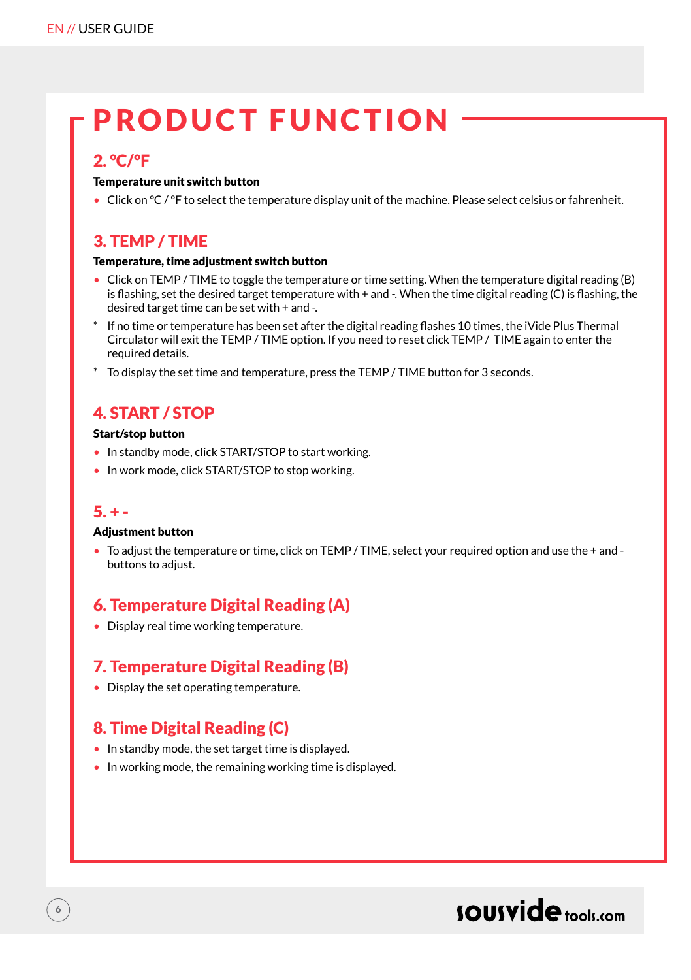### PRODUCT FUNCTION

### 2. °C/°F

#### Temperature unit switch button

• Click on °C / °F to select the temperature display unit of the machine. Please select celsius or fahrenheit.

### 3. TEMP / TIME

#### Temperature, time adjustment switch button

- Click on TEMP / TIME to toggle the temperature or time setting. When the temperature digital reading (B) is flashing, set the desired target temperature with + and -. When the time digital reading (C) is flashing, the desired target time can be set with + and -.
- If no time or temperature has been set after the digital reading flashes 10 times, the iVide Plus Thermal Circulator will exit the TEMP / TIME option. If you need to reset click TEMP / TIME again to enter the required details.
- \* To display the set time and temperature, press the TEMP / TIME button for 3 seconds.

### 4. START / STOP

#### Start/stop button

- In standby mode, click START/STOP to start working.
- In work mode, click START/STOP to stop working.

### $5. + -$

#### Adjustment button

• To adjust the temperature or time, click on TEMP / TIME, select your required option and use the + and buttons to adjust.

### 6. Temperature Digital Reading (A)

• Display real time working temperature.

### 7. Temperature Digital Reading (B)

• Display the set operating temperature.

### 8. Time Digital Reading (C)

- In standby mode, the set target time is displayed.
- In working mode, the remaining working time is displayed.

### sousvide tools:com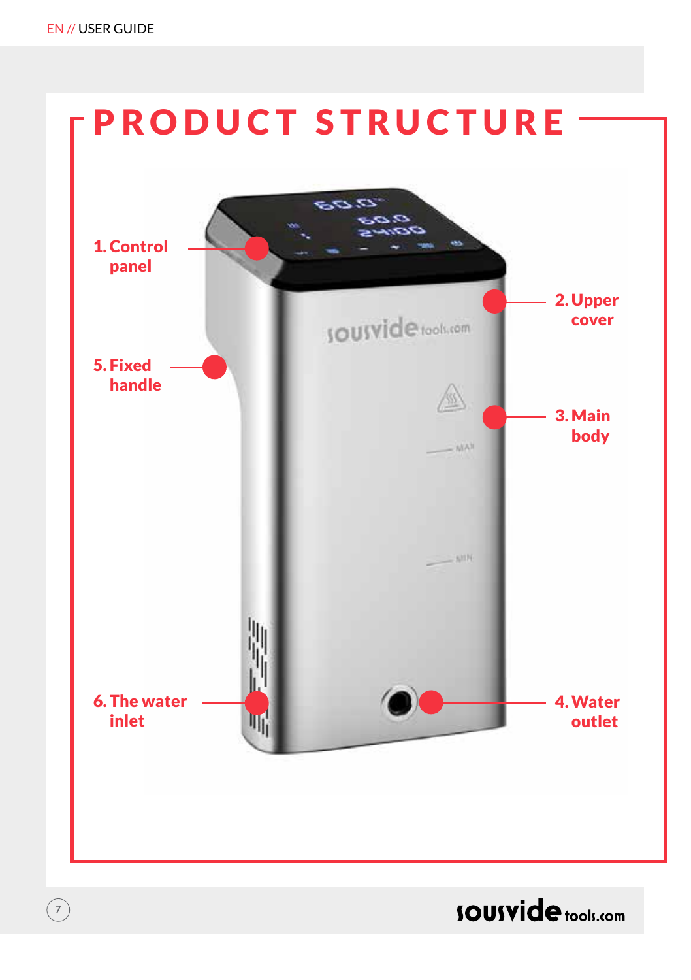**7**



**SOUSVide** tools.com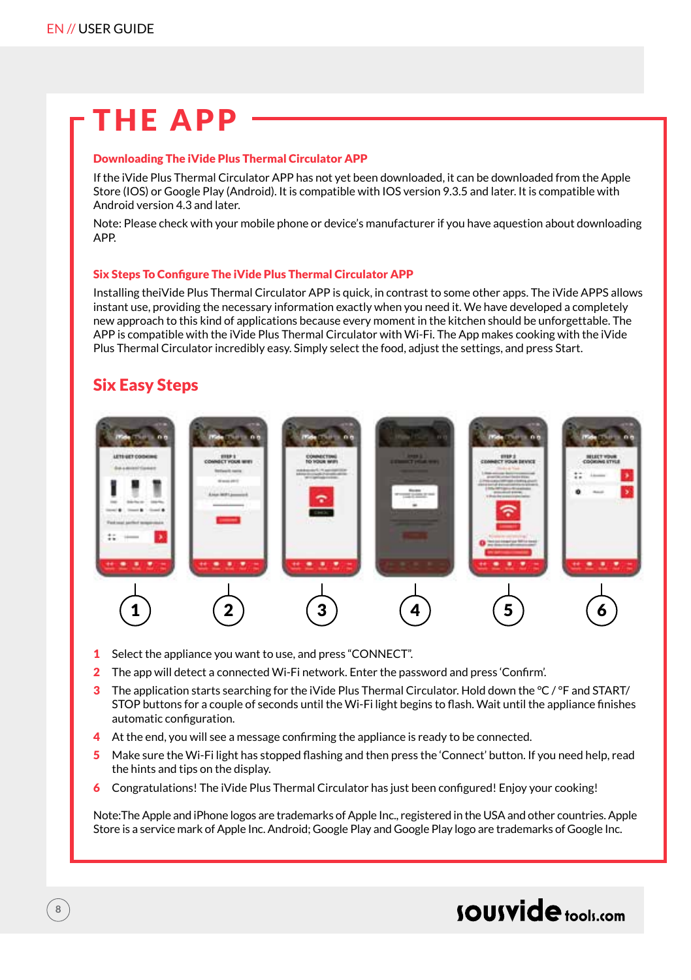### THE APP

#### Downloading The iVide Plus Thermal Circulator APP

If the iVide Plus Thermal Circulator APP has not yet been downloaded, it can be downloaded from the Apple Store (IOS) or Google Play (Android). It is compatible with IOS version 9.3.5 and later. It is compatible with Android version 4.3 and later.

Note: Please check with your mobile phone or device's manufacturer if you have aquestion about downloading APP.

#### Six Steps To Configure The iVide Plus Thermal Circulator APP

Installing theiVide Plus Thermal Circulator APP is quick, in contrast to some other apps. The iVide APPS allows instant use, providing the necessary information exactly when you need it. We have developed a completely new approach to this kind of applications because every moment in the kitchen should be unforgettable. The APP is compatible with the iVide Plus Thermal Circulator with Wi-Fi. The App makes cooking with the iVide Plus Thermal Circulator incredibly easy. Simply select the food, adjust the settings, and press Start.

### Six Easy Steps



- 1 Select the appliance you want to use, and press "CONNECT".
- 2 The app will detect a connected Wi-Fi network. Enter the password and press 'Confirm'.
- 3 The application starts searching for the iVide Plus Thermal Circulator. Hold down the  $\degree C$  /  $\degree F$  and START/ STOP buttons for a couple of seconds until the Wi-Fi light begins to flash. Wait until the appliance finishes automatic configuration.
- 4 At the end, you will see a message confirming the appliance is ready to be connected.
- 5 Make sure the Wi-Fi light has stopped flashing and then press the 'Connect' button. If you need help, read the hints and tips on the display.
- 6 Congratulations! The iVide Plus Thermal Circulator has just been configured! Enjoy your cooking!

Note:The Apple and iPhone logos are trademarks of Apple Inc., registered in the USA and other countries. Apple Store is a service mark of Apple Inc. Android; Google Play and Google Play logo are trademarks of Google Inc.

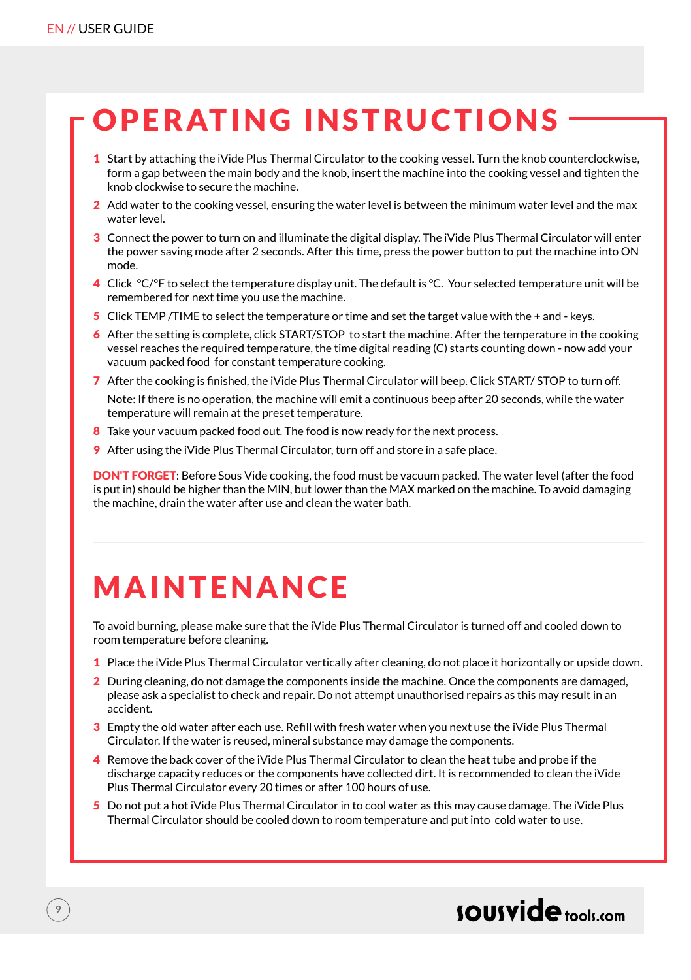### OPERATING INSTRUCTIONS

- 1 Start by attaching the iVide Plus Thermal Circulator to the cooking vessel. Turn the knob counterclockwise, form a gap between the main body and the knob, insert the machine into the cooking vessel and tighten the knob clockwise to secure the machine.
- 2 Add water to the cooking vessel, ensuring the water level is between the minimum water level and the max water level.
- 3 Connect the power to turn on and illuminate the digital display. The iVide Plus Thermal Circulator will enter the power saving mode after 2 seconds. After this time, press the power button to put the machine into ON mode.
- 4 Click °C/°F to select the temperature display unit. The default is °C. Your selected temperature unit will be remembered for next time you use the machine.
- 5 Click TEMP /TIME to select the temperature or time and set the target value with the + and keys.
- 6 After the setting is complete, click START/STOP to start the machine. After the temperature in the cooking vessel reaches the required temperature, the time digital reading (C) starts counting down - now add your vacuum packed food for constant temperature cooking.
- 7 After the cooking is finished, the iVide Plus Thermal Circulator will beep. Click START/ STOP to turn off. Note: If there is no operation, the machine will emit a continuous beep after 20 seconds, while the water temperature will remain at the preset temperature.
- 8 Take your vacuum packed food out. The food is now ready for the next process.
- 9 After using the iVide Plus Thermal Circulator, turn off and store in a safe place.

DON'T FORGET: Before Sous Vide cooking, the food must be vacuum packed. The water level (after the food is put in) should be higher than the MIN, but lower than the MAX marked on the machine. To avoid damaging the machine, drain the water after use and clean the water bath.

### **MAINTFNANCE**

To avoid burning, please make sure that the iVide Plus Thermal Circulator is turned off and cooled down to room temperature before cleaning.

- 1 Place the iVide Plus Thermal Circulator vertically after cleaning, do not place it horizontally or upside down.
- 2 During cleaning, do not damage the components inside the machine. Once the components are damaged, please ask a specialist to check and repair. Do not attempt unauthorised repairs as this may result in an accident.
- 3 Empty the old water after each use. Refill with fresh water when you next use the iVide Plus Thermal Circulator. If the water is reused, mineral substance may damage the components.
- 4 Remove the back cover of the iVide Plus Thermal Circulator to clean the heat tube and probe if the discharge capacity reduces or the components have collected dirt. It is recommended to clean the iVide Plus Thermal Circulator every 20 times or after 100 hours of use.
- 5 Do not put a hot iVide Plus Thermal Circulator in to cool water as this may cause damage. The iVide Plus Thermal Circulator should be cooled down to room temperature and put into cold water to use.

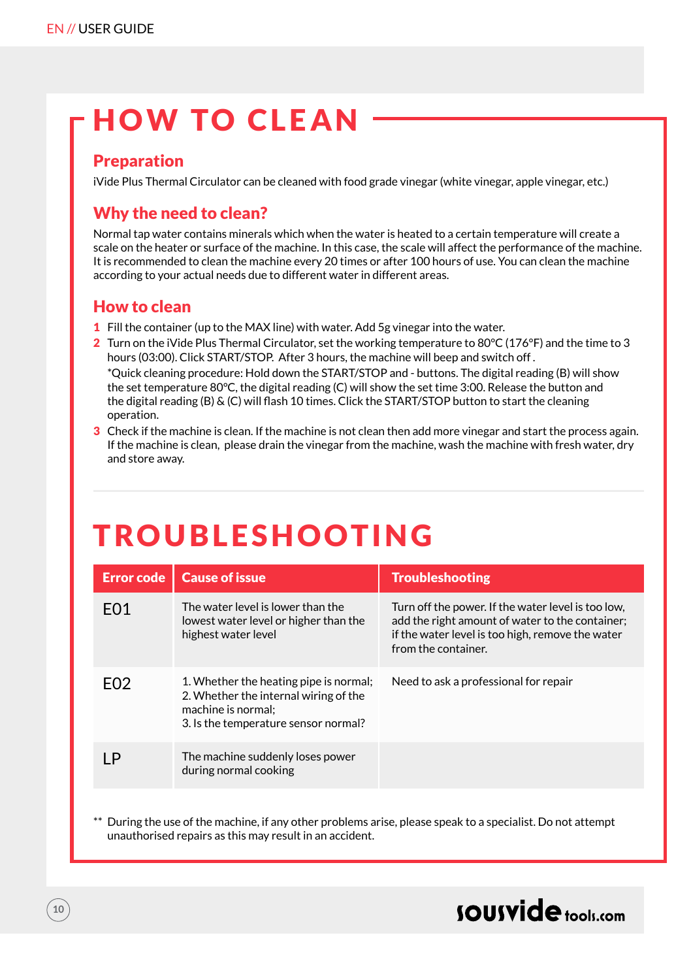### HOW TO CLEAN

### Preparation

iVide Plus Thermal Circulator can be cleaned with food grade vinegar (white vinegar, apple vinegar, etc.)

### Why the need to clean?

Normal tap water contains minerals which when the water is heated to a certain temperature will create a scale on the heater or surface of the machine. In this case, the scale will affect the performance of the machine. It is recommended to clean the machine every 20 times or after 100 hours of use. You can clean the machine according to your actual needs due to different water in different areas.

### How to clean

- 1 Fill the container (up to the MAX line) with water. Add 5g vinegar into the water.
- 2 Turn on the iVide Plus Thermal Circulator, set the working temperature to 80°C (176°F) and the time to 3 hours (03:00). Click START/STOP. After 3 hours, the machine will beep and switch off . \*Quick cleaning procedure: Hold down the START/STOP and - buttons. The digital reading (B) will show the set temperature 80°C, the digital reading (C) will show the set time 3:00. Release the button and the digital reading (B) & (C) will flash 10 times. Click the START/STOP button to start the cleaning operation.
- 3 Check if the machine is clean. If the machine is not clean then add more vinegar and start the process again. If the machine is clean, please drain the vinegar from the machine, wash the machine with fresh water, dry and store away.

### TROUBLESHOOTING

| <b>Error code</b> | <b>Cause of issue</b>                                                                                                                         | <b>Troubleshooting</b>                                                                                                                                                           |
|-------------------|-----------------------------------------------------------------------------------------------------------------------------------------------|----------------------------------------------------------------------------------------------------------------------------------------------------------------------------------|
| F <sub>0</sub> 1  | The water level is lower than the<br>lowest water level or higher than the<br>highest water level                                             | Turn off the power. If the water level is too low,<br>add the right amount of water to the container;<br>if the water level is too high, remove the water<br>from the container. |
| F <sub>02</sub>   | 1. Whether the heating pipe is normal;<br>2. Whether the internal wiring of the<br>machine is normal:<br>3. Is the temperature sensor normal? | Need to ask a professional for repair                                                                                                                                            |
|                   | The machine suddenly loses power<br>during normal cooking                                                                                     |                                                                                                                                                                                  |

During the use of the machine, if any other problems arise, please speak to a specialist. Do not attempt unauthorised repairs as this may result in an accident.

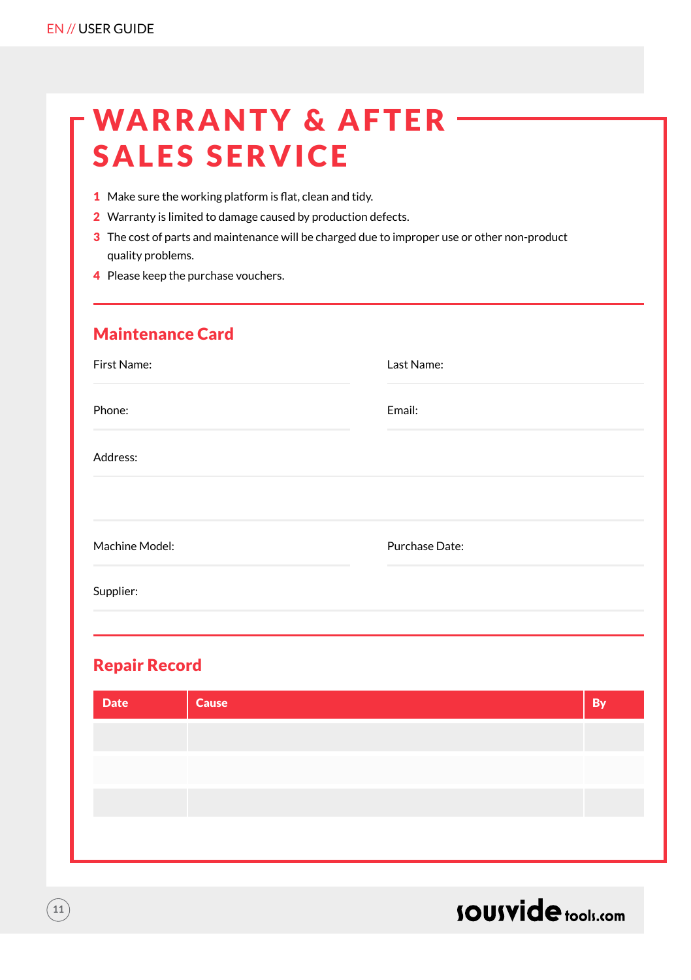| -WARRANTY & AFTER -  |  |
|----------------------|--|
| <b>SALES SERVICE</b> |  |

- 1 Make sure the working platform is flat, clean and tidy.
- 2 Warranty is limited to damage caused by production defects.
- 3 The cost of parts and maintenance will be charged due to improper use or other non-product quality problems.
- 4 Please keep the purchase vouchers.

| <b>Maintenance Card</b> |                |
|-------------------------|----------------|
| First Name:             | Last Name:     |
| Phone:                  | Email:         |
| Address:                |                |
|                         |                |
| Machine Model:          | Purchase Date: |
| Supplier:               |                |
|                         |                |

### Repair Record

| <b>Date</b> | <b>Cause</b> | <b>By</b> |
|-------------|--------------|-----------|
|             |              |           |
|             |              |           |
|             |              |           |
|             |              |           |
|             |              |           |

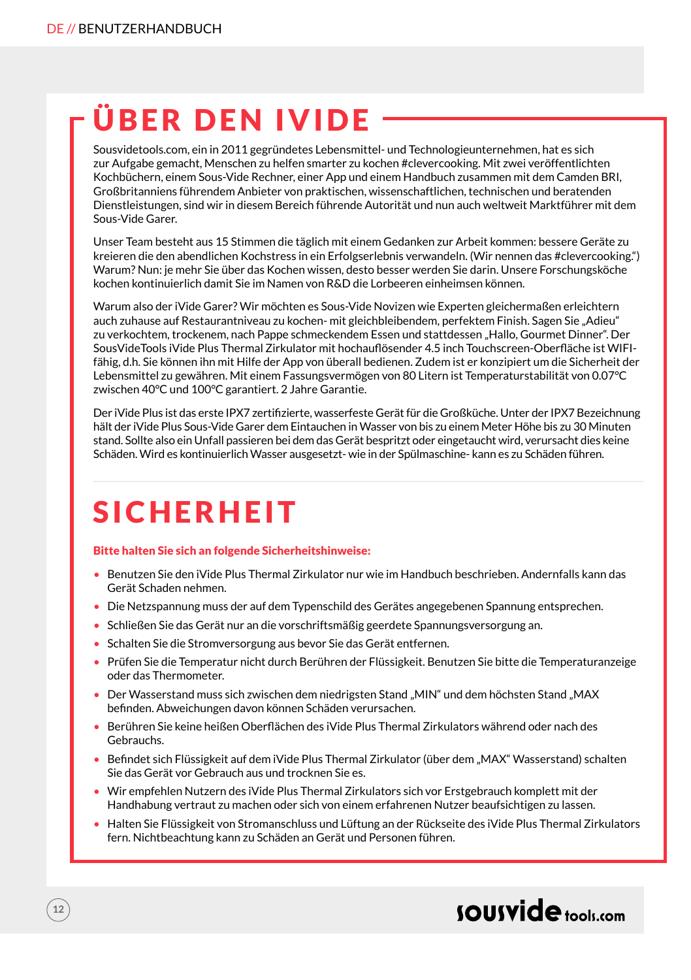### ÜBER DEN IVIDE

Sousvidetools.com, ein in 2011 gegründetes Lebensmittel- und Technologieunternehmen, hat es sich zur Aufgabe gemacht, Menschen zu helfen smarter zu kochen #clevercooking. Mit zwei veröffentlichten Kochbüchern, einem Sous-Vide Rechner, einer App und einem Handbuch zusammen mit dem Camden BRI, Großbritanniens führendem Anbieter von praktischen, wissenschaftlichen, technischen und beratenden Dienstleistungen, sind wir in diesem Bereich führende Autorität und nun auch weltweit Marktführer mit dem Sous-Vide Garer.

Unser Team besteht aus 15 Stimmen die täglich mit einem Gedanken zur Arbeit kommen: bessere Geräte zu kreieren die den abendlichen Kochstress in ein Erfolgserlebnis verwandeln. (Wir nennen das #clevercooking.") Warum? Nun: je mehr Sie über das Kochen wissen, desto besser werden Sie darin. Unsere Forschungsköche kochen kontinuierlich damit Sie im Namen von R&D die Lorbeeren einheimsen können.

Warum also der iVide Garer? Wir möchten es Sous-Vide Novizen wie Experten gleichermaßen erleichtern auch zuhause auf Restaurantniveau zu kochen- mit gleichbleibendem, perfektem Finish. Sagen Sie "Adieu" zu verkochtem, trockenem, nach Pappe schmeckendem Essen und stattdessen "Hallo, Gourmet Dinner". Der SousVideTools iVide Plus Thermal Zirkulator mit hochauflösender 4.5 inch Touchscreen-Oberfläche ist WIFIfähig, d.h. Sie können ihn mit Hilfe der App von überall bedienen. Zudem ist er konzipiert um die Sicherheit der Lebensmittel zu gewähren. Mit einem Fassungsvermögen von 80 Litern ist Temperaturstabilität von 0.07°C zwischen 40°C und 100°C garantiert. 2 Jahre Garantie.

Der iVide Plus ist das erste IPX7 zertifizierte, wasserfeste Gerät für die Großküche. Unter der IPX7 Bezeichnung hält der iVide Plus Sous-Vide Garer dem Eintauchen in Wasser von bis zu einem Meter Höhe bis zu 30 Minuten stand. Sollte also ein Unfall passieren bei dem das Gerät bespritzt oder eingetaucht wird, verursacht dies keine Schäden. Wird es kontinuierlich Wasser ausgesetzt- wie in der Spülmaschine- kann es zu Schäden führen.

### **SICHERHEIT**

#### Bitte halten Sie sich an folgende Sicherheitshinweise:

- Benutzen Sie den iVide Plus Thermal Zirkulator nur wie im Handbuch beschrieben. Andernfalls kann das Gerät Schaden nehmen.
- Die Netzspannung muss der auf dem Typenschild des Gerätes angegebenen Spannung entsprechen.
- Schließen Sie das Gerät nur an die vorschriftsmäßig geerdete Spannungsversorgung an.
- Schalten Sie die Stromversorgung aus bevor Sie das Gerät entfernen.
- Prüfen Sie die Temperatur nicht durch Berühren der Flüssigkeit. Benutzen Sie bitte die Temperaturanzeige oder das Thermometer.
- Der Wasserstand muss sich zwischen dem niedrigsten Stand "MIN" und dem höchsten Stand "MAX befinden. Abweichungen davon können Schäden verursachen.
- Berühren Sie keine heißen Oberflächen des iVide Plus Thermal Zirkulators während oder nach des Gebrauchs.
- Befindet sich Flüssigkeit auf dem iVide Plus Thermal Zirkulator (über dem "MAX" Wasserstand) schalten Sie das Gerät vor Gebrauch aus und trocknen Sie es.
- Wir empfehlen Nutzern des iVide Plus Thermal Zirkulators sich vor Erstgebrauch komplett mit der Handhabung vertraut zu machen oder sich von einem erfahrenen Nutzer beaufsichtigen zu lassen.
- Halten Sie Flüssigkeit von Stromanschluss und Lüftung an der Rückseite des iVide Plus Thermal Zirkulators fern. Nichtbeachtung kann zu Schäden an Gerät und Personen führen.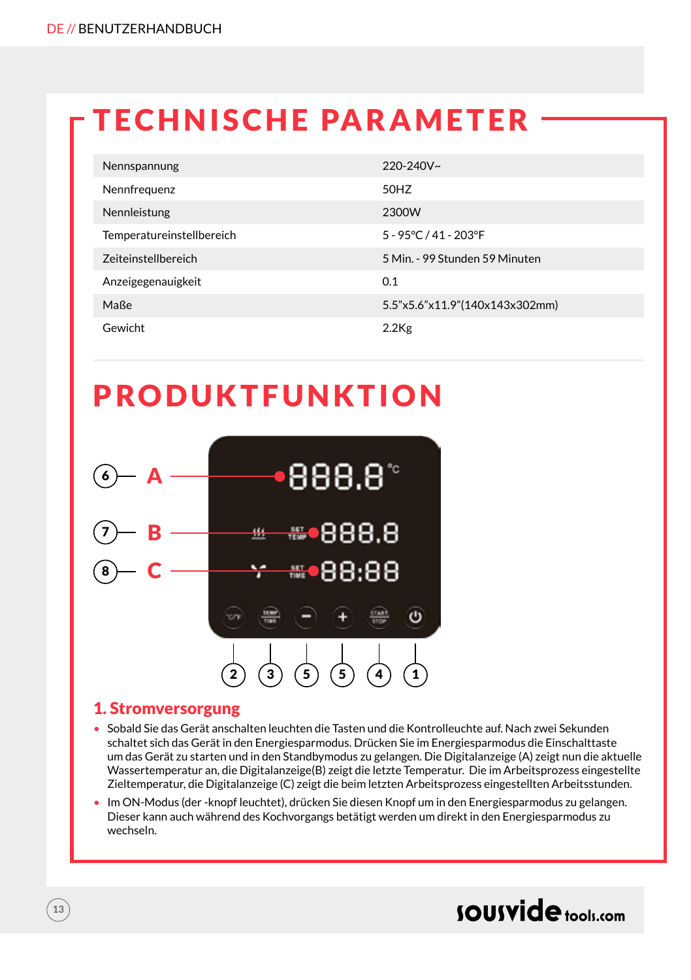### TECHNISCHE PARAMETER

| Nennspannung              | $220 - 240V$ ~                 |
|---------------------------|--------------------------------|
| Nennfrequenz              | 50HZ                           |
| Nennleistung              | 2300W                          |
| Temperatureinstellbereich | 5 - 95°C / 41 - 203°F          |
| Zeiteinstellbereich       | 5 Min. - 99 Stunden 59 Minuten |
| Anzeigegenauigkeit        | 0.1                            |
| Maße                      | 5.5"x5.6"x11.9"(140x143x302mm) |
| Gewicht                   | $2.2$ Kg                       |

### PRODUKTFUNKTION



### 1. Stromversorgung

- Sobald Sie das Gerät anschalten leuchten die Tasten und die Kontrolleuchte auf. Nach zwei Sekunden schaltet sich das Gerät in den Energiesparmodus. Drücken Sie im Energiesparmodus die Einschalttaste um das Gerät zu starten und in den Standbymodus zu gelangen. Die Digitalanzeige (A) zeigt nun die aktuelle Wassertemperatur an, die Digitalanzeige(B) zeigt die letzte Temperatur. Die im Arbeitsprozess eingestellte Zieltemperatur, die Digitalanzeige (C) zeigt die beim letzten Arbeitsprozess eingestellten Arbeitsstunden.
- Im ON-Modus (der -knopf leuchtet), drücken Sie diesen Knopf um in den Energiesparmodus zu gelangen. Dieser kann auch während des Kochvorgangs betätigt werden um direkt in den Energiesparmodus zu wechseln.

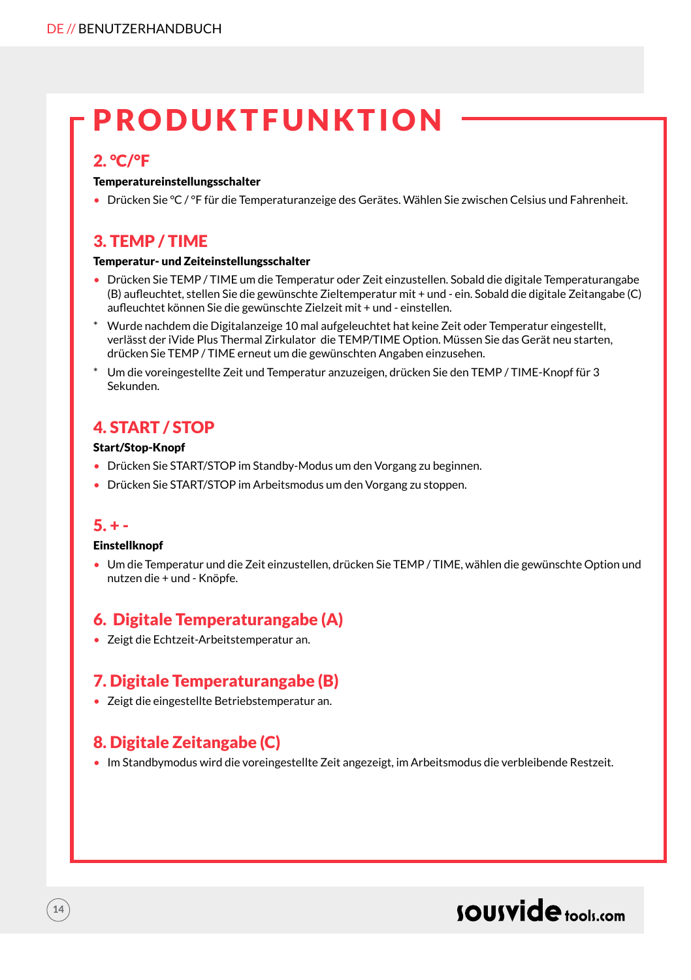### PRODUKTFUNKTION

### 2. °C/°F

#### Temperatureinstellungsschalter

• Drücken Sie °C / °F für die Temperaturanzeige des Gerätes. Wählen Sie zwischen Celsius und Fahrenheit.

### 3. TEMP / TIME

#### Temperatur- und Zeiteinstellungsschalter

- Drücken Sie TEMP / TIME um die Temperatur oder Zeit einzustellen. Sobald die digitale Temperaturangabe (B) aufleuchtet, stellen Sie die gewünschte Zieltemperatur mit + und - ein. Sobald die digitale Zeitangabe (C) aufleuchtet können Sie die gewünschte Zielzeit mit + und - einstellen.
- \* Wurde nachdem die Digitalanzeige 10 mal aufgeleuchtet hat keine Zeit oder Temperatur eingestellt, verlässt der iVide Plus Thermal Zirkulator die TEMP/TIME Option. Müssen Sie das Gerät neu starten, drücken Sie TEMP / TIME erneut um die gewünschten Angaben einzusehen.
- \* Um die voreingestellte Zeit und Temperatur anzuzeigen, drücken Sie den TEMP / TIME-Knopf für 3 Sekunden.

### 4. START / STOP

#### Start/Stop-Knopf

- Drücken Sie START/STOP im Standby-Modus um den Vorgang zu beginnen.
- Drücken Sie START/STOP im Arbeitsmodus um den Vorgang zu stoppen.

#### $5. + -$

**14**

#### **Einstellknopf**

• Um die Temperatur und die Zeit einzustellen, drücken Sie TEMP / TIME, wählen die gewünschte Option und nutzen die + und - Knöpfe.

### 6. Digitale Temperaturangabe (A)

• Zeigt die Echtzeit-Arbeitstemperatur an.

### 7. Digitale Temperaturangabe (B)

• Zeigt die eingestellte Betriebstemperatur an.

### 8. Digitale Zeitangabe (C)

• Im Standbymodus wird die voreingestellte Zeit angezeigt, im Arbeitsmodus die verbleibende Restzeit.

### sousvide tools:com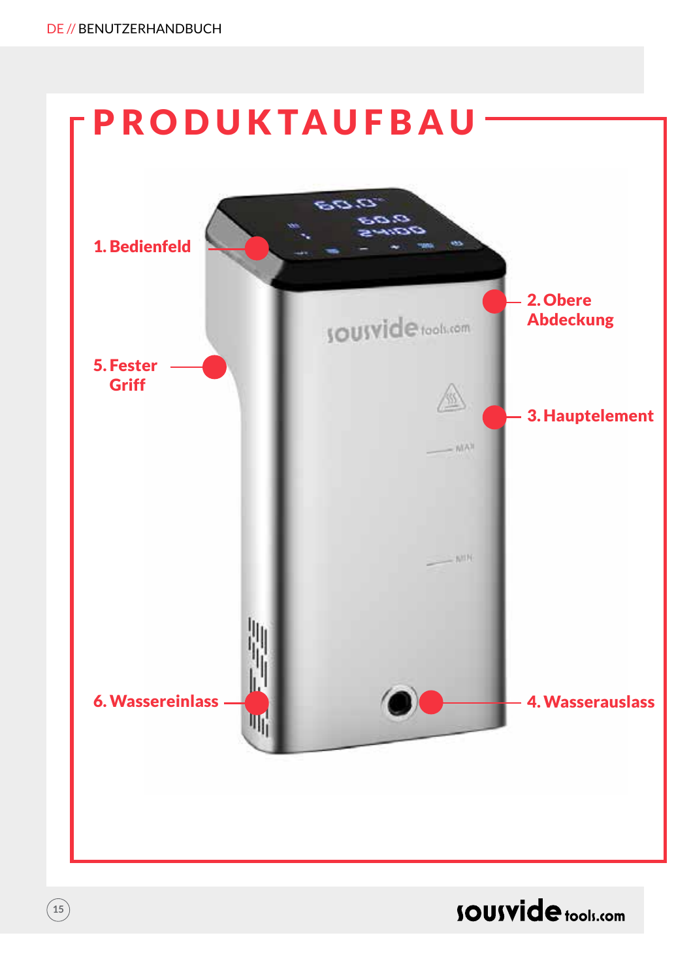

### **SOUSVide** tools.com

 $\binom{15}{ }$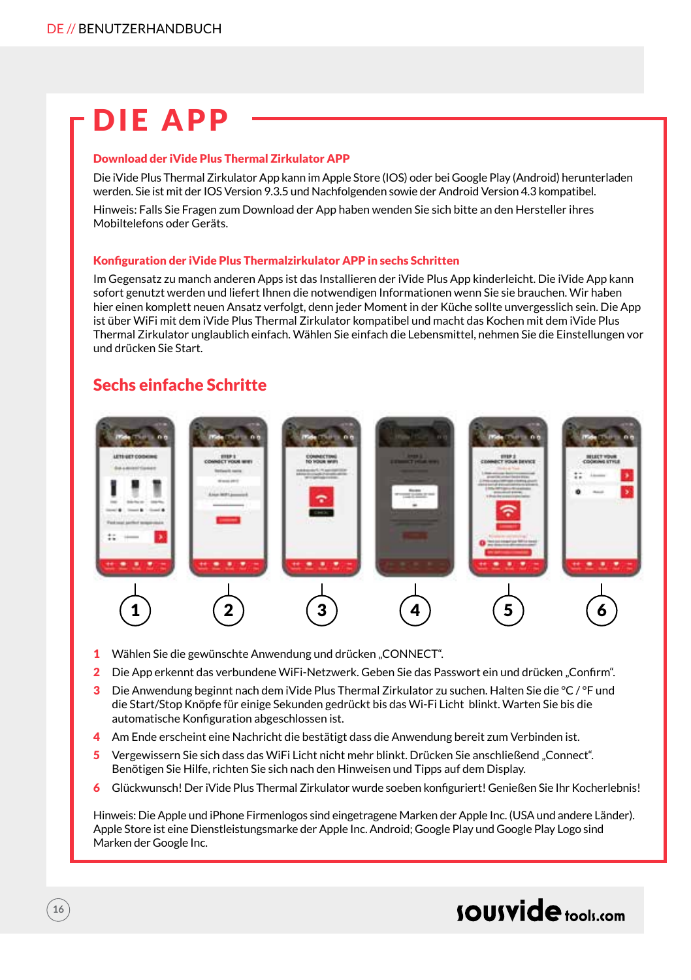### DIE APP

#### Download der iVide Plus Thermal Zirkulator APP

Die iVide Plus Thermal Zirkulator App kann im Apple Store (IOS) oder bei Google Play (Android) herunterladen werden. Sie ist mit der IOS Version 9.3.5 und Nachfolgenden sowie der Android Version 4.3 kompatibel.

Hinweis: Falls Sie Fragen zum Download der App haben wenden Sie sich bitte an den Hersteller ihres Mobiltelefons oder Geräts.

#### Konfiguration der iVide Plus Thermalzirkulator APP in sechs Schritten

Im Gegensatz zu manch anderen Apps ist das Installieren der iVide Plus App kinderleicht. Die iVide App kann sofort genutzt werden und liefert Ihnen die notwendigen Informationen wenn Sie sie brauchen. Wir haben hier einen komplett neuen Ansatz verfolgt, denn jeder Moment in der Küche sollte unvergesslich sein. Die App ist über WiFi mit dem iVide Plus Thermal Zirkulator kompatibel und macht das Kochen mit dem iVide Plus Thermal Zirkulator unglaublich einfach. Wählen Sie einfach die Lebensmittel, nehmen Sie die Einstellungen vor und drücken Sie Start.

### Sechs einfache Schritte



- 1 Wählen Sie die gewünschte Anwendung und drücken "CONNECT".
- 2 Die App erkennt das verbundene WiFi-Netzwerk. Geben Sie das Passwort ein und drücken "Confirm".
- 3 Die Anwendung beginnt nach dem iVide Plus Thermal Zirkulator zu suchen. Halten Sie die °C / °F und die Start/Stop Knöpfe für einige Sekunden gedrückt bis das Wi-Fi Licht blinkt. Warten Sie bis die automatische Konfiguration abgeschlossen ist.
- 4 Am Ende erscheint eine Nachricht die bestätigt dass die Anwendung bereit zum Verbinden ist.
- 5 Vergewissern Sie sich dass das WiFi Licht nicht mehr blinkt. Drücken Sie anschließend "Connect". Benötigen Sie Hilfe, richten Sie sich nach den Hinweisen und Tipps auf dem Display.
- 6 Glückwunsch! Der iVide Plus Thermal Zirkulator wurde soeben konfiguriert! Genießen Sie Ihr Kocherlebnis!

Hinweis: Die Apple und iPhone Firmenlogos sind eingetragene Marken der Apple Inc. (USA und andere Länder). Apple Store ist eine Dienstleistungsmarke der Apple Inc. Android; Google Play und Google Play Logo sind Marken der Google Inc.

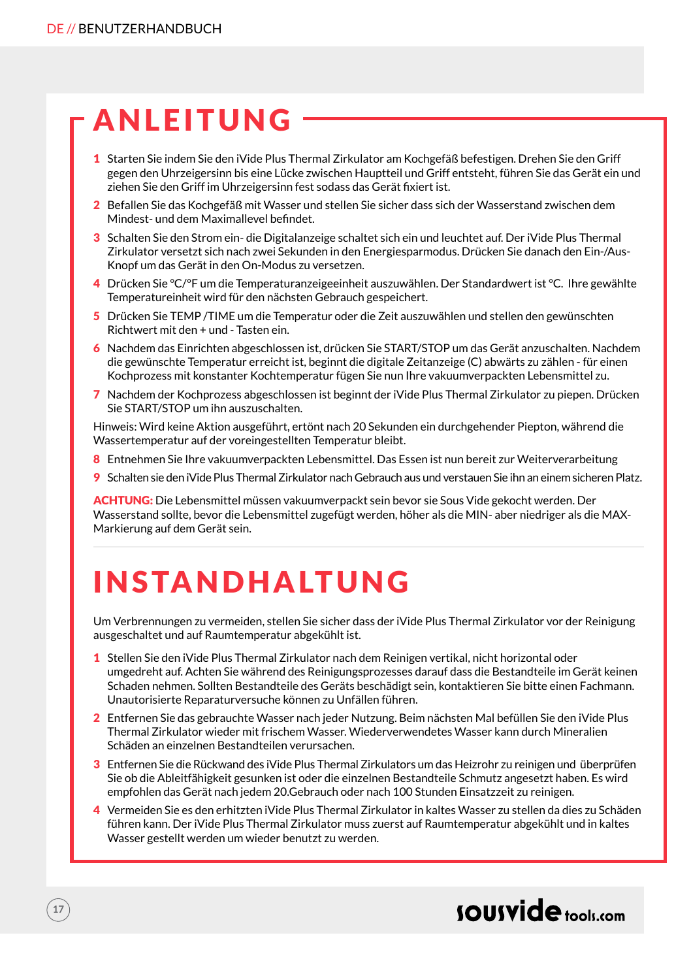### ANLEITUNG

- 1 Starten Sie indem Sie den iVide Plus Thermal Zirkulator am Kochgefäß befestigen. Drehen Sie den Griff gegen den Uhrzeigersinn bis eine Lücke zwischen Hauptteil und Griff entsteht, führen Sie das Gerät ein und ziehen Sie den Griff im Uhrzeigersinn fest sodass das Gerät fixiert ist.
- 2 Befallen Sie das Kochgefäß mit Wasser und stellen Sie sicher dass sich der Wasserstand zwischen dem Mindest- und dem Maximallevel befindet.
- 3 Schalten Sie den Strom ein- die Digitalanzeige schaltet sich ein und leuchtet auf. Der iVide Plus Thermal Zirkulator versetzt sich nach zwei Sekunden in den Energiesparmodus. Drücken Sie danach den Ein-/Aus-Knopf um das Gerät in den On-Modus zu versetzen.
- 4 Drücken Sie °C/°F um die Temperaturanzeigeeinheit auszuwählen. Der Standardwert ist °C. Ihre gewählte Temperatureinheit wird für den nächsten Gebrauch gespeichert.
- 5 Drücken Sie TEMP /TIME um die Temperatur oder die Zeit auszuwählen und stellen den gewünschten Richtwert mit den + und - Tasten ein.
- 6 Nachdem das Einrichten abgeschlossen ist, drücken Sie START/STOP um das Gerät anzuschalten. Nachdem die gewünschte Temperatur erreicht ist, beginnt die digitale Zeitanzeige (C) abwärts zu zählen - für einen Kochprozess mit konstanter Kochtemperatur fügen Sie nun Ihre vakuumverpackten Lebensmittel zu.
- 7 Nachdem der Kochprozess abgeschlossen ist beginnt der iVide Plus Thermal Zirkulator zu piepen. Drücken Sie START/STOP um ihn auszuschalten.

Hinweis: Wird keine Aktion ausgeführt, ertönt nach 20 Sekunden ein durchgehender Piepton, während die Wassertemperatur auf der voreingestellten Temperatur bleibt.

- 8 Entnehmen Sie Ihre vakuumverpackten Lebensmittel. Das Essen ist nun bereit zur Weiterverarbeitung
- 9 Schalten sie den iVide Plus Thermal Zirkulator nach Gebrauch aus und verstauen Sie ihn an einem sicheren Platz.

ACHTUNG: Die Lebensmittel müssen vakuumverpackt sein bevor sie Sous Vide gekocht werden. Der Wasserstand sollte, bevor die Lebensmittel zugefügt werden, höher als die MIN- aber niedriger als die MAX-Markierung auf dem Gerät sein.

### INSTANDHALTUNG

Um Verbrennungen zu vermeiden, stellen Sie sicher dass der iVide Plus Thermal Zirkulator vor der Reinigung ausgeschaltet und auf Raumtemperatur abgekühlt ist.

- 1 Stellen Sie den iVide Plus Thermal Zirkulator nach dem Reinigen vertikal, nicht horizontal oder umgedreht auf. Achten Sie während des Reinigungsprozesses darauf dass die Bestandteile im Gerät keinen Schaden nehmen. Sollten Bestandteile des Geräts beschädigt sein, kontaktieren Sie bitte einen Fachmann. Unautorisierte Reparaturversuche können zu Unfällen führen.
- 2 Entfernen Sie das gebrauchte Wasser nach jeder Nutzung. Beim nächsten Mal befüllen Sie den iVide Plus Thermal Zirkulator wieder mit frischem Wasser. Wiederverwendetes Wasser kann durch Mineralien Schäden an einzelnen Bestandteilen verursachen.
- 3 Entfernen Sie die Rückwand des iVide Plus Thermal Zirkulators um das Heizrohr zu reinigen und überprüfen Sie ob die Ableitfähigkeit gesunken ist oder die einzelnen Bestandteile Schmutz angesetzt haben. Es wird empfohlen das Gerät nach jedem 20.Gebrauch oder nach 100 Stunden Einsatzzeit zu reinigen.
- 4 Vermeiden Sie es den erhitzten iVide Plus Thermal Zirkulator in kaltes Wasser zu stellen da dies zu Schäden führen kann. Der iVide Plus Thermal Zirkulator muss zuerst auf Raumtemperatur abgekühlt und in kaltes Wasser gestellt werden um wieder benutzt zu werden.

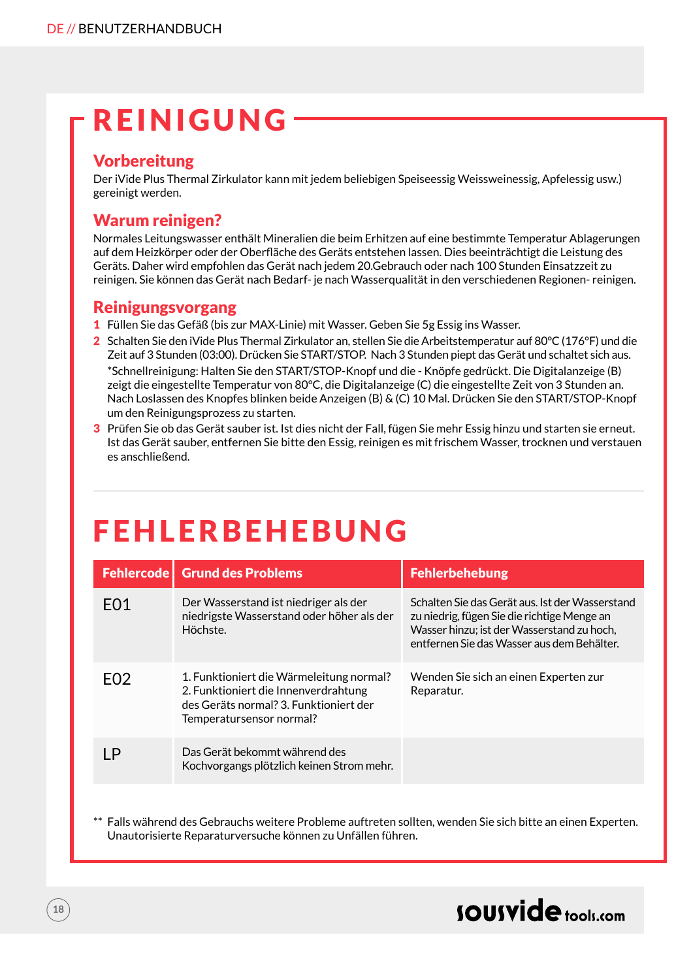### REINIGUNG

### Vorbereitung

Der iVide Plus Thermal Zirkulator kann mit jedem beliebigen Speiseessig Weissweinessig, Apfelessig usw.) gereinigt werden.

### Warum reinigen?

Normales Leitungswasser enthält Mineralien die beim Erhitzen auf eine bestimmte Temperatur Ablagerungen auf dem Heizkörper oder der Oberfläche des Geräts entstehen lassen. Dies beeinträchtigt die Leistung des Geräts. Daher wird empfohlen das Gerät nach jedem 20.Gebrauch oder nach 100 Stunden Einsatzzeit zu reinigen. Sie können das Gerät nach Bedarf- je nach Wasserqualität in den verschiedenen Regionen- reinigen.

#### Reinigungsvorgang

- 1 Füllen Sie das Gefäß (bis zur MAX-Linie) mit Wasser. Geben Sie 5g Essig ins Wasser.
- 2 Schalten Sie den iVide Plus Thermal Zirkulator an, stellen Sie die Arbeitstemperatur auf 80°C (176°F) und die Zeit auf 3 Stunden (03:00). Drücken Sie START/STOP. Nach 3 Stunden piept das Gerät und schaltet sich aus. \*Schnellreinigung: Halten Sie den START/STOP-Knopf und die - Knöpfe gedrückt. Die Digitalanzeige (B) zeigt die eingestellte Temperatur von 80°C, die Digitalanzeige (C) die eingestellte Zeit von 3 Stunden an. Nach Loslassen des Knopfes blinken beide Anzeigen (B) & (C) 10 Mal. Drücken Sie den START/STOP-Knopf um den Reinigungsprozess zu starten.
- 3 Prüfen Sie ob das Gerät sauber ist. Ist dies nicht der Fall, fügen Sie mehr Essig hinzu und starten sie erneut. Ist das Gerät sauber, entfernen Sie bitte den Essig, reinigen es mit frischem Wasser, trocknen und verstauen es anschließend.

### FEHLERBEHEBUNG

|                  | <b>Fehlercode   Grund des Problems</b>                                                                                                                 | Fehlerbehebung                                                                                                                                                                             |
|------------------|--------------------------------------------------------------------------------------------------------------------------------------------------------|--------------------------------------------------------------------------------------------------------------------------------------------------------------------------------------------|
| F <sub>0</sub> 1 | Der Wasserstand ist niedriger als der<br>niedrigste Wasserstand oder höher als der<br>Höchste.                                                         | Schalten Sie das Gerät aus. Ist der Wasserstand<br>zu niedrig, fügen Sie die richtige Menge an<br>Wasser hinzu: ist der Wasserstand zu hoch.<br>entfernen Sie das Wasser aus dem Behälter. |
| F <sub>02</sub>  | 1. Funktioniert die Wärmeleitung normal?<br>2. Funktioniert die Innenverdrahtung<br>des Geräts normal? 3. Funktioniert der<br>Temperatursensor normal? | Wenden Sie sich an einen Experten zur<br>Reparatur.                                                                                                                                        |
| ΙP               | Das Gerät bekommt während des<br>Kochvorgangs plötzlich keinen Strom mehr.                                                                             |                                                                                                                                                                                            |

Falls während des Gebrauchs weitere Probleme auftreten sollten, wenden Sie sich bitte an einen Experten. Unautorisierte Reparaturversuche können zu Unfällen führen.

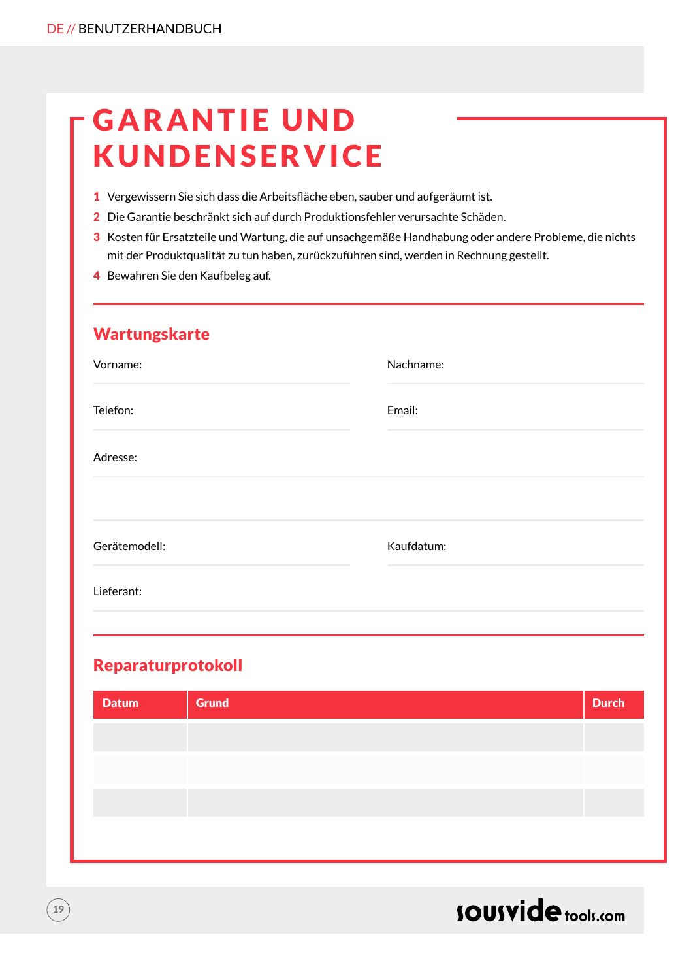### **GARANTIE UND** KUNDENSERVICE

- 1 Vergewissern Sie sich dass die Arbeitsfläche eben, sauber und aufgeräumt ist.
- 2 Die Garantie beschränkt sich auf durch Produktionsfehler verursachte Schäden.
- 3 Kosten für Ersatzteile und Wartung, die auf unsachgemäße Handhabung oder andere Probleme, die nichts mit der Produktqualität zu tun haben, zurückzuführen sind, werden in Rechnung gestellt.
- 4 Bewahren Sie den Kaufbeleg auf.

| Wartungskarte |            |
|---------------|------------|
| Vorname:      | Nachname:  |
| Telefon:      | Email:     |
| Adresse:      |            |
|               |            |
| Gerätemodell: | Kaufdatum: |
| Lieferant:    |            |
|               |            |

### Reparaturprotokoll

| <b>Grund</b> | <b>Durch</b> |
|--------------|--------------|
|              |              |
|              |              |
|              |              |
|              |              |
|              |              |



**19**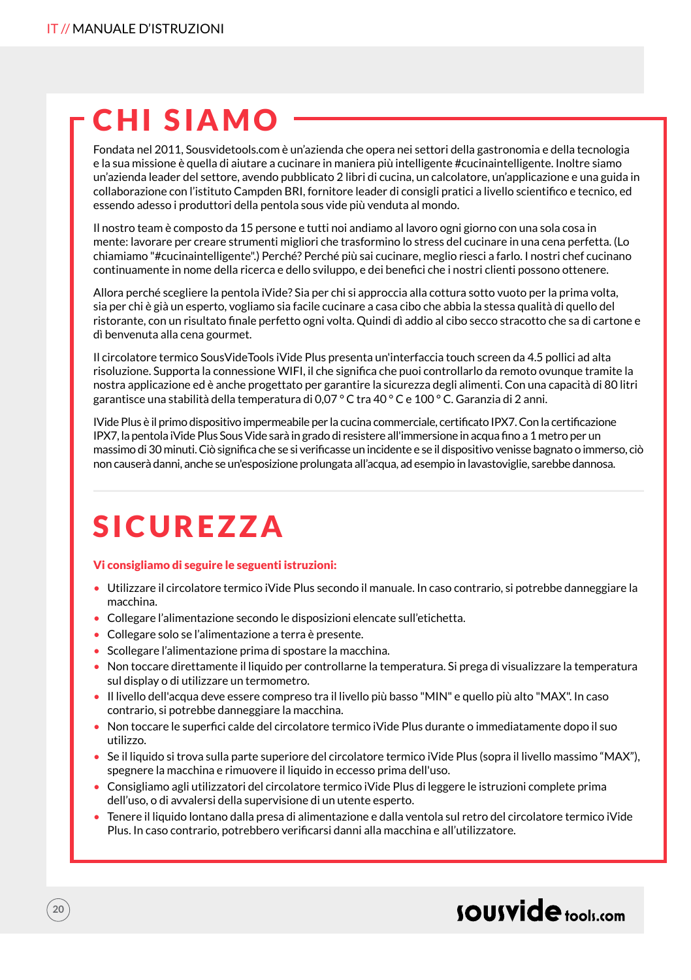### CHI SIAMO

Fondata nel 2011, Sousvidetools.com è un'azienda che opera nei settori della gastronomia e della tecnologia e la sua missione è quella di aiutare a cucinare in maniera più intelligente #cucinaintelligente. Inoltre siamo un'azienda leader del settore, avendo pubblicato 2 libri di cucina, un calcolatore, un'applicazione e una guida in collaborazione con l'istituto Campden BRI, fornitore leader di consigli pratici a livello scientifico e tecnico, ed essendo adesso i produttori della pentola sous vide più venduta al mondo.

Il nostro team è composto da 15 persone e tutti noi andiamo al lavoro ogni giorno con una sola cosa in mente: lavorare per creare strumenti migliori che trasformino lo stress del cucinare in una cena perfetta. (Lo chiamiamo "#cucinaintelligente".) Perché? Perché più sai cucinare, meglio riesci a farlo. I nostri chef cucinano continuamente in nome della ricerca e dello sviluppo, e dei benefici che i nostri clienti possono ottenere.

Allora perché scegliere la pentola iVide? Sia per chi si approccia alla cottura sotto vuoto per la prima volta, sia per chi è già un esperto, vogliamo sia facile cucinare a casa cibo che abbia la stessa qualità di quello del ristorante, con un risultato finale perfetto ogni volta. Quindi dì addio al cibo secco stracotto che sa di cartone e dì benvenuta alla cena gourmet.

Il circolatore termico SousVideTools iVide Plus presenta un'interfaccia touch screen da 4.5 pollici ad alta risoluzione. Supporta la connessione WIFI, il che significa che puoi controllarlo da remoto ovunque tramite la nostra applicazione ed è anche progettato per garantire la sicurezza degli alimenti. Con una capacità di 80 litri garantisce una stabilità della temperatura di 0,07 ° C tra 40 ° C e 100 ° C. Garanzia di 2 anni.

IVide Plus è il primo dispositivo impermeabile per la cucina commerciale, certificato IPX7. Con la certificazione IPX7, la pentola iVide Plus Sous Vide sarà in grado di resistere all'immersione in acqua fino a 1 metro per un massimo di 30 minuti. Ciò significa che se si verificasse un incidente e se il dispositivo venisse bagnato o immerso, ciò non causerà danni, anche se un'esposizione prolungata all'acqua, ad esempio in lavastoviglie, sarebbe dannosa.

### SICUREZZA

#### Vi consigliamo di seguire le seguenti istruzioni:

- Utilizzare il circolatore termico iVide Plus secondo il manuale. In caso contrario, si potrebbe danneggiare la macchina.
- Collegare l'alimentazione secondo le disposizioni elencate sull'etichetta.
- Collegare solo se l'alimentazione a terra è presente.
- Scollegare l'alimentazione prima di spostare la macchina.
- Non toccare direttamente il liquido per controllarne la temperatura. Si prega di visualizzare la temperatura sul display o di utilizzare un termometro.
- Il livello dell'acqua deve essere compreso tra il livello più basso "MIN" e quello più alto "MAX". In caso contrario, si potrebbe danneggiare la macchina.
- Non toccare le superfici calde del circolatore termico iVide Plus durante o immediatamente dopo il suo utilizzo.
- Se il liquido si trova sulla parte superiore del circolatore termico iVide Plus (sopra il livello massimo "MAX"), spegnere la macchina e rimuovere il liquido in eccesso prima dell'uso.
- Consigliamo agli utilizzatori del circolatore termico iVide Plus di leggere le istruzioni complete prima dell'uso, o di avvalersi della supervisione di un utente esperto.
- Tenere il liquido lontano dalla presa di alimentazione e dalla ventola sul retro del circolatore termico iVide Plus. In caso contrario, potrebbero verificarsi danni alla macchina e all'utilizzatore.

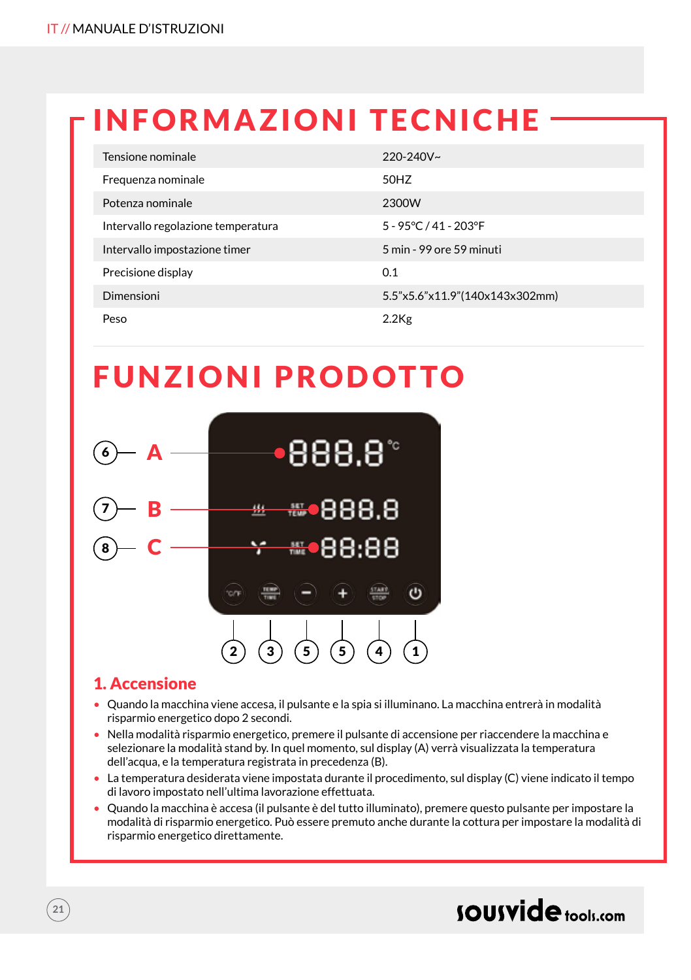### INFORMAZIONI TECNICHE

| Tensione nominale                  | $220 - 240V$ ~                 |
|------------------------------------|--------------------------------|
| Frequenza nominale                 | 50HZ                           |
| Potenza nominale                   | 2300W                          |
| Intervallo regolazione temperatura | 5 - 95°C / 41 - 203°F          |
| Intervallo impostazione timer      | 5 min - 99 ore 59 minuti       |
| Precisione display                 | 0.1                            |
| Dimensioni                         | 5.5"x5.6"x11.9"(140x143x302mm) |
| Peso                               | $2.2$ Kg                       |

### FUNZIONI PRODOTTO



### 1. Accensione

- Quando la macchina viene accesa, il pulsante e la spia si illuminano. La macchina entrerà in modalità risparmio energetico dopo 2 secondi.
- Nella modalità risparmio energetico, premere il pulsante di accensione per riaccendere la macchina e selezionare la modalità stand by. In quel momento, sul display (A) verrà visualizzata la temperatura dell'acqua, e la temperatura registrata in precedenza (B).
- La temperatura desiderata viene impostata durante il procedimento, sul display (C) viene indicato il tempo di lavoro impostato nell'ultima lavorazione effettuata.
- Quando la macchina è accesa (il pulsante è del tutto illuminato), premere questo pulsante per impostare la modalità di risparmio energetico. Può essere premuto anche durante la cottura per impostare la modalità di risparmio energetico direttamente.

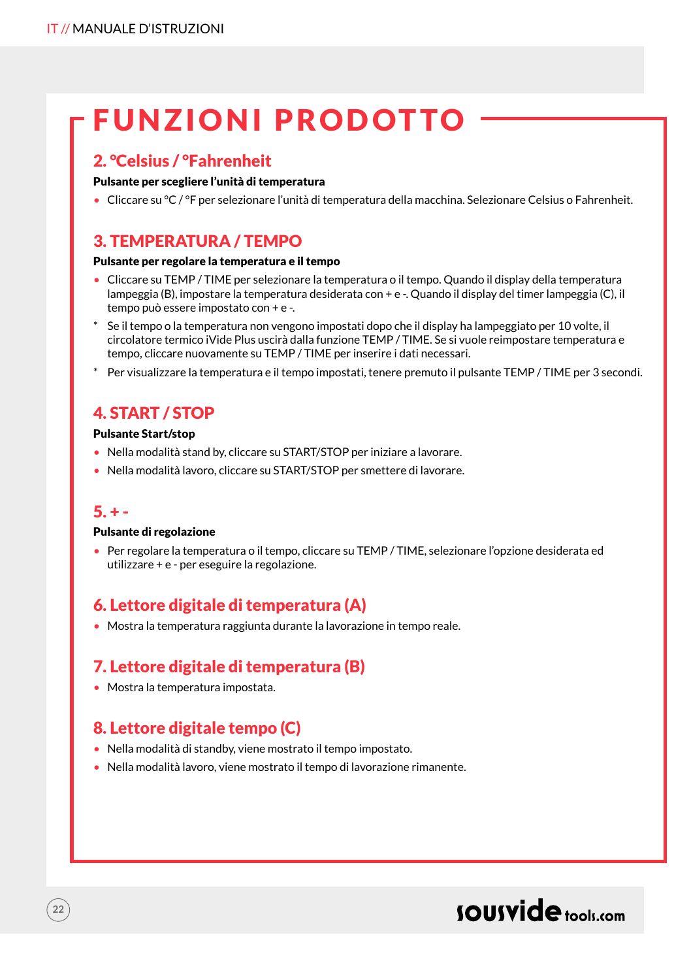### FUNZIONI PRODOTTO

### 2. °Celsius / °Fahrenheit

#### Pulsante per scegliere l'unità di temperatura

• Cliccare su °C / °F per selezionare l'unità di temperatura della macchina. Selezionare Celsius o Fahrenheit.

### 3. TEMPERATURA / TEMPO

#### Pulsante per regolare la temperatura e il tempo

- Cliccare su TEMP / TIME per selezionare la temperatura o il tempo. Quando il display della temperatura lampeggia (B), impostare la temperatura desiderata con + e -. Quando il display del timer lampeggia (C), il tempo può essere impostato con + e -.
- Se il tempo o la temperatura non vengono impostati dopo che il display ha lampeggiato per 10 volte, il circolatore termico iVide Plus uscirà dalla funzione TEMP / TIME. Se si vuole reimpostare temperatura e tempo, cliccare nuovamente su TEMP / TIME per inserire i dati necessari.
- \* Per visualizzare la temperatura e il tempo impostati, tenere premuto il pulsante TEMP / TIME per 3 secondi.

### 4. START / STOP

#### Pulsante Start/stop

- Nella modalità stand by, cliccare su START/STOP per iniziare a lavorare.
- Nella modalità lavoro, cliccare su START/STOP per smettere di lavorare.

#### $5. + -$

 $22$ 

#### Pulsante di regolazione

• Per regolare la temperatura o il tempo, cliccare su TEMP / TIME, selezionare l'opzione desiderata ed utilizzare + e - per eseguire la regolazione.

### 6. Lettore digitale di temperatura (A)

• Mostra la temperatura raggiunta durante la lavorazione in tempo reale.

### 7. Lettore digitale di temperatura (B)

• Mostra la temperatura impostata.

### 8. Lettore digitale tempo (C)

- Nella modalità di standby, viene mostrato il tempo impostato.
- Nella modalità lavoro, viene mostrato il tempo di lavorazione rimanente.

### sousvide tools:com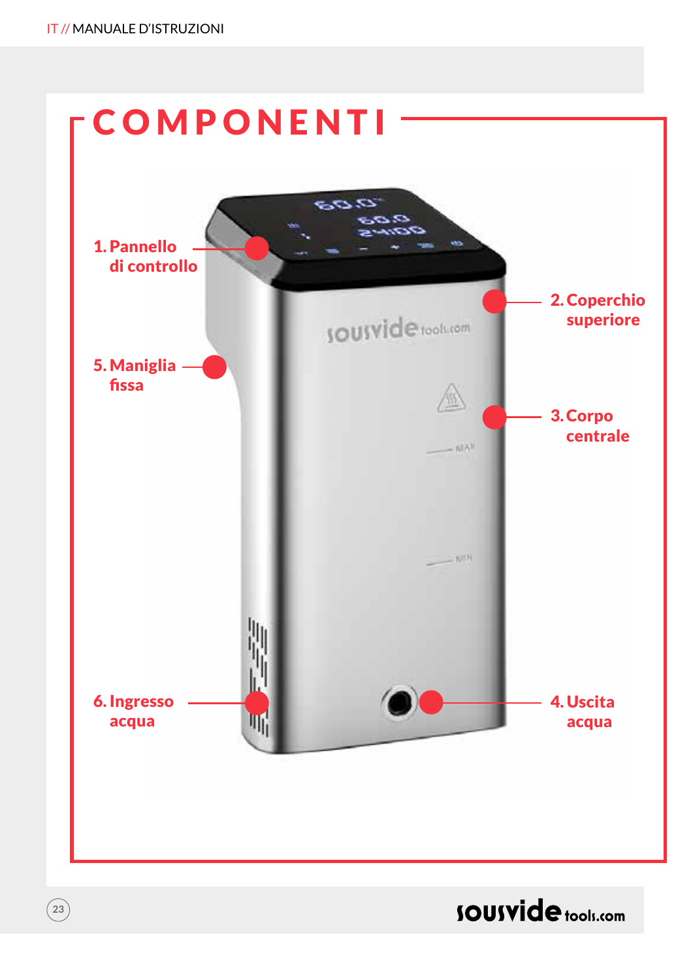**23**



**SOUSVide** tools.com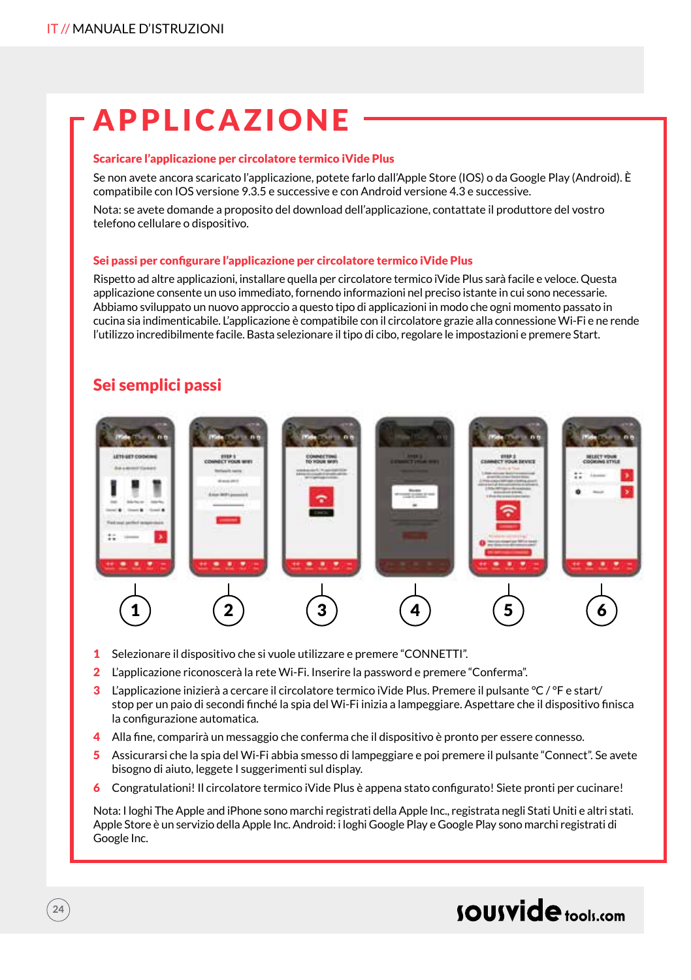### APPLICAZIONE

#### Scaricare l'applicazione per circolatore termico iVide Plus

Se non avete ancora scaricato l'applicazione, potete farlo dall'Apple Store (IOS) o da Google Play (Android). È compatibile con IOS versione 9.3.5 e successive e con Android versione 4.3 e successive.

Nota: se avete domande a proposito del download dell'applicazione, contattate il produttore del vostro telefono cellulare o dispositivo.

#### Sei passi per configurare l'applicazione per circolatore termico iVide Plus

Rispetto ad altre applicazioni, installare quella per circolatore termico iVide Plus sarà facile e veloce. Questa applicazione consente un uso immediato, fornendo informazioni nel preciso istante in cui sono necessarie. Abbiamo sviluppato un nuovo approccio a questo tipo di applicazioni in modo che ogni momento passato in cucina sia indimenticabile. L'applicazione è compatibile con il circolatore grazie alla connessione Wi-Fi e ne rende l'utilizzo incredibilmente facile. Basta selezionare il tipo di cibo, regolare le impostazioni e premere Start.

### Sei semplici passi



- 1 Selezionare il dispositivo che si vuole utilizzare e premere "CONNETTI".
- 2 L'applicazione riconoscerà la rete Wi-Fi. Inserire la password e premere "Conferma".
- 3 L'applicazione inizierà a cercare il circolatore termico iVide Plus. Premere il pulsante °C / °F e start/ stop per un paio di secondi finché la spia del Wi-Fi inizia a lampeggiare. Aspettare che il dispositivo finisca la configurazione automatica.
- 4 Alla fine, comparirà un messaggio che conferma che il dispositivo è pronto per essere connesso.
- 5 Assicurarsi che la spia del Wi-Fi abbia smesso di lampeggiare e poi premere il pulsante "Connect". Se avete bisogno di aiuto, leggete I suggerimenti sul display.
- 6 Congratulationi! Il circolatore termico iVide Plus è appena stato configurato! Siete pronti per cucinare!

Nota: I loghi The Apple and iPhone sono marchi registrati della Apple Inc., registrata negli Stati Uniti e altri stati. Apple Store è un servizio della Apple Inc. Android: i loghi Google Play e Google Play sono marchi registrati di Google Inc.

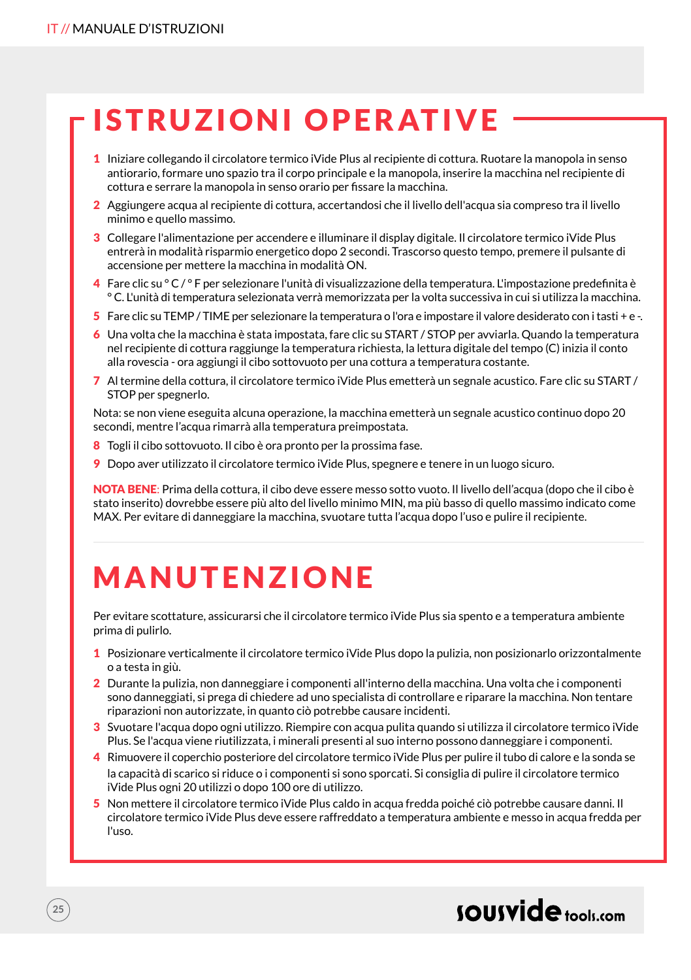### ISTRUZIONI OPERATIVE

- 1 Iniziare collegando il circolatore termico iVide Plus al recipiente di cottura. Ruotare la manopola in senso antiorario, formare uno spazio tra il corpo principale e la manopola, inserire la macchina nel recipiente di cottura e serrare la manopola in senso orario per fissare la macchina.
- 2 Aggiungere acqua al recipiente di cottura, accertandosi che il livello dell'acqua sia compreso tra il livello minimo e quello massimo.
- 3 Collegare l'alimentazione per accendere e illuminare il display digitale. Il circolatore termico iVide Plus entrerà in modalità risparmio energetico dopo 2 secondi. Trascorso questo tempo, premere il pulsante di accensione per mettere la macchina in modalità ON.
- 4 Fare clic su ° C / ° F per selezionare l'unità di visualizzazione della temperatura. L'impostazione predefinita è ° C. L'unità di temperatura selezionata verrà memorizzata per la volta successiva in cui si utilizza la macchina.
- 5 Fare clic su TEMP / TIME per selezionare la temperatura o l'ora e impostare il valore desiderato con i tasti + e -.
- 6 Una volta che la macchina è stata impostata, fare clic su START / STOP per avviarla. Quando la temperatura nel recipiente di cottura raggiunge la temperatura richiesta, la lettura digitale del tempo (C) inizia il conto alla rovescia - ora aggiungi il cibo sottovuoto per una cottura a temperatura costante.
- 7 Al termine della cottura, il circolatore termico iVide Plus emetterà un segnale acustico. Fare clic su START / STOP per spegnerlo.

Nota: se non viene eseguita alcuna operazione, la macchina emetterà un segnale acustico continuo dopo 20 secondi, mentre l'acqua rimarrà alla temperatura preimpostata.

- 8 Togli il cibo sottovuoto. Il cibo è ora pronto per la prossima fase.
- 9 Dopo aver utilizzato il circolatore termico iVide Plus, spegnere e tenere in un luogo sicuro.

NOTA BENE: Prima della cottura, il cibo deve essere messo sotto vuoto. Il livello dell'acqua (dopo che il cibo è stato inserito) dovrebbe essere più alto del livello minimo MIN, ma più basso di quello massimo indicato come MAX. Per evitare di danneggiare la macchina, svuotare tutta l'acqua dopo l'uso e pulire il recipiente.

### MANUTENZIONE

Per evitare scottature, assicurarsi che il circolatore termico iVide Plus sia spento e a temperatura ambiente prima di pulirlo.

- 1 Posizionare verticalmente il circolatore termico iVide Plus dopo la pulizia, non posizionarlo orizzontalmente o a testa in giù.
- 2 Durante la pulizia, non danneggiare i componenti all'interno della macchina. Una volta che i componenti sono danneggiati, si prega di chiedere ad uno specialista di controllare e riparare la macchina. Non tentare riparazioni non autorizzate, in quanto ciò potrebbe causare incidenti.
- 3 Svuotare l'acqua dopo ogni utilizzo. Riempire con acqua pulita quando si utilizza il circolatore termico iVide Plus. Se l'acqua viene riutilizzata, i minerali presenti al suo interno possono danneggiare i componenti.
- 4 Rimuovere il coperchio posteriore del circolatore termico iVide Plus per pulire il tubo di calore e la sonda se la capacità di scarico si riduce o i componenti si sono sporcati. Si consiglia di pulire il circolatore termico iVide Plus ogni 20 utilizzi o dopo 100 ore di utilizzo.
- 5 Non mettere il circolatore termico iVide Plus caldo in acqua fredda poiché ciò potrebbe causare danni. Il circolatore termico iVide Plus deve essere raffreddato a temperatura ambiente e messo in acqua fredda per l'uso.

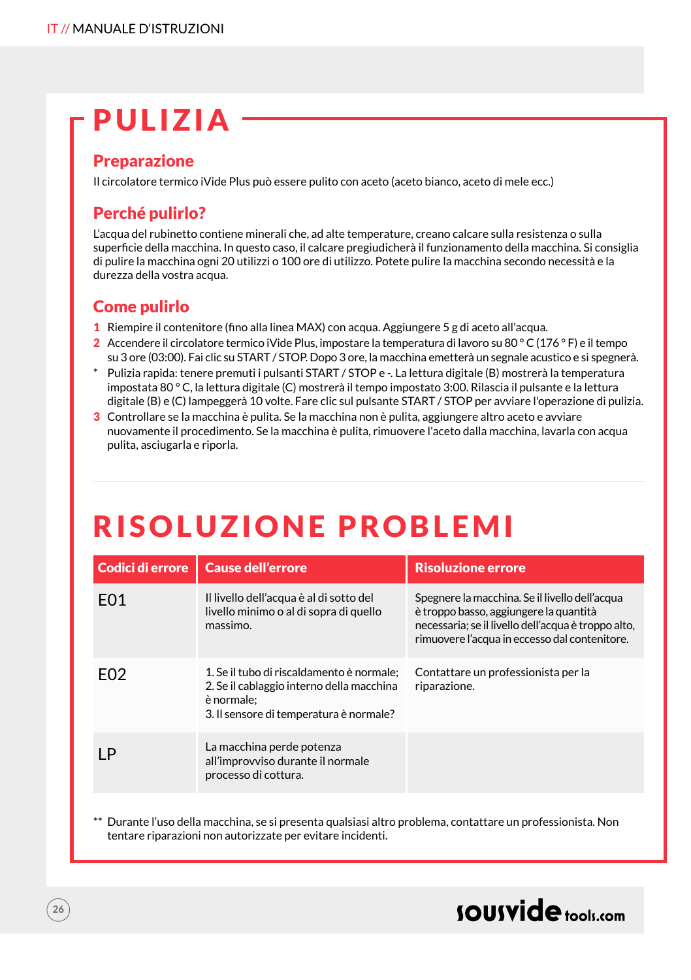### PULIZIA

### Preparazione

Il circolatore termico iVide Plus può essere pulito con aceto (aceto bianco, aceto di mele ecc.)

### Perché pulirlo?

L'acqua del rubinetto contiene minerali che, ad alte temperature, creano calcare sulla resistenza o sulla superficie della macchina. In questo caso, il calcare pregiudicherà il funzionamento della macchina. Si consiglia di pulire la macchina ogni 20 utilizzi o 100 ore di utilizzo. Potete pulire la macchina secondo necessità e la durezza della vostra acqua.

### Come pulirlo

- 1 Riempire il contenitore (fino alla linea MAX) con acqua. Aggiungere 5 g di aceto all'acqua.
- 2 Accendere il circolatore termico iVide Plus, impostare la temperatura di lavoro su 80 °C (176 ° F) e il tempo su 3 ore (03:00). Fai clic su START / STOP. Dopo 3 ore, la macchina emetterà un segnale acustico e si spegnerà.
- Pulizia rapida: tenere premuti i pulsanti START / STOP e -. La lettura digitale (B) mostrerà la temperatura impostata 80 ° C, la lettura digitale (C) mostrerà il tempo impostato 3:00. Rilascia il pulsante e la lettura digitale (B) e (C) lampeggerà 10 volte. Fare clic sul pulsante START / STOP per avviare l'operazione di pulizia.
- 3 Controllare se la macchina è pulita. Se la macchina non è pulita, aggiungere altro aceto e avviare nuovamente il procedimento. Se la macchina è pulita, rimuovere l'aceto dalla macchina, lavarla con acqua pulita, asciugarla e riporla.

### RISOLUZIONE PROBLEMI

| Codici di errore | <b>Cause dell'errore</b>                                                                                                                        | <b>Risoluzione errore</b>                                                                                                                                                                        |
|------------------|-------------------------------------------------------------------------------------------------------------------------------------------------|--------------------------------------------------------------------------------------------------------------------------------------------------------------------------------------------------|
| F <sub>0</sub> 1 | Il livello dell'acqua è al di sotto del<br>livello minimo o al di sopra di quello<br>massimo.                                                   | Spegnere la macchina. Se il livello dell'acqua<br>è troppo basso, aggiungere la quantità<br>necessaria; se il livello dell'acqua è troppo alto,<br>rimuovere l'acqua in eccesso dal contenitore. |
| F <sub>02</sub>  | 1. Se il tubo di riscaldamento è normale:<br>2. Se il cablaggio interno della macchina<br>è normale:<br>3. Il sensore di temperatura è normale? | Contattare un professionista per la<br>riparazione.                                                                                                                                              |
| ΙP               | La macchina perde potenza<br>all'improvviso durante il normale<br>processo di cottura.                                                          |                                                                                                                                                                                                  |

Durante l'uso della macchina, se si presenta qualsiasi altro problema, contattare un professionista. Non tentare riparazioni non autorizzate per evitare incidenti.

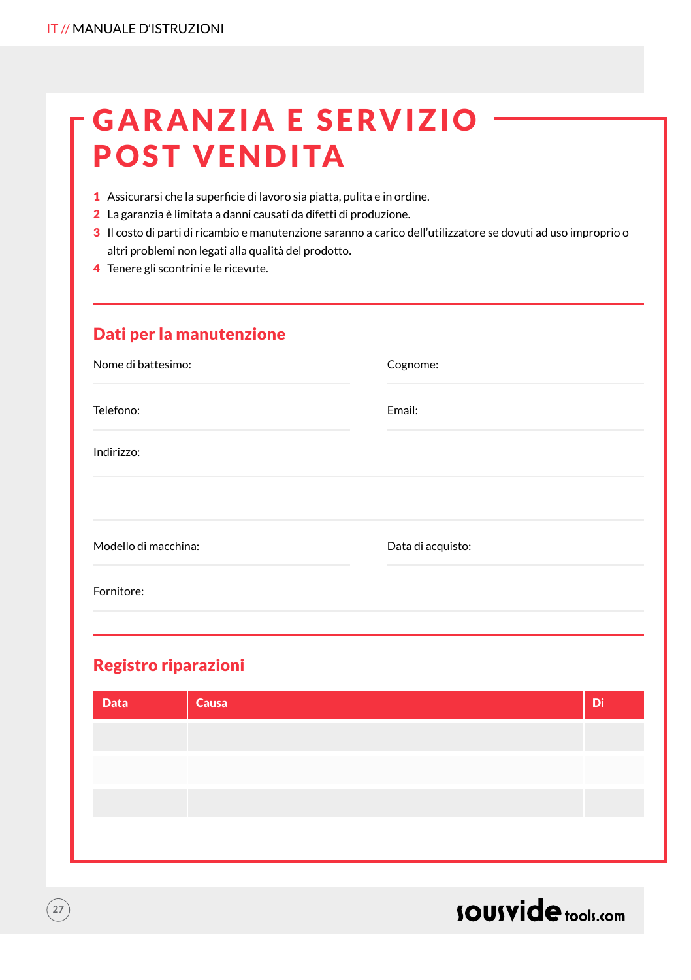### **GARANZIA E SERVIZIO** POST VENDITA

- 1 Assicurarsi che la superficie di lavoro sia piatta, pulita e in ordine.
- 2 La garanzia è limitata a danni causati da difetti di produzione.
- 3 Il costo di parti di ricambio e manutenzione saranno a carico dell'utilizzatore se dovuti ad uso improprio o altri problemi non legati alla qualità del prodotto.
- 4 Tenere gli scontrini e le ricevute.

### Dati per la manutenzione

| Nome di battesimo:   | Cognome:          |
|----------------------|-------------------|
| Telefono:            | Email:            |
| Indirizzo:           |                   |
| Modello di macchina: | Data di acquisto: |
| Fornitore:           |                   |

### Registro riparazioni

| <b>Data</b> | Causa | Di |
|-------------|-------|----|
|             |       |    |
|             |       |    |
|             |       |    |
|             |       |    |



 $\left(27\right)$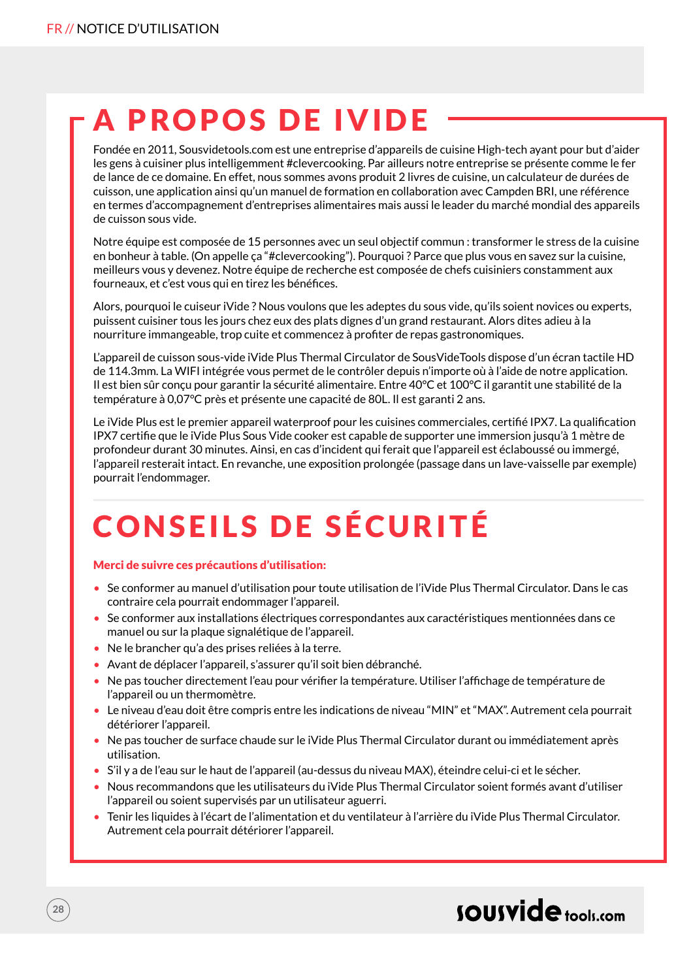### A PROPOS DE IVIDE

Fondée en 2011, Sousvidetools.com est une entreprise d'appareils de cuisine High-tech ayant pour but d'aider les gens à cuisiner plus intelligemment #clevercooking. Par ailleurs notre entreprise se présente comme le fer de lance de ce domaine. En effet, nous sommes avons produit 2 livres de cuisine, un calculateur de durées de cuisson, une application ainsi qu'un manuel de formation en collaboration avec Campden BRI, une référence en termes d'accompagnement d'entreprises alimentaires mais aussi le leader du marché mondial des appareils de cuisson sous vide.

Notre équipe est composée de 15 personnes avec un seul objectif commun : transformer le stress de la cuisine en bonheur à table. (On appelle ça "#clevercooking"). Pourquoi ? Parce que plus vous en savez sur la cuisine, meilleurs vous y devenez. Notre équipe de recherche est composée de chefs cuisiniers constamment aux fourneaux, et c'est vous qui en tirez les bénéfices.

Alors, pourquoi le cuiseur iVide ? Nous voulons que les adeptes du sous vide, qu'ils soient novices ou experts, puissent cuisiner tous les jours chez eux des plats dignes d'un grand restaurant. Alors dites adieu à la nourriture immangeable, trop cuite et commencez à profiter de repas gastronomiques.

L'appareil de cuisson sous-vide iVide Plus Thermal Circulator de SousVideTools dispose d'un écran tactile HD de 114.3mm. La WIFI intégrée vous permet de le contrôler depuis n'importe où à l'aide de notre application. Il est bien sûr conçu pour garantir la sécurité alimentaire. Entre 40°C et 100°C il garantit une stabilité de la température à 0,07°C près et présente une capacité de 80L. Il est garanti 2 ans.

Le iVide Plus est le premier appareil waterproof pour les cuisines commerciales, certifié IPX7. La qualification IPX7 certifie que le iVide Plus Sous Vide cooker est capable de supporter une immersion jusqu'à 1 mètre de profondeur durant 30 minutes. Ainsi, en cas d'incident qui ferait que l'appareil est éclaboussé ou immergé, l'appareil resterait intact. En revanche, une exposition prolongée (passage dans un lave-vaisselle par exemple) pourrait l'endommager.

## CONSEILS DE SÉCURITÉ

#### Merci de suivre ces précautions d'utilisation:

- Se conformer au manuel d'utilisation pour toute utilisation de l'iVide Plus Thermal Circulator. Dans le cas contraire cela pourrait endommager l'appareil.
- Se conformer aux installations électriques correspondantes aux caractéristiques mentionnées dans ce manuel ou sur la plaque signalétique de l'appareil.
- Ne le brancher qu'a des prises reliées à la terre.
- Avant de déplacer l'appareil, s'assurer qu'il soit bien débranché.
- Ne pas toucher directement l'eau pour vérifier la température. Utiliser l'affichage de température de l'appareil ou un thermomètre.
- Le niveau d'eau doit être compris entre les indications de niveau "MIN" et "MAX". Autrement cela pourrait détériorer l'appareil.
- Ne pas toucher de surface chaude sur le iVide Plus Thermal Circulator durant ou immédiatement après utilisation.
- S'il y a de l'eau sur le haut de l'appareil (au-dessus du niveau MAX), éteindre celui-ci et le sécher.
- Nous recommandons que les utilisateurs du iVide Plus Thermal Circulator soient formés avant d'utiliser l'appareil ou soient supervisés par un utilisateur aguerri.
- Tenir les liquides à l'écart de l'alimentation et du ventilateur à l'arrière du iVide Plus Thermal Circulator. Autrement cela pourrait détériorer l'appareil.

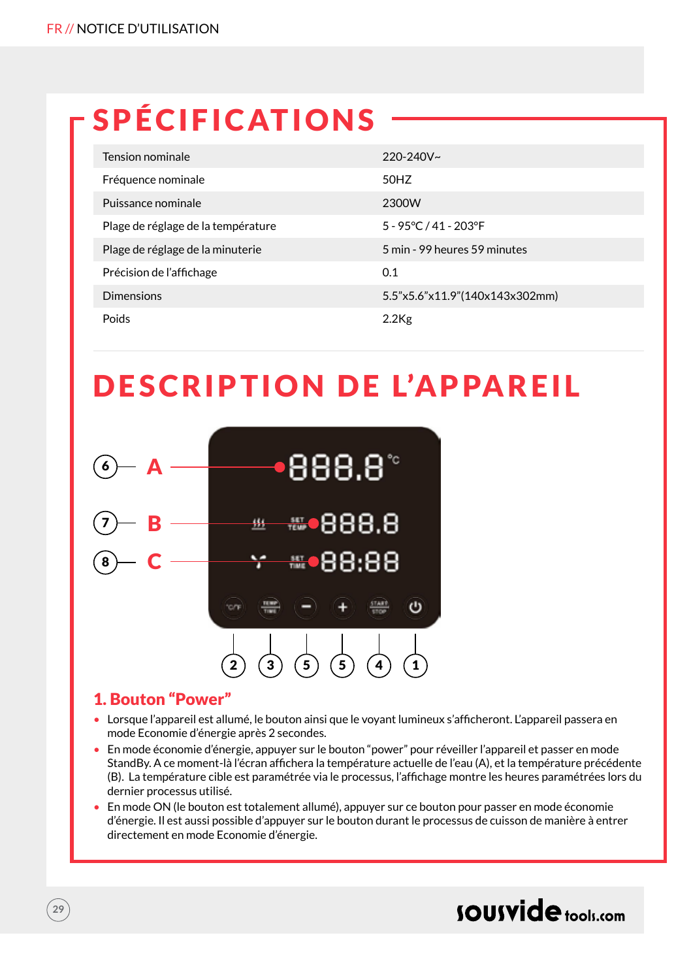## SPÉCIFICATIONS

| Tension nominale                   | $220 - 240V$ ~                 |
|------------------------------------|--------------------------------|
| Fréquence nominale                 | 50HZ                           |
| Puissance nominale                 | 2300W                          |
| Plage de réglage de la température | 5 - 95°C / 41 - 203°F          |
| Plage de réglage de la minuterie   | 5 min - 99 heures 59 minutes   |
| Précision de l'affichage           | 0.1                            |
| <b>Dimensions</b>                  | 5.5"x5.6"x11.9"(140x143x302mm) |
| Poids                              | $2.2$ Kg                       |

### DESCRIPTION DE L'APPAREIL



### 1. Bouton "Power"

- Lorsque l'appareil est allumé, le bouton ainsi que le voyant lumineux s'afficheront. L'appareil passera en mode Economie d'énergie après 2 secondes.
- En mode économie d'énergie, appuyer sur le bouton "power" pour réveiller l'appareil et passer en mode StandBy. A ce moment-là l'écran affichera la température actuelle de l'eau (A), et la température précédente (B). La température cible est paramétrée via le processus, l'affichage montre les heures paramétrées lors du dernier processus utilisé.
- En mode ON (le bouton est totalement allumé), appuyer sur ce bouton pour passer en mode économie d'énergie. Il est aussi possible d'appuyer sur le bouton durant le processus de cuisson de manière à entrer directement en mode Economie d'énergie.

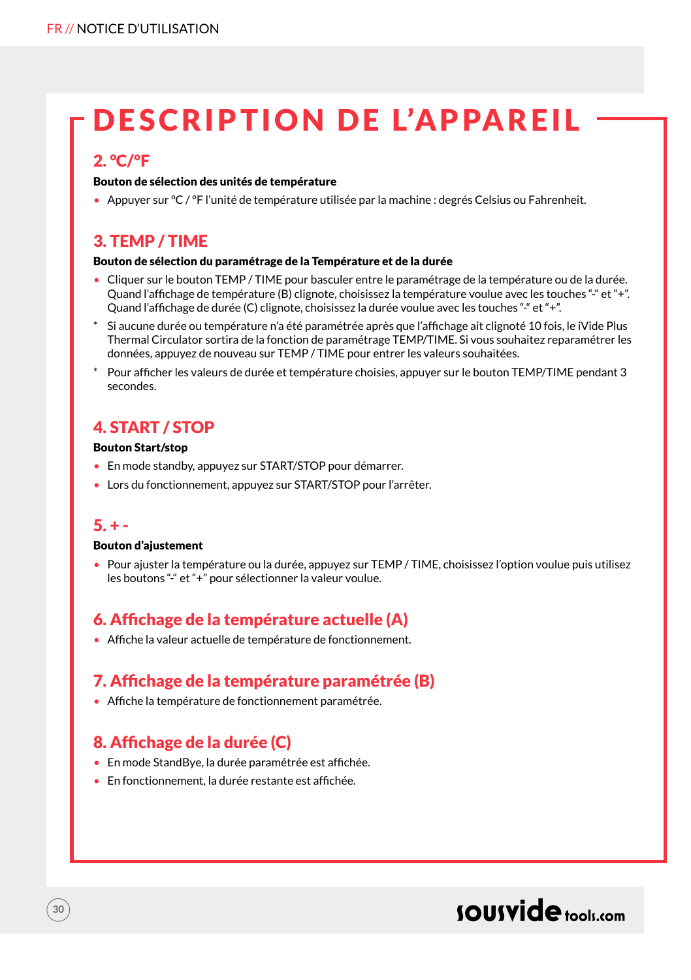### DESCRIPTION DE L'APPAREIL

### 2. °C/°F

#### Bouton de sélection des unités de température

• Appuyer sur °C / °F l'unité de température utilisée par la machine : degrés Celsius ou Fahrenheit.

### 3. TEMP / TIME

#### Bouton de sélection du paramétrage de la Température et de la durée

- Cliquer sur le bouton TEMP / TIME pour basculer entre le paramétrage de la température ou de la durée. Quand l'affichage de température (B) clignote, choisissez la température voulue avec les touches "-" et "+". Quand l'affichage de durée (C) clignote, choisissez la durée voulue avec les touches "-" et "+".
- Si aucune durée ou température n'a été paramétrée après que l'affichage ait clignoté 10 fois, le iVide Plus Thermal Circulator sortira de la fonction de paramétrage TEMP/TIME. Si vous souhaitez reparamétrer les données, appuyez de nouveau sur TEMP / TIME pour entrer les valeurs souhaitées.
- Pour afficher les valeurs de durée et température choisies, appuyer sur le bouton TEMP/TIME pendant 3 secondes.

### 4. START / STOP

#### Bouton Start/stop

- En mode standby, appuyez sur START/STOP pour démarrer.
- Lors du fonctionnement, appuyez sur START/STOP pour l'arrêter.

#### $5. + -$

**30**

#### Bouton d'ajustement

• Pour ajuster la température ou la durée, appuyez sur TEMP / TIME, choisissez l'option voulue puis utilisez les boutons "-" et "+" pour sélectionner la valeur voulue.

### 6. Affichage de la température actuelle (A)

• Affiche la valeur actuelle de température de fonctionnement.

### 7. Affichage de la température paramétrée (B)

• Affiche la température de fonctionnement paramétrée.

### 8. Affichage de la durée (C)

- En mode StandBye, la durée paramétrée est affichée.
- En fonctionnement, la durée restante est affichée.

### sousvide tools:com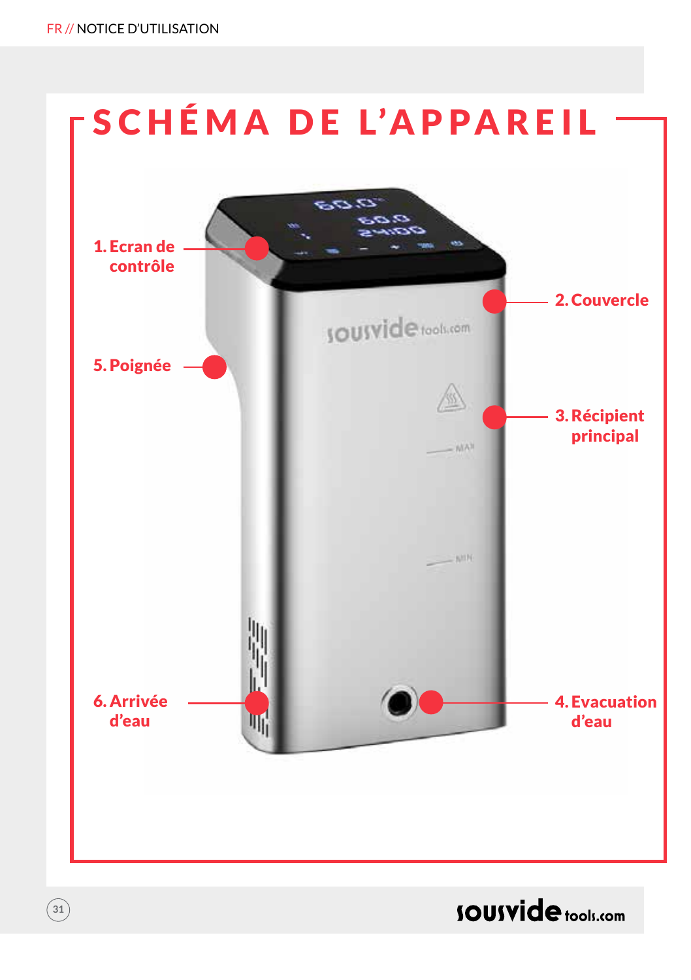$\binom{31}{}$ 



### **SOUSVide** tools.com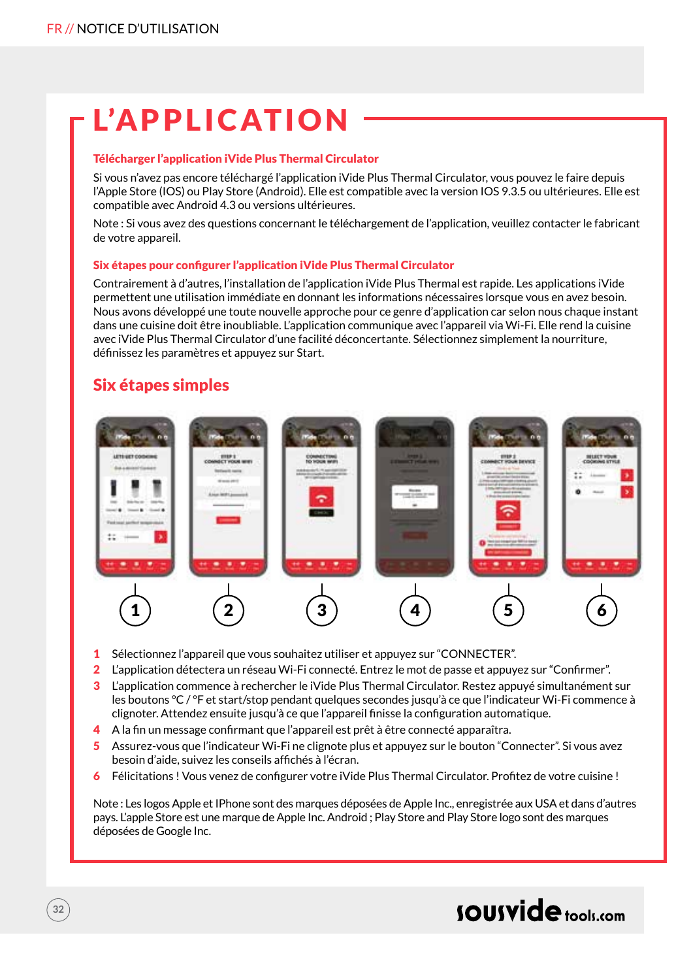### L'APPLICATION

#### Télécharger l'application iVide Plus Thermal Circulator

Si vous n'avez pas encore téléchargé l'application iVide Plus Thermal Circulator, vous pouvez le faire depuis l'Apple Store (IOS) ou Play Store (Android). Elle est compatible avec la version IOS 9.3.5 ou ultérieures. Elle est compatible avec Android 4.3 ou versions ultérieures.

Note : Si vous avez des questions concernant le téléchargement de l'application, veuillez contacter le fabricant de votre appareil.

#### Six étapes pour configurer l'application iVide Plus Thermal Circulator

Contrairement à d'autres, l'installation de l'application iVide Plus Thermal est rapide. Les applications iVide permettent une utilisation immédiate en donnant les informations nécessaires lorsque vous en avez besoin. Nous avons développé une toute nouvelle approche pour ce genre d'application car selon nous chaque instant dans une cuisine doit être inoubliable. L'application communique avec l'appareil via Wi-Fi. Elle rend la cuisine avec iVide Plus Thermal Circulator d'une facilité déconcertante. Sélectionnez simplement la nourriture, définissez les paramètres et appuyez sur Start.

### Six étapes simples



- 1 Sélectionnez l'appareil que vous souhaitez utiliser et appuyez sur "CONNECTER".
- 2 L'application détectera un réseau Wi-Fi connecté. Entrez le mot de passe et appuyez sur "Confirmer".
- 3 L'application commence à rechercher le iVide Plus Thermal Circulator. Restez appuyé simultanément sur les boutons °C / °F et start/stop pendant quelques secondes jusqu'à ce que l'indicateur Wi-Fi commence à clignoter. Attendez ensuite jusqu'à ce que l'appareil finisse la configuration automatique.
- 4 A la fin un message confirmant que l'appareil est prêt à être connecté apparaîtra.
- 5 Assurez-vous que l'indicateur Wi-Fi ne clignote plus et appuyez sur le bouton "Connecter". Si vous avez besoin d'aide, suivez les conseils affichés à l'écran.
- 6 Félicitations ! Vous venez de configurer votre iVide Plus Thermal Circulator. Profitez de votre cuisine !

Note : Les logos Apple et IPhone sont des marques déposées de Apple Inc., enregistrée aux USA et dans d'autres pays. L'apple Store est une marque de Apple Inc. Android ; Play Store and Play Store logo sont des marques déposées de Google Inc.

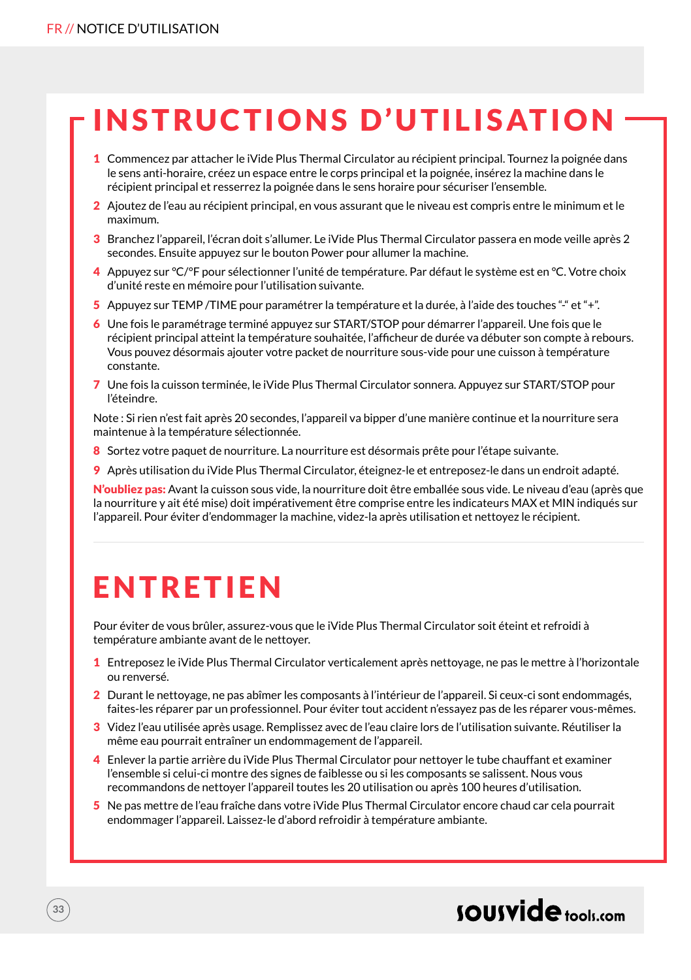### INSTRUCTIONS D'UTILISATION

- 1 Commencez par attacher le iVide Plus Thermal Circulator au récipient principal. Tournez la poignée dans le sens anti-horaire, créez un espace entre le corps principal et la poignée, insérez la machine dans le récipient principal et resserrez la poignée dans le sens horaire pour sécuriser l'ensemble.
- 2 Ajoutez de l'eau au récipient principal, en vous assurant que le niveau est compris entre le minimum et le maximum.
- 3 Branchez l'appareil, l'écran doit s'allumer. Le iVide Plus Thermal Circulator passera en mode veille après 2 secondes. Ensuite appuyez sur le bouton Power pour allumer la machine.
- 4 Appuyez sur °C/°F pour sélectionner l'unité de température. Par défaut le système est en °C. Votre choix d'unité reste en mémoire pour l'utilisation suivante.
- 5 Appuyez sur TEMP /TIME pour paramétrer la température et la durée, à l'aide des touches "-" et "+".
- 6 Une fois le paramétrage terminé appuyez sur START/STOP pour démarrer l'appareil. Une fois que le récipient principal atteint la température souhaitée, l'afficheur de durée va débuter son compte à rebours. Vous pouvez désormais ajouter votre packet de nourriture sous-vide pour une cuisson à température constante.
- 7 Une fois la cuisson terminée, le iVide Plus Thermal Circulator sonnera. Appuyez sur START/STOP pour l'éteindre.

Note : Si rien n'est fait après 20 secondes, l'appareil va bipper d'une manière continue et la nourriture sera maintenue à la température sélectionnée.

- 8 Sortez votre paquet de nourriture. La nourriture est désormais prête pour l'étape suivante.
- 9 Après utilisation du iVide Plus Thermal Circulator, éteignez-le et entreposez-le dans un endroit adapté.

N'oubliez pas: Avant la cuisson sous vide, la nourriture doit être emballée sous vide. Le niveau d'eau (après que la nourriture y ait été mise) doit impérativement être comprise entre les indicateurs MAX et MIN indiqués sur l'appareil. Pour éviter d'endommager la machine, videz-la après utilisation et nettoyez le récipient.

### **FNTRETIEN**

Pour éviter de vous brûler, assurez-vous que le iVide Plus Thermal Circulator soit éteint et refroidi à température ambiante avant de le nettoyer.

- 1 Entreposez le iVide Plus Thermal Circulator verticalement après nettoyage, ne pas le mettre à l'horizontale ou renversé.
- 2 Durant le nettovage, ne pas abîmer les composants à l'intérieur de l'appareil. Si ceux-ci sont endommagés, faites-les réparer par un professionnel. Pour éviter tout accident n'essayez pas de les réparer vous-mêmes.
- 3 Videz l'eau utilisée après usage. Remplissez avec de l'eau claire lors de l'utilisation suivante. Réutiliser la même eau pourrait entraîner un endommagement de l'appareil.
- 4 Enlever la partie arrière du iVide Plus Thermal Circulator pour nettoyer le tube chauffant et examiner l'ensemble si celui-ci montre des signes de faiblesse ou si les composants se salissent. Nous vous recommandons de nettoyer l'appareil toutes les 20 utilisation ou après 100 heures d'utilisation.
- 5 Ne pas mettre de l'eau fraîche dans votre iVide Plus Thermal Circulator encore chaud car cela pourrait endommager l'appareil. Laissez-le d'abord refroidir à température ambiante.

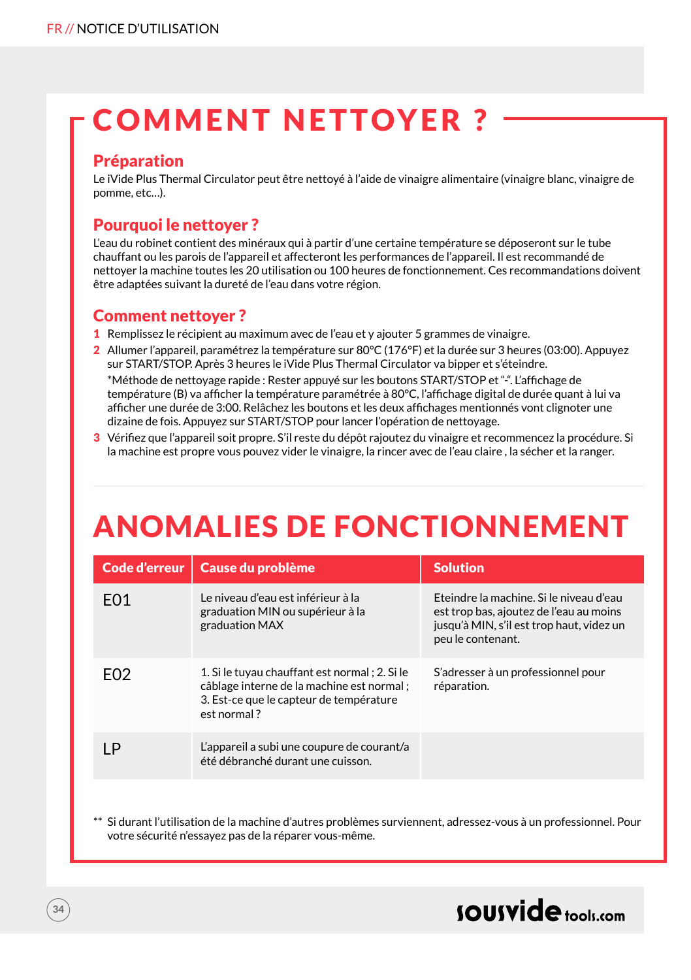### COMMENT NETTOYER ?

#### Préparation

Le iVide Plus Thermal Circulator peut être nettoyé à l'aide de vinaigre alimentaire (vinaigre blanc, vinaigre de pomme, etc…).

### Pourquoi le nettover?

L'eau du robinet contient des minéraux qui à partir d'une certaine température se déposeront sur le tube chauffant ou les parois de l'appareil et affecteront les performances de l'appareil. Il est recommandé de nettoyer la machine toutes les 20 utilisation ou 100 heures de fonctionnement. Ces recommandations doivent être adaptées suivant la dureté de l'eau dans votre région.

#### Comment nettoyer ?

- 1 Remplissez le récipient au maximum avec de l'eau et y ajouter 5 grammes de vinaigre.
- 2 Allumer l'appareil, paramétrez la température sur 80°C (176°F) et la durée sur 3 heures (03:00). Appuyez sur START/STOP. Après 3 heures le iVide Plus Thermal Circulator va bipper et s'éteindre. \*Méthode de nettoyage rapide : Rester appuyé sur les boutons START/STOP et "-". L'affichage de température (B) va afficher la température paramétrée à 80°C, l'affichage digital de durée quant à lui va afficher une durée de 3:00. Relâchez les boutons et les deux affichages mentionnés vont clignoter une

dizaine de fois. Appuyez sur START/STOP pour lancer l'opération de nettoyage. 3 Vérifiez que l'appareil soit propre. S'il reste du dépôt rajoutez du vinaigre et recommencez la procédure. Si

la machine est propre vous pouvez vider le vinaigre, la rincer avec de l'eau claire , la sécher et la ranger.

### ANOMALIES DE FONCTIONNEMENT

| Code d'erreur    | Cause du problème                                                                                                                                     | <b>Solution</b>                                                                                                                                      |
|------------------|-------------------------------------------------------------------------------------------------------------------------------------------------------|------------------------------------------------------------------------------------------------------------------------------------------------------|
| F <sub>0</sub> 1 | Le niveau d'eau est inférieur à la<br>graduation MIN ou supérieur à la<br>graduation MAX                                                              | Eteindre la machine. Si le niveau d'eau<br>est trop bas, ajoutez de l'eau au moins<br>jusqu'à MIN, s'il est trop haut, videz un<br>peu le contenant. |
| F <sub>02</sub>  | 1. Si le tuyau chauffant est normal ; 2. Si le<br>câblage interne de la machine est normal;<br>3. Est-ce que le capteur de température<br>est normal? | S'adresser à un professionnel pour<br>réparation.                                                                                                    |
| ΙP               | L'appareil a subi une coupure de courant/a<br>été débranché durant une cuisson.                                                                       |                                                                                                                                                      |
|                  |                                                                                                                                                       |                                                                                                                                                      |

Si durant l'utilisation de la machine d'autres problèmes surviennent, adressez-vous à un professionnel. Pour votre sécurité n'essayez pas de la réparer vous-même.

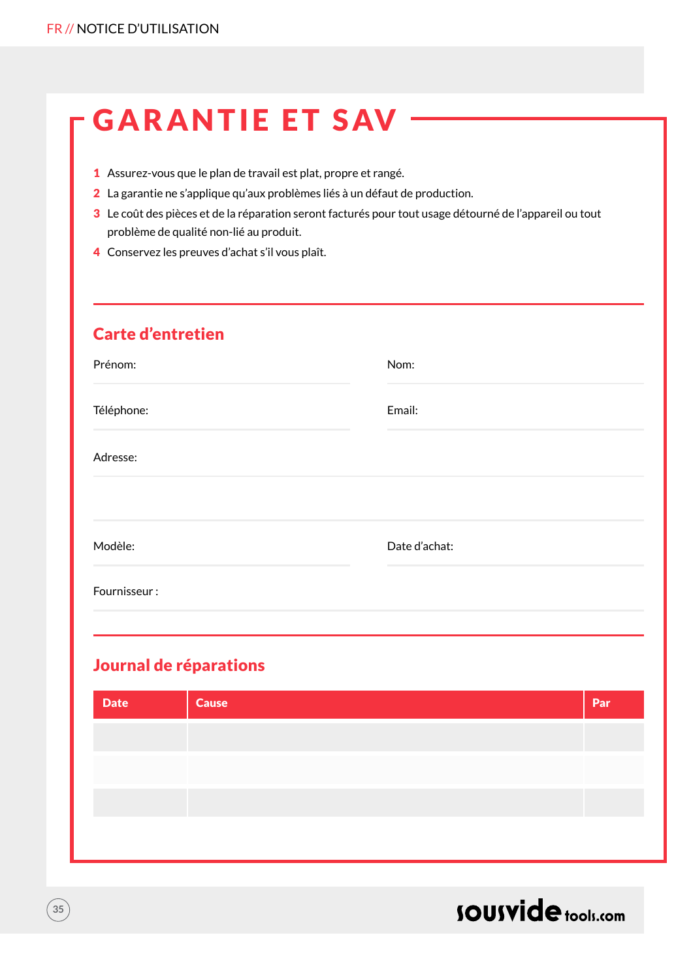|  |  |  | <b>GARANTIE ET SAV</b> |  |
|--|--|--|------------------------|--|
|  |  |  |                        |  |

- 1 Assurez-vous que le plan de travail est plat, propre et rangé.
- 2 La garantie ne s'applique qu'aux problèmes liés à un défaut de production.
- 3 Le coût des pièces et de la réparation seront facturés pour tout usage détourné de l'appareil ou tout problème de qualité non-lié au produit.
- 4 Conservez les preuves d'achat s'il vous plaît.

### Carte d'entretien

| Prénom:      | Nom:          |
|--------------|---------------|
| Téléphone:   | Email:        |
| Adresse:     |               |
|              |               |
| Modèle:      | Date d'achat: |
| Fournisseur: |               |

### Journal de réparations

| Par |
|-----|
|     |
|     |
|     |
|     |



**35**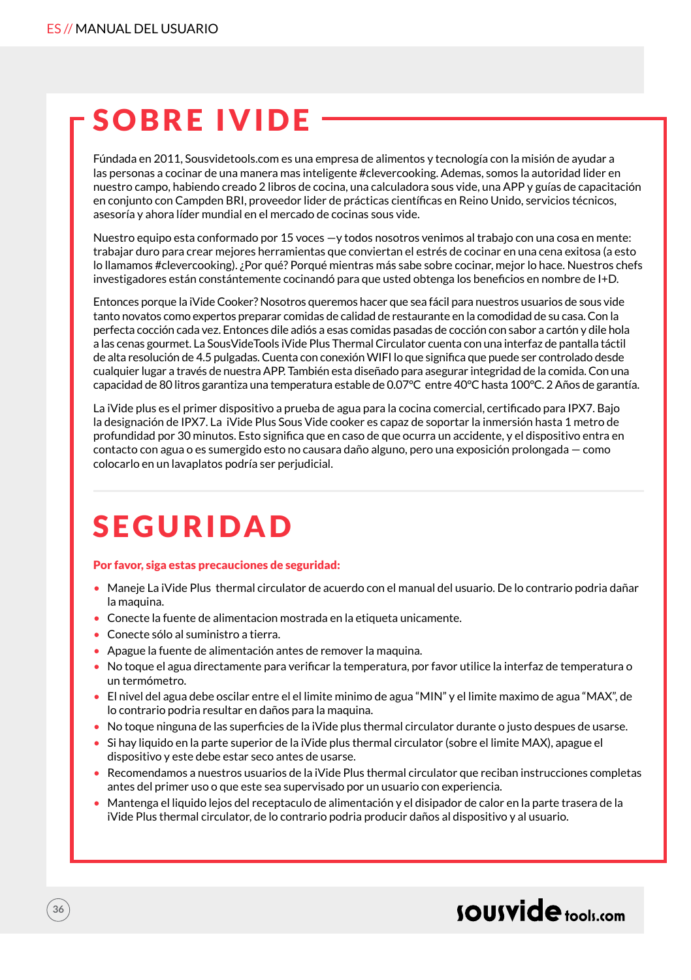### SOBRE IVIDE

Fúndada en 2011, Sousvidetools.com es una empresa de alimentos y tecnología con la misión de ayudar a las personas a cocinar de una manera mas inteligente #clevercooking. Ademas, somos la autoridad lider en nuestro campo, habiendo creado 2 libros de cocina, una calculadora sous vide, una APP y guías de capacitación en conjunto con Campden BRI, proveedor lider de prácticas científicas en Reino Unido, servicios técnicos, asesoría y ahora líder mundial en el mercado de cocinas sous vide.

Nuestro equipo esta conformado por 15 voces —y todos nosotros venimos al trabajo con una cosa en mente: trabajar duro para crear mejores herramientas que conviertan el estrés de cocinar en una cena exitosa (a esto lo llamamos #clevercooking). ¿Por qué? Porqué mientras más sabe sobre cocinar, mejor lo hace. Nuestros chefs investigadores están constántemente cocinandó para que usted obtenga los beneficios en nombre de I+D.

Entonces porque la iVide Cooker? Nosotros queremos hacer que sea fácil para nuestros usuarios de sous vide tanto novatos como expertos preparar comidas de calidad de restaurante en la comodidad de su casa. Con la perfecta cocción cada vez. Entonces dile adiós a esas comidas pasadas de cocción con sabor a cartón y dile hola a las cenas gourmet. La SousVideTools iVide Plus Thermal Circulator cuenta con una interfaz de pantalla táctil de alta resolución de 4.5 pulgadas. Cuenta con conexión WIFI lo que significa que puede ser controlado desde cualquier lugar a través de nuestra APP. También esta diseñado para asegurar integridad de la comida. Con una capacidad de 80 litros garantiza una temperatura estable de 0.07°C entre 40°C hasta 100°C. 2 Años de garantía.

La iVide plus es el primer dispositivo a prueba de agua para la cocina comercial, certificado para IPX7. Bajo la designación de IPX7. La iVide Plus Sous Vide cooker es capaz de soportar la inmersión hasta 1 metro de profundidad por 30 minutos. Esto significa que en caso de que ocurra un accidente, y el dispositivo entra en contacto con agua o es sumergido esto no causara daño alguno, pero una exposición prolongada — como colocarlo en un lavaplatos podría ser perjudicial.

### SEGURIDAD

#### Por favor, siga estas precauciones de seguridad:

- Maneje La iVide Plus thermal circulator de acuerdo con el manual del usuario. De lo contrario podria dañar la maquina.
- Conecte la fuente de alimentacion mostrada en la etiqueta unicamente.
- Conecte sólo al suministro a tierra.

**36**

- Apague la fuente de alimentación antes de remover la maquina.
- No toque el agua directamente para verificar la temperatura, por favor utilice la interfaz de temperatura o un termómetro.
- El nivel del agua debe oscilar entre el el limite minimo de agua "MIN" y el limite maximo de agua "MAX", de lo contrario podria resultar en daños para la maquina.
- No toque ninguna de las superficies de la iVide plus thermal circulator durante o justo despues de usarse.
- Si hay liquido en la parte superior de la iVide plus thermal circulator (sobre el limite MAX), apague el dispositivo y este debe estar seco antes de usarse.
- Recomendamos a nuestros usuarios de la iVide Plus thermal circulator que reciban instrucciones completas antes del primer uso o que este sea supervisado por un usuario con experiencia.
- Mantenga el liquido lejos del receptaculo de alimentación y el disipador de calor en la parte trasera de la iVide Plus thermal circulator, de lo contrario podria producir daños al dispositivo y al usuario.

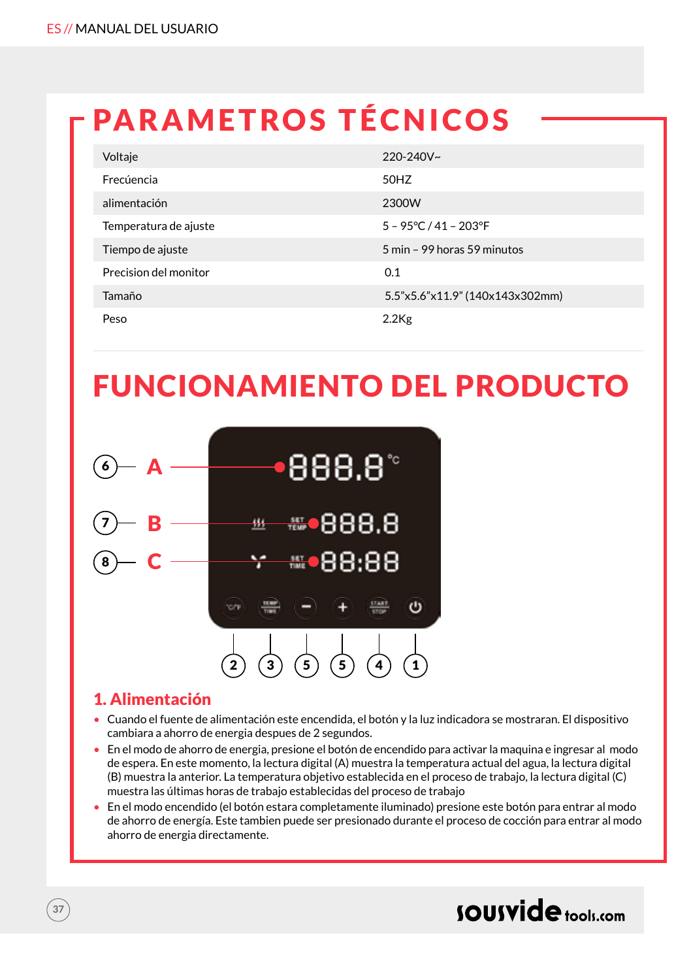# PARAMETROS TÉCNICOS

| Voltaje               | $220 - 240V$ ~                  |
|-----------------------|---------------------------------|
| Frecúencia            | 50HZ                            |
| alimentación          | 2300W                           |
| Temperatura de ajuste | $5 - 95^{\circ}$ C / 41 - 203°F |
| Tiempo de ajuste      | 5 min - 99 horas 59 minutos     |
| Precision del monitor | 0.1                             |
| Tamaño                | 5.5"x5.6"x11.9" (140x143x302mm) |
| Peso                  | $2.2$ Kg                        |

# FUNCIONAMIENTO DEL PRODUCTO



## 1. Alimentación

- Cuando el fuente de alimentación este encendida, el botón y la luz indicadora se mostraran. El dispositivo cambiara a ahorro de energia despues de 2 segundos.
- En el modo de ahorro de energia, presione el botón de encendido para activar la maquina e ingresar al modo de espera. En este momento, la lectura digital (A) muestra la temperatura actual del agua, la lectura digital (B) muestra la anterior. La temperatura objetivo establecida en el proceso de trabajo, la lectura digital (C) muestra las últimas horas de trabajo establecidas del proceso de trabajo
- En el modo encendido (el botón estara completamente iluminado) presione este botón para entrar al modo de ahorro de energía. Este tambien puede ser presionado durante el proceso de cocción para entrar al modo ahorro de energia directamente.

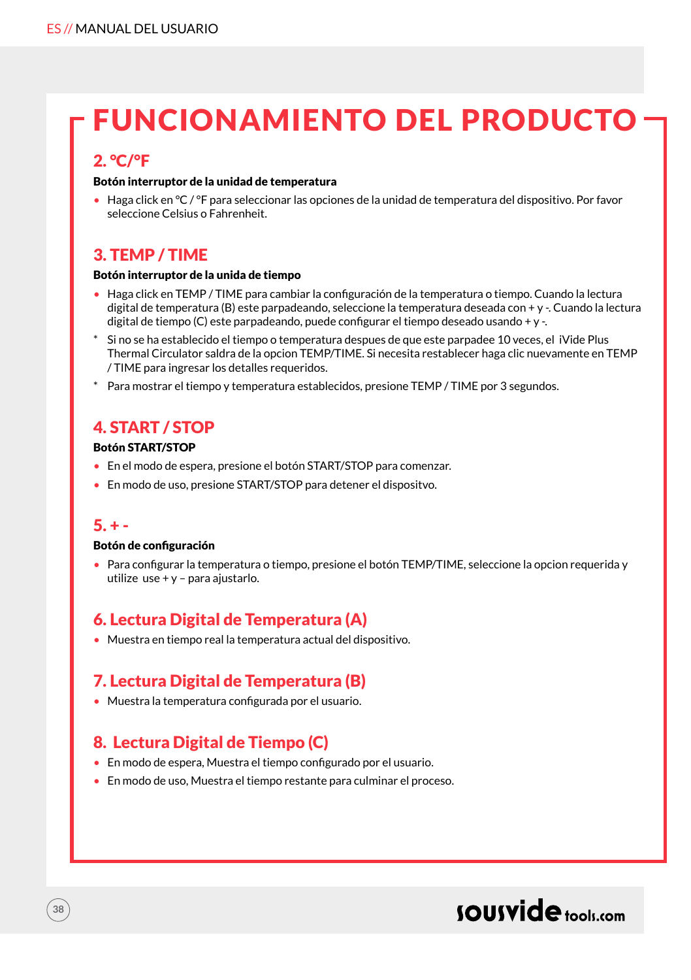## FUNCIONAMIENTO DEL PRODUCTO

### 2. °C/°F

#### Botón interruptor de la unidad de temperatura

• Haga click en °C / °F para seleccionar las opciones de la unidad de temperatura del dispositivo. Por favor seleccione Celsius o Fahrenheit.

## 3. TEMP / TIME

#### Botón interruptor de la unida de tiempo

- Haga click en TEMP / TIME para cambiar la configuración de la temperatura o tiempo. Cuando la lectura digital de temperatura (B) este parpadeando, seleccione la temperatura deseada con + y -. Cuando la lectura digital de tiempo (C) este parpadeando, puede configurar el tiempo deseado usando + y -.
- Si no se ha establecido el tiempo o temperatura despues de que este parpadee 10 veces, el iVide Plus Thermal Circulator saldra de la opcion TEMP/TIME. Si necesita restablecer haga clic nuevamente en TEMP / TIME para ingresar los detalles requeridos.
- \* Para mostrar el tiempo y temperatura establecidos, presione TEMP / TIME por 3 segundos.

## 4. START / STOP

#### Botón START/STOP

- En el modo de espera, presione el botón START/STOP para comenzar.
- En modo de uso, presione START/STOP para detener el dispositvo.

### $5. + -$

**38**

#### Botón de configuración

• Para configurar la temperatura o tiempo, presione el botón TEMP/TIME, seleccione la opcion requerida y utilize use + y – para ajustarlo.

## 6. Lectura Digital de Temperatura (A)

• Muestra en tiempo real la temperatura actual del dispositivo.

## 7. Lectura Digital de Temperatura (B)

• Muestra la temperatura configurada por el usuario.

## 8. Lectura Digital de Tiempo (C)

- En modo de espera, Muestra el tiempo configurado por el usuario.
- En modo de uso, Muestra el tiempo restante para culminar el proceso.

## sousvide tools:com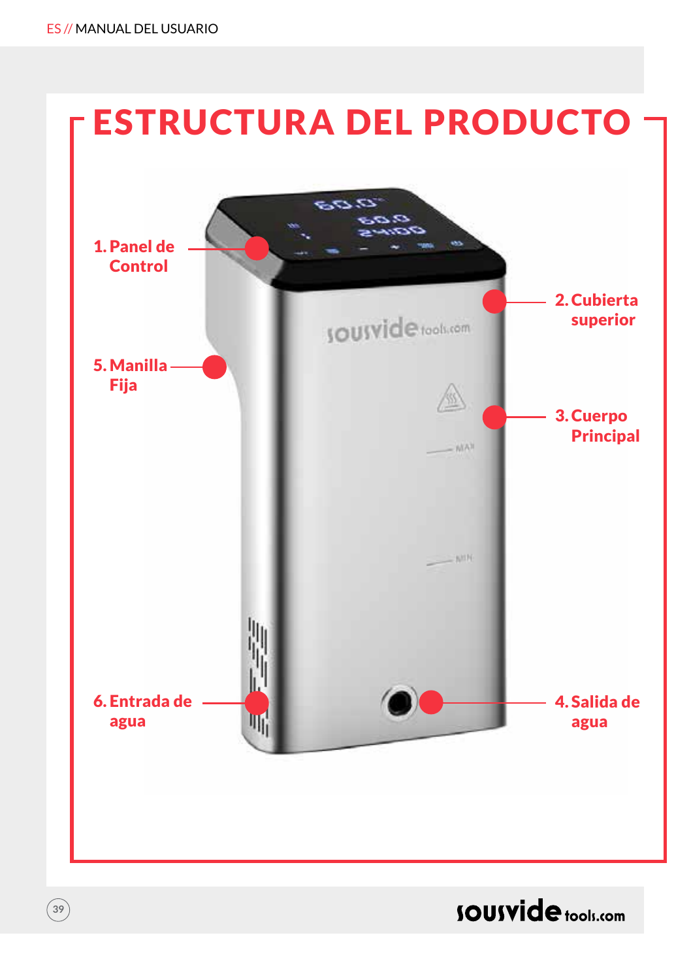**39**



## **SOUSVide** tools.com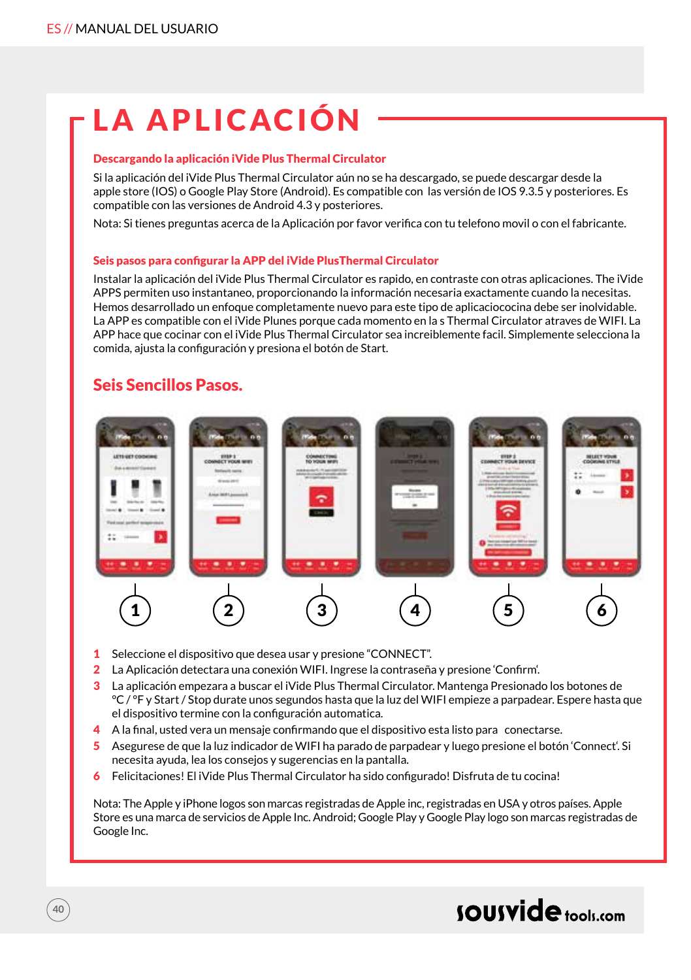# LA APLICACIÓN

#### Descargando la aplicación iVide Plus Thermal Circulator

Si la aplicación del iVide Plus Thermal Circulator aún no se ha descargado, se puede descargar desde la apple store (IOS) o Google Play Store (Android). Es compatible con las versión de IOS 9.3.5 y posteriores. Es compatible con las versiones de Android 4.3 y posteriores.

Nota: Si tienes preguntas acerca de la Aplicación por favor verifica con tu telefono movil o con el fabricante.

#### Seis pasos para configurar la APP del iVide PlusThermal Circulator

Instalar la aplicación del iVide Plus Thermal Circulator es rapido, en contraste con otras aplicaciones. The iVide APPS permiten uso instantaneo, proporcionando la información necesaria exactamente cuando la necesitas. Hemos desarrollado un enfoque completamente nuevo para este tipo de aplicaciococina debe ser inolvidable. La APP es compatible con el iVide Plunes porque cada momento en la s Thermal Circulator atraves de WIFI. La APP hace que cocinar con el iVide Plus Thermal Circulator sea increiblemente facil. Simplemente selecciona la comida, ajusta la configuración y presiona el botón de Start.

### Seis Sencillos Pasos.

**40**



- 1 Seleccione el dispositivo que desea usar y presione "CONNECT".
- 2 La Aplicación detectara una conexión WIFI. Ingrese la contraseña y presione 'Confirm'.
- 3 La aplicación empezara a buscar el iVide Plus Thermal Circulator. Mantenga Presionado los botones de °C / °F y Start / Stop durate unos segundos hasta que la luz del WIFI empieze a parpadear. Espere hasta que el dispositivo termine con la configuración automatica.
- 4 A la final, usted vera un mensaje confirmando que el dispositivo esta listo para conectarse.
- 5 Asegurese de que la luz indicador de WIFI ha parado de parpadear y luego presione el botón 'Connect'. Si necesita ayuda, lea los consejos y sugerencias en la pantalla.
- 6 Felicitaciones! El iVide Plus Thermal Circulator ha sido configurado! Disfruta de tu cocina!

Nota: The Apple y iPhone logos son marcas registradas de Apple inc, registradas en USA y otros países. Apple Store es una marca de servicios de Apple Inc. Android; Google Play y Google Play logo son marcas registradas de Google Inc.

## sousvide tools:com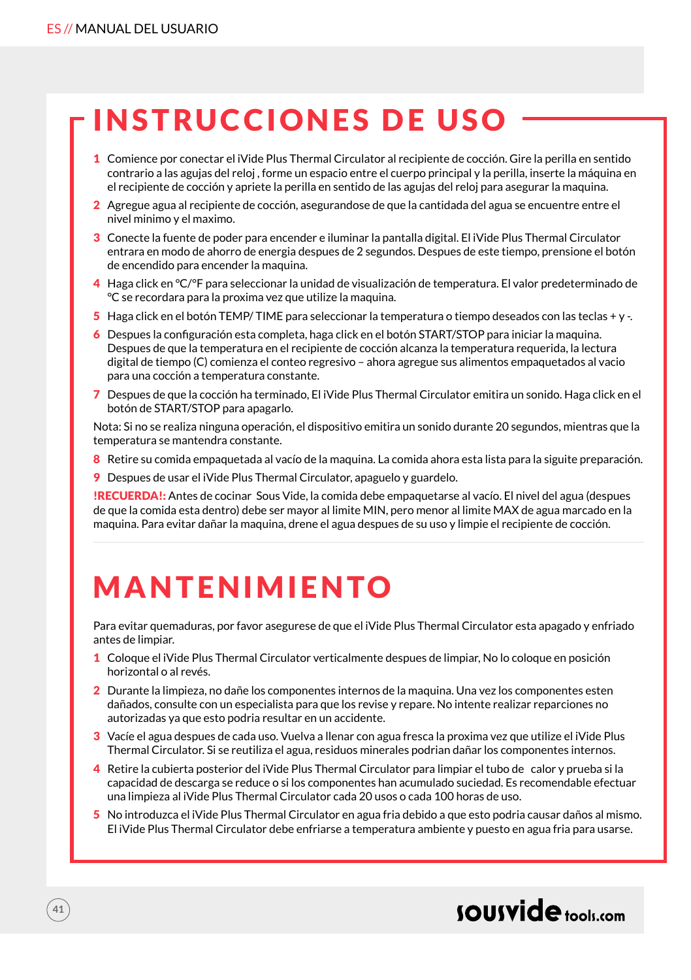# INSTRUCCIONES DE USO

- 1 Comience por conectar el iVide Plus Thermal Circulator al recipiente de cocción. Gire la perilla en sentido contrario a las agujas del reloj , forme un espacio entre el cuerpo principal y la perilla, inserte la máquina en el recipiente de cocción y apriete la perilla en sentido de las agujas del reloj para asegurar la maquina.
- 2 Agregue agua al recipiente de cocción, asegurandose de que la cantidada del agua se encuentre entre el nivel minimo y el maximo.
- 3 Conecte la fuente de poder para encender e iluminar la pantalla digital. El iVide Plus Thermal Circulator entrara en modo de ahorro de energia despues de 2 segundos. Despues de este tiempo, prensione el botón de encendido para encender la maquina.
- 4 Haga click en °C/°F para seleccionar la unidad de visualización de temperatura. El valor predeterminado de °C se recordara para la proxima vez que utilize la maquina.
- 5 Haga click en el botón TEMP/ TIME para seleccionar la temperatura o tiempo deseados con las teclas + y -.
- 6 Despues la configuración esta completa, haga click en el botón START/STOP para iniciar la maquina. Despues de que la temperatura en el recipiente de cocción alcanza la temperatura requerida, la lectura digital de tiempo (C) comienza el conteo regresivo – ahora agregue sus alimentos empaquetados al vacio para una cocción a temperatura constante.
- 7 Despues de que la cocción ha terminado, El iVide Plus Thermal Circulator emitira un sonido. Haga click en el botón de START/STOP para apagarlo.

Nota: Si no se realiza ninguna operación, el dispositivo emitira un sonido durante 20 segundos, mientras que la temperatura se mantendra constante.

- 8 Retire su comida empaquetada al vacío de la maquina. La comida ahora esta lista para la siguite preparación.
- 9 Despues de usar el iVide Plus Thermal Circulator, apaguelo y guardelo.

!RECUERDA!: Antes de cocinar Sous Vide, la comida debe empaquetarse al vacío. El nivel del agua (despues de que la comida esta dentro) debe ser mayor al limite MIN, pero menor al limite MAX de agua marcado en la maquina. Para evitar dañar la maquina, drene el agua despues de su uso y limpie el recipiente de cocción.

# **MANTENIMIENTO**

Para evitar quemaduras, por favor asegurese de que el iVide Plus Thermal Circulator esta apagado y enfriado antes de limpiar.

- 1 Coloque el iVide Plus Thermal Circulator verticalmente despues de limpiar, No lo coloque en posición horizontal o al revés.
- 2 Durante la limpieza, no dañe los componentes internos de la maquina. Una vez los componentes esten dañados, consulte con un especialista para que los revise y repare. No intente realizar reparciones no autorizadas ya que esto podria resultar en un accidente.
- 3 Vacíe el agua despues de cada uso. Vuelva a llenar con agua fresca la proxima vez que utilize el iVide Plus Thermal Circulator. Si se reutiliza el agua, residuos minerales podrian dañar los componentes internos.
- 4 Retire la cubierta posterior del iVide Plus Thermal Circulator para limpiar el tubo de calor y prueba si la capacidad de descarga se reduce o si los componentes han acumulado suciedad. Es recomendable efectuar una limpieza al iVide Plus Thermal Circulator cada 20 usos o cada 100 horas de uso.
- 5 No introduzca el iVide Plus Thermal Circulator en agua fria debido a que esto podria causar daños al mismo. El iVide Plus Thermal Circulator debe enfriarse a temperatura ambiente y puesto en agua fria para usarse.

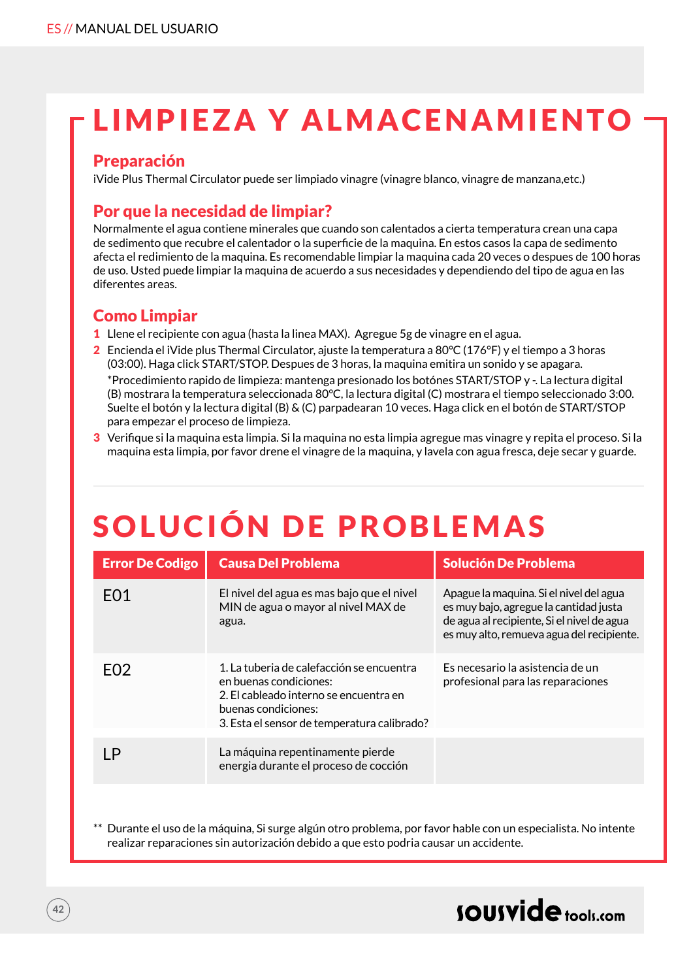# LIMPIEZA Y ALMACENAMIENTO

### Preparación

iVide Plus Thermal Circulator puede ser limpiado vinagre (vinagre blanco, vinagre de manzana,etc.)

## Por que la necesidad de limpiar?

Normalmente el agua contiene minerales que cuando son calentados a cierta temperatura crean una capa de sedimento que recubre el calentador o la superficie de la maquina. En estos casos la capa de sedimento afecta el redimiento de la maquina. Es recomendable limpiar la maquina cada 20 veces o despues de 100 horas de uso. Usted puede limpiar la maquina de acuerdo a sus necesidades y dependiendo del tipo de agua en las diferentes areas.

## Como Limpiar

- 1 Llene el recipiente con agua (hasta la linea MAX). Agregue 5g de vinagre en el agua.
- 2 Encienda el iVide plus Thermal Circulator, ajuste la temperatura a 80°C (176°F) y el tiempo a 3 horas (03:00). Haga click START/STOP. Despues de 3 horas, la maquina emitira un sonido y se apagara. \*Procedimiento rapido de limpieza: mantenga presionado los botónes START/STOP y -. La lectura digital (B) mostrara la temperatura seleccionada 80°C, la lectura digital (C) mostrara el tiempo seleccionado 3:00. Suelte el botón y la lectura digital (B) & (C) parpadearan 10 veces. Haga click en el botón de START/STOP para empezar el proceso de limpieza.
- 3 Verifique si la maquina esta limpia. Si la maquina no esta limpia agregue mas vinagre y repita el proceso. Si la maquina esta limpia, por favor drene el vinagre de la maquina, y lavela con agua fresca, deje secar y guarde.

# SOLUCIÓN DE PROBLEMAS

| <b>Error De Codigo</b> | <b>Causa Del Problema</b>                                                                                                                                                           | <b>Solución De Problema</b>                                                                                                                                                  |
|------------------------|-------------------------------------------------------------------------------------------------------------------------------------------------------------------------------------|------------------------------------------------------------------------------------------------------------------------------------------------------------------------------|
| F <sub>0</sub> 1       | El nivel del agua es mas bajo que el nivel<br>MIN de agua o mayor al nivel MAX de<br>agua.                                                                                          | Apague la maquina. Si el nivel del agua<br>es muy bajo, agregue la cantidad justa<br>de agua al recipiente, Si el nivel de agua<br>es muy alto, remueva agua del recipiente. |
| F <sub>02</sub>        | 1. La tuberia de calefacción se encuentra<br>en buenas condiciones:<br>2. El cableado interno se encuentra en<br>buenas condiciones:<br>3. Esta el sensor de temperatura calibrado? | Es necesario la asistencia de un<br>profesional para las reparaciones                                                                                                        |
| ΙP                     | La máquina repentinamente pierde<br>energia durante el proceso de cocción                                                                                                           |                                                                                                                                                                              |

Durante el uso de la máquina, Si surge algún otro problema, por favor hable con un especialista. No intente realizar reparaciones sin autorización debido a que esto podria causar un accidente.

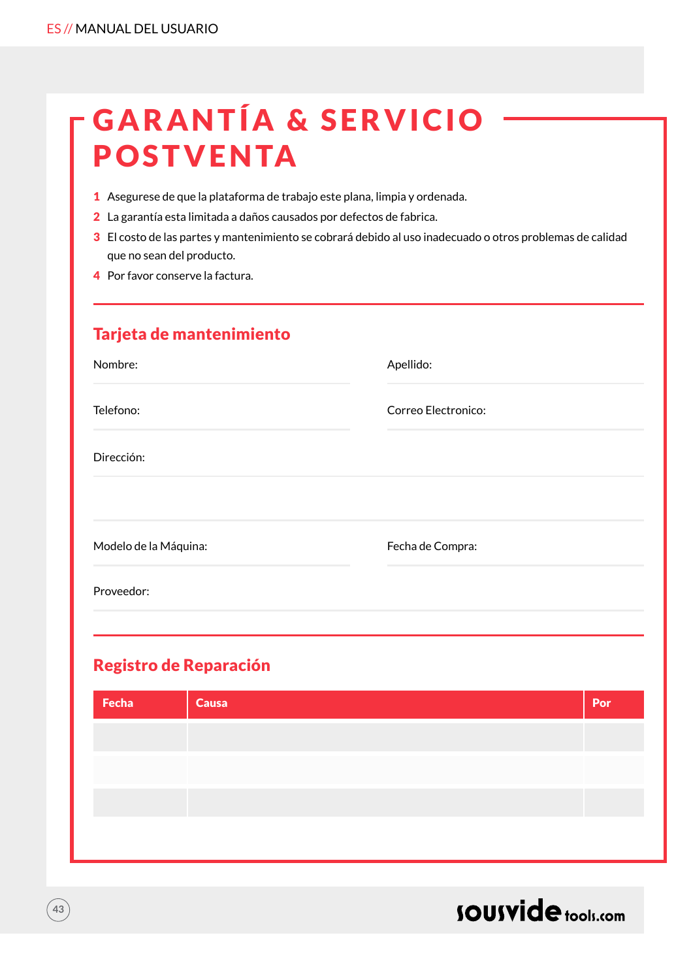| <b>-GARANTÍA &amp; SERVICIO</b> |  |
|---------------------------------|--|
| <b>POSTVENTA</b>                |  |

- 1 Asegurese de que la plataforma de trabajo este plana, limpia y ordenada.
- 2 La garantía esta limitada a daños causados por defectos de fabrica.
- 3 El costo de las partes y mantenimiento se cobrará debido al uso inadecuado o otros problemas de calidad que no sean del producto.
- 4 Por favor conserve la factura.

| Tarjeta de mantenimiento |                     |
|--------------------------|---------------------|
| Nombre:                  | Apellido:           |
| Telefono:                | Correo Electronico: |
| Dirección:               |                     |
| Modelo de la Máquina:    | Fecha de Compra:    |
| Proveedor:               |                     |
|                          |                     |

## Registro de Reparación

**43**

| Causa | Por |
|-------|-----|
|       |     |
|       |     |
|       |     |
|       |     |

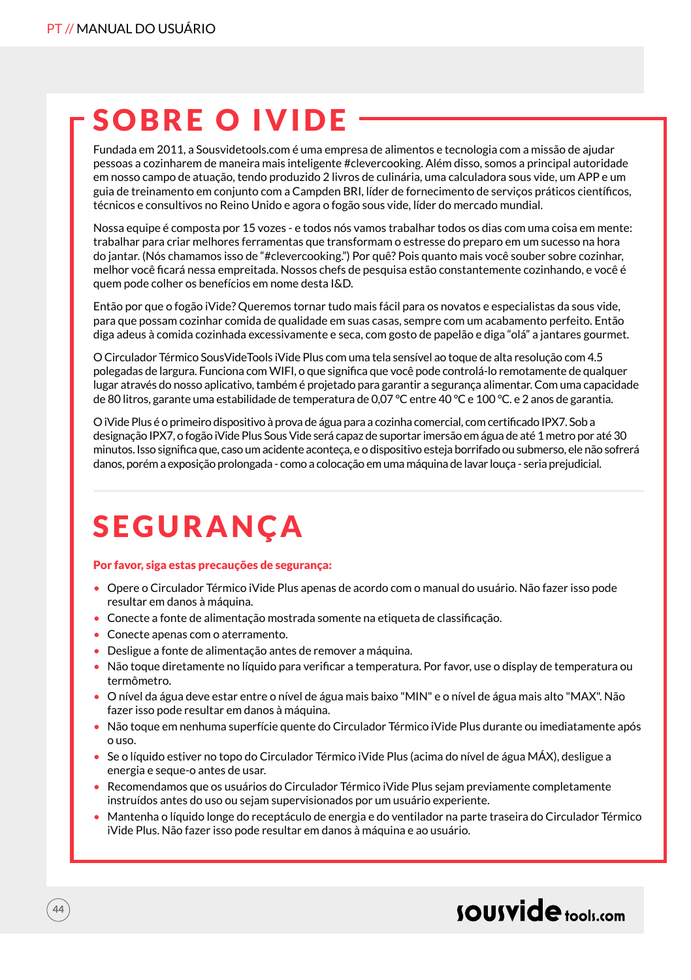## SOBRE O IVIDE

Fundada em 2011, a Sousvidetools.com é uma empresa de alimentos e tecnologia com a missão de ajudar pessoas a cozinharem de maneira mais inteligente #clevercooking. Além disso, somos a principal autoridade em nosso campo de atuação, tendo produzido 2 livros de culinária, uma calculadora sous vide, um APP e um guia de treinamento em conjunto com a Campden BRI, líder de fornecimento de serviços práticos científicos, técnicos e consultivos no Reino Unido e agora o fogão sous vide, líder do mercado mundial.

Nossa equipe é composta por 15 vozes - e todos nós vamos trabalhar todos os dias com uma coisa em mente: trabalhar para criar melhores ferramentas que transformam o estresse do preparo em um sucesso na hora do jantar. (Nós chamamos isso de "#clevercooking.") Por quê? Pois quanto mais você souber sobre cozinhar, melhor você ficará nessa empreitada. Nossos chefs de pesquisa estão constantemente cozinhando, e você é quem pode colher os benefícios em nome desta I&D.

Então por que o fogão iVide? Queremos tornar tudo mais fácil para os novatos e especialistas da sous vide, para que possam cozinhar comida de qualidade em suas casas, sempre com um acabamento perfeito. Então diga adeus à comida cozinhada excessivamente e seca, com gosto de papelão e diga "olá" a jantares gourmet.

O Circulador Térmico SousVideTools iVide Plus com uma tela sensível ao toque de alta resolução com 4.5 polegadas de largura. Funciona com WIFI, o que significa que você pode controlá-lo remotamente de qualquer lugar através do nosso aplicativo, também é projetado para garantir a segurança alimentar. Com uma capacidade de 80 litros, garante uma estabilidade de temperatura de 0,07 °C entre 40 °C e 100 °C. e 2 anos de garantia.

O iVide Plus é o primeiro dispositivo à prova de água para a cozinha comercial, com certificado IPX7. Sob a designação IPX7, o fogão iVide Plus Sous Vide será capaz de suportar imersão em água de até 1 metro por até 30 minutos. Isso significa que, caso um acidente aconteça, e o dispositivo esteja borrifado ou submerso, ele não sofrerá danos, porém a exposição prolongada - como a colocação em uma máquina de lavar louça - seria prejudicial.

# SEGURANÇA

#### Por favor, siga estas precauções de segurança:

- Opere o Circulador Térmico iVide Plus apenas de acordo com o manual do usuário. Não fazer isso pode resultar em danos à máquina.
- Conecte a fonte de alimentação mostrada somente na etiqueta de classificação.
- Conecte apenas com o aterramento.

**44**

- Desligue a fonte de alimentação antes de remover a máquina.
- Não toque diretamente no líquido para verificar a temperatura. Por favor, use o display de temperatura ou termômetro.
- O nível da água deve estar entre o nível de água mais baixo "MIN" e o nível de água mais alto "MAX". Não fazer isso pode resultar em danos à máquina.
- Não toque em nenhuma superfície quente do Circulador Térmico iVide Plus durante ou imediatamente após o uso.
- Se o líquido estiver no topo do Circulador Térmico iVide Plus (acima do nível de água MÁX), desligue a energia e seque-o antes de usar.
- Recomendamos que os usuários do Circulador Térmico iVide Plus sejam previamente completamente instruídos antes do uso ou sejam supervisionados por um usuário experiente.
- Mantenha o líquido longe do receptáculo de energia e do ventilador na parte traseira do Circulador Térmico iVide Plus. Não fazer isso pode resultar em danos à máquina e ao usuário.

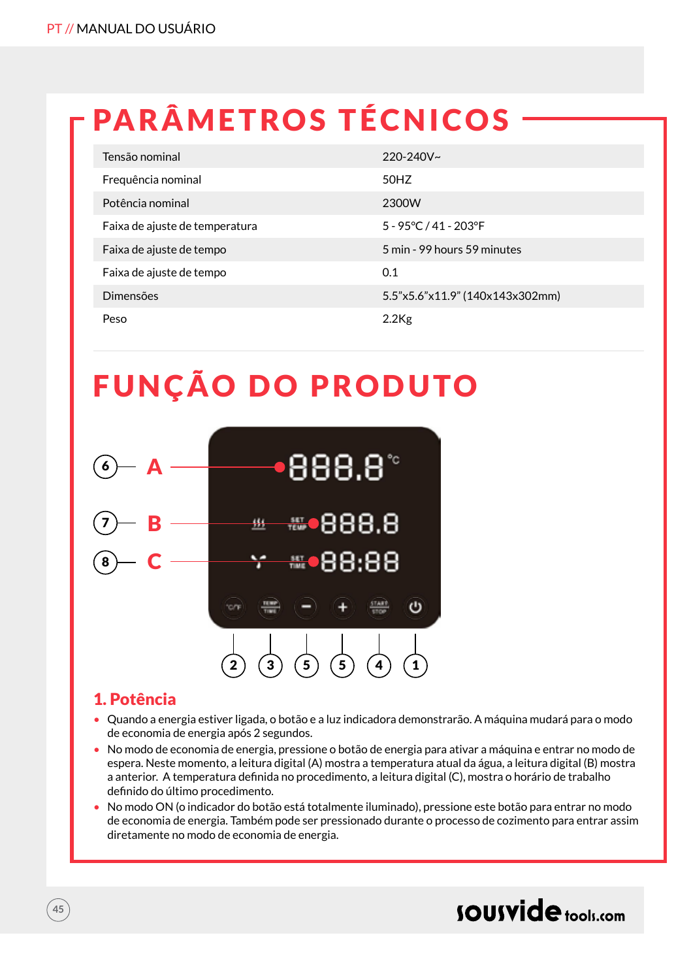# PARÂMETROS TÉCNICOS

| Tensão nominal                 | $220 - 240V$ ~                  |
|--------------------------------|---------------------------------|
| Frequência nominal             | 50HZ                            |
| Potência nominal               | 2300W                           |
| Faixa de ajuste de temperatura | 5 - 95°C / 41 - 203°F           |
| Faixa de ajuste de tempo       | 5 min - 99 hours 59 minutes     |
| Faixa de ajuste de tempo       | 0.1                             |
| Dimensões                      | 5.5"x5.6"x11.9" (140x143x302mm) |
| Peso                           | $2.2$ Kg                        |

## FUNÇÃO DO PRODUTO



### 1. Potência

- Quando a energia estiver ligada, o botão e a luz indicadora demonstrarão. A máquina mudará para o modo de economia de energia após 2 segundos.
- No modo de economia de energia, pressione o botão de energia para ativar a máquina e entrar no modo de espera. Neste momento, a leitura digital (A) mostra a temperatura atual da água, a leitura digital (B) mostra a anterior. A temperatura definida no procedimento, a leitura digital (C), mostra o horário de trabalho definido do último procedimento.
- No modo ON (o indicador do botão está totalmente iluminado), pressione este botão para entrar no modo de economia de energia. Também pode ser pressionado durante o processo de cozimento para entrar assim diretamente no modo de economia de energia.

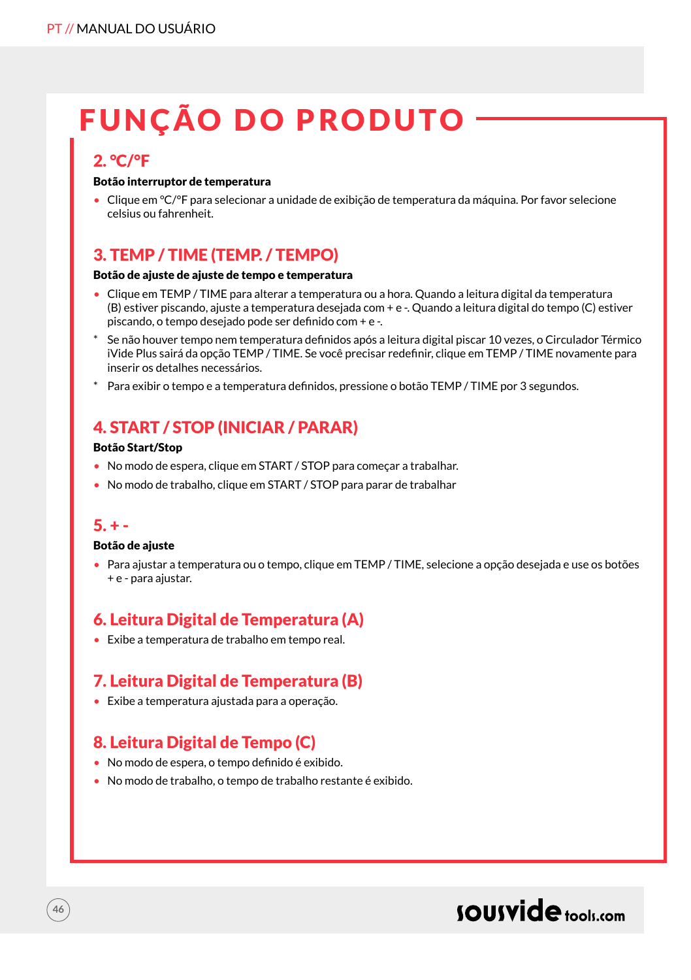# FUNÇÃO DO PRODUTO

## 2. °C/°F

#### Botão interruptor de temperatura

• Clique em °C/°F para selecionar a unidade de exibição de temperatura da máquina. Por favor selecione celsius ou fahrenheit.

## 3. TEMP / TIME (TEMP. / TEMPO)

#### Botão de ajuste de ajuste de tempo e temperatura

- Clique em TEMP / TIME para alterar a temperatura ou a hora. Quando a leitura digital da temperatura (B) estiver piscando, ajuste a temperatura desejada com + e -. Quando a leitura digital do tempo (C) estiver piscando, o tempo desejado pode ser definido com + e -.
- Se não houver tempo nem temperatura definidos após a leitura digital piscar 10 vezes, o Circulador Térmico iVide Plus sairá da opção TEMP / TIME. Se você precisar redefinir, clique em TEMP / TIME novamente para inserir os detalhes necessários.
- \* Para exibir o tempo e a temperatura definidos, pressione o botão TEMP / TIME por 3 segundos.

## 4. START / STOP (INICIAR / PARAR)

#### Botão Start/Stop

- No modo de espera, clique em START / STOP para começar a trabalhar.
- No modo de trabalho, clique em START / STOP para parar de trabalhar

### $5. + -$

**46**

#### Botão de ajuste

• Para ajustar a temperatura ou o tempo, clique em TEMP / TIME, selecione a opção desejada e use os botões + e - para ajustar.

## 6. Leitura Digital de Temperatura (A)

• Exibe a temperatura de trabalho em tempo real.

## 7. Leitura Digital de Temperatura (B)

• Exibe a temperatura ajustada para a operação.

## 8. Leitura Digital de Tempo (C)

- No modo de espera, o tempo definido é exibido.
- No modo de trabalho, o tempo de trabalho restante é exibido.

## sousvide tools:com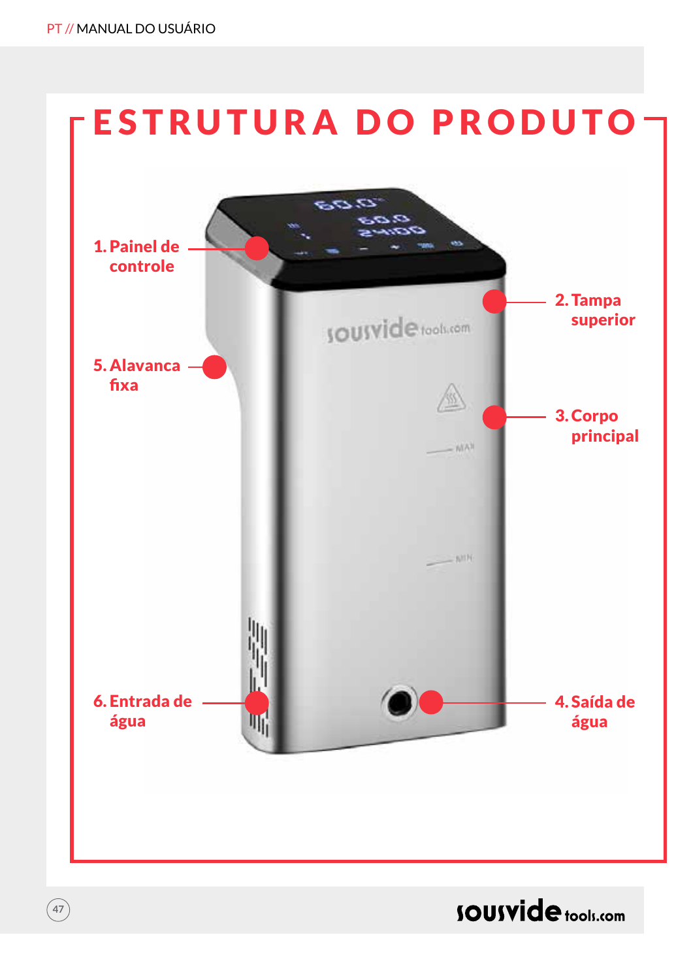**47**



**SOUSVide** tools.com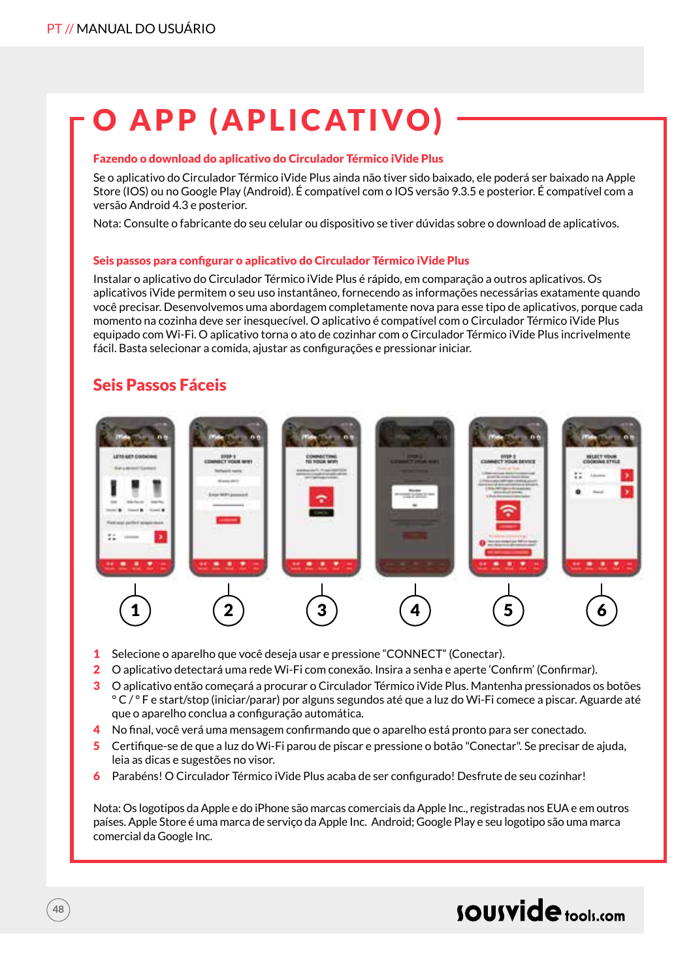# O APP (APLICATIVO)

#### Fazendo o download do aplicativo do Circulador Térmico iVide Plus

Se o aplicativo do Circulador Térmico iVide Plus ainda não tiver sido baixado, ele poderá ser baixado na Apple Store (IOS) ou no Google Play (Android). É compatível com o IOS versão 9.3.5 e posterior. É compatível com a versão Android 4.3 e posterior.

Nota: Consulte o fabricante do seu celular ou dispositivo se tiver dúvidas sobre o download de aplicativos.

#### Seis passos para configurar o aplicativo do Circulador Térmico iVide Plus

Instalar o aplicativo do Circulador Térmico iVide Plus é rápido, em comparação a outros aplicativos. Os aplicativos iVide permitem o seu uso instantâneo, fornecendo as informações necessárias exatamente quando você precisar. Desenvolvemos uma abordagem completamente nova para esse tipo de aplicativos, porque cada momento na cozinha deve ser inesquecível. O aplicativo é compatível com o Circulador Térmico iVide Plus equipado com Wi-Fi. O aplicativo torna o ato de cozinhar com o Circulador Térmico iVide Plus incrivelmente fácil. Basta selecionar a comida, ajustar as configurações e pressionar iniciar.

### Seis Passos Fáceis



- 1 Selecione o aparelho que você deseja usar e pressione "CONNECT" (Conectar).
- 2 O aplicativo detectará uma rede Wi-Fi com conexão. Insira a senha e aperte 'Confirm' (Confirmar).
- 3 O aplicativo então começará a procurar o Circulador Térmico iVide Plus. Mantenha pressionados os botões ° C / ° F e start/stop (iniciar/parar) por alguns segundos até que a luz do Wi-Fi comece a piscar. Aguarde até que o aparelho conclua a configuração automática.
- 4 No final, você verá uma mensagem confirmando que o aparelho está pronto para ser conectado.
- 5 Certifique-se de que a luz do Wi-Fi parou de piscar e pressione o botão "Conectar". Se precisar de ajuda, leia as dicas e sugestões no visor.
- 6 Parabéns! O Circulador Térmico iVide Plus acaba de ser configurado! Desfrute de seu cozinhar!

Nota: Os logotipos da Apple e do iPhone são marcas comerciais da Apple Inc., registradas nos EUA e em outros países. Apple Store é uma marca de serviço da Apple Inc. Android; Google Play e seu logotipo são uma marca comercial da Google Inc.

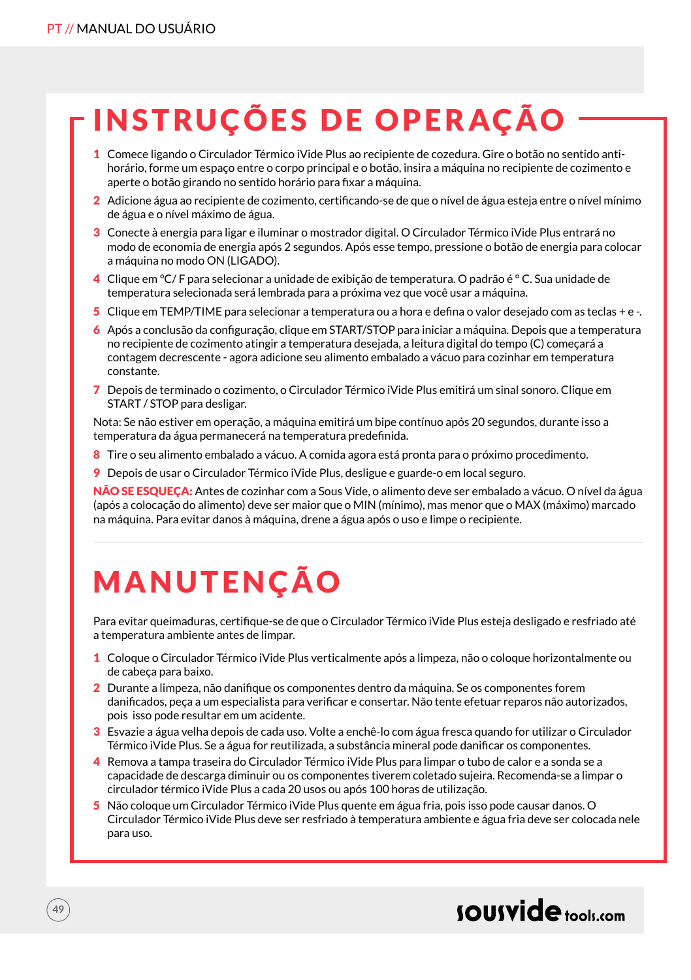# INSTRUÇÕES DE OPERAÇÃO

- 1 Comece ligando o Circulador Térmico iVide Plus ao recipiente de cozedura. Gire o botão no sentido antihorário, forme um espaço entre o corpo principal e o botão, insira a máquina no recipiente de cozimento e aperte o botão girando no sentido horário para fixar a máquina.
- 2 Adicione água ao recipiente de cozimento, certificando-se de que o nível de água esteja entre o nível mínimo de água e o nível máximo de água.
- 3 Conecte à energia para ligar e iluminar o mostrador digital. O Circulador Térmico iVide Plus entrará no modo de economia de energia após 2 segundos. Após esse tempo, pressione o botão de energia para colocar a máquina no modo ON (LIGADO).
- 4 Clique em °C/ F para selecionar a unidade de exibição de temperatura. O padrão é ° C. Sua unidade de temperatura selecionada será lembrada para a próxima vez que você usar a máquina.
- 5 Clique em TEMP/TIME para selecionar a temperatura ou a hora e defina o valor desejado com as teclas + e -.
- 6 Após a conclusão da configuração, clique em START/STOP para iniciar a máquina. Depois que a temperatura no recipiente de cozimento atingir a temperatura desejada, a leitura digital do tempo (C) começará a contagem decrescente - agora adicione seu alimento embalado a vácuo para cozinhar em temperatura constante.
- 7 Depois de terminado o cozimento, o Circulador Térmico iVide Plus emitirá um sinal sonoro. Clique em START / STOP para desligar.

Nota: Se não estiver em operação, a máquina emitirá um bipe contínuo após 20 segundos, durante isso a temperatura da água permanecerá na temperatura predefinida.

- 8 Tire o seu alimento embalado a vácuo. A comida agora está pronta para o próximo procedimento.
- 9 Depois de usar o Circulador Térmico iVide Plus, desligue e guarde-o em local seguro.

NÃO SE ESQUEÇA: Antes de cozinhar com a Sous Vide, o alimento deve ser embalado a vácuo. O nível da água (após a colocação do alimento) deve ser maior que o MIN (mínimo), mas menor que o MAX (máximo) marcado na máquina. Para evitar danos à máquina, drene a água após o uso e limpe o recipiente.

# MANUTENÇÃO

**49**

Para evitar queimaduras, certifique-se de que o Circulador Térmico iVide Plus esteja desligado e resfriado até a temperatura ambiente antes de limpar.

- 1 Coloque o Circulador Térmico iVide Plus verticalmente após a limpeza, não o coloque horizontalmente ou de cabeça para baixo.
- 2 Durante a limpeza, não danifique os componentes dentro da máquina. Se os componentes forem danificados, peça a um especialista para verificar e consertar. Não tente efetuar reparos não autorizados, pois isso pode resultar em um acidente.
- 3 Esvazie a água velha depois de cada uso. Volte a enchê-lo com água fresca quando for utilizar o Circulador Térmico iVide Plus. Se a água for reutilizada, a substância mineral pode danificar os componentes.
- 4 Remova a tampa traseira do Circulador Térmico iVide Plus para limpar o tubo de calor e a sonda se a capacidade de descarga diminuir ou os componentes tiverem coletado sujeira. Recomenda-se a limpar o circulador térmico iVide Plus a cada 20 usos ou após 100 horas de utilização.
- 5 Não coloque um Circulador Térmico iVide Plus quente em água fria, pois isso pode causar danos. O Circulador Térmico iVide Plus deve ser resfriado à temperatura ambiente e água fria deve ser colocada nele para uso.

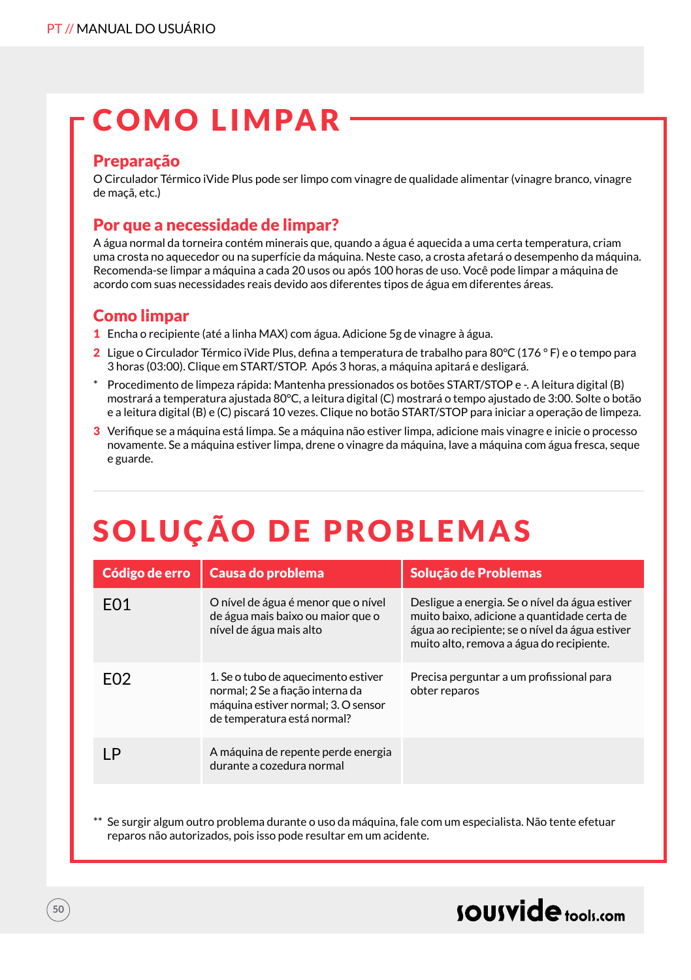# COMO LIMPAR

### Preparação

O Circulador Térmico iVide Plus pode ser limpo com vinagre de qualidade alimentar (vinagre branco, vinagre de maçã, etc.)

### Por que a necessidade de limpar?

A água normal da torneira contém minerais que, quando a água é aquecida a uma certa temperatura, criam uma crosta no aquecedor ou na superfície da máquina. Neste caso, a crosta afetará o desempenho da máquina. Recomenda-se limpar a máquina a cada 20 usos ou após 100 horas de uso. Você pode limpar a máquina de acordo com suas necessidades reais devido aos diferentes tipos de água em diferentes áreas.

## Como limpar

- 1 Encha o recipiente (até a linha MAX) com água. Adicione 5g de vinagre à água.
- 2 Ligue o Circulador Térmico iVide Plus, defina a temperatura de trabalho para 80°C (176 ° F) e o tempo para 3 horas (03:00). Clique em START/STOP. Após 3 horas, a máquina apitará e desligará.
- \* Procedimento de limpeza rápida: Mantenha pressionados os botões START/STOP e -. A leitura digital (B) mostrará a temperatura ajustada 80°C, a leitura digital (C) mostrará o tempo ajustado de 3:00. Solte o botão e a leitura digital (B) e (C) piscará 10 vezes. Clique no botão START/STOP para iniciar a operação de limpeza.
- 3 Verifique se a máquina está limpa. Se a máquina não estiver limpa, adicione mais vinagre e inicie o processo novamente. Se a máquina estiver limpa, drene o vinagre da máquina, lave a máquina com água fresca, seque e guarde.

# SOLUÇÃO DE PROBLEMAS

| Código de erro   | Causa do problema                                                                                                                             | Solução de Problemas                                                                                                                                                                        |
|------------------|-----------------------------------------------------------------------------------------------------------------------------------------------|---------------------------------------------------------------------------------------------------------------------------------------------------------------------------------------------|
| F <sub>0</sub> 1 | O nível de água é menor que o nível<br>de água mais baixo ou maior que o<br>nível de água mais alto                                           | Desligue a energia. Se o nível da água estiver<br>muito baixo, adicione a quantidade certa de<br>água ao recipiente; se o nível da água estiver<br>muito alto, remova a água do recipiente. |
| F <sub>02</sub>  | 1. Se o tubo de aquecimento estiver<br>normal; 2 Se a fiação interna da<br>máquina estiver normal; 3. O sensor<br>de temperatura está normal? | Precisa perguntar a um profissional para<br>obter reparos                                                                                                                                   |
| ٠Þ               | A máquina de repente perde energia<br>durante a cozedura normal                                                                               |                                                                                                                                                                                             |
|                  |                                                                                                                                               |                                                                                                                                                                                             |

Se surgir algum outro problema durante o uso da máquina, fale com um especialista. Não tente efetuar reparos não autorizados, pois isso pode resultar em um acidente.

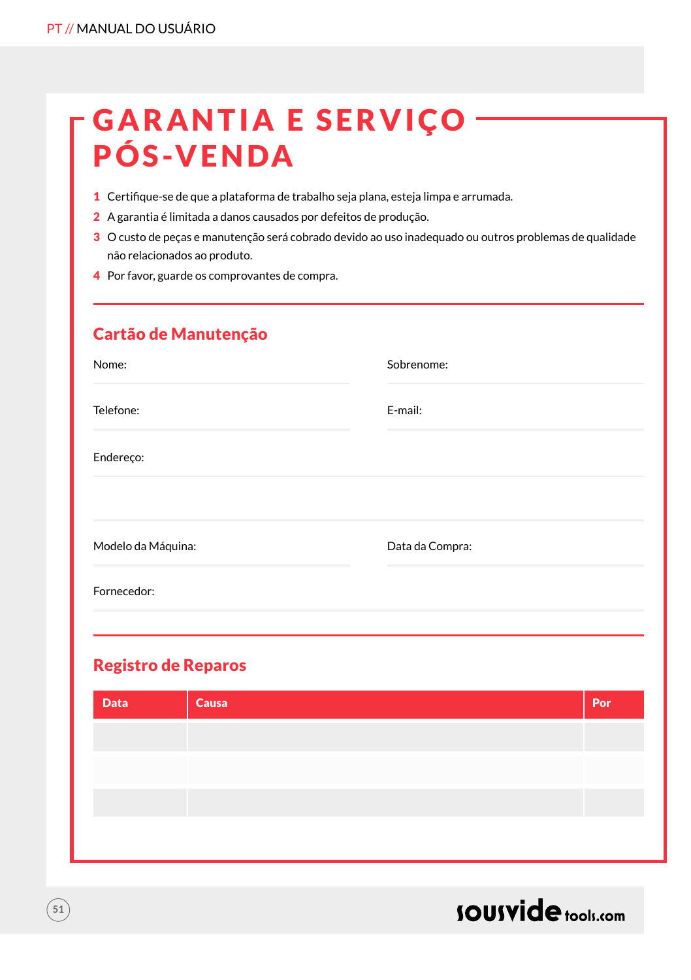# **GARANTIA E SERVIÇO** PÓS-VENDA

- 1 Certifique-se de que a plataforma de trabalho seja plana, esteja limpa e arrumada.
- 2 A garantia é limitada a danos causados por defeitos de produção.
- 3 O custo de peças e manutenção será cobrado devido ao uso inadequado ou outros problemas de qualidade não relacionados ao produto.
- 4 Por favor, guarde os comprovantes de compra.

| Sobrenome:      |
|-----------------|
| E-mail:         |
|                 |
| Data da Compra: |
|                 |
|                 |

## Registro de Reparos

**51**

| <b>Data</b> | Causa | Por |
|-------------|-------|-----|
|             |       |     |
|             |       |     |
|             |       |     |
|             |       |     |
|             |       |     |

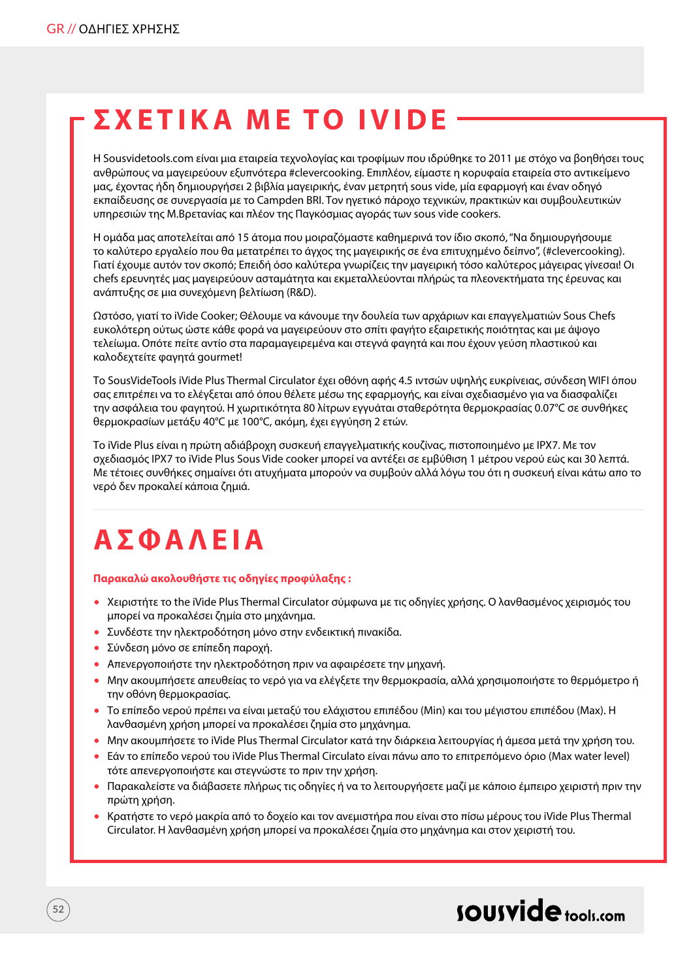## **Σ ΧΈ ΤΙΚΑ ΜΕ ΤΟ IVIDE**

Η Sousvidetools.com είναι μια εταιρεία τεχνολογίας και τροφίμων που ιδρύθηκε το 2011 με στόχο να βοηθήσει τους ανθρώπους να μαγειρεύουν εξυπνότερα #clevercooking. Επιπλέον, είμαστε η κορυφαία εταιρεία στο αντικείμενο μας, έχοντας ήδη δημιουργήσει 2 βιβλία μαγειρικής, έναν μετρητή sous vide, μία εφαρμογή και έναν οδηγό εκπαίδευσης σε συνεργασία με το Campden BRI. Τον ηγετικό πάροχο τεχνικών, πρακτικών και συμβουλευτικών υπηρεσιών της Μ.Βρετανίας και πλέον της Παγκόσμιας αγοράς των sous vide cookers.

H ομάδα μας αποτελείται από 15 άτομα που μοιραζόμαστε καθημερινά τον ίδιο σκοπό, ''Να δημιουργήσουμε το καλύτερο εργαλείο που θα μετατρέπει το άγχος της μαγειρικής σε ένα επιτυχημένο δείπνο'', (#clevercooking). Γιατί έχουμε αυτόν τον σκοπό; Επειδή όσο καλύτερα γνωρίζεις την μαγειρική τόσο καλύτερος μάγειρας γίνεσαι! Οι chefs ερευνητές μας μαγειρεύουν ασταμάτητα και εκμεταλλεύονται πλήρώς τα πλεονεκτήματα της έρευνας και ανάπτυξης σε μια συνεχόμενη βελτίωση (R&D).

Ωστόσο, γιατί το iVide Cooker; Θέλουμε να κάνουμε την δουλεία των αρχάριων και επαγγελματιών Sous Chefs ευκολότερη ούτως ώστε κάθε φορά να μαγειρεύουν στο σπίτι φαγήτο εξαιρετικής ποιότητας και με άψογο τελείωμα. Οπότε πείτε αντίο στα παραμαγειρεμένα και στεγνά φαγητά και που έχουν γεύση πλαστικού και καλοδεχτείτε φαγητά gourmet!

Το SousVideTools iVide Plus Thermal Circulator έχει οθόνη αφής 4.5 ιντσών υψηλής ευκρίνειας, σύνδεση WIFI όπου σας επιτρέπει να το ελέγξεται από όπου θέλετε μέσω της εφαρμογής, και είναι σχεδιασμένο για να διασφαλίζει την ασφάλεια του φαγητού. Η χωριτικότητα 80 λίτρων εγγυάται σταθερότητα θερμοκρασίας 0.07°C σε συνθήκες θερμοκρασίων μετάξυ 40°C με 100°C, ακόμη, έχει εγγύηση 2 ετών.

Το iVide Plus είναι η πρώτη αδιάβροχη συσκευή επαγγελματικής κουζίνας, πιστοποιημένο με IPX7. Με τον σχεδιασμός IPX7 το iVide Plus Sous Vide cooker μπορεί να αντέξει σε εμβύθιση 1 μέτρου νερού εώς και 30 λεπτά. Με τέτοιες συνθήκες σημαίνει ότι ατυχήματα μπορούν να συμβούν αλλά λόγω του ότι η συσκευή είναι κάτω απο το νερό δεν προκαλεί κάποια ζημιά.

## **ΑΣΦΑΛΕΙΑ**

#### **Παρακαλώ ακολουθήστε τις οδηγίες προφύλαξης :**

- Χειριστήτε το the iVide Plus Thermal Circulator σύμφωνα με τις οδηγίες χρήσης. Ο λανθασμένος χειρισμός του μπορεί να προκαλέσει ζημία στο μηχάνημα.
- Συνδέστε την ηλεκτροδότηση μόνο στην ενδεικτική πινακίδα.
- Σύνδεση μόνο σε επίπεδη παροχή.
- Απενεργοποιήστε την ηλεκτροδότηση πριν να αφαιρέσετε την μηχανή.
- Μην ακουμπήσετε απευθείας το νερό για να ελέγξετε την θερμοκρασία, αλλά χρησιμοποιήστε το θερμόμετρο ή την οθόνη θερμοκρασίας.
- Το επίπεδο νερού πρέπει να είναι μεταξύ του ελάχιστου επιπέδου (Μin) και του μέγιστου επιπέδου (Μax). Η λανθασμένη χρήση μπορεί να προκαλέσει ζημία στο μηχάνημα.
- Μην ακουμπήσετε το iVide Plus Thermal Circulator κατά την διάρκεια λειτουργίας ή άμεσα μετά την χρήση του.
- Εάν το επίπεδο νερού του iVide Plus Thermal Circulato είναι πάνω απο το επιτρεπόμενο όριο (Max water level) τότε απενεργοποιήστε και στεγνώστε το πριν την χρήση.
- Παρακαλείστε να διάβασετε πλήρως τις οδηγίες ή να το λειτουργήσετε μαζί με κάποιο έμπειρο χειριστή πριν την πρώτη χρήση.
- Κρατήστε το νερό μακρία από το δοχείο και τον ανεμιστήρα που είναι στο πίσω μέρους του iVide Plus Thermal Circulator. Η λανθασμένη χρήση μπορεί να προκαλέσει ζημία στο μηχάνημα και στον χειριστή του.

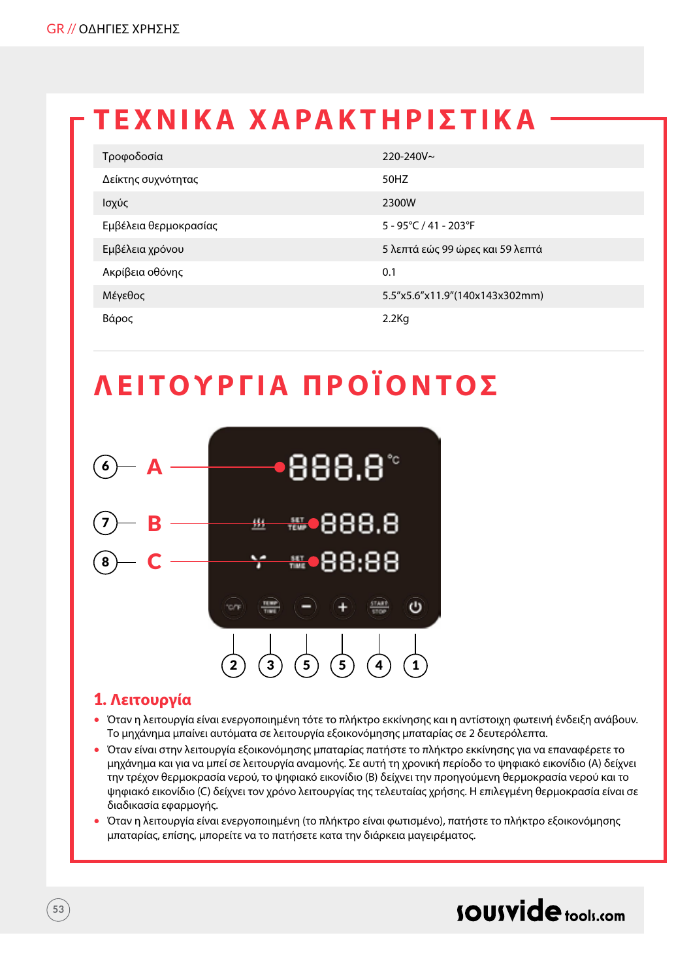## **ΤΕΧΝΙΚΑ ΧΑΡΑΚΤΗΡΙΣΤΙΚΑ**

| Τροφοδοσία            | $220 - 240V$ ~                   |
|-----------------------|----------------------------------|
| Δείκτης συχνότητας    | 50HZ                             |
| Ισχύς                 | 2300W                            |
| Εμβέλεια θερμοκρασίας | 5 - 95°C / 41 - 203°F            |
| Εμβέλεια χρόνου       | 5 λεπτά εώς 99 ώρες και 59 λεπτά |
| Ακρίβεια οθόνης       | 0.1                              |
| Μέγεθος               | 5.5"x5.6"x11.9"(140x143x302mm)   |
| Βάρος                 | $2.2$ Kg                         |

## **ΛΕΙΤΟΥΡΓ ΙΑ ΠΡΟΪΟΝ ΤΟ Σ**



### 1. **Λειτουργία**

- Όταν η λειτουργία είναι ενεργοποιημένη τότε το πλήκτρο εκκίνησης και η αντίστοιχη φωτεινή ένδειξη ανάβουν. Το μηχάνημα μπαίνει αυτόματα σε λειτουργία εξοικονόμησης μπαταρίας σε 2 δευτερόλεπτα.
- Όταν είναι στην λειτουργία εξοικονόμησης μπαταρίας πατήστε το πλήκτρο εκκίνησης για να επαναφέρετε το μηχάνημα και για να μπεί σε λειτουργία αναμονής. Σε αυτή τη χρονική περίοδο το ψηφιακό εικονίδιο (A) δείχνει την τρέχον θερμοκρασία νερού, το ψηφιακό εικονίδιο (B) δείχνει την προηγούμενη θερμοκρασία νερού και το ψηφιακό εικονίδιο (C) δείχνει τον χρόνο λειτουργίας της τελευταίας χρήσης. Η επιλεγμένη θερμοκρασία είναι σε διαδικασία εφαρμογής.
- Όταν η λειτουργία είναι ενεργοποιημένη (το πλήκτρο είναι φωτισμένο), πατήστε το πλήκτρο εξοικονόμησης μπαταρίας, επίσης, μπορείτε να το πατήσετε κατα την διάρκεια μαγειρέματος.

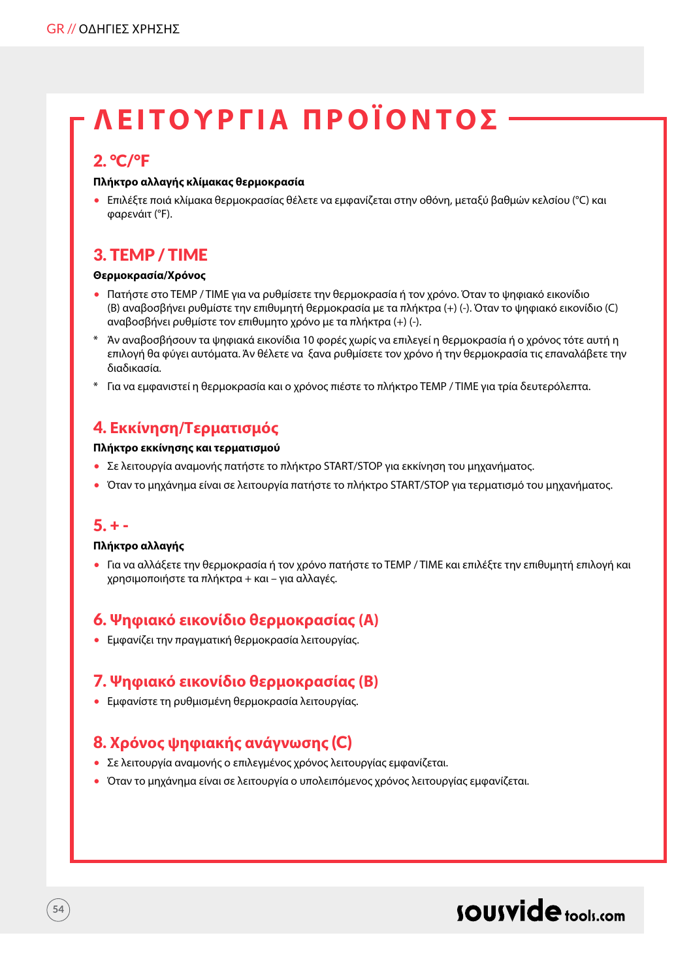## **ΛΕΙΤΟΥΡΓ ΙΑ ΠΡΟΪΟΝ ΤΟ Σ**

### 2. °C/°F

#### **Πλήκτρο αλλαγής κλίμακας θερμοκρασία**

• Επιλέξτε ποιά κλίμακα θερμοκρασίας θέλετε να εμφανίζεται στην οθόνη, μεταξύ βαθμών κελσίου (°C) και φαρενάιτ (°F).

## 3. TEMP / TIME

#### **Θερμοκρασία/Χρόνος**

- Πατήστε στο TEMP / TIME για να ρυθμίσετε την θερμοκρασία ή τον χρόνο. Όταν το ψηφιακό εικονίδιο (B) αναβοσβήνει ρυθμίστε την επιθυμητή θερμοκρασία με τα πλήκτρα (+) (-). Όταν το ψηφιακό εικονίδιο (C) αναβοσβήνει ρυθμίστε τον επιθυμητο χρόνο με τα πλήκτρα (+) (-).
- \* Άν αναβοσβήσουν τα ψηφιακά εικονίδια 10 φορές χωρίς να επιλεγεί η θερμοκρασία ή ο χρόνος τότε αυτή η επιλογή θα φύγει αυτόματα. Άν θέλετε να ξανα ρυθμίσετε τον χρόνο ή την θερμοκρασία τις επαναλάβετε την διαδικασία.
- \* Για να εμφανιστεί η θερμοκρασία και ο χρόνος πιέστε το πλήκτρο TEMP / TIME για τρία δευτερόλεπτα.

## 4. **Εκκίνηση/Τερματισμός**

#### **Πλήκτρο εκκίνησης και τερματισμού**

- Σε λειτουργία αναμονής πατήστε το πλήκτρο START/STOP για εκκίνηση του μηχανήματος.
- Όταν το μηχάνημα είναι σε λειτουργία πατήστε το πλήκτρο START/STOP για τερματισμό του μηχανήματος.

### $5. + -$

**54**

#### **Πλήκτρο αλλαγής**

• Για να αλλάξετε την θερμοκρασία ή τον χρόνο πατήστε το TEMP / TIME και επιλέξτε την επιθυμητή επιλογή και χρησιμοποιήστε τα πλήκτρα + και – για αλλαγές.

### 6. **Ψηφιακό εικονίδιο θερμοκρασίας (Α)**

• Εμφανίζει την πραγματική θερμοκρασία λειτουργίας.

### 7. **Ψηφιακό εικονίδιο θερμοκρασίας (Β)**

• Εμφανίστε τη ρυθμισμένη θερμοκρασία λειτουργίας.

## 8. **Χρόνος ψηφιακής ανάγνωσης** (C)

- Σε λειτουργία αναμονής ο επιλεγμένος χρόνος λειτουργίας εμφανίζεται.
- Όταν το μηχάνημα είναι σε λειτουργία ο υπολειπόμενος χρόνος λειτουργίας εμφανίζεται.

## sousvide tools:com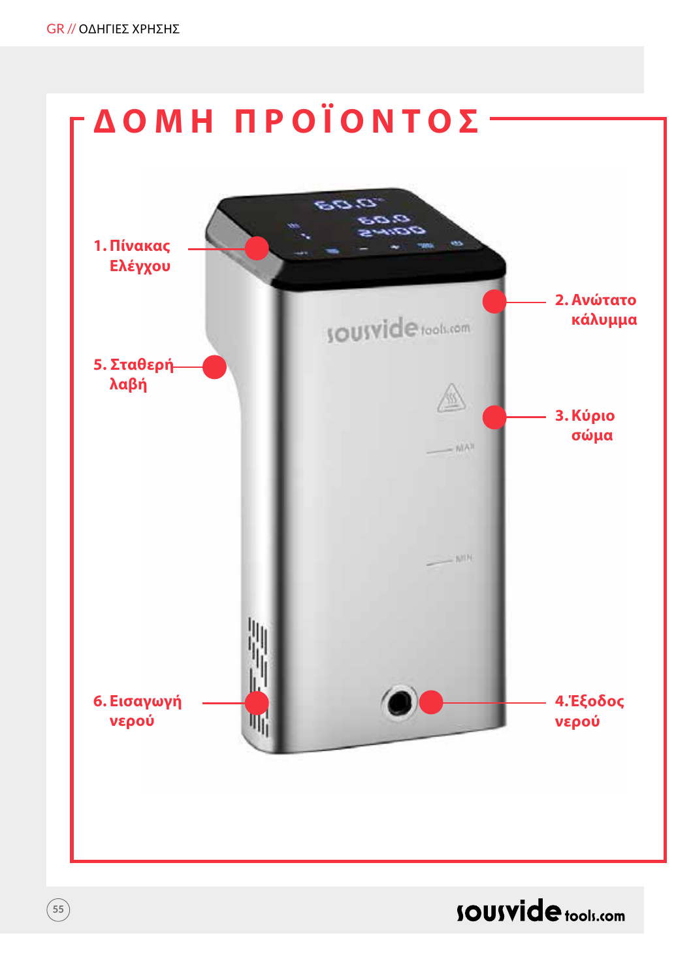**55**



**SOUSVide** tools.com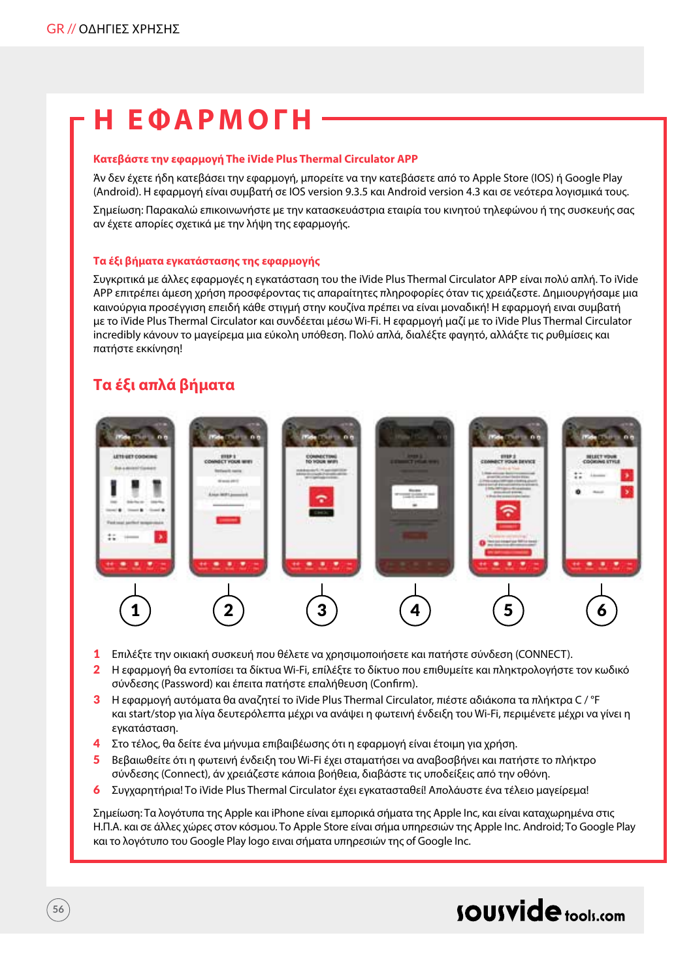## **Η ΕΦΑΡΜΟΓΗ**

#### **Κατεβάστε την εφαρμογή The iVide Plus Thermal Circulator APP**

Άν δεν έχετε ήδη κατεβάσει την εφαρμογή, μπορείτε να την κατεβάσετε από το Apple Store (IOS) ή Google Play (Android). Η εφαρμογή είναι συμβατή σε IOS version 9.3.5 και Android version 4.3 και σε νεότερα λογισμικά τους.

Σημείωση: Παρακαλώ επικοινωνήστε με την κατασκευάστρια εταιρία του κινητού τηλεφώνου ή της συσκευής σας αν έχετε απορίες σχετικά με την λήψη της εφαρμογής.

#### **Τα έξι βήματα εγκατάστασης της εφαρμογής**

Συγκριτικά με άλλες εφαρμογές η εγκατάσταση του the iVide Plus Thermal Circulator APP είναι πολύ απλή. Το iVide APP επιτρέπει άμεση χρήση προσφέροντας τις απαραίτητες πληροφορίες όταν τις χρειάζεστε. Δημιουργήσαμε μια καινούργια προσέγγιση επειδή κάθε στιγμή στην κουζίνα πρέπει να είναι μοναδική! Η εφαρμογή ειναι συμβατή με το iVide Plus Thermal Circulator και συνδέεται μέσω Wi-Fi. Η εφαρμογή μαζί με το iVide Plus Thermal Circulator incredibly κάνουν το μαγείρεμα μια εύκολη υπόθεση. Πολύ απλά, διαλέξτε φαγητό, αλλάξτε τις ρυθμίσεις και πατήστε εκκίνηση!

#### **Τα έξι απλά βήματα**

**56**



- 1 Επιλέξτε την οικιακή συσκευή που θέλετε να χρησιμοποιήσετε και πατήστε σύνδεση (CONNECT).
- 2 Η εφαρμογή θα εντοπίσει τα δίκτυα Wi-Fi, επίλέξτε το δίκτυο που επιθυμείτε και πληκτρολογήστε τον κωδικό σύνδεσης (Password) και έπειτα πατήστε επαλήθευση (Confirm).
- 3 Η εφαρμογή αυτόματα θα αναζητεί το iVide Plus Thermal Circulator, πιέστε αδιάκοπα τα πλήκτρα C / °F και start/stop για λίγα δευτερόλεπτα μέχρι να ανάψει η φωτεινή ένδειξη του Wi-Fi, περιμένετε μέχρι να γίνει η εγκατάσταση.
- 4 Στο τέλος, θα δείτε ένα μήνυμα επιβαιβέωσης ότι η εφαρμογή είναι έτοιμη για χρήση.
- 5 Βεβαιωθείτε ότι η φωτεινή ένδειξη του Wi-Fi έχει σταματήσει να αναβοσβήνει και πατήστε το πλήκτρο σύνδεσης (Connect), άν χρειάζεστε κάποια βοήθεια, διαβάστε τις υποδείξεις από την οθόνη.
- 6 Συγχαρητήρια! Το iVide Plus Thermal Circulator έχει εγκατασταθεί! Απολάυστε ένα τέλειο μαγείρεμα!

Σημείωση: Τα λογότυπα της Apple και iPhone είναι εμπορικά σήματα της Apple Inc, και είναι καταχωρημένα στις Η.Π.Α. και σε άλλες χώρες στον κόσμου. Το Apple Store είναι σήμα υπηρεσιών της Apple Inc. Android; Το Google Play και το λογότυπο του Google Play logo ειναι σήματα υπηρεσιών της of Google Inc.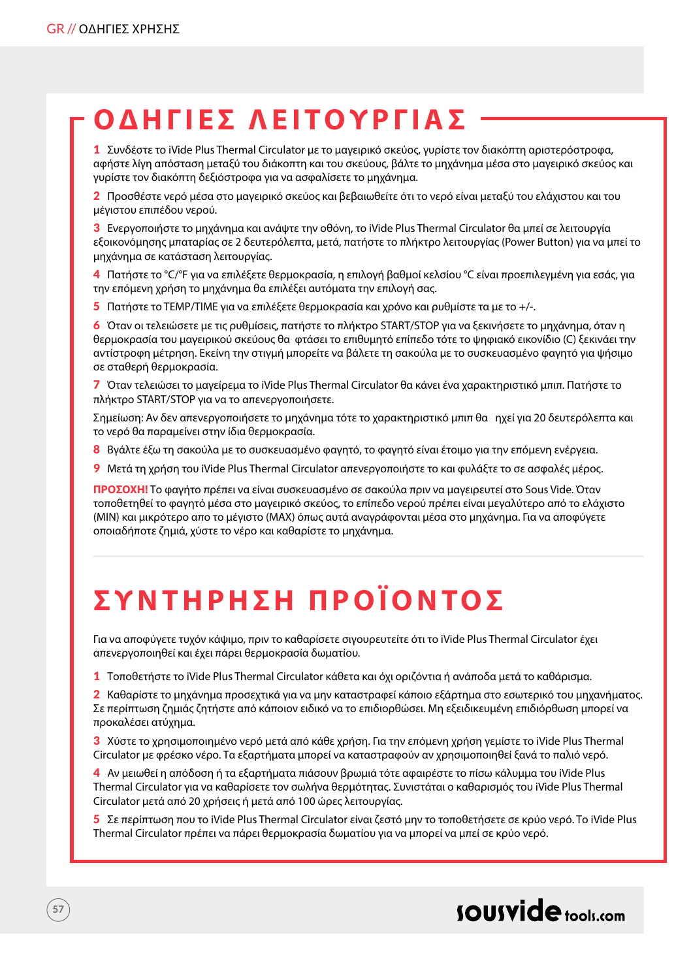## **ΟΔΗΓ Ι ΕΣ ΛΕΙΤΟΥΡΓ ΙΑ Σ**

1 Συνδέστε το iVide Plus Thermal Circulator με το μαγειρικό σκεύος, γυρίστε τον διακόπτη αριστερόστροφα, αφήστε λίγη απόσταση μεταξύ του διάκοπτη και του σκεύους, βάλτε το μηχάνημα μέσα στο μαγειρικό σκεύος και γυρίστε τον διακόπτη δεξιόστροφα για να ασφαλίσετε το μηχάνημα.

2 Προσθέστε νερό μέσα στο μαγειρικό σκεύος και βεβαιωθείτε ότι το νερό είναι μεταξύ του ελάχιστου και του μέγιστου επιπέδου νερού.

3 Ενεργοποιήστε το μηχάνημα και ανάψτε την οθόνη, το iVide Plus Thermal Circulator θα μπεί σε λειτουργία εξοικονόμησης μπαταρίας σε 2 δευτερόλεπτα, μετά, πατήστε το πλήκτρο λειτουργίας (Power Button) για να μπεί το μηχάνημα σε κατάσταση λειτουργίας.

4 Πατήστε το °C/°F για να επιλέξετε θερμοκρασία, η επιλογή βαθμοί κελσίου °C είναι προεπιλεγμένη για εσάς, για την επόμενη χρήση το μηχάνημα θα επιλέξει αυτόματα την επιλογή σας.

5 Πατήστε το TEMP/TIME για να επιλέξετε θερμοκρασία και χρόνο και ρυθμίστε τα με το +/-.

6 Όταν οι τελειώσετε με τις ρυθμίσεις, πατήστε το πλήκτρο START/STOP για να ξεκινήσετε το μηχάνημα, όταν η θερμοκρασία του μαγειρικού σκεύους θα φτάσει το επιθυμητό επίπεδο τότε το ψηφιακό εικονίδιο (C) ξεκινάει την αντίστροφη μέτρηση. Εκείνη την στιγμή μπορείτε να βάλετε τη σακούλα με το συσκευασμένο φαγητό για ψήσιμο σε σταθερή θερμοκρασία.

7 Όταν τελειώσει το μαγείρεμα το iVide Plus Thermal Circulator θα κάνει ένα χαρακτηριστικό μπιπ. Πατήστε το πλήκτρο START/STOP για να το απενεργοποιήσετε.

Σημείωση: Αν δεν απενεργοποιήσετε το μηχάνημα τότε το χαρακτηριστικό μπιπ θα ηχεί για 20 δευτερόλεπτα και το νερό θα παραμείνει στην ίδια θερμοκρασία.

- 8 Βγάλτε έξω τη σακούλα με το συσκευασμένο φαγητό, το φαγητό είναι έτοιμο για την επόμενη ενέργεια.
- 9 Μετά τη χρήση του iVide Plus Thermal Circulator απενεργοποιήστε το και φυλάξτε το σε ασφαλές μέρος.

**ΠΡΟΣΟΧΗ!** Το φαγήτο πρέπει να είναι συσκευασμένο σε σακούλα πριν να μαγειρευτεί στο Sous Vide. Όταν τοποθετηθεί το φαγητό μέσα στο μαγειρικό σκεύος, το επίπεδο νερού πρέπει είναι μεγαλύτερο από το ελάχιστο (ΜIN) και μικρότερο απο το μέγιστο (MAX) όπως αυτά αναγράφονται μέσα στο μηχάνημα. Για να αποφύγετε οποιαδήποτε ζημιά, χύστε το νέρο και καθαρίστε το μηχάνημα.

# **ΣΥΝΤΗΡΗΣΗ ΠΡΟΪΟΝ ΤΟ Σ**

Για να αποφύγετε τυχόν κάψιμο, πριν το καθαρίσετε σιγουρευτείτε ότι το iVide Plus Thermal Circulator έχει απενεργοποιηθεί και έχει πάρει θερμοκρασία δωματίου.

1 Τοποθετήστε το iVide Plus Thermal Circulator κάθετα και όχι οριζόντια ή ανάποδα μετά το καθάρισμα.

2 Καθαρίστε το μηχάνημα προσεχτικά για να μην καταστραφεί κάποιο εξάρτημα στο εσωτερικό του μηχανήματος. Σε περίπτωση ζημιάς ζητήστε από κάποιον ειδικό να το επιδιορθώσει. Μη εξειδικευμένη επιδιόρθωση μπορεί να προκαλέσει ατύχημα.

3 Χύστε το χρησιμοποιημένο νερό μετά από κάθε χρήση. Για την επόμενη χρήση γεμίστε το iVide Plus Thermal Circulator με φρέσκο νέρο. Τα εξαρτήματα μπορεί να καταστραφούν αν χρησιμοποιηθεί ξανά το παλιό νερό.

4 Αν μειωθεί η απόδοση ή τα εξαρτήματα πιάσουν βρωμιά τότε αφαιρέστε το πίσω κάλυμμα του iVide Plus Thermal Circulator για να καθαρίσετε τον σωλήνα θερμότητας. Συνιστάται ο καθαρισμός του iVide Plus Thermal Circulator μετά από 20 χρήσεις ή μετά από 100 ώρες λειτουργίας.

5 Σε περίπτωση που το iVide Plus Thermal Circulator είναι ζεστό μην το τοποθετήσετε σε κρύο νερό. Το iVide Plus Thermal Circulator πρέπει να πάρει θερμοκρασία δωματίου για να μπορεί να μπεί σε κρύο νερό.

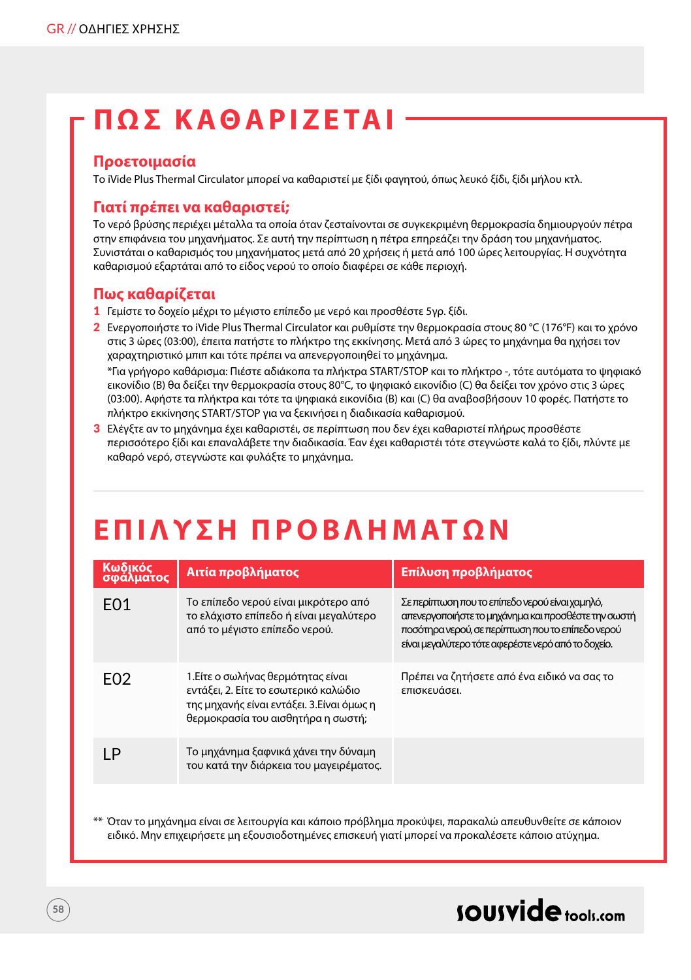## **ΠΩΣ ΚΑΘΑΡΙΖ Ε ΤΑ Ι**

#### **Προετοιμασία**

Το iVide Plus Thermal Circulator μπορεί να καθαριστεί με ξίδι φαγητού, όπως λευκό ξίδι, ξίδι μήλου κτλ.

#### **Γιατί πρέπει να καθαριστεί;**

Το νερό βρύσης περιέχει μέταλλα τα οποία όταν ζεσταίνονται σε συγκεκριμένη θερμοκρασία δημιουργούν πέτρα στην επιφάνεια του μηχανήματος. Σε αυτή την περίπτωση η πέτρα επηρεάζει την δράση του μηχανήματος. Συνιστάται ο καθαρισμός του μηχανήματος μετά από 20 χρήσεις ή μετά από 100 ώρες λειτουργίας. Η συχνότητα καθαρισμού εξαρτάται από το είδος νερού το οποίο διαφέρει σε κάθε περιοχή.

### **Πως καθαρίζεται**

- 1 Γεμίστε το δοχείο μέχρι το μέγιστο επίπεδο με νερό και προσθέστε 5γρ. ξίδι.
- 2 Ενεργοποιήστε το iVide Plus Thermal Circulator και ρυθμίστε την θερμοκρασία στους 80 °C (176°F) και το χρόνο στις 3 ώρες (03:00), έπειτα πατήστε το πλήκτρο της εκκίνησης. Μετά από 3 ώρες το μηχάνημα θα ηχήσει τον χαραχτηριστικό μπιπ και τότε πρέπει να απενεργοποιηθεί το μηχάνημα. \*Για γρήγορο καθάρισμα: Πιέστε αδιάκοπα τα πλήκτρα START/STOP και το πλήκτρο -, τότε αυτόματα το ψηφιακό εικονίδιο (B) θα δείξει την θερμοκρασία στους 80°C, το ψηφιακό εικονίδιο (C) θα δείξει τον χρόνο στις 3 ώρες (03:00). Αφήστε τα πλήκτρα και τότε τα ψηφιακά εικονίδια (B) και (C) θα αναβοσβήσουν 10 φορές. Πατήστε το πλήκτρο εκκίνησης START/STOP για να ξεκινήσει η διαδικασία καθαρισμού.
- 3 Ελέγξτε αν το μηχάνημα έχει καθαριστέι, σε περίπτωση που δεν έχει καθαριστεί πλήρως προσθέστε περισσότερο ξίδι και επαναλάβετε την διαδικασία. Έαν έχει καθαριστέι τότε στεγνώστε καλά το ξίδι, πλύντε με καθαρό νερό, στεγνώστε και φυλάξτε το μηχάνημα.

## **Ε ΠΙΛΥΣΗ ΠΡΟΒΛΗΜΑΤ Ω Ν**

| Κωδικός<br>σφάλματος | Αιτία προβλήματος                                                                                                                                              | Επίλυση προβλήματος                                                                                                                                                                                               |
|----------------------|----------------------------------------------------------------------------------------------------------------------------------------------------------------|-------------------------------------------------------------------------------------------------------------------------------------------------------------------------------------------------------------------|
| F <sub>0</sub> 1     | Το επίπεδο νερού είναι μικρότερο από<br>το ελάχιστο επίπεδο ή είναι μεγαλύτερο<br>από το μέγιστο επίπεδο νερού.                                                | Σε περίπτωση που το επίπεδο νερού είναι χαμηλό,<br>απενεργοποιήστε το μηχάνημα και προσθέστε την σωστή<br>ποσότηρα νερού, σε περίπτωση που το επίπεδο νερού<br>είναι μεγαλύτερο τότε αφερέστε νερό από το δοχείο. |
| FO <sub>2</sub>      | 1.Είτε ο σωλήνας θερμότητας είναι<br>εντάξει, 2. Είτε το εσωτερικό καλώδιο<br>της μηχανής είναι εντάξει. 3. Είναι όμως η<br>θερμοκρασία του αισθητήρα η σωστή; | Πρέπει να ζητήσετε από ένα ειδικό να σας το<br>επισκευάσει.                                                                                                                                                       |
| ΙP                   | Το μηχάνημα ξαφνικά χάνει την δύναμη<br>του κατά την διάρκεια του μαγειρέματος.                                                                                |                                                                                                                                                                                                                   |
|                      |                                                                                                                                                                |                                                                                                                                                                                                                   |

\*\* Όταν το μηχάνημα είναι σε λειτουργία και κάποιο πρόβλημα προκύψει, παρακαλώ απευθυνθείτε σε κάποιον ειδικό. Μην επιχειρήσετε μη εξουσιοδοτημένες επισκευή γιατί μπορεί να προκαλέσετε κάποιο ατύχημα.

## sousvide tools:com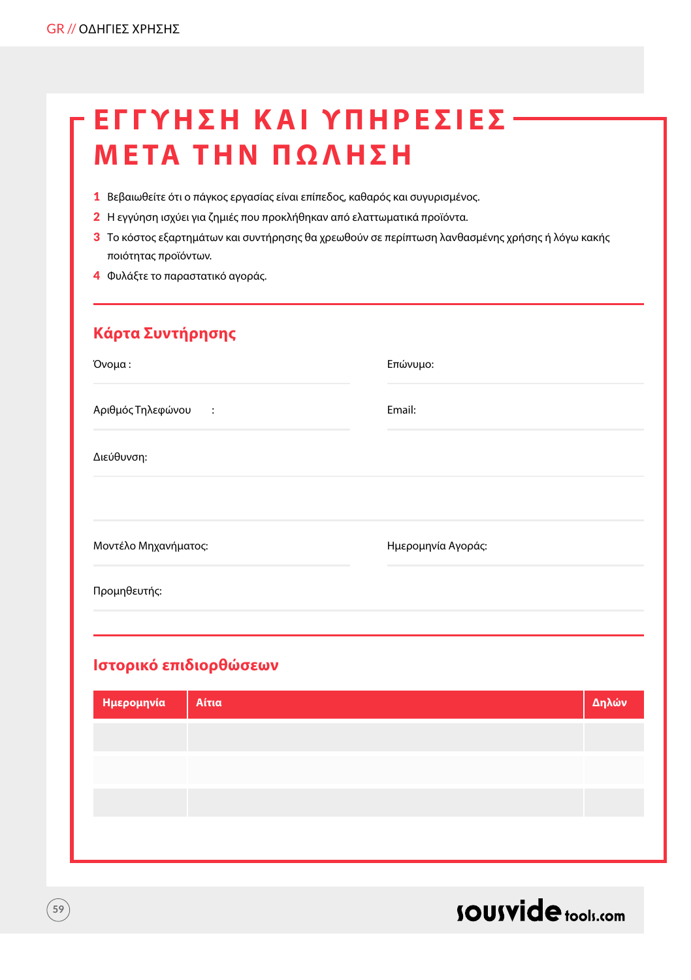## **Έ ΓΓΥΗΣΗ ΚΑΙ ΥΠΗΡΕΣΙ Ε Σ ΜΕΤΑ ΤΗΝ ΠΩΛ Η Σ Η**

- 1 Βεβαιωθείτε ότι ο πάγκος εργασίας είναι επίπεδος, καθαρός και συγυρισμένος.
- 2 Η εγγύηση ισχύει για ζημιές που προκλήθηκαν από ελαττωματικά προϊόντα.
- 3 Το κόστος εξαρτημάτων και συντήρησης θα χρεωθούν σε περίπτωση λανθασμένης χρήσης ή λόγω κακής ποιότητας προϊόντων.
- 4 Φυλάξτε το παραστατικό αγοράς.

## **Κάρτα Συντήρησης**

| Όνομα:                        | Επώνυμο:           |
|-------------------------------|--------------------|
| Αριθμός Τηλεφώνου<br>$\sim$ 1 | Email:             |
| Διεύθυνση:                    |                    |
|                               |                    |
| Μοντέλο Μηχανήματος:          | Ημερομηνία Αγοράς: |
| Προμηθευτής:                  |                    |
|                               |                    |

## **Ιστορικό επιδιορθώσεων**

| Ημερομηνία | Αίτια | Δηλών |
|------------|-------|-------|
|            |       |       |
|            |       |       |
|            |       |       |
|            |       |       |
|            |       |       |



**59**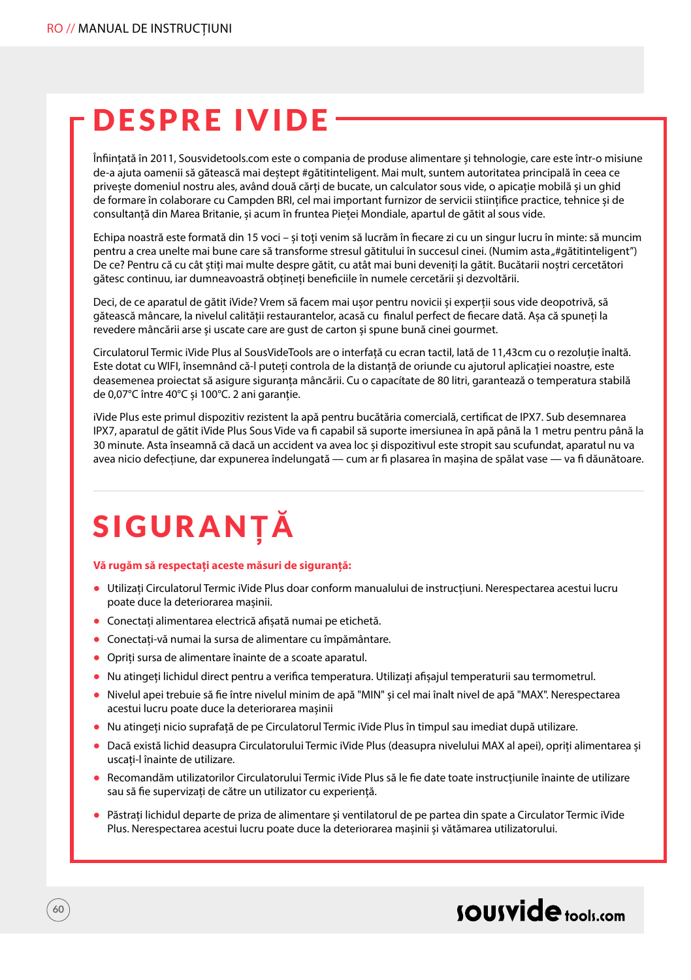## DESPRE IVIDE

Înființată în 2011, Sousvidetools.com este o compania de produse alimentare și tehnologie, care este într-o misiune de-a ajuta oamenii să gătească mai deștept #gătitinteligent. Mai mult, suntem autoritatea principală în ceea ce privește domeniul nostru ales, având două cărți de bucate, un calculator sous vide, o apicație mobilă și un ghid de formare în colaborare cu Campden BRI, cel mai important furnizor de servicii stiințifice practice, tehnice și de consultanță din Marea Britanie, și acum în fruntea Pieței Mondiale, apartul de gătit al sous vide.

Echipa noastră este formată din 15 voci – și toți venim să lucrăm în fiecare zi cu un singur lucru în minte: să muncim pentru a crea unelte mai bune care să transforme stresul gătitului în succesul cinei. (Numim asta "#gătitinteligent") De ce? Pentru că cu cât știți mai multe despre gătit, cu atât mai buni deveniți la gătit. Bucătarii noștri cercetători gătesc continuu, iar dumneavoastră obțineți beneficiile în numele cercetării și dezvoltării.

Deci, de ce aparatul de gătit iVide? Vrem să facem mai ușor pentru novicii și experții sous vide deopotrivă, să gătească mâncare, la nivelul calității restaurantelor, acasă cu finalul perfect de fiecare dată. Așa că spuneți la revedere mâncării arse și uscate care are gust de carton și spune bună cinei gourmet.

Circulatorul Termic iVide Plus al SousVideTools are o interfață cu ecran tactil, lată de 11,43cm cu o rezoluție înaltă. Este dotat cu WIFI, însemnând că-l puteți controla de la distanță de oriunde cu ajutorul aplicației noastre, este deasemenea proiectat să asigure siguranța mâncării. Cu o capacítate de 80 litri, garantează o temperatura stabilă de 0,07°C între 40°C și 100°C. 2 ani garanție.

iVide Plus este primul dispozitiv rezistent la apă pentru bucătăria comercială, certificat de IPX7. Sub desemnarea IPX7, aparatul de gătit iVide Plus Sous Vide va fi capabil să suporte imersiunea în apă până la 1 metru pentru până la 30 minute. Asta înseamnă că dacă un accident va avea loc și dispozitivul este stropit sau scufundat, aparatul nu va avea nicio defecțiune, dar expunerea îndelungată — cum ar fi plasarea în mașina de spălat vase — va fi dăunătoare.

# SIGURAN**ȚĂ**

#### **Vă rugăm să respectați aceste măsuri de siguranță:**

- **•** Utilizați Circulatorul Termic iVide Plus doar conform manualului de instrucțiuni. Nerespectarea acestui lucru poate duce la deteriorarea mașinii.
- **•** Conectați alimentarea electrică afișată numai pe etichetă.
- **•** Conectați-vă numai la sursa de alimentare cu împământare.
- **•** Opriți sursa de alimentare înainte de a scoate aparatul.
- **•** Nu atingeți lichidul direct pentru a verifica temperatura. Utilizați afișajul temperaturii sau termometrul.
- **•** Nivelul apei trebuie să fie între nivelul minim de apă "MIN" și cel mai înalt nivel de apă "MAX". Nerespectarea acestui lucru poate duce la deteriorarea mașinii
- **•** Nu atingeți nicio suprafață de pe Circulatorul Termic iVide Plus în timpul sau imediat după utilizare.
- **•** Dacă există lichid deasupra Circulatorului Termic iVide Plus (deasupra nivelului MAX al apei), opriți alimentarea și uscați-l înainte de utilizare.
- **•** Recomandăm utilizatorilor Circulatorului Termic iVide Plus să le fie date toate instrucțiunile înainte de utilizare sau să fie supervizați de către un utilizator cu experiență.
- **•** Păstrați lichidul departe de priza de alimentare și ventilatorul de pe partea din spate a Circulator Termic iVide Plus. Nerespectarea acestui lucru poate duce la deteriorarea mașinii și vătămarea utilizatorului.

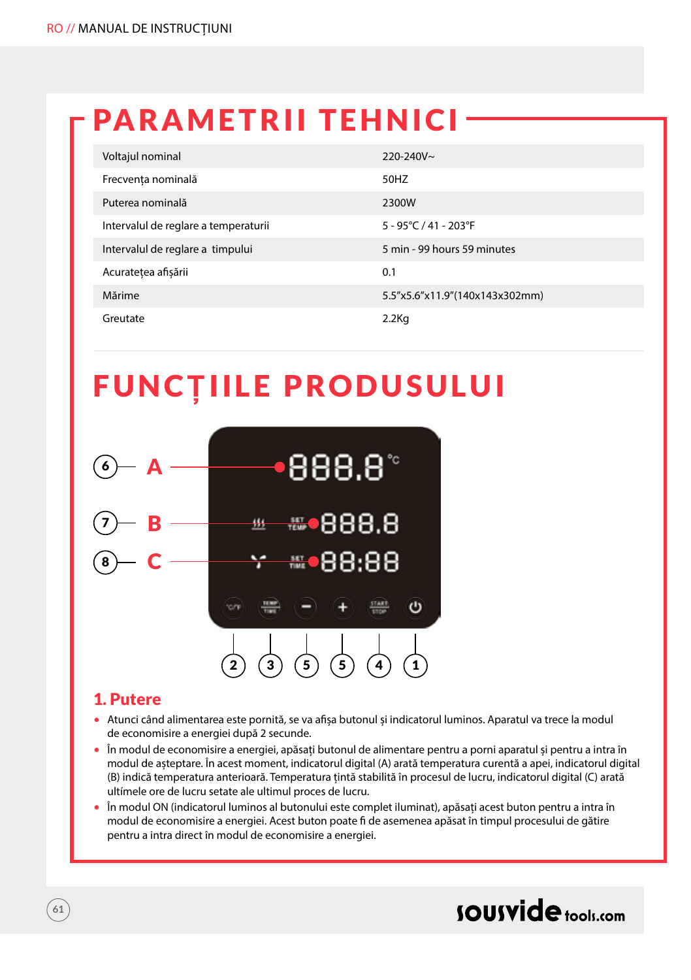## PARAMETRII TEHNICI

| Voltajul nominal                     | $220 - 240V$ ~                  |
|--------------------------------------|---------------------------------|
| Frecvența nominală                   | 50HZ                            |
| Puterea nominală                     | 2300W                           |
| Intervalul de reglare a temperaturii | $5 - 95^{\circ}$ C / 41 - 203°F |
| Intervalul de reglare a timpului     | 5 min - 99 hours 59 minutes     |
| Acuratețea afișării                  | 0.1                             |
| Mărime                               | 5.5"x5.6"x11.9"(140x143x302mm)  |
| Greutate                             | $2.2$ Kg                        |

# FUNC**Ț**IILE PRODUSULUI



### 1. Putere

- Atunci când alimentarea este pornită, se va afișa butonul și indicatorul luminos. Aparatul va trece la modul de economisire a energiei după 2 secunde.
- În modul de economisire a energiei, apăsați butonul de alimentare pentru a porni aparatul și pentru a intra în modul de așteptare. În acest moment, indicatorul digital (A) arată temperatura curentă a apei, indicatorul digital (B) indică temperatura anterioară. Temperatura țintă stabilită în procesul de lucru, indicatorul digital (C) arată ultímele ore de lucru setate ale ultimul proces de lucru.
- În modul ON (indicatorul luminos al butonului este complet iluminat), apăsați acest buton pentru a intra în modul de economisire a energiei. Acest buton poate fi de asemenea apăsat în timpul procesului de gătire pentru a intra direct în modul de economisire a energiei.

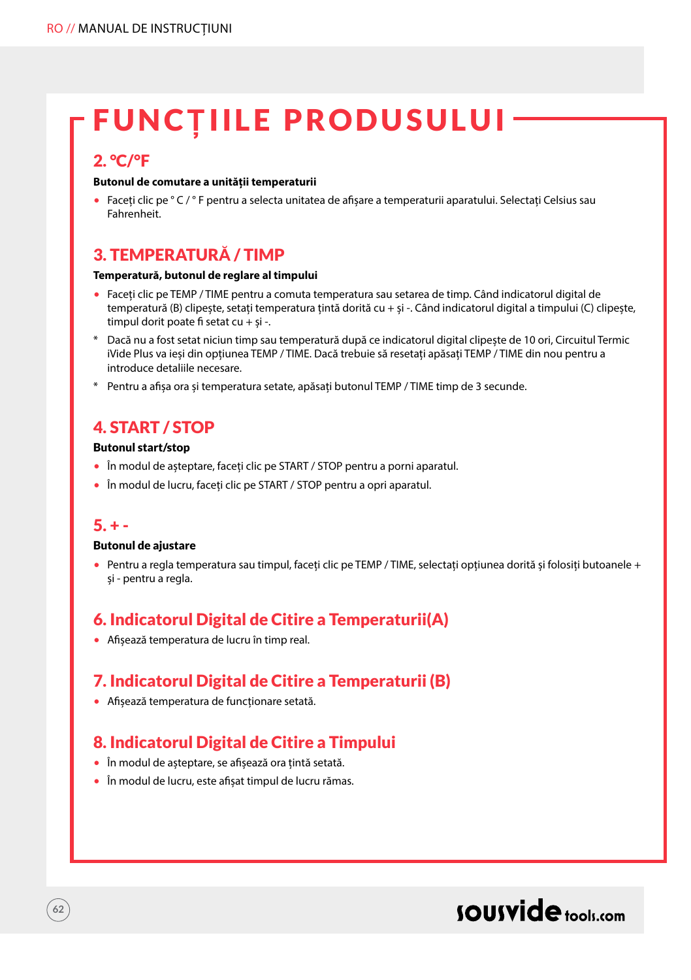# FUNC**Ț**IILE PRODUSULUI

## 2. °C/°F

#### **Butonul de comutare a unității temperaturii**

• Faceți clic pe ° C / ° F pentru a selecta unitatea de afișare a temperaturii aparatului. Selectați Celsius sau Fahrenheit.

## 3. TEMPERATUR**Ă** / TIMP

#### **Temperatură, butonul de reglare al timpului**

- Faceți clic pe TEMP / TIME pentru a comuta temperatura sau setarea de timp. Când indicatorul digital de temperatură (B) clipește, setați temperatura țintă dorită cu + și -. Când indicatorul digital a timpului (C) clipește, timpul dorit poate fi setat cu + și -.
- \* Dacă nu a fost setat niciun timp sau temperatură după ce indicatorul digital clipește de 10 ori, Circuitul Termic iVide Plus va ieși din opțiunea TEMP / TIME. Dacă trebuie să resetați apăsați TEMP / TIME din nou pentru a introduce detaliile necesare.
- \* Pentru a afișa ora și temperatura setate, apăsați butonul TEMP / TIME timp de 3 secunde.

## 4. START / STOP

#### Butonul start/stop

- În modul de așteptare, faceți clic pe START / STOP pentru a porni aparatul.
- În modul de lucru, faceți clic pe START / STOP pentru a opri aparatul.

### $5. + -$

**62**

#### Butonul de ajustare

• Pentru a regla temperatura sau timpul, faceți clic pe TEMP / TIME, selectați opțiunea dorită și folosiți butoanele + și - pentru a regla.

## 6. Indicatorul Digital de Citire a Temperaturii(A)

• Afișează temperatura de lucru în timp real.

## 7. Indicatorul Digital de Citire a Temperaturii (B)

• Afișează temperatura de funcționare setată.

## 8. Indicatorul Digital de Citire a Timpului

- În modul de așteptare, se afișează ora țintă setată.
- În modul de lucru, este afișat timpul de lucru rămas.

## sousvide tools:com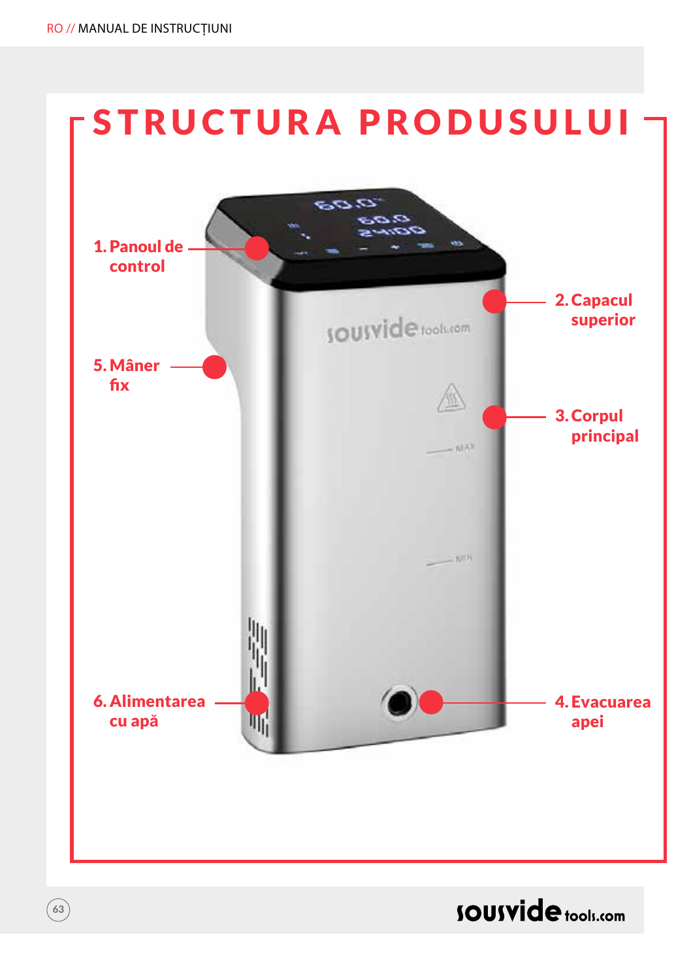**63**



**SOUSVide** tools.com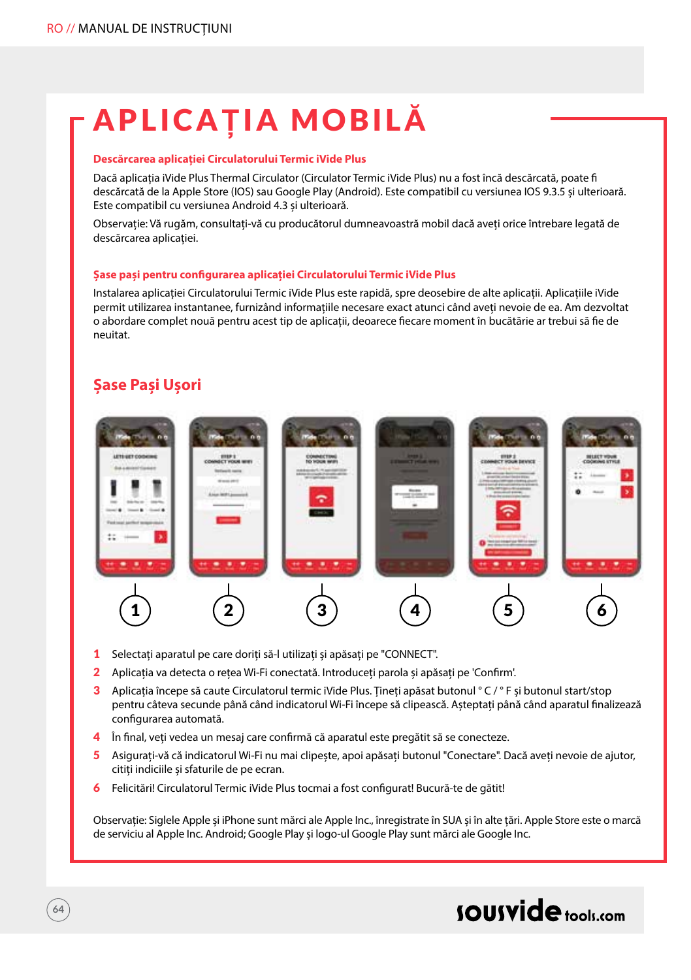# APLICA**Ț**IA MOBIL**Ă**

#### **Descărcarea aplicației Circulatorului Termic iVide Plus**

Dacă aplicația iVide Plus Thermal Circulator (Circulator Termic iVide Plus) nu a fost încă descărcată, poate fi descărcată de la Apple Store (IOS) sau Google Play (Android). Este compatibil cu versiunea IOS 9.3.5 și ulterioară. Este compatibil cu versiunea Android 4.3 și ulterioară.

Observație: Vă rugăm, consultați-vă cu producătorul dumneavoastră mobil dacă aveți orice întrebare legată de descărcarea aplicației.

#### **Șase pași pentru configurarea aplicației Circulatorului Termic iVide Plus**

Instalarea aplicației Circulatorului Termic iVide Plus este rapidă, spre deosebire de alte aplicații. Aplicațiile iVide permit utilizarea instantanee, furnizând informațiile necesare exact atunci când aveți nevoie de ea. Am dezvoltat o abordare complet nouă pentru acest tip de aplicații, deoarece fiecare moment în bucătărie ar trebui să fie de neuitat.

### **Șase Pași Ușori**



- 1 Selectați aparatul pe care doriți să-l utilizați și apăsați pe "CONNECT".
- 2 Aplicația va detecta o rețea Wi-Fi conectată. Introduceți parola și apăsați pe 'Confirm'.
- 3 Aplicația începe să caute Circulatorul termic iVide Plus. Tineți apăsat butonul ° C / ° F și butonul start/stop pentru câteva secunde până când indicatorul Wi-Fi începe să clipească. Așteptați până când aparatul finalizează configurarea automată.
- 4 În final, veti vedea un mesaj care confirmă că aparatul este pregătit să se conecteze.
- 5 Asigurați-vă că indicatorul Wi-Fi nu mai clipește, apoi apăsați butonul "Conectare". Dacă aveți nevoie de ajutor, citiți indiciile și sfaturile de pe ecran.
- 6 Felicitări! Circulatorul Termic iVide Plus tocmai a fost configurat! Bucură-te de gătit!

Observație: Siglele Apple și iPhone sunt mărci ale Apple Inc., înregistrate în SUA și în alte țări. Apple Store este o marcă de serviciu al Apple Inc. Android; Google Play și logo-ul Google Play sunt mărci ale Google Inc.

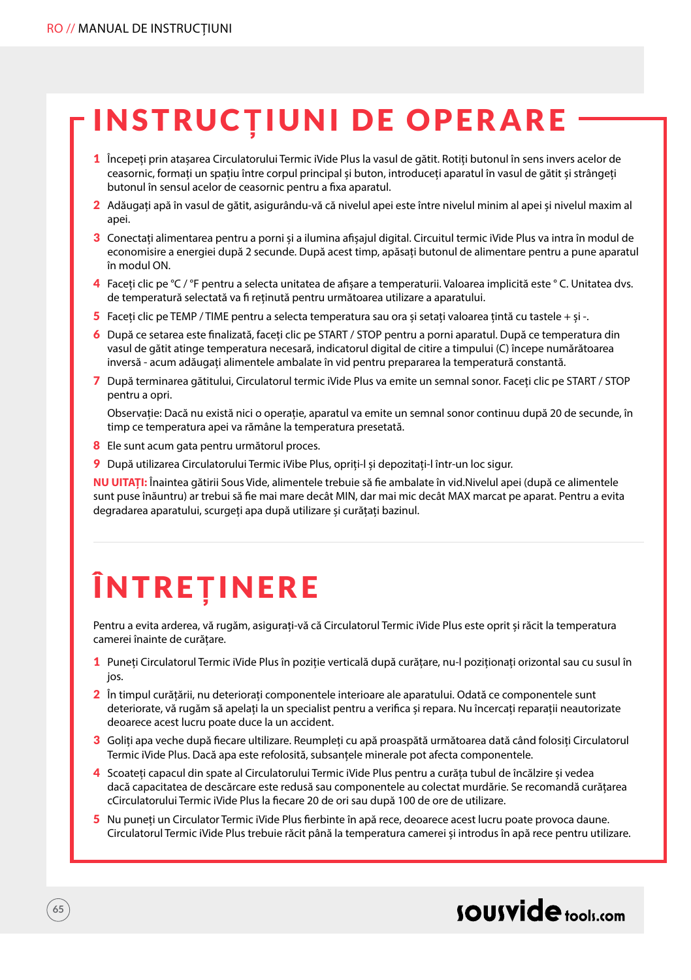# INSTRUC**Ț**IUNI DE OPERARE

- 1 Începeți prin atașarea Circulatorului Termic iVide Plus la vasul de gătit. Rotiți butonul în sens invers acelor de ceasornic, formați un spațiu între corpul principal și buton, introduceți aparatul în vasul de gătit și strângeți butonul în sensul acelor de ceasornic pentru a fixa aparatul.
- 2 Adăugați apă în vasul de gătit, asigurându-vă că nivelul apei este între nivelul minim al apei și nivelul maxim al anei
- 3 Conectați alimentarea pentru a porni și a ilumina afișajul digital. Circuitul termic iVide Plus va intra în modul de economisire a energiei după 2 secunde. După acest timp, apăsați butonul de alimentare pentru a pune aparatul în modul ON.
- 4 Faceți clic pe °C / °F pentru a selecta unitatea de afișare a temperaturii. Valoarea implicită este ° C. Unitatea dvs. de temperatură selectată va fi reținută pentru următoarea utilizare a aparatului.
- 5 Faceți clic pe TEMP / TIME pentru a selecta temperatura sau ora și setați valoarea țintă cu tastele + și -.
- 6 După ce setarea este finalizată, faceți clic pe START / STOP pentru a porni aparatul. După ce temperatura din vasul de gătit atinge temperatura necesară, indicatorul digital de citire a timpului (C) începe numărătoarea inversă - acum adăugați alimentele ambalate în vid pentru prepararea la temperatură constantă.
- 7 După terminarea gătitului, Circulatorul termic iVide Plus va emite un semnal sonor. Faceți clic pe START / STOP pentru a opri.

Observație: Dacă nu există nici o operație, aparatul va emite un semnal sonor continuu după 20 de secunde, în timp ce temperatura apei va rămâne la temperatura presetată.

- 8 Ele sunt acum gata pentru următorul proces.
- 9 După utilizarea Circulatorului Termic iVibe Plus, opriți-l și depozitați-l într-un loc sigur.

**NU UITAȚI:** Înaintea gătirii Sous Vide, alimentele trebuie să fie ambalate în vid.Nivelul apei (după ce alimentele sunt puse înăuntru) ar trebui să fie mai mare decât MIN, dar mai mic decât MAX marcat pe aparat. Pentru a evita degradarea aparatului, scurgeți apa după utilizare și curățați bazinul.

# ÎNTRE**Ț**INERE

Pentru a evita arderea, vă rugăm, asigurați-vă că Circulatorul Termic iVide Plus este oprit și răcit la temperatura camerei înainte de curățare.

- 1 Puneți Circulatorul Termic iVide Plus în poziție verticală după curățare, nu-l poziționați orizontal sau cu susul în jos.
- 2 În timpul curățării, nu deteriorați componentele interioare ale aparatului. Odată ce componentele sunt deteriorate, vă rugăm să apelați la un specialist pentru a verifica și repara. Nu încercați reparații neautorizate deoarece acest lucru poate duce la un accident.
- 3 Goliți apa veche după fiecare ultilizare. Reumpleți cu apă proaspătă următoarea dată când folosiți Circulatorul Termic iVide Plus. Dacă apa este refolosită, subsanțele minerale pot afecta componentele.
- 4 Scoateți capacul din spate al Circulatorului Termic iVide Plus pentru a curăța tubul de încălzire și vedea dacă capacitatea de descărcare este redusă sau componentele au colectat murdărie. Se recomandă curățarea cCirculatorului Termic iVide Plus la fiecare 20 de ori sau după 100 de ore de utilizare.
- 5 Nu puneți un Circulator Termic iVide Plus fierbinte în apă rece, deoarece acest lucru poate provoca daune. Circulatorul Termic iVide Plus trebuie răcit până la temperatura camerei și introdus în apă rece pentru utilizare.

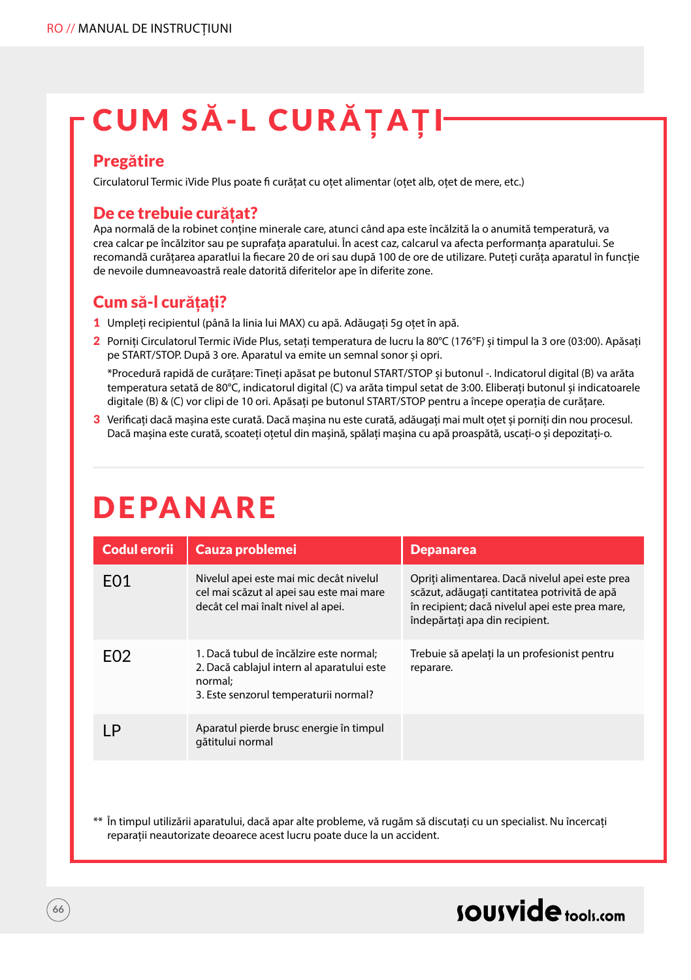# CUM S**Ă**-L CUR**ĂȚ**A**Ț**I

### Preg**ă**tire

Circulatorul Termic iVide Plus poate fi curățat cu oțet alimentar (oțet alb, oțet de mere, etc.)

### De ce trebuie cur**ăț**at?

Apa normală de la robinet conține minerale care, atunci când apa este încălzită la o anumită temperatură, va crea calcar pe încălzitor sau pe suprafața aparatului. În acest caz, calcarul va afecta performanța aparatului. Se recomandă curățarea aparatlui la fiecare 20 de ori sau după 100 de ore de utilizare. Puteți curăța aparatul în funcție de nevoile dumneavoastră reale datorită diferitelor ape în diferite zone.

## Cum s**ă**-l cur**ăț**a**ț**i?

- 1 Umpleți recipientul (până la linia lui MAX) cu apă. Adăugați 5g oțet în apă.
- 2 Porniți Circulatorul Termic iVide Plus, setați temperatura de lucru la 80°C (176°F) și timpul la 3 ore (03:00). Apăsați pe START/STOP. După 3 ore. Aparatul va emite un semnal sonor și opri.

\*Procedură rapidă de curățare: Tineți apăsat pe butonul START/STOP și butonul -. Indicatorul digital (B) va arăta temperatura setată de 80°C, indicatorul digital (C) va arăta timpul setat de 3:00. Eliberați butonul și indicatoarele digitale (B) & (C) vor clipi de 10 ori. Apăsați pe butonul START/STOP pentru a începe operația de curățare.

3 Verificați dacă mașina este curată. Dacă mașina nu este curată, adăugați mai mult oțet și porniți din nou procesul. Dacă mașina este curată, scoateți oțetul din mașină, spălați mașina cu apă proaspătă, uscați-o și depozitați-o.

## DEPANARE

| <b>Codul erorii</b> | Cauza problemei                                                                                                                           | <b>Depanarea</b>                                                                                                                                                                     |
|---------------------|-------------------------------------------------------------------------------------------------------------------------------------------|--------------------------------------------------------------------------------------------------------------------------------------------------------------------------------------|
| F <sub>0</sub> 1    | Nivelul apei este mai mic decât nivelul<br>cel mai scăzut al apei sau este mai mare<br>decât cel mai înalt nivel al apei.                 | Opriti alimentarea. Dacă nivelul apei este prea<br>scăzut, adăugați cantitatea potrivită de apă<br>în recipient; dacă nivelul apei este prea mare,<br>îndepărtati apa din recipient. |
| F <sub>02</sub>     | 1. Dacă tubul de încălzire este normal;<br>2. Dacă cablajul intern al aparatului este<br>normal:<br>3. Este senzorul temperaturii normal? | Trebuie să apelati la un profesionist pentru<br>reparare.                                                                                                                            |
| P                   | Aparatul pierde brusc energie în timpul<br>gătitului normal                                                                               |                                                                                                                                                                                      |

\*\* În timpul utilizării aparatului, dacă apar alte probleme, vă rugăm să discutați cu un specialist. Nu încercați reparații neautorizate deoarece acest lucru poate duce la un accident.

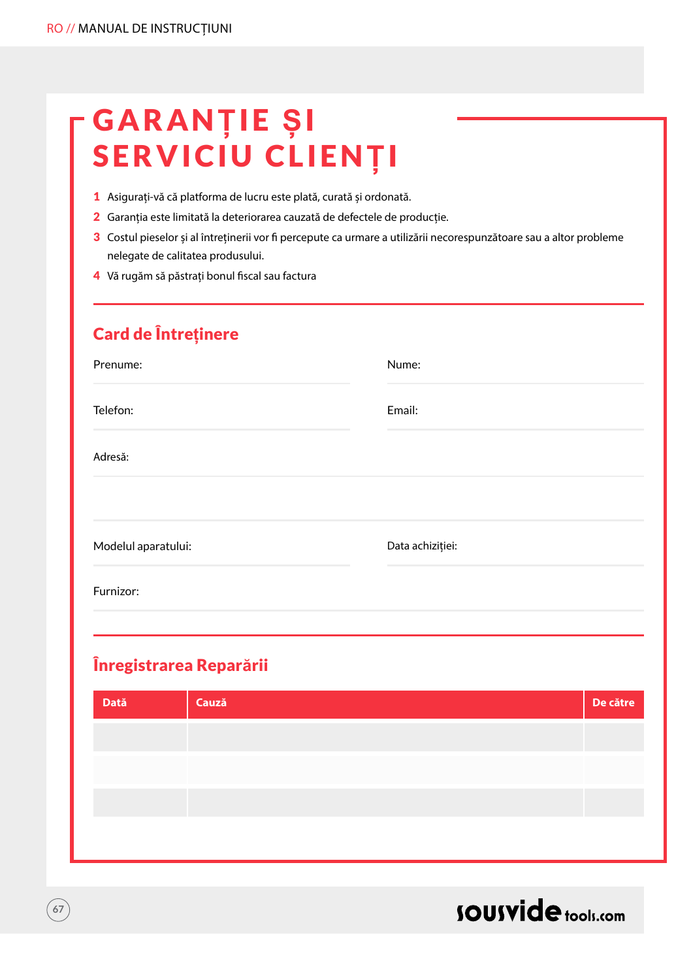# GARAN**Ț**IE **Ș**I SERVICIU CLIEN**Ț**I

- 1 Asigurați-vă că platforma de lucru este plată, curată și ordonată.
- 2 Garanția este limitată la deteriorarea cauzată de defectele de producție.
- 3 Costul pieselor și al întreținerii vor fi percepute ca urmare a utilizării necorespunzătoare sau a altor probleme nelegate de calitatea produsului.
- 4 Vă rugăm să păstrați bonul fiscal sau factura

## Card de Între**ț**inere

| Prenume:            | Nume:            |
|---------------------|------------------|
| Telefon:            | Email:           |
| Adresă:             |                  |
|                     |                  |
| Modelul aparatului: | Data achiziției: |
| Furnizor:           |                  |

## Înregistrarea Repar**ă**rii

| Dată | Cauză | De către |
|------|-------|----------|
|      |       |          |
|      |       |          |
|      |       |          |
|      |       |          |
|      |       |          |



 $67$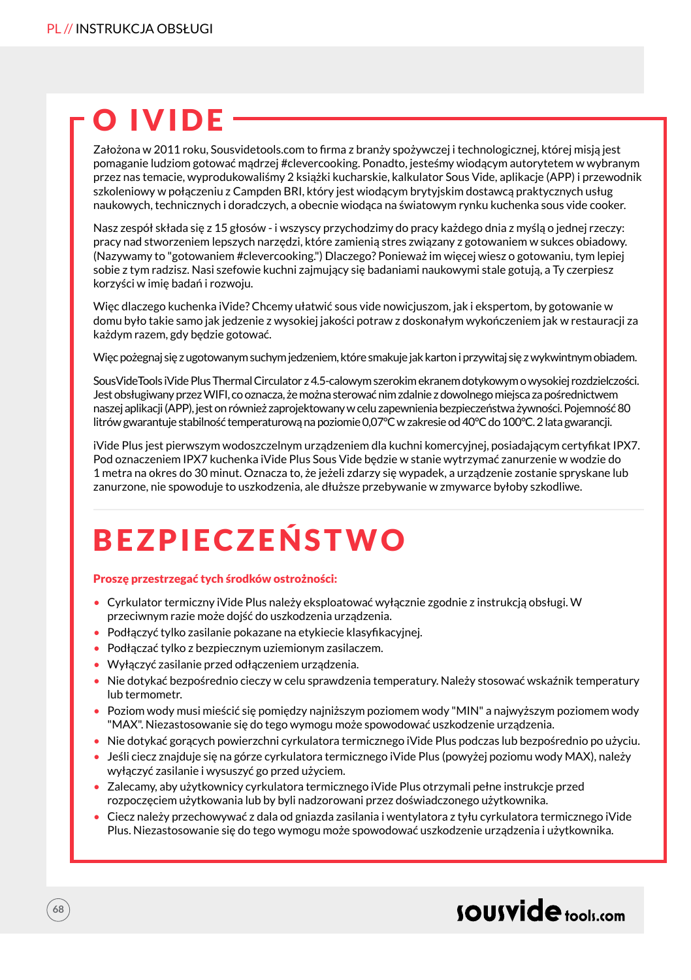# O IVIDE

Założona w 2011 roku, Sousvidetools.com to firma z branży spożywczej i technologicznej, której misją jest pomaganie ludziom gotować mądrzej #clevercooking. Ponadto, jesteśmy wiodącym autorytetem w wybranym przez nas temacie, wyprodukowaliśmy 2 książki kucharskie, kalkulator Sous Vide, aplikacje (APP) i przewodnik szkoleniowy w połączeniu z Campden BRI, który jest wiodącym brytyjskim dostawcą praktycznych usług naukowych, technicznych i doradczych, a obecnie wiodąca na światowym rynku kuchenka sous vide cooker.

Nasz zespół składa się z 15 głosów - i wszyscy przychodzimy do pracy każdego dnia z myślą o jednej rzeczy: pracy nad stworzeniem lepszych narzędzi, które zamienią stres związany z gotowaniem w sukces obiadowy. (Nazywamy to "gotowaniem #clevercooking.") Dlaczego? Ponieważ im więcej wiesz o gotowaniu, tym lepiej sobie z tym radzisz. Nasi szefowie kuchni zajmujący się badaniami naukowymi stale gotują, a Ty czerpiesz korzyści w imię badań i rozwoju.

Więc dlaczego kuchenka iVide? Chcemy ułatwić sous vide nowicjuszom, jak i ekspertom, by gotowanie w domu było takie samo jak jedzenie z wysokiej jakości potraw z doskonałym wykończeniem jak w restauracji za każdym razem, gdy będzie gotować.

Więc pożegnaj się z ugotowanym suchym jedzeniem, które smakuje jak karton i przywitaj się z wykwintnym obiadem.

SousVideTools iVide Plus Thermal Circulator z 4.5-calowym szerokim ekranem dotykowym o wysokiej rozdzielczości. Jest obsługiwany przez WIFI, co oznacza, że można sterować nim zdalnie z dowolnego miejsca za pośrednictwem naszej aplikacji (APP), jest on również zaprojektowany w celu zapewnienia bezpieczeństwa żywności. Pojemność 80 litrów gwarantuje stabilność temperaturową na poziomie 0,07°C w zakresie od 40°C do 100°C. 2 lata gwarancji.

iVide Plus jest pierwszym wodoszczelnym urządzeniem dla kuchni komercyjnej, posiadającym certyfikat IPX7. Pod oznaczeniem IPX7 kuchenka iVide Plus Sous Vide będzie w stanie wytrzymać zanurzenie w wodzie do 1 metra na okres do 30 minut. Oznacza to, że jeżeli zdarzy się wypadek, a urządzenie zostanie spryskane lub zanurzone, nie spowoduje to uszkodzenia, ale dłuższe przebywanie w zmywarce byłoby szkodliwe.

# BEZPIECZEŃSTWO

#### Proszę przestrzegać tych środków ostrożności:

- Cyrkulator termiczny iVide Plus należy eksploatować wyłącznie zgodnie z instrukcją obsługi. W przeciwnym razie może dojść do uszkodzenia urządzenia.
- Podłączyć tylko zasilanie pokazane na etykiecie klasyfikacyjnej.
- Podłączać tylko z bezpiecznym uziemionym zasilaczem.
- Wyłączyć zasilanie przed odłączeniem urządzenia.
- Nie dotykać bezpośrednio cieczy w celu sprawdzenia temperatury. Należy stosować wskaźnik temperatury lub termometr.
- Poziom wody musi mieścić się pomiędzy najniższym poziomem wody "MIN" a najwyższym poziomem wody "MAX". Niezastosowanie się do tego wymogu może spowodować uszkodzenie urządzenia.
- Nie dotykać gorących powierzchni cyrkulatora termicznego iVide Plus podczas lub bezpośrednio po użyciu.
- Jeśli ciecz znajduje się na górze cyrkulatora termicznego iVide Plus (powyżej poziomu wody MAX), należy wyłączyć zasilanie i wysuszyć go przed użyciem.
- Zalecamy, aby użytkownicy cyrkulatora termicznego iVide Plus otrzymali pełne instrukcje przed rozpoczęciem użytkowania lub by byli nadzorowani przez doświadczonego użytkownika.
- Ciecz należy przechowywać z dala od gniazda zasilania i wentylatora z tyłu cyrkulatora termicznego iVide Plus. Niezastosowanie się do tego wymogu może spowodować uszkodzenie urządzenia i użytkownika.

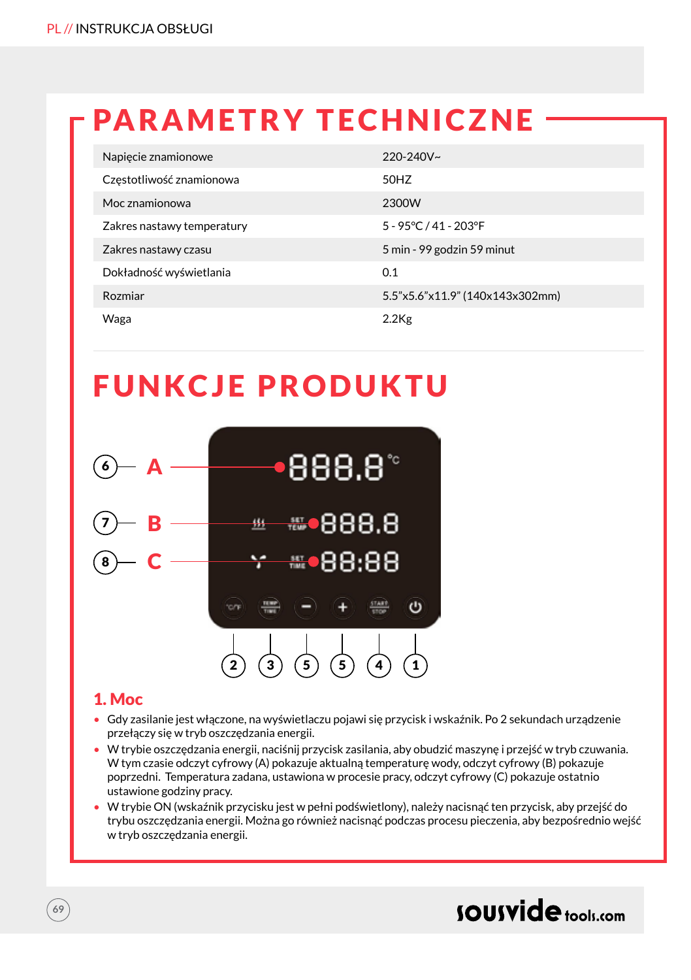# PARAMETRY TECHNICZNE

| Napiecie znamionowe        | $220 - 240V$ ~                  |
|----------------------------|---------------------------------|
| Częstotliwość znamionowa   | 50HZ                            |
| Moc znamionowa             | 2300W                           |
| Zakres nastawy temperatury | 5 - 95°C / 41 - 203°F           |
| Zakres nastawy czasu       | 5 min - 99 godzin 59 minut      |
| Dokładność wyświetlania    | 0.1                             |
| Rozmiar                    | 5.5"x5.6"x11.9" (140x143x302mm) |
| Waga                       | $2.2$ Kg                        |

## FUNKCJE PRODUKTU



## 1. Moc

- Gdy zasilanie jest włączone, na wyświetlaczu pojawi się przycisk i wskaźnik. Po 2 sekundach urządzenie przełączy się w tryb oszczędzania energii.
- W trybie oszczędzania energii, naciśnij przycisk zasilania, aby obudzić maszynę i przejść w tryb czuwania. W tym czasie odczyt cyfrowy (A) pokazuje aktualną temperaturę wody, odczyt cyfrowy (B) pokazuje poprzedni. Temperatura zadana, ustawiona w procesie pracy, odczyt cyfrowy (C) pokazuje ostatnio ustawione godziny pracy.
- W trybie ON (wskaźnik przycisku jest w pełni podświetlony), należy nacisnąć ten przycisk, aby przejść do trybu oszczędzania energii. Można go również nacisnąć podczas procesu pieczenia, aby bezpośrednio wejść w tryb oszczędzania energii.

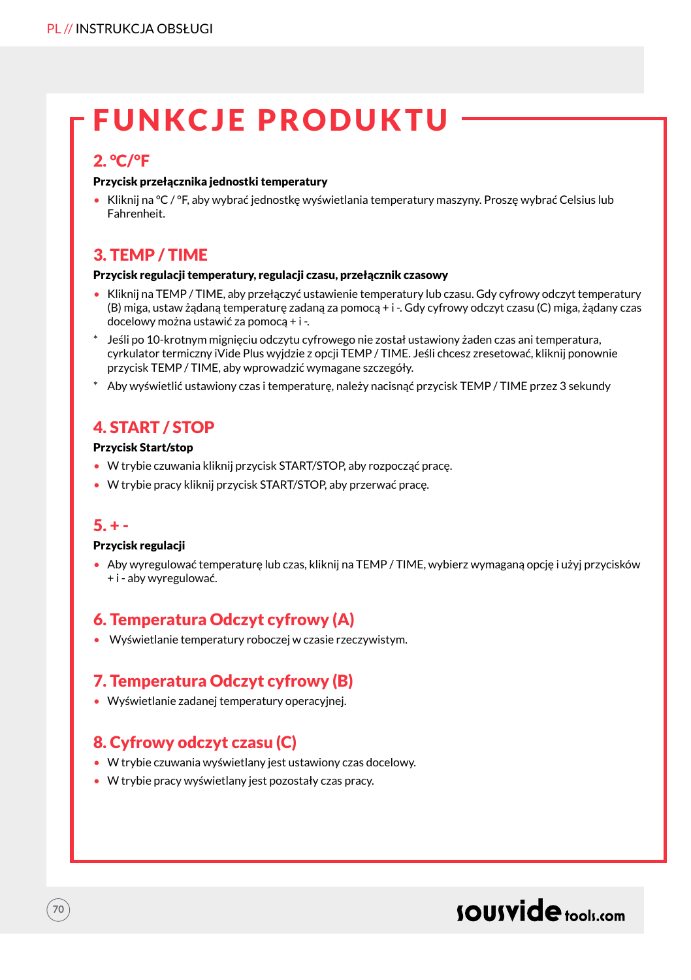## FUNKCJE PRODUKTU

## 2. °C/°F

#### Przycisk przełącznika jednostki temperatury

• Kliknij na °C / °F, aby wybrać jednostkę wyświetlania temperatury maszyny. Proszę wybrać Celsius lub Fahrenheit.

## 3. TEMP / TIME

#### Przycisk regulacji temperatury, regulacji czasu, przełącznik czasowy

- Kliknij na TEMP / TIME, aby przełączyć ustawienie temperatury lub czasu. Gdy cyfrowy odczyt temperatury (B) miga, ustaw żądaną temperaturę zadaną za pomocą + i -. Gdy cyfrowy odczyt czasu (C) miga, żądany czas docelowy można ustawić za pomocą + i -.
- Jeśli po 10-krotnym mignięciu odczytu cyfrowego nie został ustawiony żaden czas ani temperatura, cyrkulator termiczny iVide Plus wyjdzie z opcji TEMP / TIME. Jeśli chcesz zresetować, kliknij ponownie przycisk TEMP / TIME, aby wprowadzić wymagane szczegóły.
- \* Aby wyświetlić ustawiony czas i temperaturę, należy nacisnąć przycisk TEMP / TIME przez 3 sekundy

## 4. START / STOP

#### Przycisk Start/stop

- W trybie czuwania kliknij przycisk START/STOP, aby rozpocząć pracę.
- W trybie pracy kliknij przycisk START/STOP, aby przerwać pracę.

### $5. + -$

**70**

#### Przycisk regulacji

• Aby wyregulować temperaturę lub czas, kliknij na TEMP / TIME, wybierz wymaganą opcję i użyj przycisków + i - aby wyregulować.

## 6. Temperatura Odczyt cyfrowy (A)

• Wyświetlanie temperatury roboczej w czasie rzeczywistym.

## 7. Temperatura Odczyt cyfrowy (B)

• Wyświetlanie zadanej temperatury operacyjnej.

## 8. Cyfrowy odczyt czasu (C)

- W trybie czuwania wyświetlany jest ustawiony czas docelowy.
- W trybie pracy wyświetlany jest pozostały czas pracy.

## sousvide tools:com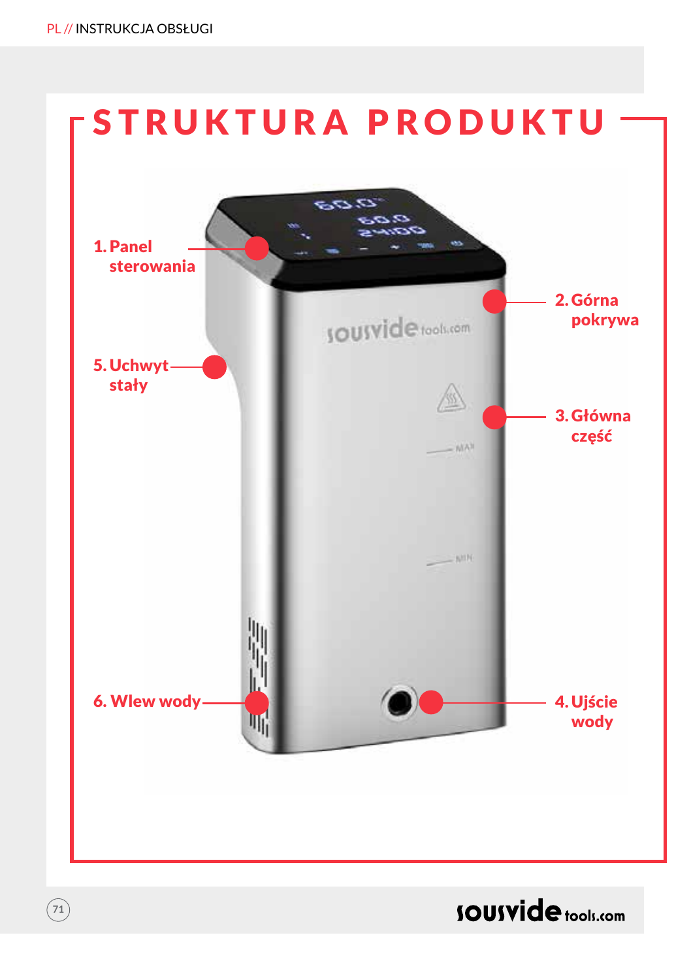$\binom{71}{ }$ 



**SOUSVide** tools.com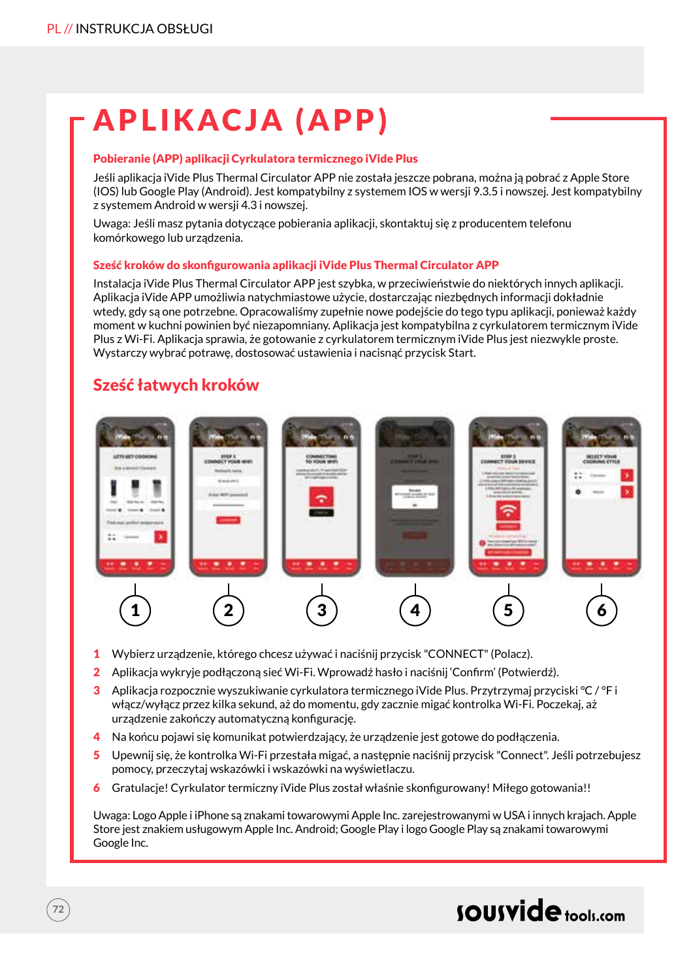# APLIKACJA (APP)

#### Pobieranie (APP) aplikacji Cyrkulatora termicznego iVide Plus

Jeśli aplikacja iVide Plus Thermal Circulator APP nie została jeszcze pobrana, można ją pobrać z Apple Store (IOS) lub Google Play (Android). Jest kompatybilny z systemem IOS w wersji 9.3.5 i nowszej. Jest kompatybilny z systemem Android w wersji 4.3 i nowszej.

Uwaga: Jeśli masz pytania dotyczące pobierania aplikacji, skontaktuj się z producentem telefonu komórkowego lub urządzenia.

#### Sześć kroków do skonfigurowania aplikacji iVide Plus Thermal Circulator APP

Instalacja iVide Plus Thermal Circulator APP jest szybka, w przeciwieństwie do niektórych innych aplikacji. Aplikacja iVide APP umożliwia natychmiastowe użycie, dostarczając niezbędnych informacji dokładnie wtedy, gdy są one potrzebne. Opracowaliśmy zupełnie nowe podejście do tego typu aplikacji, ponieważ każdy moment w kuchni powinien być niezapomniany. Aplikacja jest kompatybilna z cyrkulatorem termicznym iVide Plus z Wi-Fi. Aplikacja sprawia, że gotowanie z cyrkulatorem termicznym iVide Plus jest niezwykle proste. Wystarczy wybrać potrawę, dostosować ustawienia i nacisnąć przycisk Start.

### Sześć łatwych kroków



- 1 Wybierz urządzenie, którego chcesz używać i naciśnij przycisk "CONNECT" (Polacz).
- 2 Aplikacja wykryje podłączoną sieć Wi-Fi. Wprowadź hasło i naciśnij 'Confirm' (Potwierdź).
- 3 Aplikacja rozpocznie wyszukiwanie cyrkulatora termicznego iVide Plus. Przytrzymaj przyciski °C / °F i włącz/wyłącz przez kilka sekund, aż do momentu, gdy zacznie migać kontrolka Wi-Fi. Poczekaj, aż urządzenie zakończy automatyczną konfigurację.
- 4 Na końcu pojawi się komunikat potwierdzający, że urządzenie jest gotowe do podłączenia.
- 5 Upewnij się, że kontrolka Wi-Fi przestała migać, a następnie naciśnij przycisk "Connect". Jeśli potrzebujesz pomocy, przeczytaj wskazówki i wskazówki na wyświetlaczu.
- 6 Gratulacje! Cyrkulator termiczny iVide Plus został właśnie skonfigurowany! Miłego gotowania!!

Uwaga: Logo Apple i iPhone są znakami towarowymi Apple Inc. zarejestrowanymi w USA i innych krajach. Apple Store jest znakiem usługowym Apple Inc. Android; Google Play i logo Google Play są znakami towarowymi Google Inc.

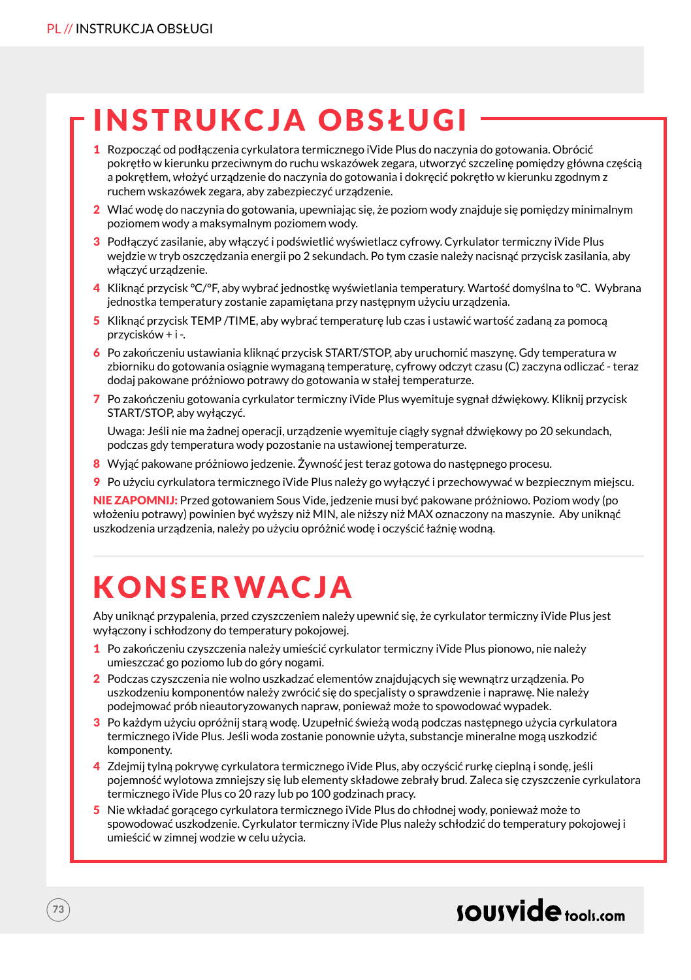# INSTRUKCJA OBSŁUGI

- 1 Rozpocząć od podłączenia cyrkulatora termicznego iVide Plus do naczynia do gotowania. Obrócić pokrętło w kierunku przeciwnym do ruchu wskazówek zegara, utworzyć szczelinę pomiędzy główna częścią a pokrętłem, włożyć urządzenie do naczynia do gotowania i dokręcić pokrętło w kierunku zgodnym z ruchem wskazówek zegara, aby zabezpieczyć urządzenie.
- 2 Wlać wodę do naczynia do gotowania, upewniając się, że poziom wody znajduje się pomiędzy minimalnym poziomem wody a maksymalnym poziomem wody.
- 3 Podłączyć zasilanie, aby włączyć i podświetlić wyświetlacz cyfrowy. Cyrkulator termiczny iVide Plus wejdzie w tryb oszczędzania energii po 2 sekundach. Po tym czasie należy nacisnąć przycisk zasilania, aby włączyć urządzenie.
- 4 Kliknąć przycisk °C/°F, aby wybrać jednostkę wyświetlania temperatury. Wartość domyślna to °C. Wybrana jednostka temperatury zostanie zapamiętana przy następnym użyciu urządzenia.
- 5 Kliknąć przycisk TEMP /TIME, aby wybrać temperaturę lub czas i ustawić wartość zadaną za pomocą przycisków + i -.
- 6 Po zakończeniu ustawiania kliknąć przycisk START/STOP, aby uruchomić maszynę. Gdy temperatura w zbiorniku do gotowania osiągnie wymaganą temperaturę, cyfrowy odczyt czasu (C) zaczyna odliczać - teraz dodaj pakowane próżniowo potrawy do gotowania w stałej temperaturze.
- 7 Po zakończeniu gotowania cyrkulator termiczny iVide Plus wyemituje sygnał dźwiękowy. Kliknij przycisk START/STOP, aby wyłączyć.

Uwaga: Jeśli nie ma żadnej operacji, urządzenie wyemituje ciągły sygnał dźwiękowy po 20 sekundach, podczas gdy temperatura wody pozostanie na ustawionej temperaturze.

- 8 Wyjąć pakowane próżniowo jedzenie. Żywność jest teraz gotowa do następnego procesu.
- 9 Po użyciu cyrkulatora termicznego iVide Plus należy go wyłączyć i przechowywać w bezpiecznym miejscu.

NIE ZAPOMNIJ: Przed gotowaniem Sous Vide, jedzenie musi być pakowane próżniowo. Poziom wody (po włożeniu potrawy) powinien być wyższy niż MIN, ale niższy niż MAX oznaczony na maszynie. Aby uniknąć uszkodzenia urządzenia, należy po użyciu opróżnić wodę i oczyścić łaźnię wodną.

# **KONSERWACJA**

Aby uniknąć przypalenia, przed czyszczeniem należy upewnić się, że cyrkulator termiczny iVide Plus jest wyłączony i schłodzony do temperatury pokojowej.

- 1 Po zakończeniu czyszczenia należy umieścić cyrkulator termiczny iVide Plus pionowo, nie należy umieszczać go poziomo lub do góry nogami.
- 2 Podczas czyszczenia nie wolno uszkadzać elementów znajdujących się wewnątrz urządzenia. Po uszkodzeniu komponentów należy zwrócić się do specjalisty o sprawdzenie i naprawę. Nie należy podejmować prób nieautoryzowanych napraw, ponieważ może to spowodować wypadek.
- 3 Po każdym użyciu opróżnij starą wodę. Uzupełnić świeżą wodą podczas następnego użycia cyrkulatora termicznego iVide Plus. Jeśli woda zostanie ponownie użyta, substancje mineralne mogą uszkodzić komponenty.
- 4 Zdejmij tylną pokrywę cyrkulatora termicznego iVide Plus, aby oczyścić rurkę cieplną i sondę, jeśli pojemność wylotowa zmniejszy się lub elementy składowe zebrały brud. Zaleca się czyszczenie cyrkulatora termicznego iVide Plus co 20 razy lub po 100 godzinach pracy.
- 5 Nie wkładać gorącego cyrkulatora termicznego iVide Plus do chłodnej wody, ponieważ może to spowodować uszkodzenie. Cyrkulator termiczny iVide Plus należy schłodzić do temperatury pokojowej i umieścić w zimnej wodzie w celu użycia.

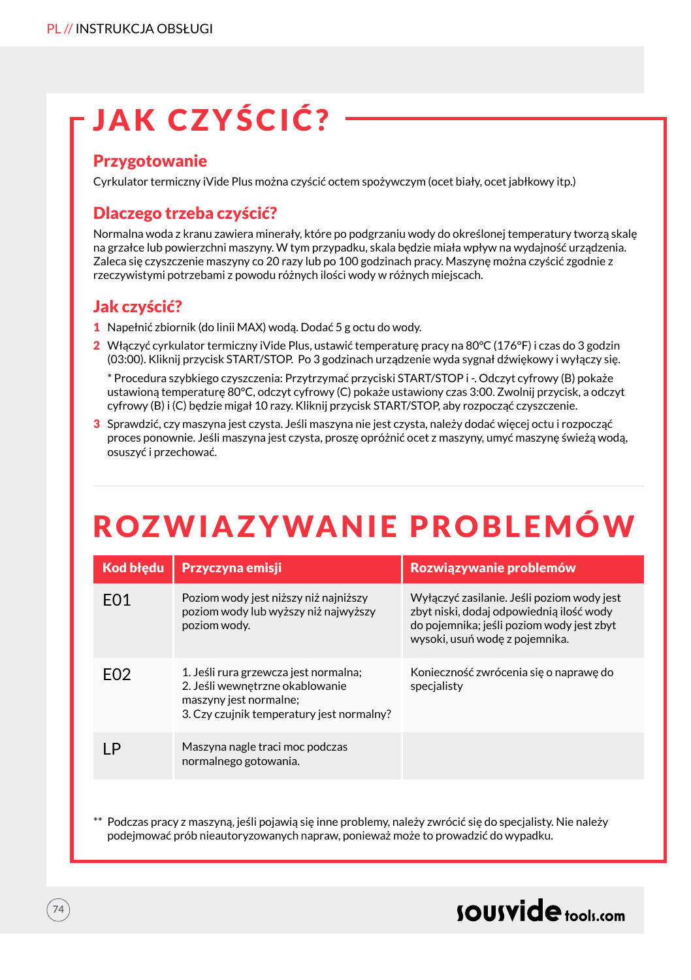# JAK CZYŚCIĆ?

#### Przygotowanie

Cyrkulator termiczny iVide Plus można czyścić octem spożywczym (ocet biały, ocet jabłkowy itp.)

### Dlaczego trzeba czyścić?

Normalna woda z kranu zawiera minerały, które po podgrzaniu wody do określonej temperatury tworzą skalę na grzałce lub powierzchni maszyny. W tym przypadku, skala będzie miała wpływ na wydajność urządzenia. Zaleca się czyszczenie maszyny co 20 razy lub po 100 godzinach pracy. Maszynę można czyścić zgodnie z rzeczywistymi potrzebami z powodu różnych ilości wody w różnych miejscach.

### Jak czyścić?

- 1 Napełnić zbiornik (do linii MAX) wodą. Dodać 5 g octu do wody.
- 2 Włączyć cyrkulator termiczny iVide Plus, ustawić temperaturę pracy na 80°C (176°F) i czas do 3 godzin (03:00). Kliknij przycisk START/STOP. Po 3 godzinach urządzenie wyda sygnał dźwiękowy i wyłączy się.

\* Procedura szybkiego czyszczenia: Przytrzymać przyciski START/STOP i -. Odczyt cyfrowy (B) pokaże ustawioną temperaturę 80°C, odczyt cyfrowy (C) pokaże ustawiony czas 3:00. Zwolnij przycisk, a odczyt cyfrowy (B) i (C) będzie migał 10 razy. Kliknij przycisk START/STOP, aby rozpocząć czyszczenie.

3 Sprawdzić, czy maszyna jest czysta. Jeśli maszyna nie jest czysta, należy dodać więcej octu i rozpocząć proces ponownie. Jeśli maszyna jest czysta, proszę opróżnić ocet z maszyny, umyć maszynę świeżą wodą, osuszyć i przechować.

# ROZWIAZYWANIE PROBLEMÓW

| <b>Kod błedu</b> | <b>Przyczyna emisji</b>                                                                                                                         | Rozwiązywanie problemów                                                                                                                                               |
|------------------|-------------------------------------------------------------------------------------------------------------------------------------------------|-----------------------------------------------------------------------------------------------------------------------------------------------------------------------|
| F01              | Poziom wody jest niższy niż najniższy<br>poziom wody lub wyższy niż najwyższy<br>poziom wody.                                                   | Wyłączyć zasilanie. Jeśli poziom wody jest<br>zbyt niski, dodaj odpowiednią ilość wody<br>do pojemnika; jeśli poziom wody jest zbyt<br>wysoki, usuń wodę z pojemnika. |
| F <sub>02</sub>  | 1. Jeśli rura grzewcza jest normalna;<br>2. Jeśli wewnętrzne okablowanie<br>maszyny jest normalne;<br>3. Czy czujnik temperatury jest normalny? | Konieczność zwrócenia się o naprawę do<br>specialisty                                                                                                                 |
| ΙP               | Maszyna nagle traci moc podczas<br>normalnego gotowania.                                                                                        |                                                                                                                                                                       |

\*\* Podczas pracy z maszyną, jeśli pojawią się inne problemy, należy zwrócić się do specjalisty. Nie należy podejmować prób nieautoryzowanych napraw, ponieważ może to prowadzić do wypadku.

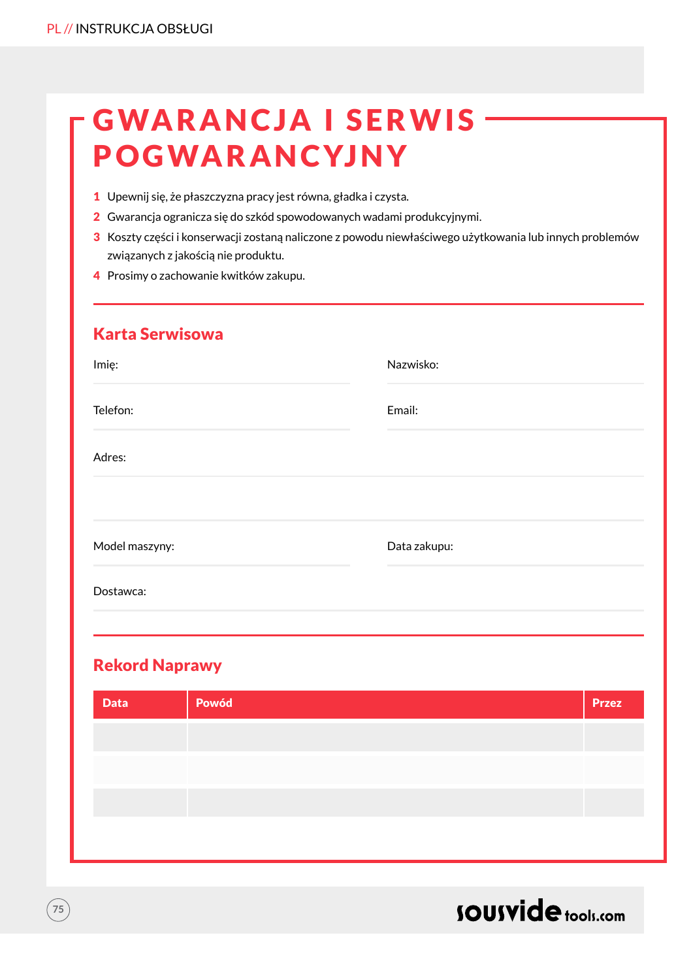## **GWARANCJA I SERWIS · POGWARANCYJNY**

- 1 Upewnij się, że płaszczyzna pracy jest równa, gładka i czysta.
- 2 Gwarancja ogranicza się do szkód spowodowanych wadami produkcyjnymi.
- 3 Koszty części i konserwacji zostaną naliczone z powodu niewłaściwego użytkowania lub innych problemów związanych z jakością nie produktu.
- 4 Prosimy o zachowanie kwitków zakupu.

| <b>Karta Serwisowa</b> |              |
|------------------------|--------------|
| Imie:                  | Nazwisko:    |
| Telefon:               | Email:       |
| Adres:                 |              |
|                        |              |
| Model maszyny:         | Data zakupu: |
| Dostawca:              |              |
|                        |              |

### Rekord Naprawy

| <b>Data</b> | Powód | <b>Przez</b> |
|-------------|-------|--------------|
|             |       |              |
|             |       |              |
|             |       |              |
|             |       |              |
|             |       |              |



 $\left(75\right)$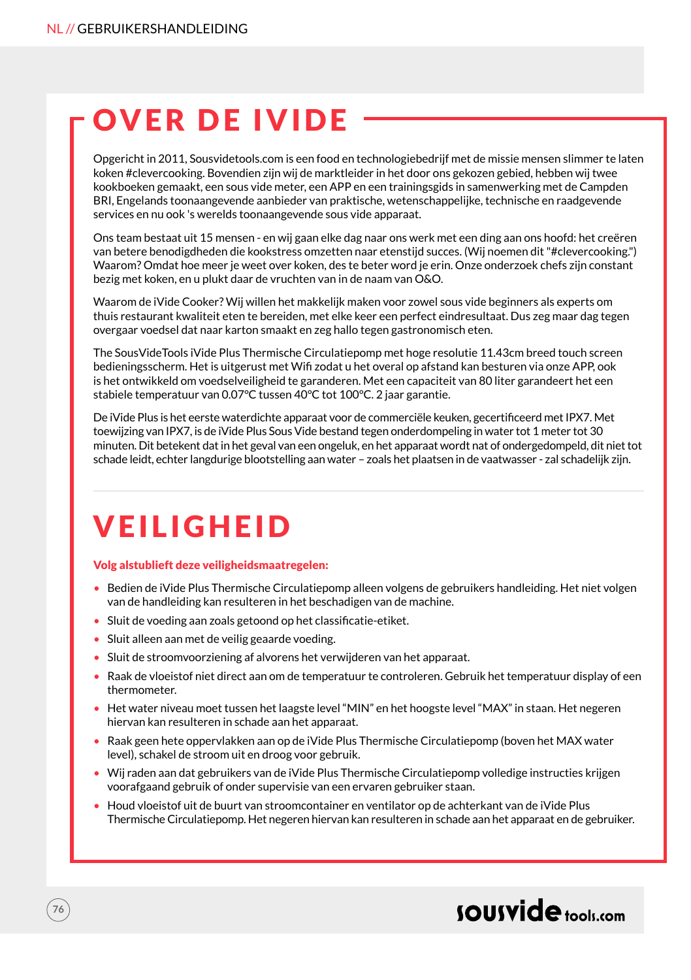# OVER DE IVIDE

Opgericht in 2011, Sousvidetools.com is een food en technologiebedrijf met de missie mensen slimmer te laten koken #clevercooking. Bovendien zijn wij de marktleider in het door ons gekozen gebied, hebben wij twee kookboeken gemaakt, een sous vide meter, een APP en een trainingsgids in samenwerking met de Campden BRI, Engelands toonaangevende aanbieder van praktische, wetenschappelijke, technische en raadgevende services en nu ook 's werelds toonaangevende sous vide apparaat.

Ons team bestaat uit 15 mensen - en wij gaan elke dag naar ons werk met een ding aan ons hoofd: het creëren van betere benodigdheden die kookstress omzetten naar etenstijd succes. (Wij noemen dit "#clevercooking.") Waarom? Omdat hoe meer je weet over koken, des te beter word je erin. Onze onderzoek chefs zijn constant bezig met koken, en u plukt daar de vruchten van in de naam van O&O.

Waarom de iVide Cooker? Wij willen het makkelijk maken voor zowel sous vide beginners als experts om thuis restaurant kwaliteit eten te bereiden, met elke keer een perfect eindresultaat. Dus zeg maar dag tegen overgaar voedsel dat naar karton smaakt en zeg hallo tegen gastronomisch eten.

The SousVideTools iVide Plus Thermische Circulatiepomp met hoge resolutie 11.43cm breed touch screen bedieningsscherm. Het is uitgerust met Wifi zodat u het overal op afstand kan besturen via onze APP, ook is het ontwikkeld om voedselveiligheid te garanderen. Met een capaciteit van 80 liter garandeert het een stabiele temperatuur van 0.07°C tussen 40°C tot 100°C. 2 jaar garantie.

De iVide Plus is het eerste waterdichte apparaat voor de commerciële keuken, gecertificeerd met IPX7. Met toewijzing van IPX7, is de iVide Plus Sous Vide bestand tegen onderdompeling in water tot 1 meter tot 30 minuten. Dit betekent dat in het geval van een ongeluk, en het apparaat wordt nat of ondergedompeld, dit niet tot schade leidt, echter langdurige blootstelling aan water – zoals het plaatsen in de vaatwasser - zal schadelijk zijn.

# **VEILIGHEID**

#### Volg alstublieft deze veiligheidsmaatregelen:

- Bedien de iVide Plus Thermische Circulatiepomp alleen volgens de gebruikers handleiding. Het niet volgen van de handleiding kan resulteren in het beschadigen van de machine.
- Sluit de voeding aan zoals getoond op het classificatie-etiket.
- Sluit alleen aan met de veilig geaarde voeding.
- Sluit de stroomvoorziening af alvorens het verwijderen van het apparaat.
- Raak de vloeistof niet direct aan om de temperatuur te controleren. Gebruik het temperatuur display of een thermometer.
- Het water niveau moet tussen het laagste level "MIN" en het hoogste level "MAX" in staan. Het negeren hiervan kan resulteren in schade aan het apparaat.
- Raak geen hete oppervlakken aan op de iVide Plus Thermische Circulatiepomp (boven het MAX water level), schakel de stroom uit en droog voor gebruik.
- Wij raden aan dat gebruikers van de iVide Plus Thermische Circulatiepomp volledige instructies krijgen voorafgaand gebruik of onder supervisie van een ervaren gebruiker staan.
- Houd vloeistof uit de buurt van stroomcontainer en ventilator op de achterkant van de iVide Plus Thermische Circulatiepomp. Het negeren hiervan kan resulteren in schade aan het apparaat en de gebruiker.

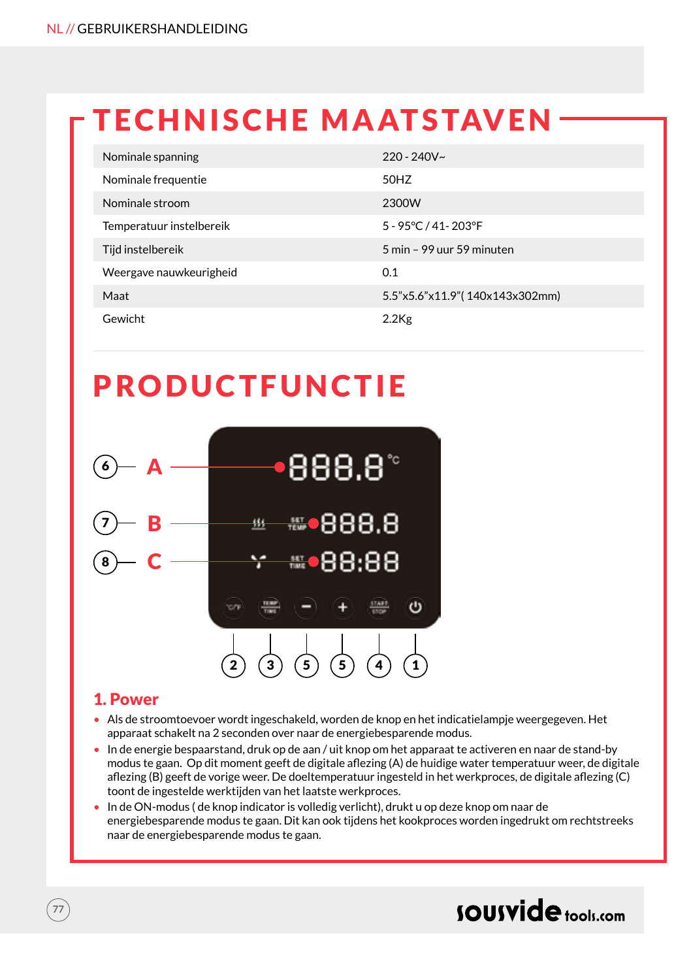# **TECHNISCHE MAATSTAVEN**

| Nominale spanning        | $220 - 240V -$                 |
|--------------------------|--------------------------------|
| Nominale frequentie      | 50HZ                           |
| Nominale stroom          | 2300W                          |
| Temperatuur instelbereik | 5 - 95°C / 41-203°F            |
| Tijd instelbereik        | 5 min – 99 uur 59 minuten      |
| Weergave nauwkeurigheid  | 0.1                            |
| Maat                     | 5.5"x5.6"x11.9"(140x143x302mm) |
| Gewicht                  | $2.2$ Kg                       |

### PRODUCTFUNCTIE



### 1. Power

- Als de stroomtoevoer wordt ingeschakeld, worden de knop en het indicatielampje weergegeven. Het apparaat schakelt na 2 seconden over naar de energiebesparende modus.
- In de energie bespaarstand, druk op de aan / uit knop om het apparaat te activeren en naar de stand-by modus te gaan. Op dit moment geeft de digitale aflezing (A) de huidige water temperatuur weer, de digitale aflezing (B) geeft de vorige weer. De doeltemperatuur ingesteld in het werkproces, de digitale aflezing (C) toont de ingestelde werktijden van het laatste werkproces.
- In de ON-modus ( de knop indicator is volledig verlicht), drukt u op deze knop om naar de energiebesparende modus te gaan. Dit kan ook tijdens het kookproces worden ingedrukt om rechtstreeks naar de energiebesparende modus te gaan.

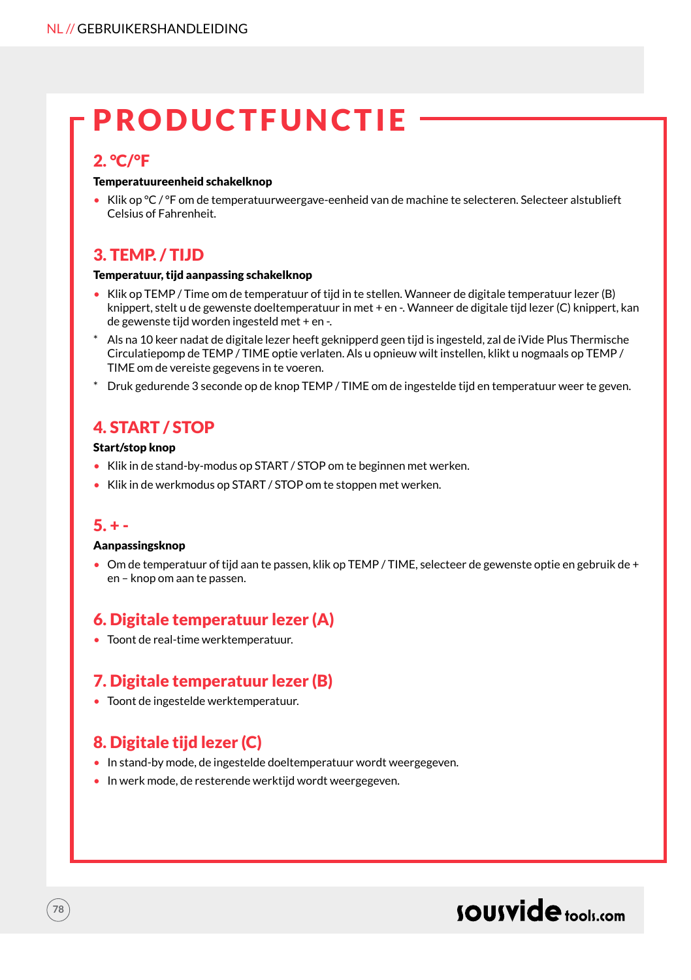# PRODUCTFUNCTIE

#### 2. °C/°F

#### Temperatuureenheid schakelknop

• Klik op °C / °F om de temperatuurweergave-eenheid van de machine te selecteren. Selecteer alstublieft Celsius of Fahrenheit.

### 3. TEMP. / TIJD

#### Temperatuur, tijd aanpassing schakelknop

- Klik op TEMP / Time om de temperatuur of tijd in te stellen. Wanneer de digitale temperatuur lezer (B) knippert, stelt u de gewenste doeltemperatuur in met + en -. Wanneer de digitale tijd lezer (C) knippert, kan de gewenste tijd worden ingesteld met + en -.
- \* Als na 10 keer nadat de digitale lezer heeft geknipperd geen tijd is ingesteld, zal de iVide Plus Thermische Circulatiepomp de TEMP / TIME optie verlaten. Als u opnieuw wilt instellen, klikt u nogmaals op TEMP / TIME om de vereiste gegevens in te voeren.
- \* Druk gedurende 3 seconde op de knop TEMP / TIME om de ingestelde tijd en temperatuur weer te geven.

### 4. START / STOP

#### Start/stop knop

- Klik in de stand-by-modus op START / STOP om te beginnen met werken.
- Klik in de werkmodus op START / STOP om te stoppen met werken.

#### $5. + -$

**78**

#### Aanpassingsknop

• Om de temperatuur of tijd aan te passen, klik op TEMP / TIME, selecteer de gewenste optie en gebruik de + en – knop om aan te passen.

### 6. Digitale temperatuur lezer (A)

• Toont de real-time werktemperatuur.

### 7. Digitale temperatuur lezer (B)

• Toont de ingestelde werktemperatuur.

### 8. Digitale tijd lezer (C)

- In stand-by mode, de ingestelde doeltemperatuur wordt weergegeven.
- In werk mode, de resterende werktijd wordt weergegeven.

### sousvide tools:com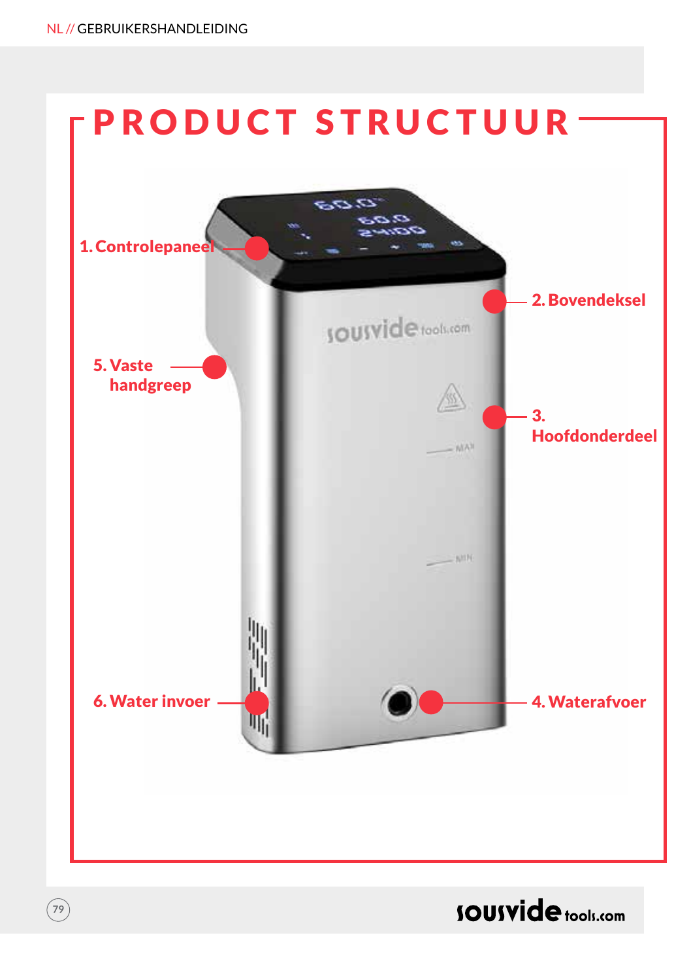**79**



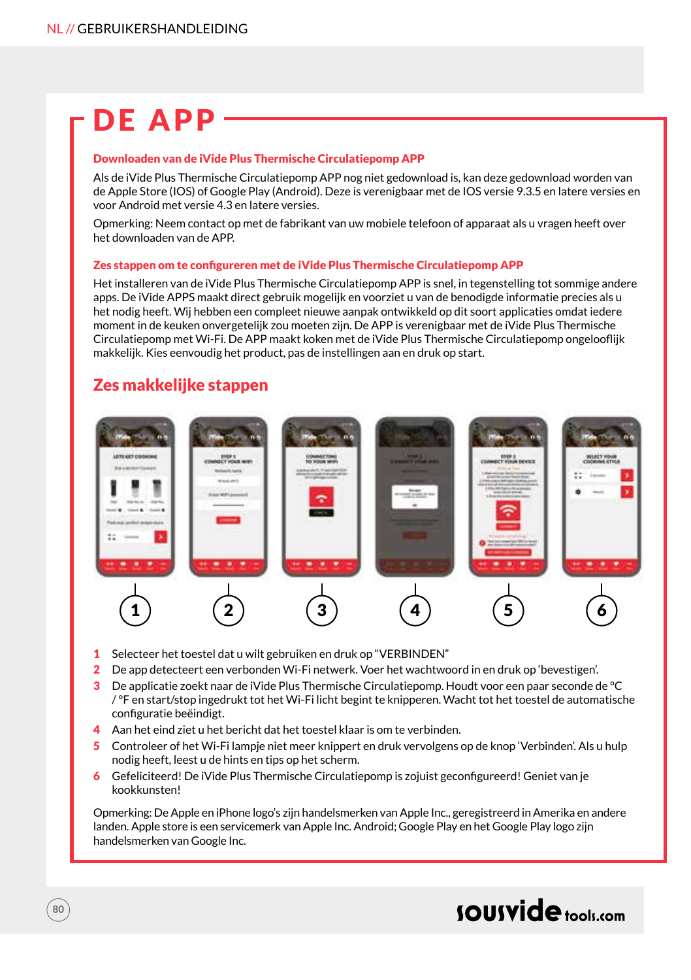# DE APP

#### Downloaden van de iVide Plus Thermische Circulatiepomp APP

Als de iVide Plus Thermische Circulatiepomp APP nog niet gedownload is, kan deze gedownload worden van de Apple Store (IOS) of Google Play (Android). Deze is verenigbaar met de IOS versie 9.3.5 en latere versies en voor Android met versie 4.3 en latere versies.

Opmerking: Neem contact op met de fabrikant van uw mobiele telefoon of apparaat als u vragen heeft over het downloaden van de APP.

#### Zes stappen om te configureren met de iVide Plus Thermische Circulatiepomp APP

Het installeren van de iVide Plus Thermische Circulatiepomp APP is snel, in tegenstelling tot sommige andere apps. De iVide APPS maakt direct gebruik mogelijk en voorziet u van de benodigde informatie precies als u het nodig heeft. Wij hebben een compleet nieuwe aanpak ontwikkeld op dit soort applicaties omdat iedere moment in de keuken onvergetelijk zou moeten zijn. De APP is verenigbaar met de iVide Plus Thermische Circulatiepomp met Wi-Fi. De APP maakt koken met de iVide Plus Thermische Circulatiepomp ongelooflijk makkelijk. Kies eenvoudig het product, pas de instellingen aan en druk op start.

### Zes makkelijke stappen

**80**



- 1 Selecteer het toestel dat u wilt gebruiken en druk op "VERBINDEN"
- 2 De app detecteert een verbonden Wi-Fi netwerk. Voer het wachtwoord in en druk op 'bevestigen'.
- 3 De applicatie zoekt naar de iVide Plus Thermische Circulatiepomp. Houdt voor een paar seconde de °C / °F en start/stop ingedrukt tot het Wi-Fi licht begint te knipperen. Wacht tot het toestel de automatische configuratie beëindigt.
- 4 Aan het eind ziet u het bericht dat het toestel klaar is om te verbinden.
- 5 Controleer of het Wi-Fi lampje niet meer knippert en druk vervolgens op de knop 'Verbinden'. Als u hulp nodig heeft, leest u de hints en tips op het scherm.
- 6 Gefeliciteerd! De iVide Plus Thermische Circulatiepomp is zojuist geconfigureerd! Geniet van je kookkunsten!

Opmerking: De Apple en iPhone logo's zijn handelsmerken van Apple Inc., geregistreerd in Amerika en andere landen. Apple store is een servicemerk van Apple Inc. Android; Google Play en het Google Play logo zijn handelsmerken van Google Inc.

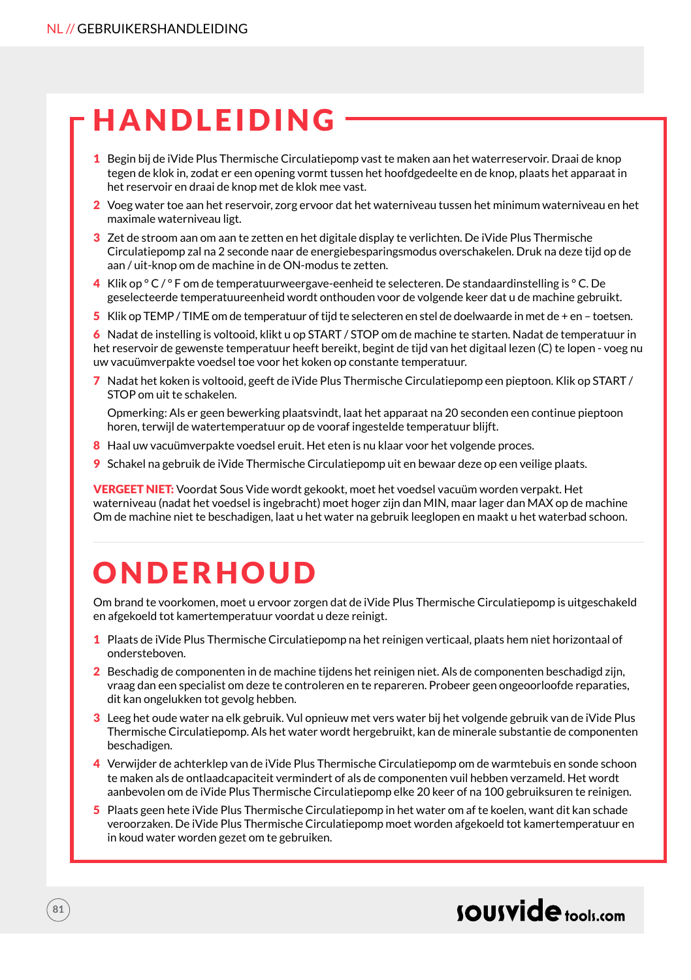### **HANDLEIDING**

- 1 Begin bij de iVide Plus Thermische Circulatiepomp vast te maken aan het waterreservoir. Draai de knop tegen de klok in, zodat er een opening vormt tussen het hoofdgedeelte en de knop, plaats het apparaat in het reservoir en draai de knop met de klok mee vast.
- 2 Voeg water toe aan het reservoir, zorg ervoor dat het waterniveau tussen het minimum waterniveau en het maximale waterniveau ligt.
- 3 Zet de stroom aan om aan te zetten en het digitale display te verlichten. De iVide Plus Thermische Circulatiepomp zal na 2 seconde naar de energiebesparingsmodus overschakelen. Druk na deze tijd op de aan / uit-knop om de machine in de ON-modus te zetten.
- 4 Klik op ° C / ° F om de temperatuurweergave-eenheid te selecteren. De standaardinstelling is ° C. De geselecteerde temperatuureenheid wordt onthouden voor de volgende keer dat u de machine gebruikt.
- 5 Klik op TEMP / TIME om de temperatuur of tijd te selecteren en stel de doelwaarde in met de + en toetsen.

6 Nadat de instelling is voltooid, klikt u op START / STOP om de machine te starten. Nadat de temperatuur in het reservoir de gewenste temperatuur heeft bereikt, begint de tijd van het digitaal lezen (C) te lopen - voeg nu uw vacuümverpakte voedsel toe voor het koken op constante temperatuur.

7 Nadat het koken is voltooid, geeft de iVide Plus Thermische Circulatiepomp een pieptoon. Klik op START / STOP om uit te schakelen.

Opmerking: Als er geen bewerking plaatsvindt, laat het apparaat na 20 seconden een continue pieptoon horen, terwijl de watertemperatuur op de vooraf ingestelde temperatuur blijft.

- 8 Haal uw vacuümverpakte voedsel eruit. Het eten is nu klaar voor het volgende proces.
- 9 Schakel na gebruik de iVide Thermische Circulatiepomp uit en bewaar deze op een veilige plaats.

VERGEET NIET: Voordat Sous Vide wordt gekookt, moet het voedsel vacuüm worden verpakt. Het waterniveau (nadat het voedsel is ingebracht) moet hoger zijn dan MIN, maar lager dan MAX op de machine Om de machine niet te beschadigen, laat u het water na gebruik leeglopen en maakt u het waterbad schoon.

# **ONDERHOUD**

Om brand te voorkomen, moet u ervoor zorgen dat de iVide Plus Thermische Circulatiepomp is uitgeschakeld en afgekoeld tot kamertemperatuur voordat u deze reinigt.

- 1 Plaats de iVide Plus Thermische Circulatiepomp na het reinigen verticaal, plaats hem niet horizontaal of ondersteboven.
- 2 Beschadig de componenten in de machine tijdens het reinigen niet. Als de componenten beschadigd zijn, vraag dan een specialist om deze te controleren en te repareren. Probeer geen ongeoorloofde reparaties, dit kan ongelukken tot gevolg hebben.
- 3 Leeg het oude water na elk gebruik. Vul opnieuw met vers water bij het volgende gebruik van de iVide Plus Thermische Circulatiepomp. Als het water wordt hergebruikt, kan de minerale substantie de componenten beschadigen.
- 4 Verwijder de achterklep van de iVide Plus Thermische Circulatiepomp om de warmtebuis en sonde schoon te maken als de ontlaadcapaciteit vermindert of als de componenten vuil hebben verzameld. Het wordt aanbevolen om de iVide Plus Thermische Circulatiepomp elke 20 keer of na 100 gebruiksuren te reinigen.
- 5 Plaats geen hete iVide Plus Thermische Circulatiepomp in het water om af te koelen, want dit kan schade veroorzaken. De iVide Plus Thermische Circulatiepomp moet worden afgekoeld tot kamertemperatuur en in koud water worden gezet om te gebruiken.

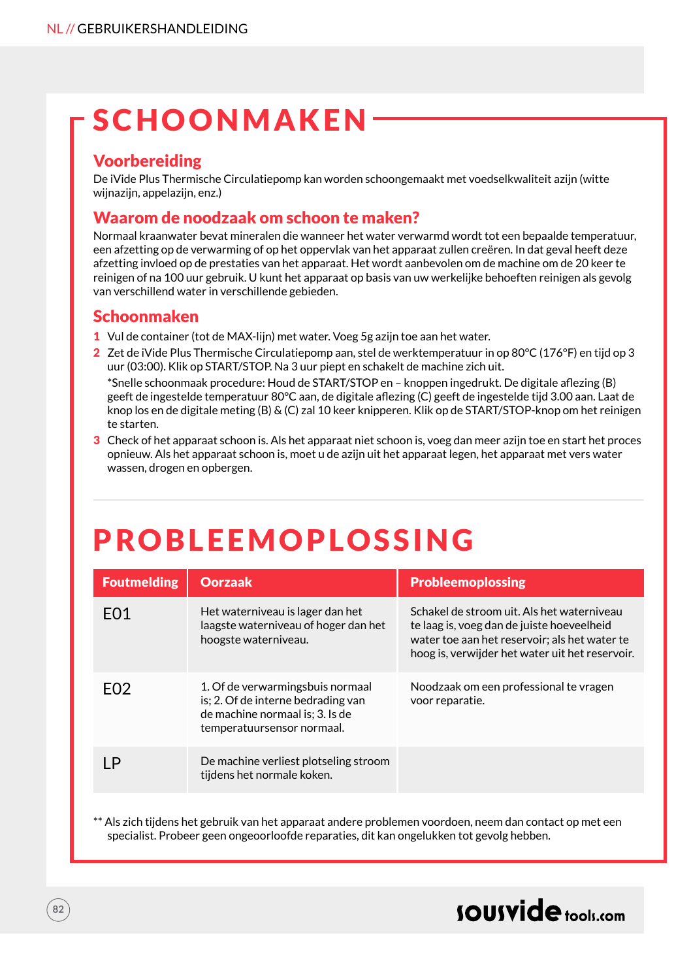# SCHOONMAKEN

### Voorbereiding

De iVide Plus Thermische Circulatiepomp kan worden schoongemaakt met voedselkwaliteit azijn (witte wijnazijn, appelazijn, enz.)

### Waarom de noodzaak om schoon te maken?

Normaal kraanwater bevat mineralen die wanneer het water verwarmd wordt tot een bepaalde temperatuur, een afzetting op de verwarming of op het oppervlak van het apparaat zullen creëren. In dat geval heeft deze afzetting invloed op de prestaties van het apparaat. Het wordt aanbevolen om de machine om de 20 keer te reinigen of na 100 uur gebruik. U kunt het apparaat op basis van uw werkelijke behoeften reinigen als gevolg van verschillend water in verschillende gebieden.

### Schoonmaken

- 1 Vul de container (tot de MAX-lijn) met water. Voeg 5g azijn toe aan het water.
- 2 Zet de iVide Plus Thermische Circulatiepomp aan, stel de werktemperatuur in op 80°C (176°F) en tijd op 3 uur (03:00). Klik op START/STOP. Na 3 uur piept en schakelt de machine zich uit. \*Snelle schoonmaak procedure: Houd de START/STOP en – knoppen ingedrukt. De digitale aflezing (B) geeft de ingestelde temperatuur 80°C aan, de digitale aflezing (C) geeft de ingestelde tijd 3.00 aan. Laat de knop los en de digitale meting (B) & (C) zal 10 keer knipperen. Klik op de START/STOP-knop om het reinigen
- te starten. 3 Check of het apparaat schoon is. Als het apparaat niet schoon is, voeg dan meer azijn toe en start het proces opnieuw. Als het apparaat schoon is, moet u de azijn uit het apparaat legen, het apparaat met vers water wassen, drogen en opbergen.

# PROBLEEMOPLOSSING

| <b>Foutmelding</b> | <b>Oorzaak</b>                                                                                                                          | <b>Probleemoplossing</b>                                                                                                                                                                     |
|--------------------|-----------------------------------------------------------------------------------------------------------------------------------------|----------------------------------------------------------------------------------------------------------------------------------------------------------------------------------------------|
| F <sub>0</sub> 1   | Het waterniveau is lager dan het<br>laagste waterniveau of hoger dan het<br>hoogste waterniveau.                                        | Schakel de stroom uit. Als het waterniveau<br>te laag is, voeg dan de juiste hoeveelheid<br>water toe aan het reservoir; als het water te<br>hoog is, verwijder het water uit het reservoir. |
| FO <sub>2</sub>    | 1. Of de verwarmingsbuis normaal<br>is; 2. Of de interne bedrading van<br>de machine normaal is; 3. Is de<br>temperatuursensor normaal. | Noodzaak om een professional te vragen<br>voor reparatie.                                                                                                                                    |
| ΙP                 | De machine verliest plotseling stroom<br>tijdens het normale koken.                                                                     |                                                                                                                                                                                              |

\*\* Als zich tijdens het gebruik van het apparaat andere problemen voordoen, neem dan contact op met een specialist. Probeer geen ongeoorloofde reparaties, dit kan ongelukken tot gevolg hebben.

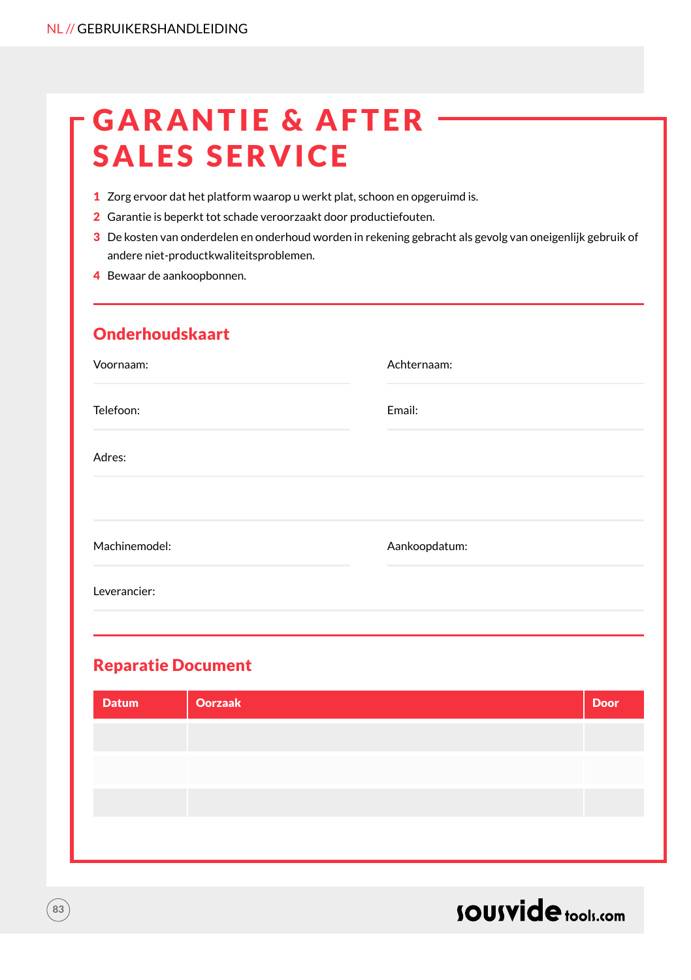# **GARANTIE & AFTER** SALES SERVICE

- 1 Zorg ervoor dat het platform waarop u werkt plat, schoon en opgeruimd is.
- 2 Garantie is beperkt tot schade veroorzaakt door productiefouten.
- 3 De kosten van onderdelen en onderhoud worden in rekening gebracht als gevolg van oneigenlijk gebruik of andere niet-productkwaliteitsproblemen.
- 4 Bewaar de aankoopbonnen.

### Onderhoudskaart

| Voornaam:     | Achternaam:   |
|---------------|---------------|
| Telefoon:     | Email:        |
| Adres:        |               |
|               |               |
| Machinemodel: | Aankoopdatum: |
| Leverancier:  |               |
|               |               |

### Reparatie Document

| <b>Datum</b> | <b>Oorzaak</b> | <b>Door</b> |
|--------------|----------------|-------------|
|              |                |             |
|              |                |             |
|              |                |             |
|              |                |             |



**83**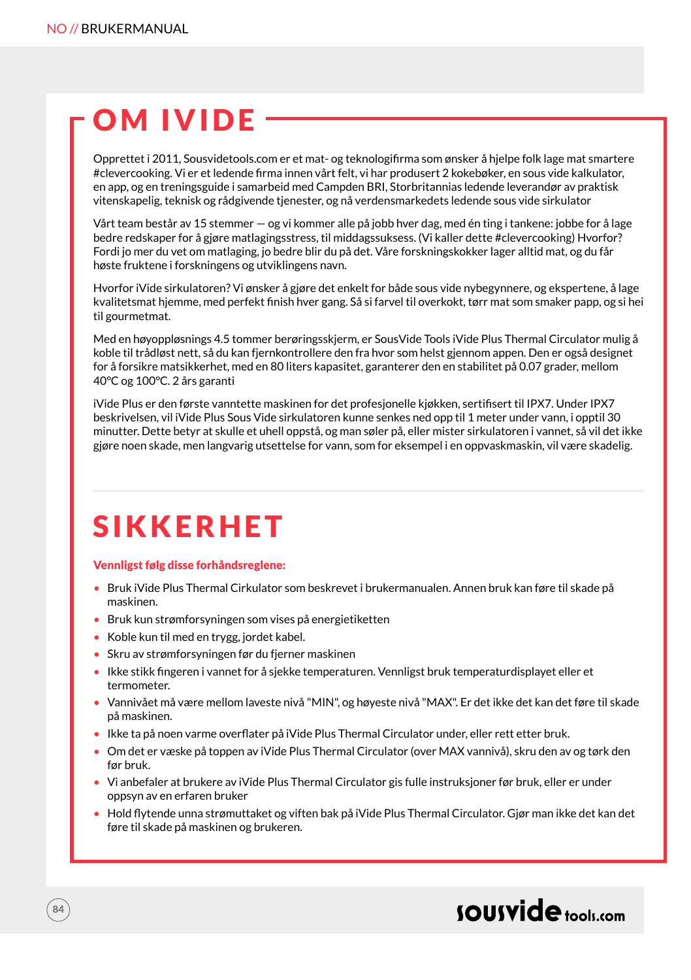# **OM IVIDE**

Opprettet i 2011, Sousvidetools.com er et mat- og teknologifirma som ønsker å hjelpe folk lage mat smartere #clevercooking. Vi er et ledende firma innen vårt felt, vi har produsert 2 kokebøker, en sous vide kalkulator, en app, og en treningsguide i samarbeid med Campden BRI, Storbritannias ledende leverandør av praktisk vitenskapelig, teknisk og rådgivende tjenester, og nå verdensmarkedets ledende sous vide sirkulator

Vårt team består av 15 stemmer — og vi kommer alle på jobb hver dag, med én ting i tankene: jobbe for å lage bedre redskaper for å gjøre matlagingsstress, til middagssuksess. (Vi kaller dette #clevercooking) Hvorfor? Fordi jo mer du vet om matlaging, jo bedre blir du på det. Våre forskningskokker lager alltid mat, og du får høste fruktene i forskningens og utviklingens navn.

Hvorfor iVide sirkulatoren? Vi ønsker å gjøre det enkelt for både sous vide nybegynnere, og ekspertene, å lage kvalitetsmat hjemme, med perfekt finish hver gang. Så si farvel til overkokt, tørr mat som smaker papp, og si hei til gourmetmat.

Med en høyoppløsnings 4.5 tommer berøringsskjerm, er SousVide Tools iVide Plus Thermal Circulator mulig å koble til trådløst nett, så du kan fjernkontrollere den fra hvor som helst gjennom appen. Den er også designet for å forsikre matsikkerhet, med en 80 liters kapasitet, garanterer den en stabilitet på 0.07 grader, mellom 40°C og 100°C. 2 års garanti

iVide Plus er den første vanntette maskinen for det profesjonelle kjøkken, sertifisert til IPX7. Under IPX7 beskrivelsen, vil iVide Plus Sous Vide sirkulatoren kunne senkes ned opp til 1 meter under vann, i opptil 30 minutter. Dette betyr at skulle et uhell oppstå, og man søler på, eller mister sirkulatoren i vannet, så vil det ikke gjøre noen skade, men langvarig utsettelse for vann, som for eksempel i en oppvaskmaskin, vil være skadelig.

### **SIKKERHET**

#### Vennligst følg disse forhåndsreglene:

- Bruk iVide Plus Thermal Cirkulator som beskrevet i brukermanualen. Annen bruk kan føre til skade på maskinen.
- Bruk kun strømforsyningen som vises på energietiketten
- Koble kun til med en trygg, jordet kabel.
- Skru av strømforsyningen før du fjerner maskinen
- Ikke stikk fingeren i vannet for å sjekke temperaturen. Vennligst bruk temperaturdisplayet eller et termometer.
- Vannivået må være mellom laveste nivå "MIN", og høyeste nivå "MAX". Er det ikke det kan det føre til skade på maskinen.
- Ikke ta på noen varme overflater på iVide Plus Thermal Circulator under, eller rett etter bruk.
- Om det er væske på toppen av iVide Plus Thermal Circulator (over MAX vannivå), skru den av og tørk den før bruk.
- Vi anbefaler at brukere av iVide Plus Thermal Circulator gis fulle instruksjoner før bruk, eller er under oppsyn av en erfaren bruker
- Hold flytende unna strømuttaket og viften bak på iVide Plus Thermal Circulator. Gjør man ikke det kan det føre til skade på maskinen og brukeren.

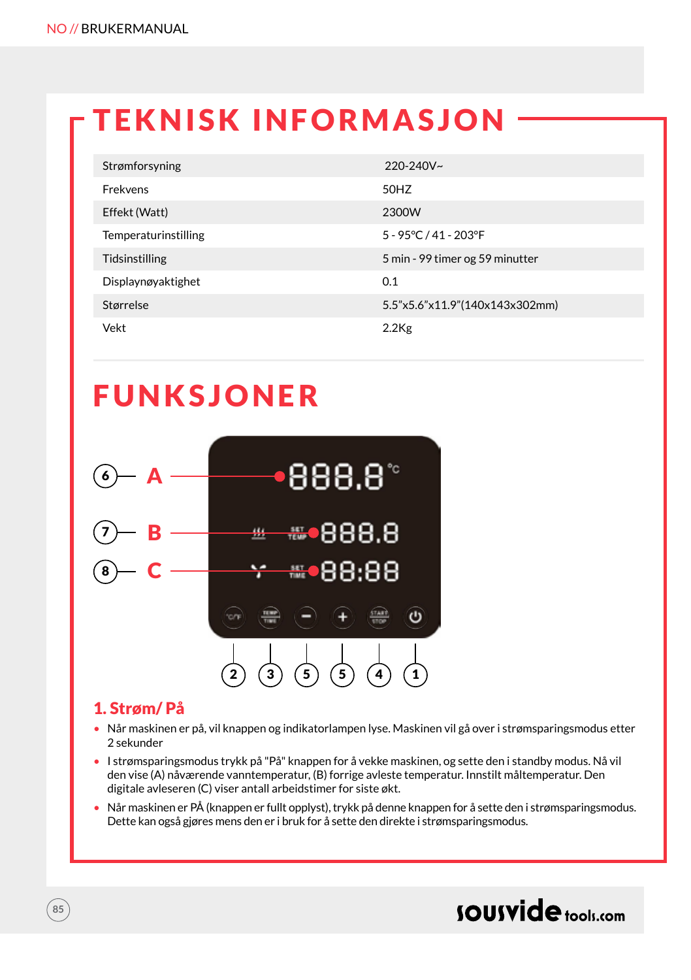# TEKNISK INFORMASJON

| Strømforsyning       | $220 - 240V$ ~                  |
|----------------------|---------------------------------|
| Frekvens             | 50HZ                            |
| Effekt (Watt)        | 2300W                           |
| Temperaturinstilling | 5 - 95 ° C / 41 - 203 ° F       |
| Tidsinstilling       | 5 min - 99 timer og 59 minutter |
| Displaynøyaktighet   | 0.1                             |
| Størrelse            | 5.5"x5.6"x11.9"(140x143x302mm)  |
| Vekt                 | $2.2$ Kg                        |

### **FUNKSJONER**



#### 1. Strøm/ På

- Når maskinen er på, vil knappen og indikatorlampen lyse. Maskinen vil gå over i strømsparingsmodus etter 2 sekunder
- I strømsparingsmodus trykk på "På" knappen for å vekke maskinen, og sette den i standby modus. Nå vil den vise (A) nåværende vanntemperatur, (B) forrige avleste temperatur. Innstilt måltemperatur. Den digitale avleseren (C) viser antall arbeidstimer for siste økt.
- Når maskinen er PÅ (knappen er fullt opplyst), trykk på denne knappen for å sette den i strømsparingsmodus. Dette kan også gjøres mens den er i bruk for å sette den direkte i strømsparingsmodus.

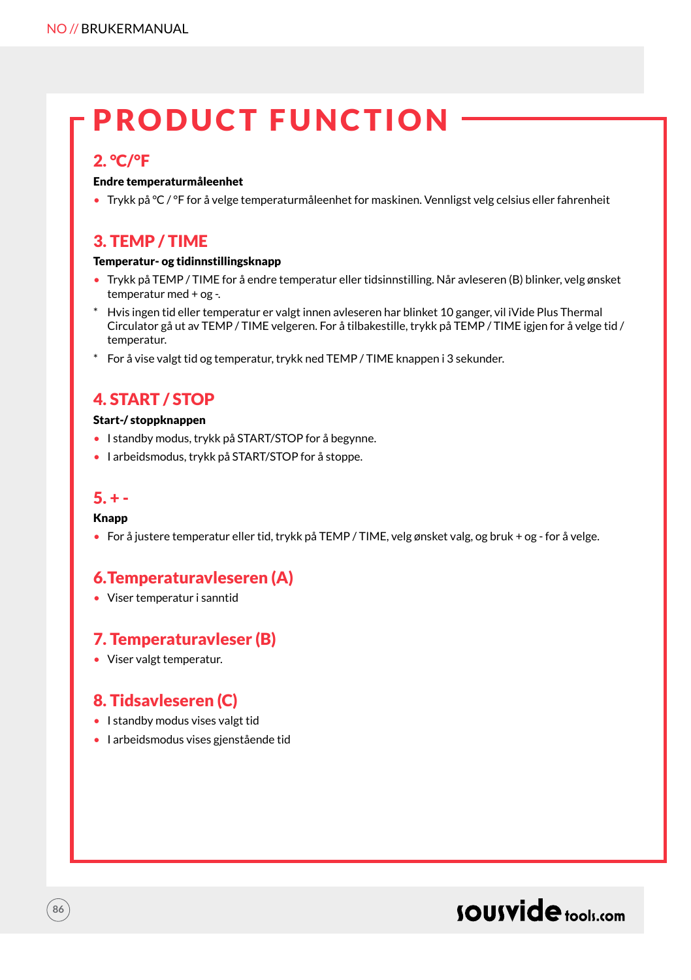# PRODUCT FUNCTION

#### 2. °C/°F

#### Endre temperaturmåleenhet

• Trykk på °C / °F for å velge temperaturmåleenhet for maskinen. Vennligst velg celsius eller fahrenheit

### 3. TEMP / TIME

#### Temperatur- og tidinnstillingsknapp

- Trykk på TEMP / TIME for å endre temperatur eller tidsinnstilling. Når avleseren (B) blinker, velg ønsket temperatur med + og -.
- \* Hvis ingen tid eller temperatur er valgt innen avleseren har blinket 10 ganger, vil iVide Plus Thermal Circulator gå ut av TEMP / TIME velgeren. For å tilbakestille, trykk på TEMP / TIME igjen for å velge tid / temperatur.
- \* For å vise valgt tid og temperatur, trykk ned TEMP / TIME knappen i 3 sekunder.

### 4. START / STOP

#### Start-/ stoppknappen

- I standby modus, trykk på START/STOP for å begynne.
- I arbeidsmodus, trykk på START/STOP for å stoppe.

#### $5. + -$

#### Knapp

**86**

• For å justere temperatur eller tid, trykk på TEMP / TIME, velg ønsket valg, og bruk + og - for å velge.

### 6.Temperaturavleseren (A)

• Viser temperatur i sanntid

### 7. Temperaturavleser (B)

• Viser valgt temperatur.

### 8. Tidsavleseren (C)

- I standby modus vises valgt tid
- I arbeidsmodus vises gjenstående tid

### sousvide tools:com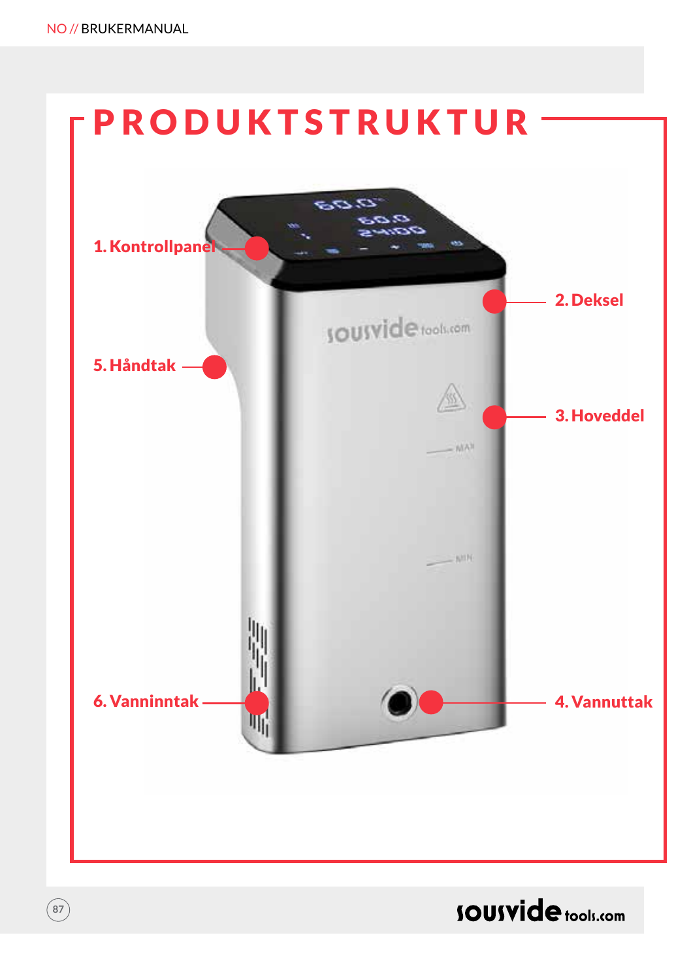**87**



### **SOUSVide tools.com**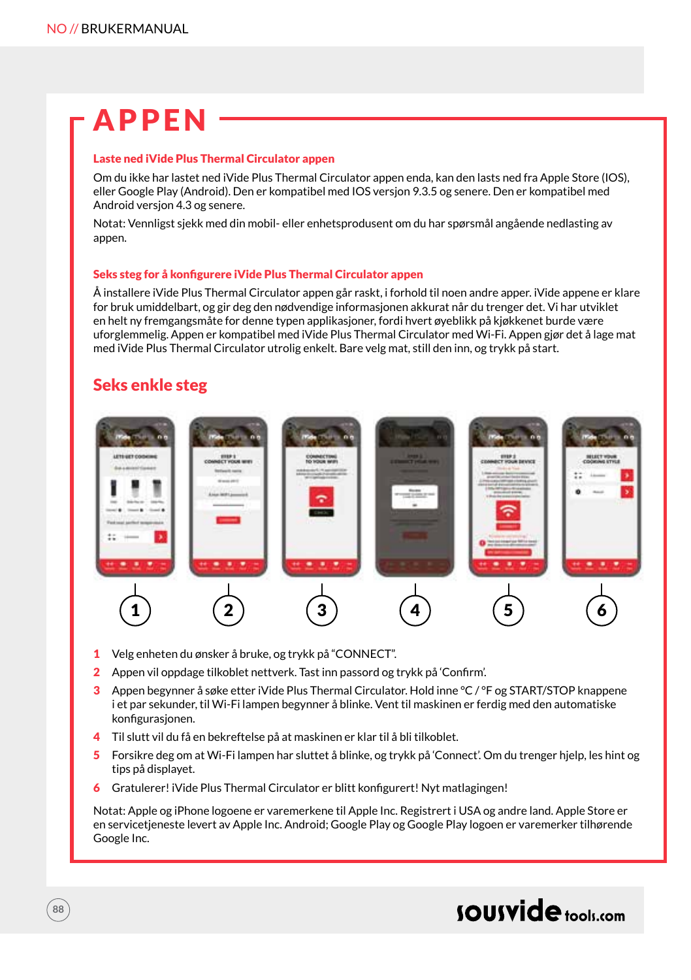# APPEN

#### Laste ned iVide Plus Thermal Circulator appen

Om du ikke har lastet ned iVide Plus Thermal Circulator appen enda, kan den lasts ned fra Apple Store (IOS), eller Google Play (Android). Den er kompatibel med IOS versjon 9.3.5 og senere. Den er kompatibel med Android versjon 4.3 og senere.

Notat: Vennligst sjekk med din mobil- eller enhetsprodusent om du har spørsmål angående nedlasting av appen.

#### Seks steg for å konfigurere iVide Plus Thermal Circulator appen

Å installere iVide Plus Thermal Circulator appen går raskt, i forhold til noen andre apper. iVide appene er klare for bruk umiddelbart, og gir deg den nødvendige informasjonen akkurat når du trenger det. Vi har utviklet en helt ny fremgangsmåte for denne typen applikasjoner, fordi hvert øyeblikk på kjøkkenet burde være uforglemmelig. Appen er kompatibel med iVide Plus Thermal Circulator med Wi-Fi. Appen gjør det å lage mat med iVide Plus Thermal Circulator utrolig enkelt. Bare velg mat, still den inn, og trykk på start.

#### Seks enkle steg



- 1 Velg enheten du ønsker å bruke, og trykk på "CONNECT".
- 2 Appen vil oppdage tilkoblet nettverk. Tast inn passord og trykk på 'Confirm'.
- 3 Appen begynner å søke etter iVide Plus Thermal Circulator. Hold inne °C / °F og START/STOP knappene i et par sekunder, til Wi-Fi lampen begynner å blinke. Vent til maskinen er ferdig med den automatiske konfigurasjonen.
- 4 Til slutt vil du få en bekreftelse på at maskinen er klar til å bli tilkoblet.
- 5 Forsikre deg om at Wi-Fi lampen har sluttet å blinke, og trykk på 'Connect'. Om du trenger hjelp, les hint og tips på displayet.
- 6 Gratulerer! iVide Plus Thermal Circulator er blitt konfigurert! Nyt matlagingen!

Notat: Apple og iPhone logoene er varemerkene til Apple Inc. Registrert i USA og andre land. Apple Store er en servicetjeneste levert av Apple Inc. Android; Google Play og Google Play logoen er varemerker tilhørende Google Inc.

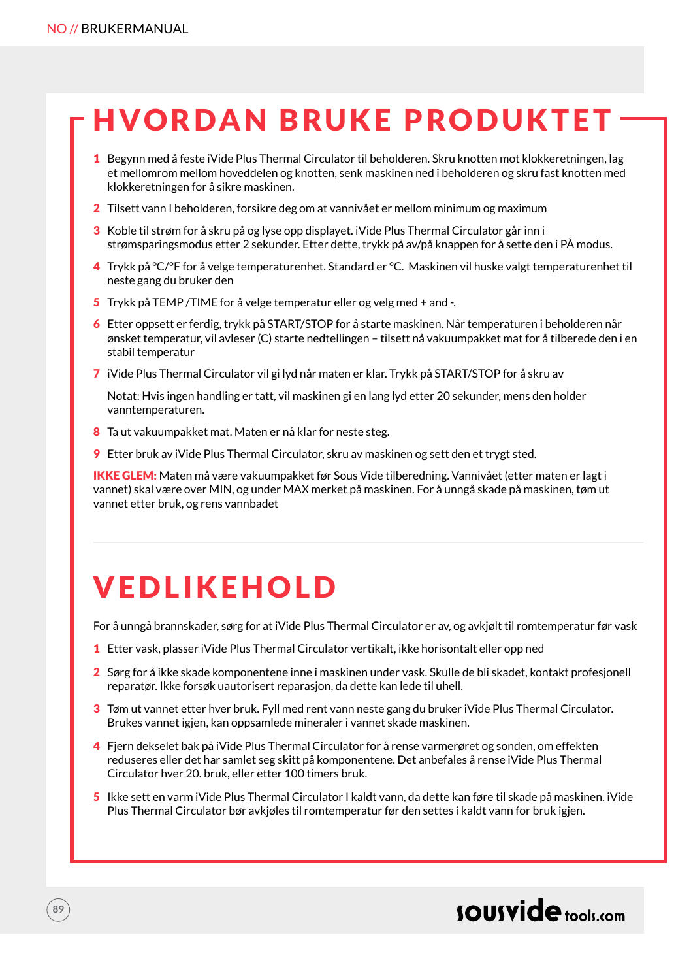# HVORDAN BRUKE PRODUKTET

- 1 Begynn med å feste iVide Plus Thermal Circulator til beholderen. Skru knotten mot klokkeretningen, lag et mellomrom mellom hoveddelen og knotten, senk maskinen ned i beholderen og skru fast knotten med klokkeretningen for å sikre maskinen.
- 2 Tilsett vann I beholderen, forsikre deg om at vannivået er mellom minimum og maximum
- 3 Koble til strøm for å skru på og lyse opp displayet. iVide Plus Thermal Circulator går inn i strømsparingsmodus etter 2 sekunder. Etter dette, trykk på av/på knappen for å sette den i PÅ modus.
- 4 Trykk på °C/°F for å velge temperaturenhet. Standard er °C. Maskinen vil huske valgt temperaturenhet til neste gang du bruker den
- 5 Trykk på TEMP /TIME for å velge temperatur eller og velg med + and -.
- 6 Etter oppsett er ferdig, trykk på START/STOP for å starte maskinen. Når temperaturen i beholderen når ønsket temperatur, vil avleser (C) starte nedtellingen – tilsett nå vakuumpakket mat for å tilberede den i en stabil temperatur
- 7 iVide Plus Thermal Circulator vil gi lyd når maten er klar. Trykk på START/STOP for å skru av

Notat: Hvis ingen handling er tatt, vil maskinen gi en lang lyd etter 20 sekunder, mens den holder vanntemperaturen.

- 8 Ta ut vakuumpakket mat. Maten er nå klar for neste steg.
- 9 Etter bruk av iVide Plus Thermal Circulator, skru av maskinen og sett den et trygt sted.

IKKE GLEM: Maten må være vakuumpakket før Sous Vide tilberedning. Vannivået (etter maten er lagt i vannet) skal være over MIN, og under MAX merket på maskinen. For å unngå skade på maskinen, tøm ut vannet etter bruk, og rens vannbadet

### VEDLIKEHOLD

For å unngå brannskader, sørg for at iVide Plus Thermal Circulator er av, og avkjølt til romtemperatur før vask

- 1 Etter vask, plasser iVide Plus Thermal Circulator vertikalt, ikke horisontalt eller opp ned
- 2 Sørg for å ikke skade komponentene inne i maskinen under vask. Skulle de bli skadet, kontakt profesjonell reparatør. Ikke forsøk uautorisert reparasjon, da dette kan lede til uhell.
- 3 Tøm ut vannet etter hver bruk. Fyll med rent vann neste gang du bruker iVide Plus Thermal Circulator. Brukes vannet igjen, kan oppsamlede mineraler i vannet skade maskinen.
- 4 Fiern dekselet bak på iVide Plus Thermal Circulator for å rense varmerøret og sonden, om effekten reduseres eller det har samlet seg skitt på komponentene. Det anbefales å rense iVide Plus Thermal Circulator hver 20. bruk, eller etter 100 timers bruk.
- 5 Ikke sett en varm iVide Plus Thermal Circulator I kaldt vann, da dette kan føre til skade på maskinen. iVide Plus Thermal Circulator bør avkjøles til romtemperatur før den settes i kaldt vann for bruk igjen.

### sousvide tools:com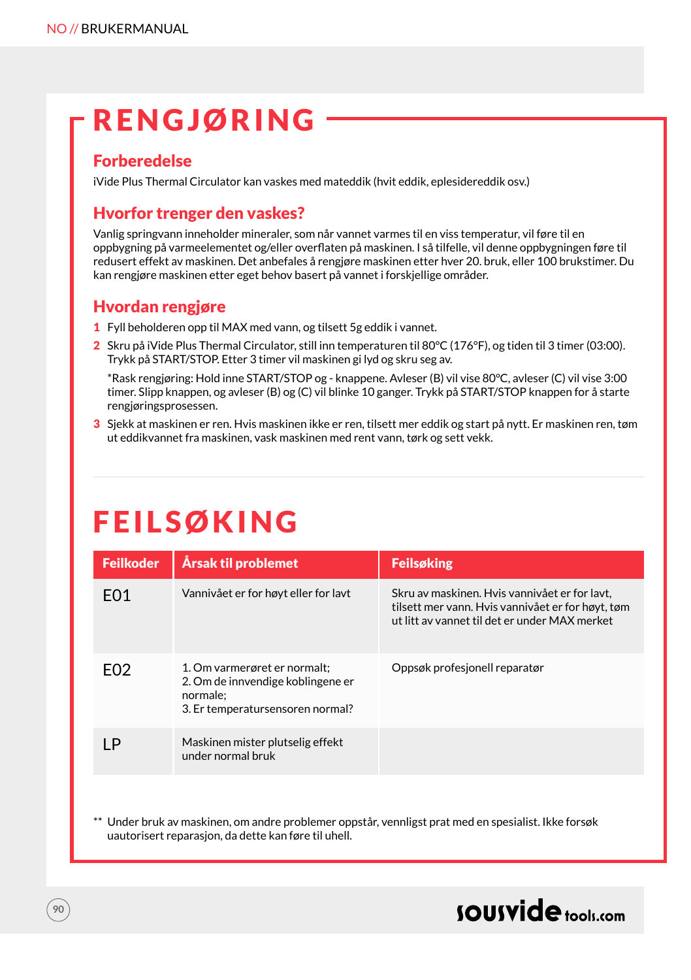# **RENGJØRING**

#### **Forberedelse**

iVide Plus Thermal Circulator kan vaskes med mateddik (hvit eddik, eplesidereddik osv.)

### Hvorfor trenger den vaskes?

Vanlig springvann inneholder mineraler, som når vannet varmes til en viss temperatur, vil føre til en oppbygning på varmeelementet og/eller overflaten på maskinen. I så tilfelle, vil denne oppbygningen føre til redusert effekt av maskinen. Det anbefales å rengjøre maskinen etter hver 20. bruk, eller 100 brukstimer. Du kan rengjøre maskinen etter eget behov basert på vannet i forskjellige områder.

#### Hvordan rengjøre

- 1 Fyll beholderen opp til MAX med vann, og tilsett 5g eddik i vannet.
- 2 Skru på iVide Plus Thermal Circulator, still inn temperaturen til 80°C (176°F), og tiden til 3 timer (03:00). Trykk på START/STOP. Etter 3 timer vil maskinen gi lyd og skru seg av.

\*Rask rengjøring: Hold inne START/STOP og - knappene. Avleser (B) vil vise 80°C, avleser (C) vil vise 3:00 timer. Slipp knappen, og avleser (B) og (C) vil blinke 10 ganger. Trykk på START/STOP knappen for å starte rengjøringsprosessen.

3 Sjekk at maskinen er ren. Hvis maskinen ikke er ren, tilsett mer eddik og start på nytt. Er maskinen ren, tøm ut eddikvannet fra maskinen, vask maskinen med rent vann, tørk og sett vekk.

# **FEILSØKING**

| <b>Feilkoder</b> | Årsak til problemet                                                                                               | <b>Feilsøking</b>                                                                                                                                   |
|------------------|-------------------------------------------------------------------------------------------------------------------|-----------------------------------------------------------------------------------------------------------------------------------------------------|
| F <sub>0</sub> 1 | Vannivået er for høyt eller for lavt                                                                              | Skru av maskinen. Hvis vannivået er for lavt,<br>tilsett mer vann. Hvis vannivået er for høyt, tøm<br>ut litt av vannet til det er under MAX merket |
| F02              | 1. Om varmerøret er normalt:<br>2. Om de innvendige koblingene er<br>normale:<br>3. Er temperatursensoren normal? | Oppsøk profesjonell reparatør                                                                                                                       |
| 1P               | Maskinen mister plutselig effekt<br>under normal bruk                                                             |                                                                                                                                                     |

Under bruk av maskinen, om andre problemer oppstår, vennligst prat med en spesialist. Ikke forsøk uautorisert reparasjon, da dette kan føre til uhell.

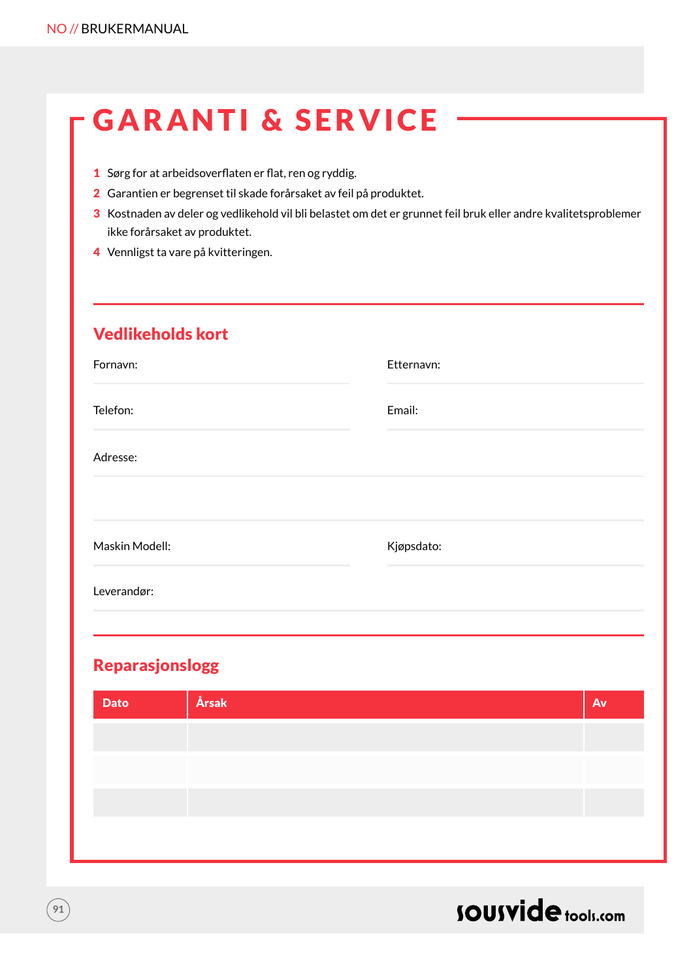# GARANTI & SERVICE

- 1 Sørg for at arbeidsoverflaten er flat, ren og ryddig.
- 2 Garantien er begrenset til skade forårsaket av feil på produktet.
- 3 Kostnaden av deler og vedlikehold vil bli belastet om det er grunnet feil bruk eller andre kvalitetsproblemer ikke forårsaket av produktet.
- 4 Vennligst ta vare på kvitteringen.

### Vedlikeholds kort

| Fornavn:       | Etternavn: |
|----------------|------------|
| Telefon:       | Email:     |
| Adresse:       |            |
|                |            |
| Maskin Modell: | Kjøpsdato: |
| Leverandør:    |            |
|                |            |

### Reparasjonslogg

| <b>Dato</b> | Årsak | Av |
|-------------|-------|----|
|             |       |    |
|             |       |    |
|             |       |    |
|             |       |    |
|             |       |    |



**91**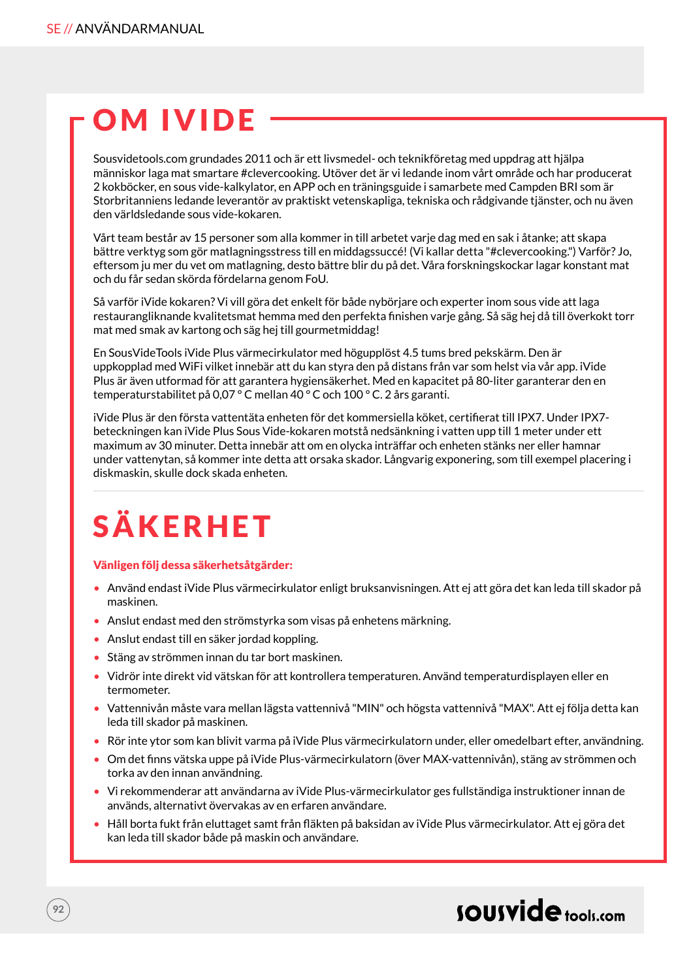# OM IVIDE

Sousvidetools.com grundades 2011 och är ett livsmedel- och teknikföretag med uppdrag att hjälpa människor laga mat smartare #clevercooking. Utöver det är vi ledande inom vårt område och har producerat 2 kokböcker, en sous vide-kalkylator, en APP och en träningsguide i samarbete med Campden BRI som är Storbritanniens ledande leverantör av praktiskt vetenskapliga, tekniska och rådgivande tjänster, och nu även den världsledande sous vide-kokaren.

Vårt team består av 15 personer som alla kommer in till arbetet varje dag med en sak i åtanke; att skapa bättre verktyg som gör matlagningsstress till en middagssuccé! (Vi kallar detta "#clevercooking.") Varför? Jo, eftersom ju mer du vet om matlagning, desto bättre blir du på det. Våra forskningskockar lagar konstant mat och du får sedan skörda fördelarna genom FoU.

Så varför iVide kokaren? Vi vill göra det enkelt för både nybörjare och experter inom sous vide att laga restaurangliknande kvalitetsmat hemma med den perfekta finishen varje gång. Så säg hej då till överkokt torr mat med smak av kartong och säg hej till gourmetmiddag!

En SousVideTools iVide Plus värmecirkulator med högupplöst 4.5 tums bred pekskärm. Den är uppkopplad med WiFi vilket innebär att du kan styra den på distans från var som helst via vår app. iVide Plus är även utformad för att garantera hygiensäkerhet. Med en kapacitet på 80-liter garanterar den en temperaturstabilitet på 0,07 ° C mellan 40 ° C och 100 ° C. 2 års garanti.

iVide Plus är den första vattentäta enheten för det kommersiella köket, certifierat till IPX7. Under IPX7 beteckningen kan iVide Plus Sous Vide-kokaren motstå nedsänkning i vatten upp till 1 meter under ett maximum av 30 minuter. Detta innebär att om en olycka inträffar och enheten stänks ner eller hamnar under vattenytan, så kommer inte detta att orsaka skador. Långvarig exponering, som till exempel placering i diskmaskin, skulle dock skada enheten.

# SÄKERHET

#### Vänligen följ dessa säkerhetsåtgärder:

- Använd endast iVide Plus värmecirkulator enligt bruksanvisningen. Att ej att göra det kan leda till skador på maskinen.
- Anslut endast med den strömstyrka som visas på enhetens märkning.
- Anslut endast till en säker jordad koppling.
- Stäng av strömmen innan du tar bort maskinen.
- Vidrör inte direkt vid vätskan för att kontrollera temperaturen. Använd temperaturdisplayen eller en termometer.
- Vattennivån måste vara mellan lägsta vattennivå "MIN" och högsta vattennivå "MAX". Att ej följa detta kan leda till skador på maskinen.
- Rör inte ytor som kan blivit varma på iVide Plus värmecirkulatorn under, eller omedelbart efter, användning.
- Om det finns vätska uppe på iVide Plus-värmecirkulatorn (över MAX-vattennivån), stäng av strömmen och torka av den innan användning.
- Vi rekommenderar att användarna av iVide Plus-värmecirkulator ges fullständiga instruktioner innan de används, alternativt övervakas av en erfaren användare.
- Håll borta fukt från eluttaget samt från fläkten på baksidan av iVide Plus värmecirkulator. Att ej göra det kan leda till skador både på maskin och användare.

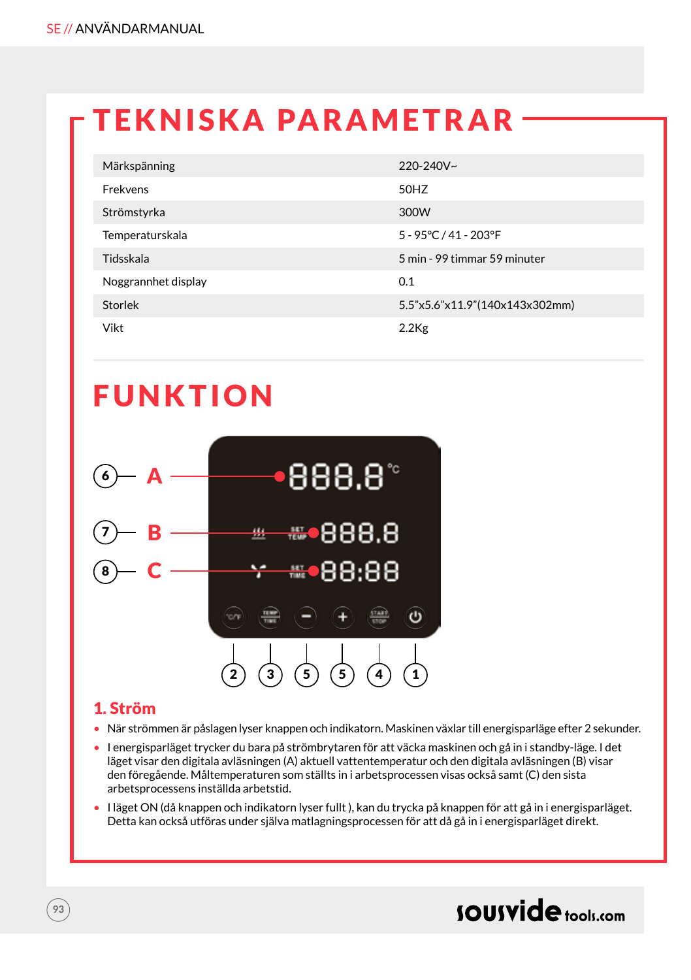### TEKNISKA PARAMETRAR

| Märkspänning        | 220-240V~                      |
|---------------------|--------------------------------|
| Frekvens            | 50HZ                           |
| Strömstyrka         | 300W                           |
| Temperaturskala     | 5 - 95°C / 41 - 203°F          |
| Tidsskala           | 5 min - 99 timmar 59 minuter   |
| Noggrannhet display | 0.1                            |
| Storlek             | 5.5"x5.6"x11.9"(140x143x302mm) |
| Vikt                | $2.2$ Kg                       |

### FUNKTION



#### 1. Ström

- När strömmen är påslagen lyser knappen och indikatorn. Maskinen växlar till energisparläge efter 2 sekunder.
- I energisparläget trycker du bara på strömbrytaren för att väcka maskinen och gå in i standby-läge. I det läget visar den digitala avläsningen (A) aktuell vattentemperatur och den digitala avläsningen (B) visar den föregående. Måltemperaturen som ställts in i arbetsprocessen visas också samt (C) den sista arbetsprocessens inställda arbetstid.
- I läget ON (då knappen och indikatorn lyser fullt ), kan du trycka på knappen för att gå in i energisparläget. Detta kan också utföras under själva matlagningsprocessen för att då gå in i energisparläget direkt.

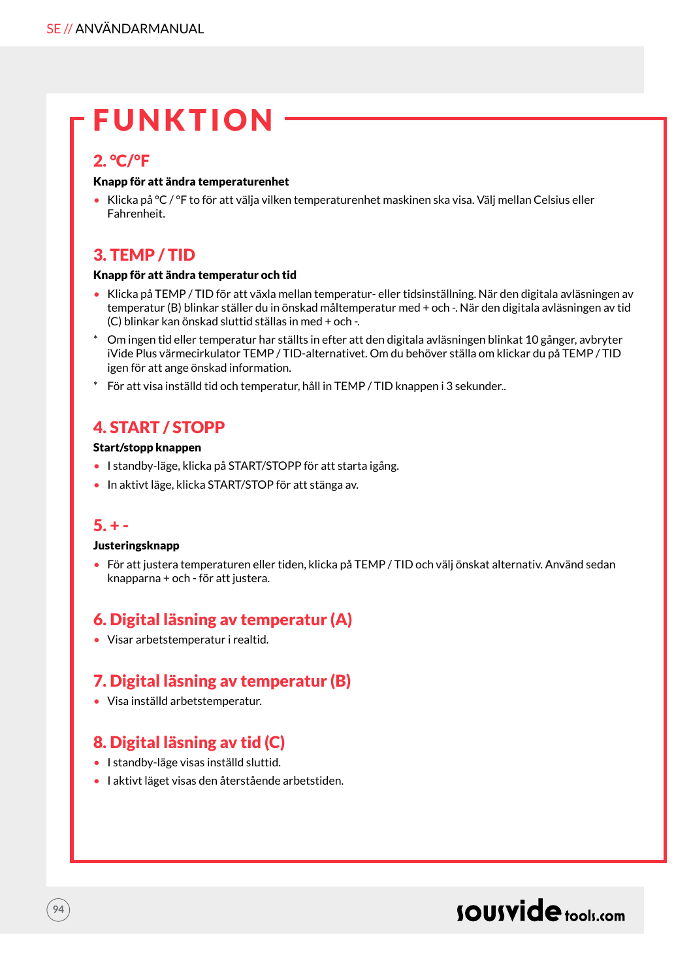### FUNKTION

### 2. °C/°F

#### Knapp för att ändra temperaturenhet

• Klicka på °C / °F to för att välja vilken temperaturenhet maskinen ska visa. Välj mellan Celsius eller Fahrenheit.

### 3. TEMP / TID

#### Knapp för att ändra temperatur och tid

- Klicka på TEMP / TID för att växla mellan temperatur- eller tidsinställning. När den digitala avläsningen av temperatur (B) blinkar ställer du in önskad måltemperatur med + och -. När den digitala avläsningen av tid (C) blinkar kan önskad sluttid ställas in med + och -.
- \* Om ingen tid eller temperatur har ställts in efter att den digitala avläsningen blinkat 10 gånger, avbryter iVide Plus värmecirkulator TEMP / TID-alternativet. Om du behöver ställa om klickar du på TEMP / TID igen för att ange önskad information.
- \* För att visa inställd tid och temperatur, håll in TEMP / TID knappen i 3 sekunder..

### 4. START / STOPP

#### Start/stopp knappen

- I standby-läge, klicka på START/STOPP för att starta igång.
- In aktivt läge, klicka START/STOP för att stänga av.

### $5. + -$

#### Justeringsknapp

• För att justera temperaturen eller tiden, klicka på TEMP / TID och välj önskat alternativ. Använd sedan knapparna + och - för att justera.

### 6. Digital läsning av temperatur (A)

• Visar arbetstemperatur i realtid.

### 7. Digital läsning av temperatur (B)

• Visa inställd arbetstemperatur.

### 8. Digital läsning av tid (C)

- I standby-läge visas inställd sluttid.
- I aktivt läget visas den återstående arbetstiden.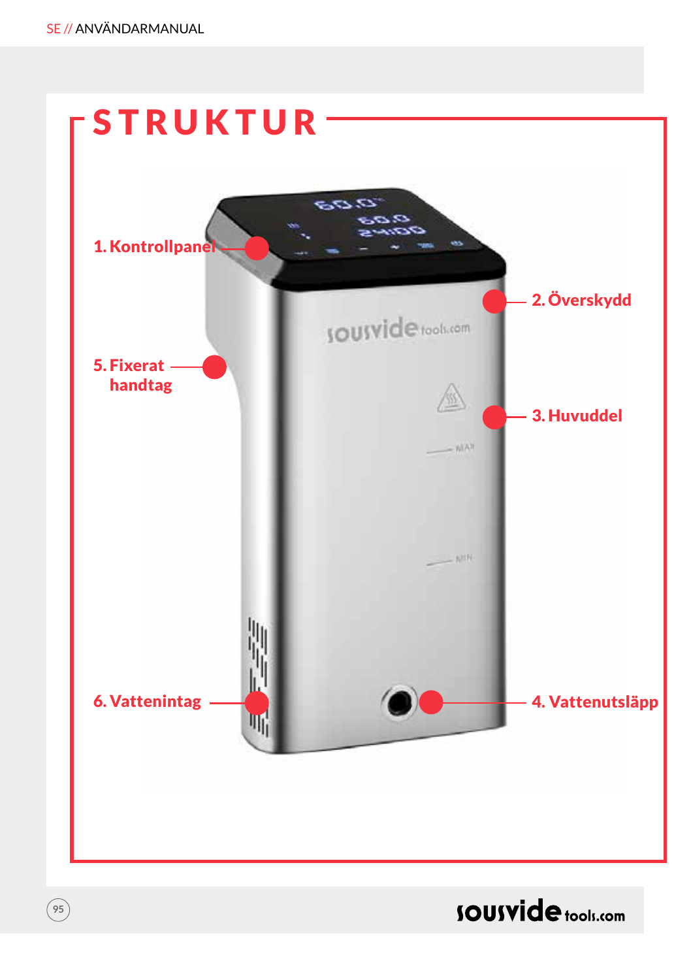**95**



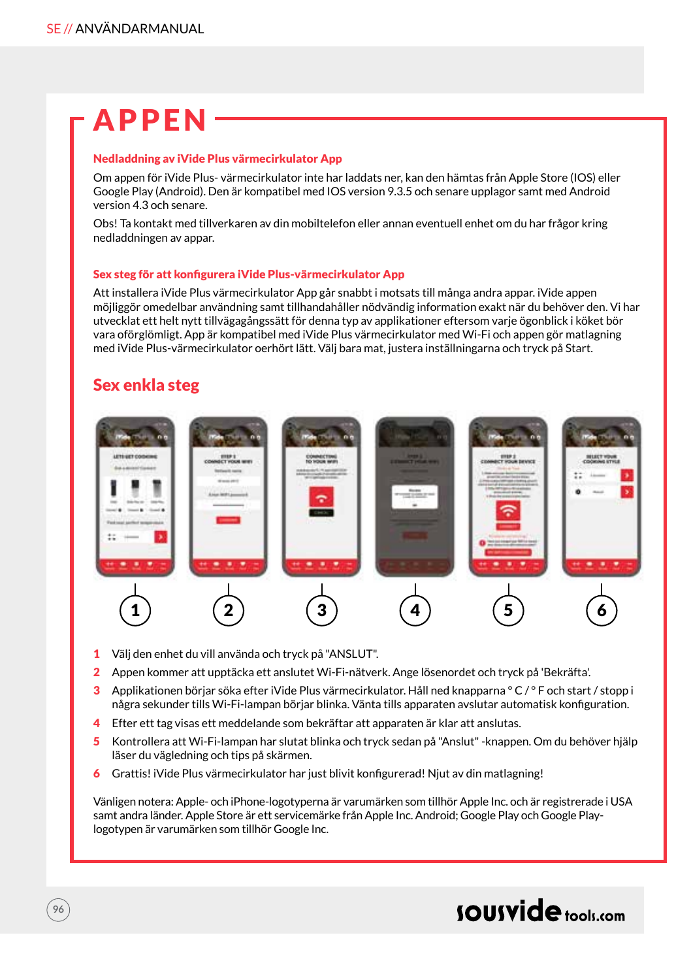### APPEN

#### Nedladdning av iVide Plus värmecirkulator App

Om appen för iVide Plus- värmecirkulator inte har laddats ner, kan den hämtas från Apple Store (IOS) eller Google Play (Android). Den är kompatibel med IOS version 9.3.5 och senare upplagor samt med Android version 4.3 och senare.

Obs! Ta kontakt med tillverkaren av din mobiltelefon eller annan eventuell enhet om du har frågor kring nedladdningen av appar.

#### Sex steg för att konfigurera iVide Plus-värmecirkulator App

Att installera iVide Plus värmecirkulator App går snabbt i motsats till många andra appar. iVide appen möjliggör omedelbar användning samt tillhandahåller nödvändig information exakt när du behöver den. Vi har utvecklat ett helt nytt tillvägagångssätt för denna typ av applikationer eftersom varje ögonblick i köket bör vara oförglömligt. App är kompatibel med iVide Plus värmecirkulator med Wi-Fi och appen gör matlagning med iVide Plus-värmecirkulator oerhört lätt. Välj bara mat, justera inställningarna och tryck på Start.

### Sex enkla steg

**96**



- 1 Välj den enhet du vill använda och tryck på "ANSLUT".
- 2 Appen kommer att upptäcka ett anslutet Wi-Fi-nätverk. Ange lösenordet och tryck på 'Bekräfta'.
- 3 Applikationen börjar söka efter iVide Plus värmecirkulator. Håll ned knapparna °  $C/$ ° F och start / stopp i några sekunder tills Wi-Fi-lampan börjar blinka. Vänta tills apparaten avslutar automatisk konfiguration.
- 4 Efter ett tag visas ett meddelande som bekräftar att apparaten är klar att anslutas.
- 5 Kontrollera att Wi-Fi-lampan har slutat blinka och tryck sedan på "Anslut" -knappen. Om du behöver hjälp läser du vägledning och tips på skärmen.
- 6 Grattis! iVide Plus värmecirkulator har just blivit konfigurerad! Njut av din matlagning!

Vänligen notera: Apple- och iPhone-logotyperna är varumärken som tillhör Apple Inc. och är registrerade i USA samt andra länder. Apple Store är ett servicemärke från Apple Inc. Android; Google Play och Google Playlogotypen är varumärken som tillhör Google Inc.

### sousvide tools:com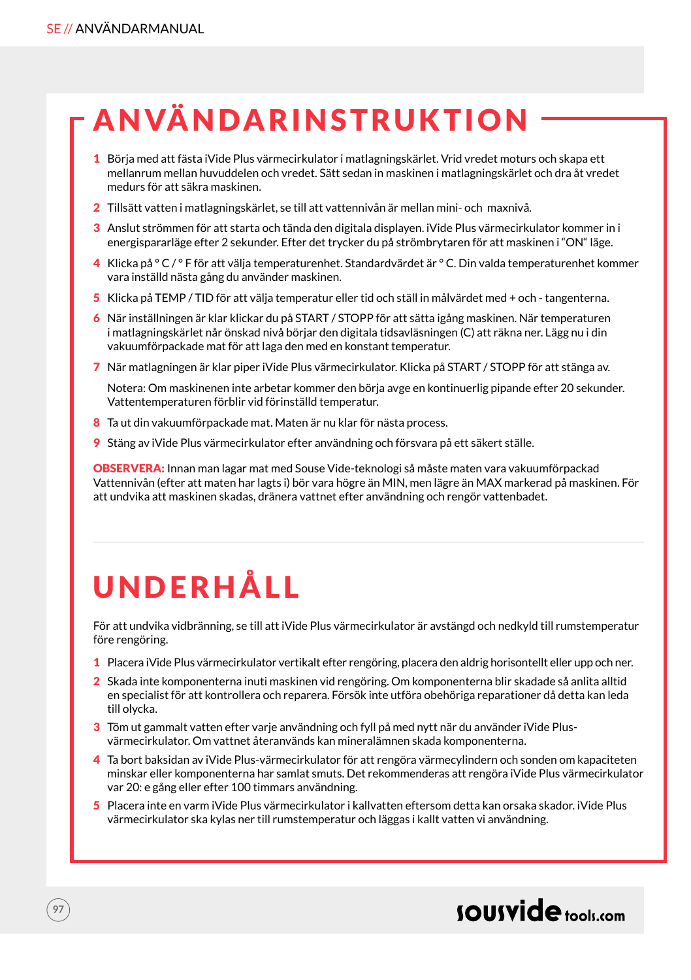# **ANVÄNDARINSTRUKTION**

- 1 Börja med att fästa iVide Plus värmecirkulator i matlagningskärlet. Vrid vredet moturs och skapa ett mellanrum mellan huvuddelen och vredet. Sätt sedan in maskinen i matlagningskärlet och dra åt vredet medurs för att säkra maskinen.
- 2 Tillsätt vatten i matlagningskärlet, se till att vattennivån är mellan mini- och maxnivå.
- 3 Anslut strömmen för att starta och tända den digitala displayen. iVide Plus värmecirkulator kommer in i energispararläge efter 2 sekunder. Efter det trycker du på strömbrytaren för att maskinen i "ON" läge.
- 4 Klicka på ° C / ° F för att välja temperaturenhet. Standardvärdet är ° C. Din valda temperaturenhet kommer vara inställd nästa gång du använder maskinen.
- 5 Klicka på TEMP / TID för att välja temperatur eller tid och ställ in målvärdet med + och tangenterna.
- 6 När inställningen är klar klickar du på START / STOPP för att sätta igång maskinen. När temperaturen i matlagningskärlet når önskad nivå börjar den digitala tidsavläsningen (C) att räkna ner. Lägg nu i din vakuumförpackade mat för att laga den med en konstant temperatur.
- 7 När matlagningen är klar piper iVide Plus värmecirkulator. Klicka på START / STOPP för att stänga av.

Notera: Om maskinenen inte arbetar kommer den börja avge en kontinuerlig pipande efter 20 sekunder. Vattentemperaturen förblir vid förinställd temperatur.

- 8 Ta ut din vakuumförpackade mat. Maten är nu klar för nästa process.
- 9 Stäng av iVide Plus värmecirkulator efter användning och försvara på ett säkert ställe.

OBSERVERA: Innan man lagar mat med Souse Vide-teknologi så måste maten vara vakuumförpackad Vattennivån (efter att maten har lagts i) bör vara högre än MIN, men lägre än MAX markerad på maskinen. För att undvika att maskinen skadas, dränera vattnet efter användning och rengör vattenbadet.

# UNDERHÅLL

För att undvika vidbränning, se till att iVide Plus värmecirkulator är avstängd och nedkyld till rumstemperatur före rengöring.

- 1 Placera iVide Plus värmecirkulator vertikalt efter rengöring, placera den aldrig horisontellt eller upp och ner.
- 2 Skada inte komponenterna inuti maskinen vid rengöring. Om komponenterna blir skadade så anlita alltid en specialist för att kontrollera och reparera. Försök inte utföra obehöriga reparationer då detta kan leda till olycka.
- 3 Töm ut gammalt vatten efter varje användning och fyll på med nytt när du använder iVide Plusvärmecirkulator. Om vattnet återanvänds kan mineralämnen skada komponenterna.
- 4 Ta bort baksidan av iVide Plus-värmecirkulator för att rengöra värmecylindern och sonden om kapaciteten minskar eller komponenterna har samlat smuts. Det rekommenderas att rengöra iVide Plus värmecirkulator var 20: e gång eller efter 100 timmars användning.
- 5 Placera inte en varm iVide Plus värmecirkulator i kallvatten eftersom detta kan orsaka skador. iVide Plus värmecirkulator ska kylas ner till rumstemperatur och läggas i kallt vatten vi användning.

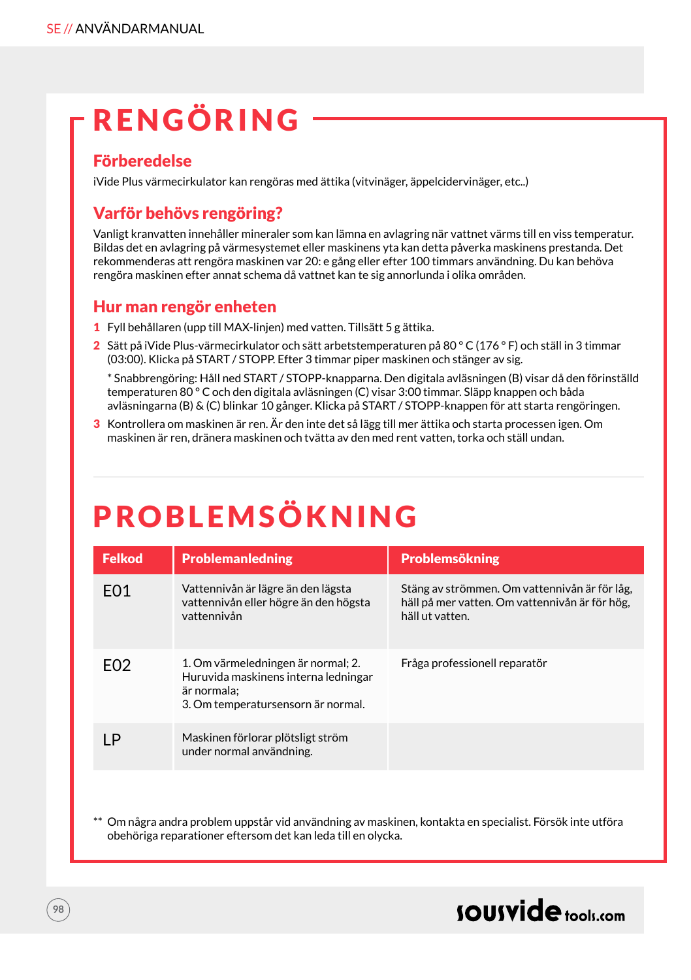# RENGÖRING

### Förberedelse

iVide Plus värmecirkulator kan rengöras med ättika (vitvinäger, äppelcidervinäger, etc..)

### Varför behövs rengöring?

Vanligt kranvatten innehåller mineraler som kan lämna en avlagring när vattnet värms till en viss temperatur. Bildas det en avlagring på värmesystemet eller maskinens yta kan detta påverka maskinens prestanda. Det rekommenderas att rengöra maskinen var 20: e gång eller efter 100 timmars användning. Du kan behöva rengöra maskinen efter annat schema då vattnet kan te sig annorlunda i olika områden.

#### Hur man rengör enheten

- 1 Fyll behållaren (upp till MAX-linjen) med vatten. Tillsätt 5 g ättika.
- 2 Sätt på iVide Plus-värmecirkulator och sätt arbetstemperaturen på 80 ° C (176 ° F) och ställ in 3 timmar (03:00). Klicka på START / STOPP. Efter 3 timmar piper maskinen och stänger av sig.

\* Snabbrengöring: Håll ned START / STOPP-knapparna. Den digitala avläsningen (B) visar då den förinställd temperaturen 80 ° C och den digitala avläsningen (C) visar 3:00 timmar. Släpp knappen och båda avläsningarna (B) & (C) blinkar 10 gånger. Klicka på START / STOPP-knappen för att starta rengöringen.

3 Kontrollera om maskinen är ren. Är den inte det så lägg till mer ättika och starta processen igen. Om maskinen är ren, dränera maskinen och tvätta av den med rent vatten, torka och ställ undan.

# PROBLEMSÖKNING

| <b>Felkod</b>    | <b>Problemanledning</b>                                                                                                         | <b>Problemsökning</b>                                                                                              |
|------------------|---------------------------------------------------------------------------------------------------------------------------------|--------------------------------------------------------------------------------------------------------------------|
| F <sub>0</sub> 1 | Vattennivån är lägre än den lägsta<br>vattennivån eller högre än den högsta<br>vattennivån                                      | Stäng av strömmen. Om vattennivån är för låg,<br>häll på mer vatten. Om vattennivån är för hög,<br>häll ut vatten. |
| F <sub>02</sub>  | 1. Om värmeledningen är normal; 2.<br>Huruvida maskinens interna ledningar<br>är normala:<br>3. Om temperatursensorn är normal. | Fråga professionell reparatör                                                                                      |
| LΡ               | Maskinen förlorar plötsligt ström<br>under normal användning.                                                                   |                                                                                                                    |

Om några andra problem uppstår vid användning av maskinen, kontakta en specialist. Försök inte utföra obehöriga reparationer eftersom det kan leda till en olycka.

### sousvide tools:com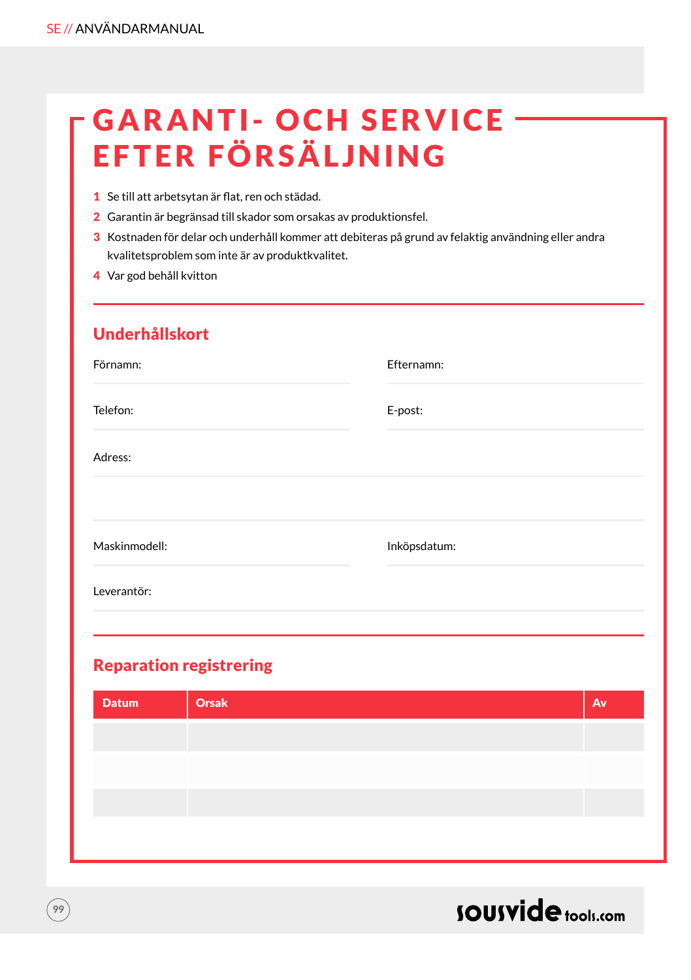# **GARANTI- OCH SERVICE** EFTER FÖRSÄLJNING

- 1 Se till att arbetsytan är flat, ren och städad.
- 2 Garantin är begränsad till skador som orsakas av produktionsfel.
- 3 Kostnaden för delar och underhåll kommer att debiteras på grund av felaktig användning eller andra kvalitetsproblem som inte är av produktkvalitet.
- 4 Var god behåll kvitton

### Underhållskort

| Förnamn:      | Efternamn:   |
|---------------|--------------|
| Telefon:      | E-post:      |
| Adress:       |              |
|               |              |
| Maskinmodell: | Inköpsdatum: |
| Leverantör:   |              |

### Reparation registrering

| Orsak | Av |
|-------|----|
|       |    |
|       |    |
|       |    |
|       |    |
|       |    |



**99**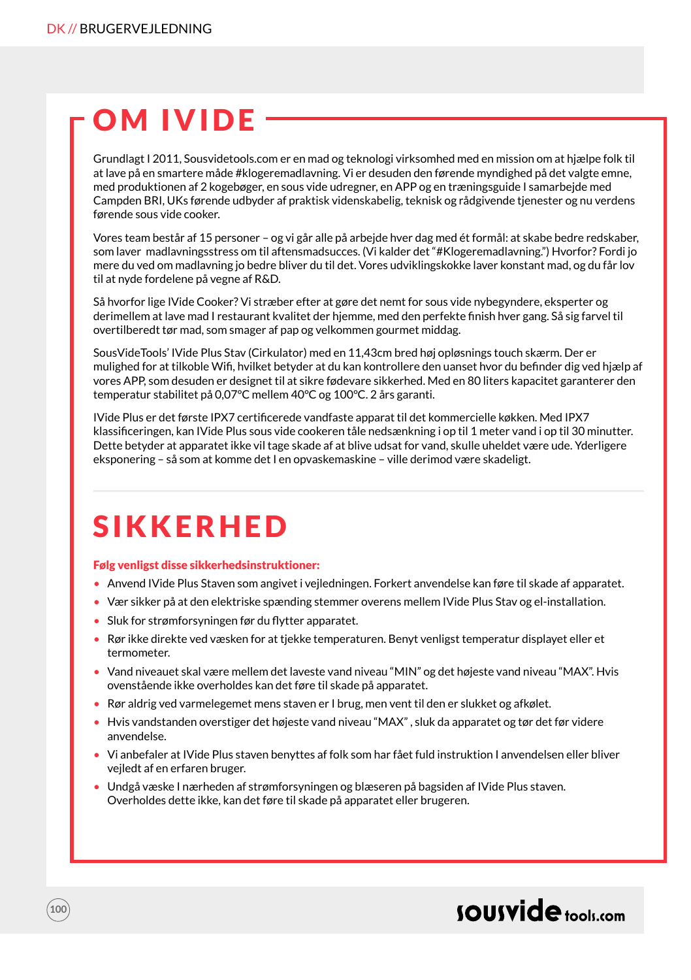# OM IVIDE

Grundlagt I 2011, Sousvidetools.com er en mad og teknologi virksomhed med en mission om at hjælpe folk til at lave på en smartere måde #klogeremadlavning. Vi er desuden den førende myndighed på det valgte emne, med produktionen af 2 kogebøger, en sous vide udregner, en APP og en træningsguide I samarbejde med Campden BRI, UKs førende udbyder af praktisk videnskabelig, teknisk og rådgivende tjenester og nu verdens førende sous vide cooker.

Vores team består af 15 personer – og vi går alle på arbejde hver dag med ét formål: at skabe bedre redskaber, som laver madlavningsstress om til aftensmadsucces. (Vi kalder det "#Klogeremadlavning.") Hvorfor? Fordi jo mere du ved om madlavning jo bedre bliver du til det. Vores udviklingskokke laver konstant mad, og du får lov til at nyde fordelene på vegne af R&D.

Så hvorfor lige IVide Cooker? Vi stræber efter at gøre det nemt for sous vide nybegyndere, eksperter og derimellem at lave mad I restaurant kvalitet der hjemme, med den perfekte finish hver gang. Så sig farvel til overtilberedt tør mad, som smager af pap og velkommen gourmet middag.

SousVideTools' IVide Plus Stav (Cirkulator) med en 11,43cm bred høj opløsnings touch skærm. Der er mulighed for at tilkoble Wifi, hvilket betyder at du kan kontrollere den uanset hvor du befinder dig ved hjælp af vores APP, som desuden er designet til at sikre fødevare sikkerhed. Med en 80 liters kapacitet garanterer den temperatur stabilitet på 0,07°C mellem 40°C og 100°C. 2 års garanti.

IVide Plus er det første IPX7 certificerede vandfaste apparat til det kommercielle køkken. Med IPX7 klassificeringen, kan IVide Plus sous vide cookeren tåle nedsænkning i op til 1 meter vand i op til 30 minutter. Dette betyder at apparatet ikke vil tage skade af at blive udsat for vand, skulle uheldet være ude. Yderligere eksponering – så som at komme det I en opvaskemaskine – ville derimod være skadeligt.

### SIKKERHED

**100**

#### Følg venligst disse sikkerhedsinstruktioner:

- Anvend IVide Plus Staven som angivet i vejledningen. Forkert anvendelse kan føre til skade af apparatet.
- Vær sikker på at den elektriske spænding stemmer overens mellem IVide Plus Stav og el-installation.
- Sluk for strømforsyningen før du flytter apparatet.
- Rør ikke direkte ved væsken for at tjekke temperaturen. Benyt venligst temperatur displayet eller et termometer.
- Vand niveauet skal være mellem det laveste vand niveau "MIN" og det højeste vand niveau "MAX". Hvis ovenstående ikke overholdes kan det føre til skade på apparatet.
- Rør aldrig ved varmelegemet mens staven er I brug, men vent til den er slukket og afkølet.
- Hvis vandstanden overstiger det højeste vand niveau "MAX" , sluk da apparatet og tør det før videre anvendelse.
- Vi anbefaler at IVide Plus staven benyttes af folk som har fået fuld instruktion I anvendelsen eller bliver vejledt af en erfaren bruger.
- Undgå væske I nærheden af strømforsyningen og blæseren på bagsiden af IVide Plus staven. Overholdes dette ikke, kan det føre til skade på apparatet eller brugeren.

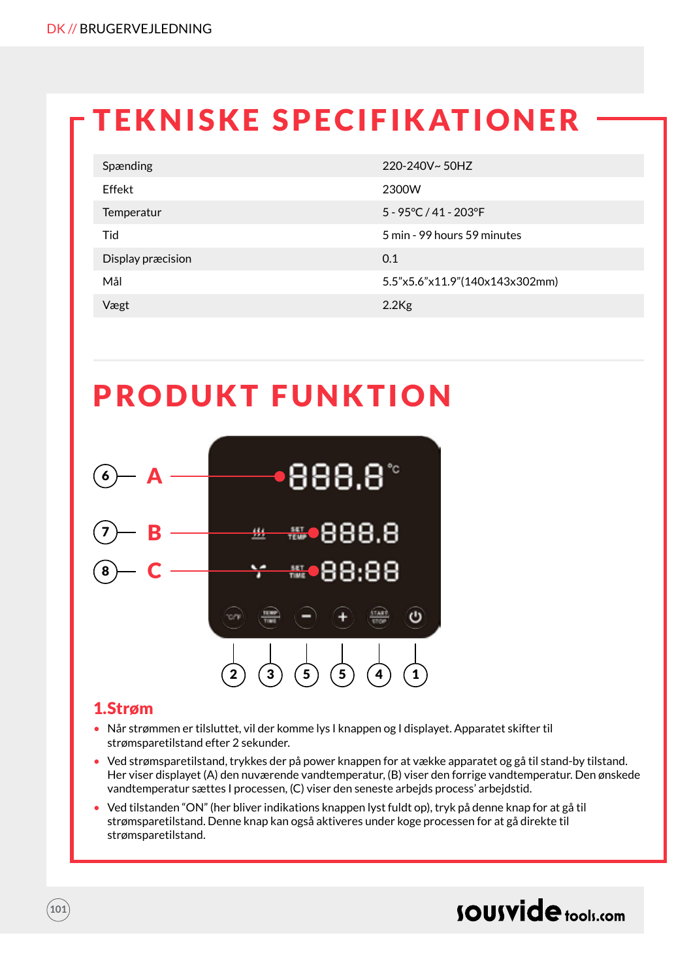# TEKNISKE SPECIFIKATIONER

| Spænding          | 220-240V~50HZ                         |
|-------------------|---------------------------------------|
| Effekt            | 2300W                                 |
| Temperatur        | $5 - 95^{\circ}C / 41 - 203^{\circ}F$ |
| Tid               | 5 min - 99 hours 59 minutes           |
| Display præcision | 0.1                                   |
| Mål               | 5.5"x5.6"x11.9"(140x143x302mm)        |
| Vægt              | $2.2$ Kg                              |

### PRODUKT FUNKTION



#### 1.Strøm

- Når strømmen er tilsluttet, vil der komme lys I knappen og I displayet. Apparatet skifter til strømsparetilstand efter 2 sekunder.
- Ved strømsparetilstand, trykkes der på power knappen for at vække apparatet og gå til stand-by tilstand. Her viser displayet (A) den nuværende vandtemperatur, (B) viser den forrige vandtemperatur. Den ønskede vandtemperatur sættes I processen, (C) viser den seneste arbejds process' arbejdstid.
- Ved tilstanden "ON" (her bliver indikations knappen lyst fuldt op), tryk på denne knap for at gå til strømsparetilstand. Denne knap kan også aktiveres under koge processen for at gå direkte til strømsparetilstand.

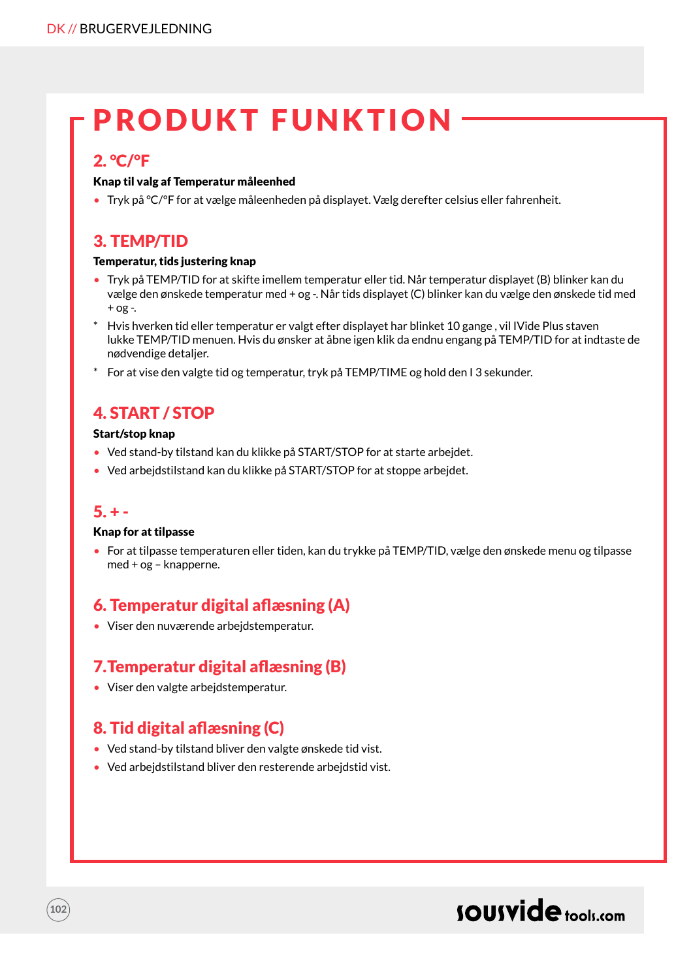### PRODUKT FUNKTION

#### 2. °C/°F

#### Knap til valg af Temperatur måleenhed

• Tryk på °C/°F for at vælge måleenheden på displayet. Vælg derefter celsius eller fahrenheit.

### 3. TEMP/TID

#### Temperatur, tids justering knap

- Tryk på TEMP/TID for at skifte imellem temperatur eller tid. Når temperatur displayet (B) blinker kan du vælge den ønskede temperatur med + og -. Når tids displayet (C) blinker kan du vælge den ønskede tid med  $+$  og -.
- \* Hvis hverken tid eller temperatur er valgt efter displayet har blinket 10 gange , vil IVide Plus staven lukke TEMP/TID menuen. Hvis du ønsker at åbne igen klik da endnu engang på TEMP/TID for at indtaste de nødvendige detaljer.
- \* For at vise den valgte tid og temperatur, tryk på TEMP/TIME og hold den I 3 sekunder.

### 4. START / STOP

#### Start/stop knap

- Ved stand-by tilstand kan du klikke på START/STOP for at starte arbejdet.
- Ved arbejdstilstand kan du klikke på START/STOP for at stoppe arbejdet.

#### $5. + -$

**102**

#### Knap for at tilpasse

• For at tilpasse temperaturen eller tiden, kan du trykke på TEMP/TID, vælge den ønskede menu og tilpasse med + og – knapperne.

### 6. Temperatur digital aflæsning (A)

• Viser den nuværende arbejdstemperatur.

### 7.Temperatur digital aflæsning (B)

• Viser den valgte arbejdstemperatur.

### 8. Tid digital aflæsning (C)

- Ved stand-by tilstand bliver den valgte ønskede tid vist.
- Ved arbeidstilstand bliver den resterende arbeidstid vist.

### sousvide tools:com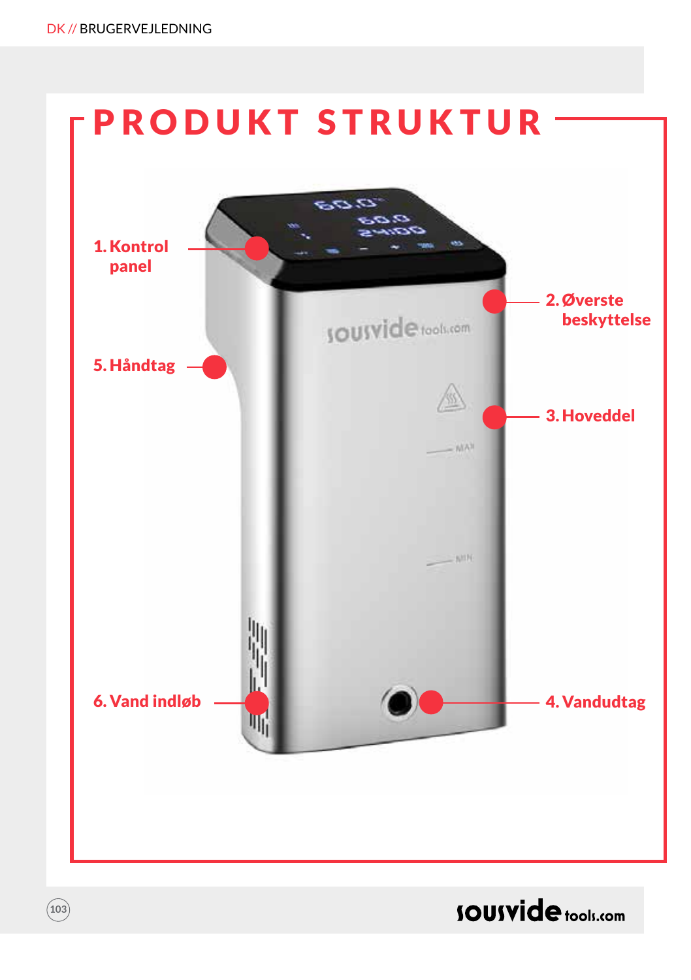**103**

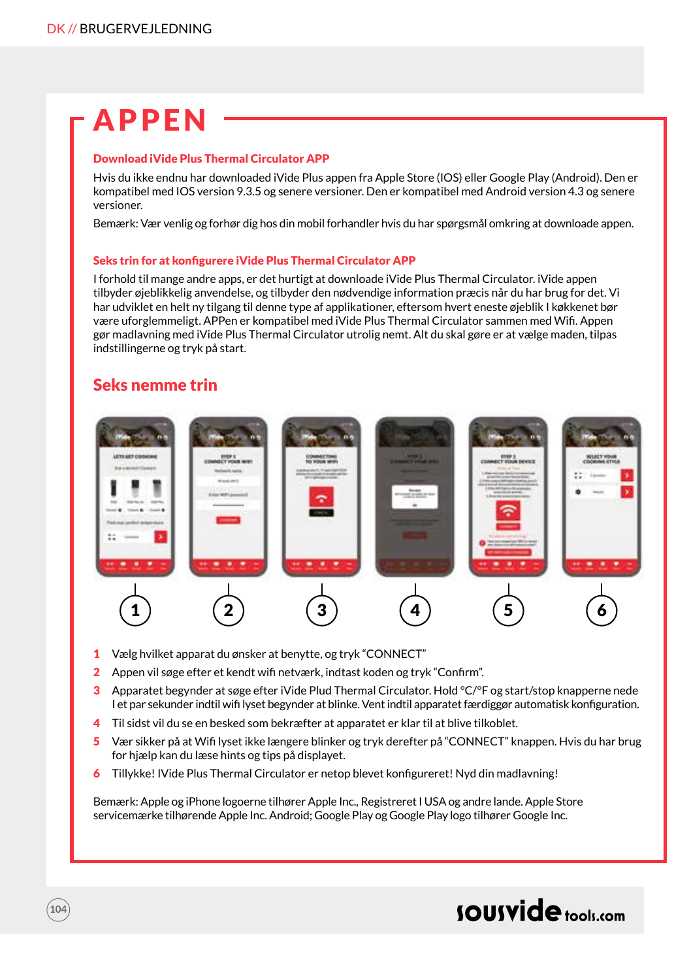# APPEN

#### Download iVide Plus Thermal Circulator APP

Hvis du ikke endnu har downloaded iVide Plus appen fra Apple Store (IOS) eller Google Play (Android). Den er kompatibel med IOS version 9.3.5 og senere versioner. Den er kompatibel med Android version 4.3 og senere versioner.

Bemærk: Vær venlig og forhør dig hos din mobil forhandler hvis du har spørgsmål omkring at downloade appen.

#### Seks trin for at konfigurere iVide Plus Thermal Circulator APP

I forhold til mange andre apps, er det hurtigt at downloade iVide Plus Thermal Circulator. iVide appen tilbyder øjeblikkelig anvendelse, og tilbyder den nødvendige information præcis når du har brug for det. Vi har udviklet en helt ny tilgang til denne type af applikationer, eftersom hvert eneste øjeblik I køkkenet bør være uforglemmeligt. APPen er kompatibel med iVide Plus Thermal Circulator sammen med Wifi. Appen gør madlavning med iVide Plus Thermal Circulator utrolig nemt. Alt du skal gøre er at vælge maden, tilpas indstillingerne og tryk på start.

#### Seks nemme trin

**104**



- 1 Vælg hvilket apparat du ønsker at benytte, og tryk "CONNECT"
- 2 Appen vil søge efter et kendt wifi netværk, indtast koden og tryk "Confirm".
- 3 Apparatet begynder at søge efter iVide Plud Thermal Circulator. Hold °C/°F og start/stop knapperne nede I et par sekunder indtil wifi lyset begynder at blinke. Vent indtil apparatet færdiggør automatisk konfiguration.
- 4 Til sidst vil du se en besked som bekræfter at apparatet er klar til at blive tilkoblet.
- 5 Vær sikker på at Wifi lyset ikke længere blinker og tryk derefter på "CONNECT" knappen. Hvis du har brug for hjælp kan du læse hints og tips på displayet.
- 6 Tillykke! IVide Plus Thermal Circulator er netop blevet konfigureret! Nyd din madlavning!

Bemærk: Apple og iPhone logoerne tilhører Apple Inc., Registreret I USA og andre lande. Apple Store servicemærke tilhørende Apple Inc. Android; Google Play og Google Play logo tilhører Google Inc.

### sousvide tools:com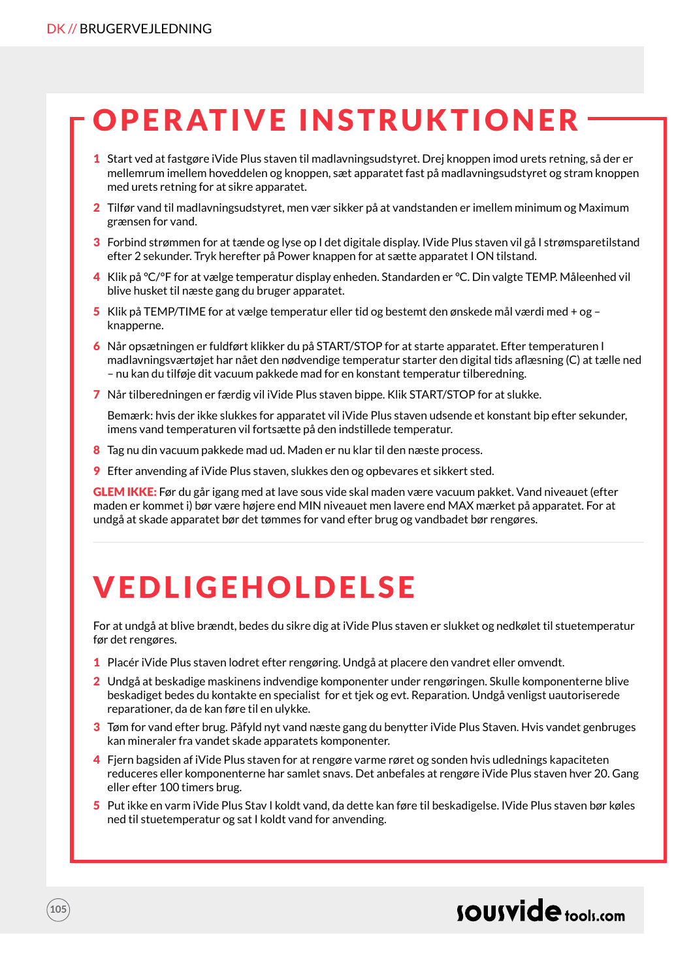**105**

# OPERATIVE INSTRUKTIONER

- 1 Start ved at fastgøre iVide Plus staven til madlavningsudstyret. Drej knoppen imod urets retning, så der er mellemrum imellem hoveddelen og knoppen, sæt apparatet fast på madlavningsudstyret og stram knoppen med urets retning for at sikre apparatet.
- 2 Tilfør vand til madlavningsudstyret, men vær sikker på at vandstanden er imellem minimum og Maximum grænsen for vand.
- 3 Forbind strømmen for at tænde og lyse op I det digitale display. IVide Plus staven vil gå I strømsparetilstand efter 2 sekunder. Tryk herefter på Power knappen for at sætte apparatet I ON tilstand.
- 4 Klik på °C/°F for at vælge temperatur display enheden. Standarden er °C. Din valgte TEMP. Måleenhed vil blive husket til næste gang du bruger apparatet.
- 5 Klik på TEMP/TIME for at vælge temperatur eller tid og bestemt den ønskede mål værdi med + og knapperne.
- 6 Når opsætningen er fuldført klikker du på START/STOP for at starte apparatet. Efter temperaturen I madlavningsværtøjet har nået den nødvendige temperatur starter den digital tids aflæsning (C) at tælle ned – nu kan du tilføje dit vacuum pakkede mad for en konstant temperatur tilberedning.
- 7 Når tilberedningen er færdig vil iVide Plus staven bippe. Klik START/STOP for at slukke.

Bemærk: hvis der ikke slukkes for apparatet vil iVide Plus staven udsende et konstant bip efter sekunder, imens vand temperaturen vil fortsætte på den indstillede temperatur.

- 8 Tag nu din vacuum pakkede mad ud. Maden er nu klar til den næste process.
- 9 Efter anvending af iVide Plus staven, slukkes den og opbevares et sikkert sted.

GLEM IKKE: Før du går igang med at lave sous vide skal maden være vacuum pakket. Vand niveauet (efter maden er kommet i) bør være højere end MIN niveauet men lavere end MAX mærket på apparatet. For at undgå at skade apparatet bør det tømmes for vand efter brug og vandbadet bør rengøres.

# VEDLIGEHOLDELSE

For at undgå at blive brændt, bedes du sikre dig at iVide Plus staven er slukket og nedkølet til stuetemperatur før det rengøres.

- 1 Placér iVide Plus staven lodret efter rengøring. Undgå at placere den vandret eller omvendt.
- 2 Undgå at beskadige maskinens indvendige komponenter under rengøringen. Skulle komponenterne blive beskadiget bedes du kontakte en specialist for et tjek og evt. Reparation. Undgå venligst uautoriserede reparationer, da de kan føre til en ulykke.
- 3 Tøm for vand efter brug. Påfyld nyt vand næste gang du benytter iVide Plus Staven. Hvis vandet genbruges kan mineraler fra vandet skade apparatets komponenter.
- 4 Fjern bagsiden af iVide Plus staven for at rengøre varme røret og sonden hvis udlednings kapaciteten reduceres eller komponenterne har samlet snavs. Det anbefales at rengøre iVide Plus staven hver 20. Gang eller efter 100 timers brug.
- 5 Put ikke en varm iVide Plus Stav I koldt vand, da dette kan føre til beskadigelse. IVide Plus staven bør køles ned til stuetemperatur og sat I koldt vand for anvending.

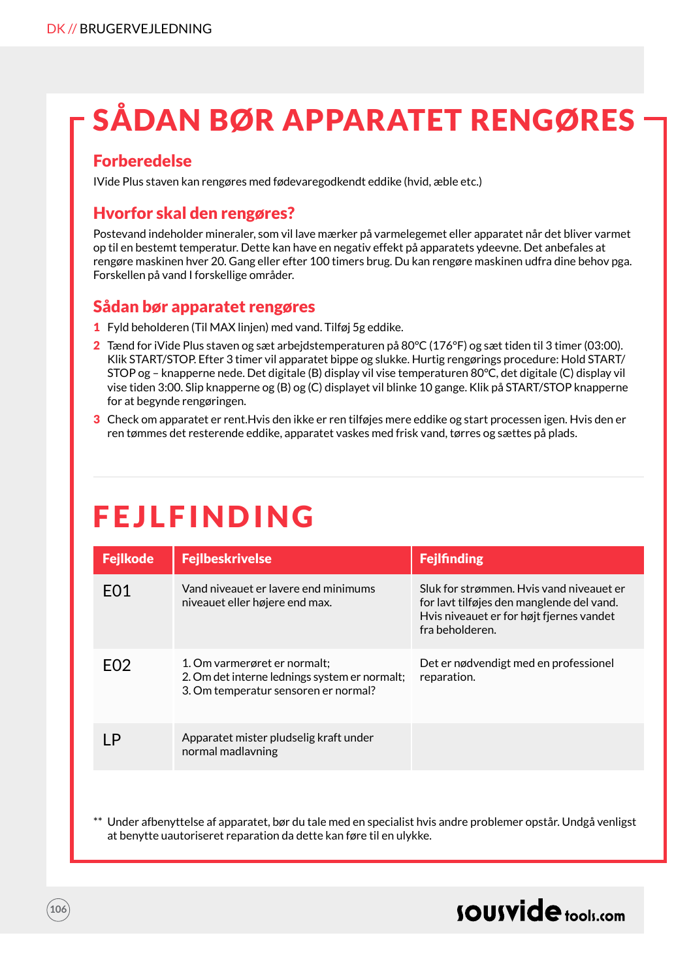# SÅDAN BØR APPARATET RENGØRES

### **Forberedelse**

IVide Plus staven kan rengøres med fødevaregodkendt eddike (hvid, æble etc.)

### Hvorfor skal den rengøres?

Postevand indeholder mineraler, som vil lave mærker på varmelegemet eller apparatet når det bliver varmet op til en bestemt temperatur. Dette kan have en negativ effekt på apparatets ydeevne. Det anbefales at rengøre maskinen hver 20. Gang eller efter 100 timers brug. Du kan rengøre maskinen udfra dine behov pga. Forskellen på vand I forskellige områder.

### Sådan bør apparatet rengøres

- 1 Fyld beholderen (Til MAX linjen) med vand. Tilføj 5g eddike.
- 2 Tænd for iVide Plus staven og sæt arbejdstemperaturen på 80°C (176°F) og sæt tiden til 3 timer (03:00). Klik START/STOP. Efter 3 timer vil apparatet bippe og slukke. Hurtig rengørings procedure: Hold START/ STOP og – knapperne nede. Det digitale (B) display vil vise temperaturen 80°C, det digitale (C) display vil vise tiden 3:00. Slip knapperne og (B) og (C) displayet vil blinke 10 gange. Klik på START/STOP knapperne for at begynde rengøringen.
- 3 Check om apparatet er rent.Hvis den ikke er ren tilføjes mere eddike og start processen igen. Hvis den er ren tømmes det resterende eddike, apparatet vaskes med frisk vand, tørres og sættes på plads.

# **FEJLFINDING**

| <b>Fejlkode</b>  | <b>Fejlbeskrivelse</b>                                                                                                | <b>Fejlfinding</b>                                                                                                                                    |
|------------------|-----------------------------------------------------------------------------------------------------------------------|-------------------------------------------------------------------------------------------------------------------------------------------------------|
| F <sub>0</sub> 1 | Vand niveauet er lavere end minimums<br>niveauet eller højere end max.                                                | Sluk for strømmen. Hvis vand niveauet er<br>for lavt tilføjes den manglende del vand.<br>Hy is niveauet er for højt fjernes vandet<br>fra beholderen. |
| FO <sub>2</sub>  | 1. Om varmerøret er normalt:<br>2. Om det interne lednings system er normalt;<br>3. Om temperatur sensoren er normal? | Det er nødvendigt med en professionel<br>reparation.                                                                                                  |
| ΙP               | Apparatet mister pludselig kraft under<br>normal madlavning                                                           |                                                                                                                                                       |

Under afbenyttelse af apparatet, bør du tale med en specialist hvis andre problemer opstår. Undgå venligst at benytte uautoriseret reparation da dette kan føre til en ulykke.

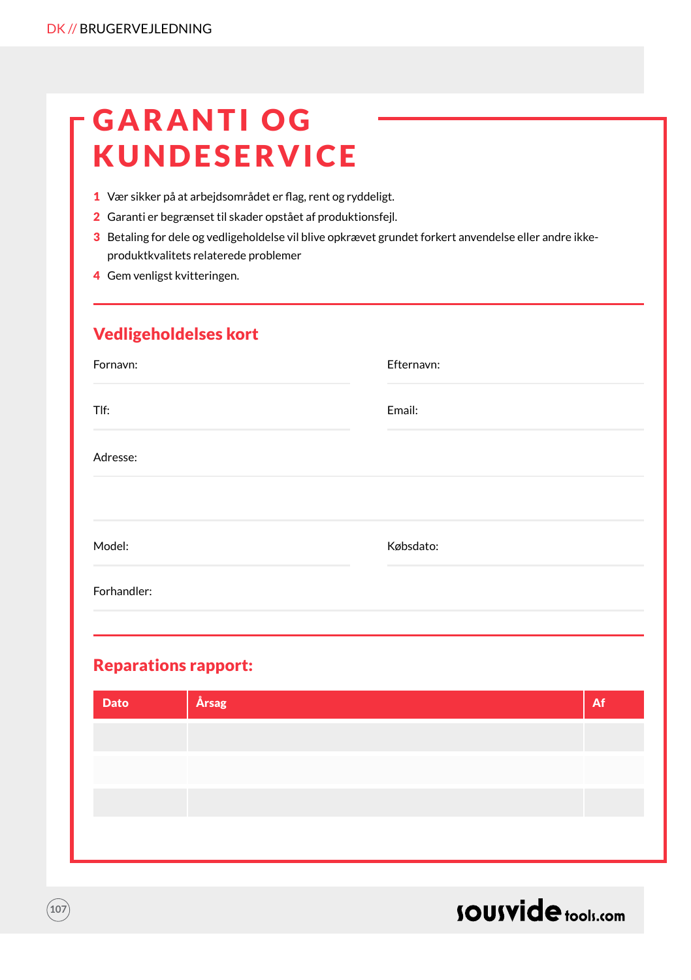# **GARANTI OG** KUNDESERVICE

- 1 Vær sikker på at arbejdsområdet er flag, rent og ryddeligt.
- 2 Garanti er begrænset til skader opstået af produktionsfejl.
- 3 Betaling for dele og vedligeholdelse vil blive opkrævet grundet forkert anvendelse eller andre ikkeproduktkvalitets relaterede problemer
- 4 Gem venligst kvitteringen.

### Vedligeholdelses kort

| Fornavn:    | Efternavn: |
|-------------|------------|
| Tlf:        | Email:     |
| Adresse:    |            |
|             |            |
| Model:      | Købsdato:  |
| Forhandler: |            |
|             |            |

### Reparations rapport:

| <b>Årsag</b><br><b>Dato</b> |  | Af |
|-----------------------------|--|----|
|                             |  |    |
|                             |  |    |
|                             |  |    |
|                             |  |    |



**107**